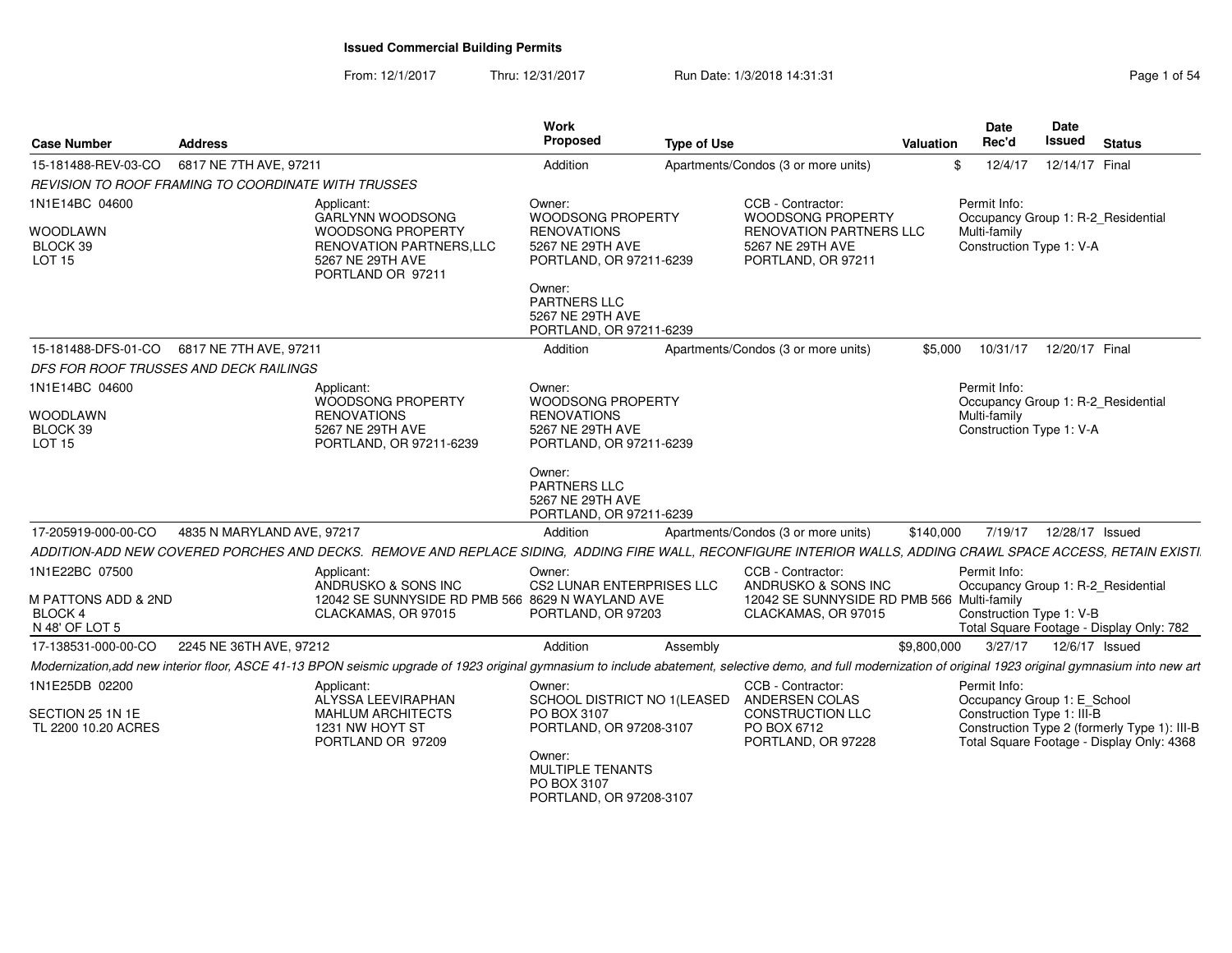From: 12/1/2017Thru: 12/31/2017 Run Date: 1/3/2018 14:31:31 Page 1 of 54

| <b>Case Number</b>                                  | <b>Address</b>             |                                                                                                                                                                                                                 | Work<br><b>Proposed</b>                                               | <b>Type of Use</b> |                                                                          | <b>Valuation</b> | <b>Date</b><br>Rec'd                               | <b>Date</b><br>Issued     | <b>Status</b>                                                                             |
|-----------------------------------------------------|----------------------------|-----------------------------------------------------------------------------------------------------------------------------------------------------------------------------------------------------------------|-----------------------------------------------------------------------|--------------------|--------------------------------------------------------------------------|------------------|----------------------------------------------------|---------------------------|-------------------------------------------------------------------------------------------|
| 15-181488-REV-03-CO                                 | 6817 NE 7TH AVE, 97211     |                                                                                                                                                                                                                 | Addition                                                              |                    | Apartments/Condos (3 or more units)                                      |                  | 12/4/17<br>\$                                      | 12/14/17 Final            |                                                                                           |
| REVISION TO ROOF FRAMING TO COORDINATE WITH TRUSSES |                            |                                                                                                                                                                                                                 |                                                                       |                    |                                                                          |                  |                                                    |                           |                                                                                           |
| 1N1E14BC 04600                                      |                            | Applicant:<br>GARLYNN WOODSONG                                                                                                                                                                                  | Owner:<br><b>WOODSONG PROPERTY</b>                                    |                    | CCB - Contractor:<br><b>WOODSONG PROPERTY</b>                            |                  | Permit Info:<br>Occupancy Group 1: R-2 Residential |                           |                                                                                           |
| WOODLAWN<br>BLOCK 39<br><b>LOT 15</b>               |                            | WOODSONG PROPERTY<br><b>RENOVATION PARTNERS, LLC</b><br>5267 NE 29TH AVE<br>PORTLAND OR 97211                                                                                                                   | <b>RENOVATIONS</b><br>5267 NE 29TH AVE<br>PORTLAND, OR 97211-6239     |                    | <b>RENOVATION PARTNERS LLC</b><br>5267 NE 29TH AVE<br>PORTLAND, OR 97211 |                  | Multi-family<br>Construction Type 1: V-A           |                           |                                                                                           |
|                                                     |                            |                                                                                                                                                                                                                 | Owner:<br>PARTNERS LLC<br>5267 NE 29TH AVE<br>PORTLAND, OR 97211-6239 |                    |                                                                          |                  |                                                    |                           |                                                                                           |
| 15-181488-DFS-01-CO                                 | 6817 NE 7TH AVE, 97211     |                                                                                                                                                                                                                 | Addition                                                              |                    | Apartments/Condos (3 or more units)                                      | \$5,000          | 10/31/17                                           | 12/20/17 Final            |                                                                                           |
| DFS FOR ROOF TRUSSES AND DECK RAILINGS              |                            |                                                                                                                                                                                                                 |                                                                       |                    |                                                                          |                  |                                                    |                           |                                                                                           |
| 1N1E14BC 04600                                      |                            | Applicant:<br>WOODSONG PROPERTY                                                                                                                                                                                 | Owner:<br>WOODSONG PROPERTY                                           |                    |                                                                          |                  | Permit Info:<br>Occupancy Group 1: R-2 Residential |                           |                                                                                           |
| WOODLAWN                                            |                            | <b>RENOVATIONS</b>                                                                                                                                                                                              | <b>RENOVATIONS</b>                                                    |                    |                                                                          |                  | Multi-family                                       |                           |                                                                                           |
| BLOCK 39<br><b>LOT 15</b>                           |                            | 5267 NE 29TH AVE<br>PORTLAND, OR 97211-6239                                                                                                                                                                     | 5267 NE 29TH AVE<br>PORTLAND, OR 97211-6239                           |                    |                                                                          |                  | Construction Type 1: V-A                           |                           |                                                                                           |
|                                                     |                            |                                                                                                                                                                                                                 | Owner:<br>PARTNERS LLC<br>5267 NE 29TH AVE<br>PORTLAND, OR 97211-6239 |                    |                                                                          |                  |                                                    |                           |                                                                                           |
| 17-205919-000-00-CO                                 | 4835 N MARYLAND AVE, 97217 |                                                                                                                                                                                                                 | Addition                                                              |                    | Apartments/Condos (3 or more units)                                      | \$140,000        |                                                    | 7/19/17  12/28/17  Issued |                                                                                           |
|                                                     |                            | ADDITION-ADD NEW COVERED PORCHES AND DECKS. REMOVE AND REPLACE SIDING, ADDING FIRE WALL, RECONFIGURE INTERIOR WALLS, ADDING CRAWL SPACE ACCESS, RETAIN EXISTI.                                                  |                                                                       |                    |                                                                          |                  |                                                    |                           |                                                                                           |
| 1N1E22BC 07500                                      |                            | Applicant:                                                                                                                                                                                                      | Owner:                                                                |                    | CCB - Contractor:                                                        |                  | Permit Info:                                       |                           |                                                                                           |
| M PATTONS ADD & 2ND                                 |                            | ANDRUSKO & SONS INC<br>12042 SE SUNNYSIDE RD PMB 566 8629 N WAYLAND AVE                                                                                                                                         | CS2 LUNAR ENTERPRISES LLC                                             |                    | ANDRUSKO & SONS INC<br>12042 SE SUNNYSIDE RD PMB 566 Multi-family        |                  | Occupancy Group 1: R-2_Residential                 |                           |                                                                                           |
| <b>BLOCK 4</b><br>N 48' OF LOT 5                    |                            | CLACKAMAS, OR 97015                                                                                                                                                                                             | PORTLAND, OR 97203                                                    |                    | CLACKAMAS, OR 97015                                                      |                  | Construction Type 1: V-B                           |                           | Total Square Footage - Display Only: 782                                                  |
| 17-138531-000-00-CO                                 | 2245 NE 36TH AVE, 97212    |                                                                                                                                                                                                                 | Addition                                                              | Assembly           |                                                                          | \$9,800,000      | 3/27/17                                            | 12/6/17 Issued            |                                                                                           |
|                                                     |                            | Modernization, add new interior floor, ASCE 41-13 BPON seismic upgrade of 1923 original gymnasium to include abatement, selective demo, and full modernization of original 1923 original gymnasium into new art |                                                                       |                    |                                                                          |                  |                                                    |                           |                                                                                           |
| 1N1E25DB 02200                                      |                            | Applicant:<br>ALYSSA LEEVIRAPHAN                                                                                                                                                                                | Owner:<br>SCHOOL DISTRICT NO 1 (LEASED                                |                    | CCB - Contractor:<br>ANDERSEN COLAS                                      |                  | Permit Info:<br>Occupancy Group 1: E_School        |                           |                                                                                           |
| SECTION 25 1N 1E<br>TL 2200 10.20 ACRES             |                            | <b>MAHLUM ARCHITECTS</b><br>1231 NW HOYT ST<br>PORTLAND OR 97209                                                                                                                                                | PO BOX 3107<br>PORTLAND, OR 97208-3107<br>Owner:                      |                    | <b>CONSTRUCTION LLC</b><br>PO BOX 6712<br>PORTLAND, OR 97228             |                  | Construction Type 1: III-B                         |                           | Construction Type 2 (formerly Type 1): III-B<br>Total Square Footage - Display Only: 4368 |
|                                                     |                            |                                                                                                                                                                                                                 | <b>MULTIPLE TENANTS</b><br>PO BOX 3107<br>PORTLAND, OR 97208-3107     |                    |                                                                          |                  |                                                    |                           |                                                                                           |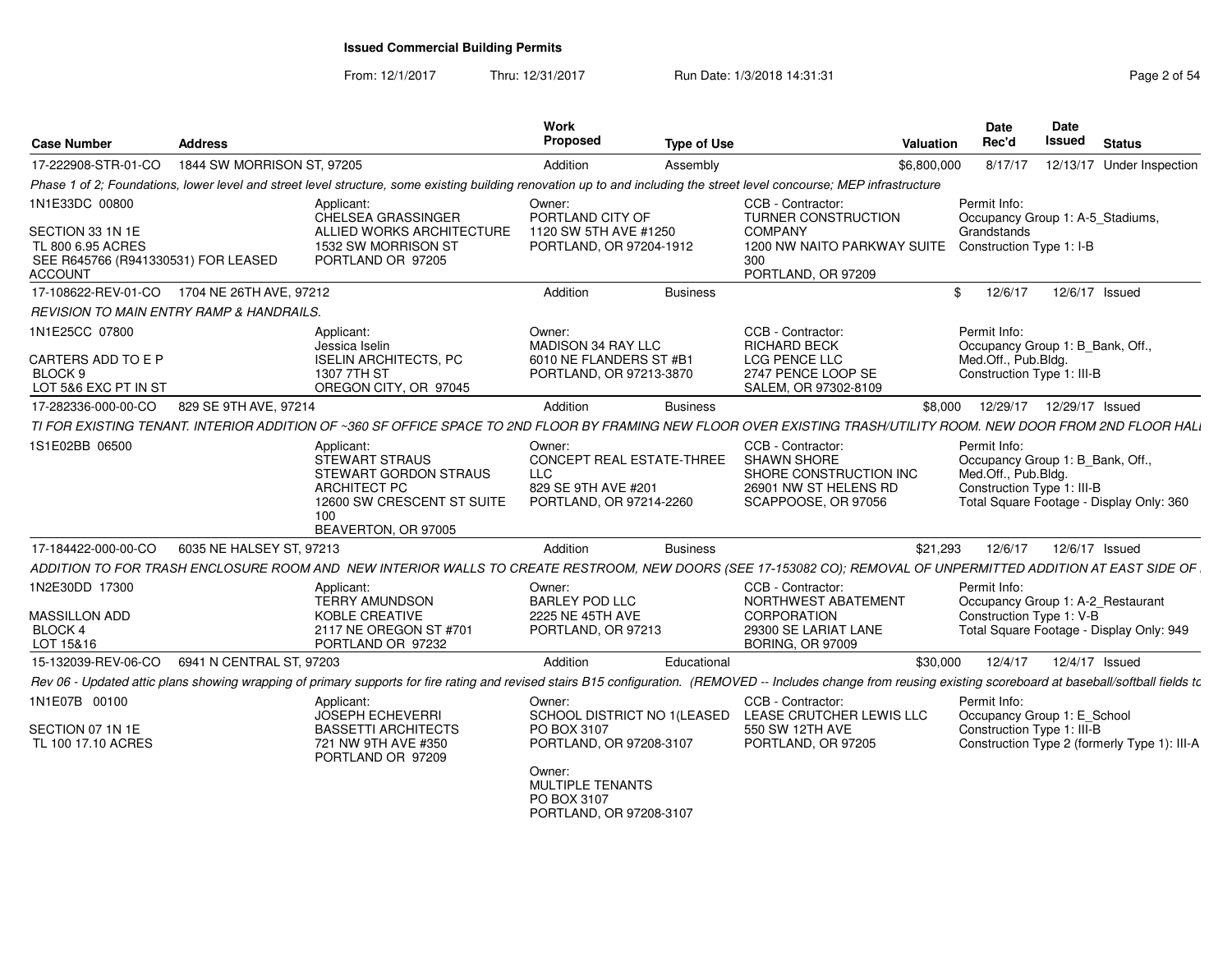From: 12/1/2017

Thru: 12/31/2017 **Run Date: 1/3/2018 14:31:31 Research 2018** Page 2 of 54

| 1844 SW MORRISON ST, 97205<br>17-222908-STR-01-CO<br>Addition<br>Applicant:<br>Owner:<br>CHELSEA GRASSINGER<br>PORTLAND CITY OF<br>ALLIED WORKS ARCHITECTURE<br>1120 SW 5TH AVE #1250<br>1532 SW MORRISON ST<br>PORTLAND, OR 97204-1912<br>PORTLAND OR 97205                         | Assembly<br><b>Business</b> | \$6,800,000<br>CCB - Contractor:<br>TURNER CONSTRUCTION<br><b>COMPANY</b><br>1200 NW NAITO PARKWAY SUITE<br>300<br>PORTLAND, OR 97209 | 8/17/17<br>Permit Info:<br>Occupancy Group 1: A-5_Stadiums,<br>Grandstands<br>Construction Type 1: I-B |                | 12/13/17 Under Inspection                    |
|--------------------------------------------------------------------------------------------------------------------------------------------------------------------------------------------------------------------------------------------------------------------------------------|-----------------------------|---------------------------------------------------------------------------------------------------------------------------------------|--------------------------------------------------------------------------------------------------------|----------------|----------------------------------------------|
| Phase 1 of 2; Foundations, lower level and street level structure, some existing building renovation up to and including the street level concourse; MEP infrastructure<br>1N1E33DC 00800<br>SECTION 33 1N 1E<br>TL 800 6.95 ACRES<br>SEE R645766 (R941330531) FOR LEASED<br>ACCOUNT |                             |                                                                                                                                       |                                                                                                        |                |                                              |
|                                                                                                                                                                                                                                                                                      |                             |                                                                                                                                       |                                                                                                        |                |                                              |
|                                                                                                                                                                                                                                                                                      |                             |                                                                                                                                       |                                                                                                        |                |                                              |
|                                                                                                                                                                                                                                                                                      |                             |                                                                                                                                       |                                                                                                        |                |                                              |
| 17-108622-REV-01-CO 1704 NE 26TH AVE, 97212<br>Addition                                                                                                                                                                                                                              |                             |                                                                                                                                       | \$<br>12/6/17                                                                                          | 12/6/17 Issued |                                              |
| REVISION TO MAIN ENTRY RAMP & HANDRAILS.                                                                                                                                                                                                                                             |                             |                                                                                                                                       |                                                                                                        |                |                                              |
| 1N1E25CC 07800<br>Applicant:<br>Owner:<br>MADISON 34 RAY LLC<br>Jessica Iselin<br>CARTERS ADD TO E P<br><b>ISELIN ARCHITECTS, PC</b><br>6010 NE FLANDERS ST #B1<br>1307 7TH ST<br>PORTLAND, OR 97213-3870<br>BLOCK 9<br>LOT 5&6 EXC PT IN ST<br>OREGON CITY, OR 97045                |                             | CCB - Contractor:<br><b>RICHARD BECK</b><br><b>LCG PENCE LLC</b><br>2747 PENCE LOOP SE<br>SALEM, OR 97302-8109                        | Permit Info:<br>Occupancy Group 1: B_Bank, Off.,<br>Med.Off., Pub.Bldg.<br>Construction Type 1: III-B  |                |                                              |
| 829 SE 9TH AVE, 97214<br>17-282336-000-00-CO<br>Addition                                                                                                                                                                                                                             | <b>Business</b>             | \$8,000                                                                                                                               | 12/29/17  12/29/17  Issued                                                                             |                |                                              |
| TI FOR EXISTING TENANT. INTERIOR ADDITION OF ~360 SF OFFICE SPACE TO 2ND FLOOR BY FRAMING NEW FLOOR OVER EXISTING TRASH/UTILITY ROOM. NEW DOOR FROM 2ND FLOOR HALI                                                                                                                   |                             |                                                                                                                                       |                                                                                                        |                |                                              |
| 1S1E02BB 06500<br>Applicant:<br>Owner:<br><b>STEWART STRAUS</b><br><b>CONCEPT REAL ESTATE-THREE</b><br>STEWART GORDON STRAUS<br><b>LLC</b><br><b>ARCHITECT PC</b><br>829 SE 9TH AVE #201<br>12600 SW CRESCENT ST SUITE<br>PORTLAND, OR 97214-2260<br>100<br>BEAVERTON, OR 97005      |                             | CCB - Contractor:<br><b>SHAWN SHORE</b><br>SHORE CONSTRUCTION INC<br>26901 NW ST HELENS RD<br>SCAPPOOSE, OR 97056                     | Permit Info:<br>Occupancy Group 1: B_Bank, Off.,<br>Med.Off., Pub.Bldg.<br>Construction Type 1: III-B  |                | Total Square Footage - Display Only: 360     |
| 17-184422-000-00-CO<br>6035 NE HALSEY ST, 97213<br>Addition                                                                                                                                                                                                                          | <b>Business</b>             | \$21,293                                                                                                                              | 12/6/17                                                                                                | 12/6/17 Issued |                                              |
| ADDITION TO FOR TRASH ENCLOSURE ROOM AND  NEW INTERIOR WALLS TO CREATE RESTROOM, NEW DOORS (SEE 17-153082 CO); REMOVAL OF UNPERMITTED ADDITION AT EAST SIDE OF                                                                                                                       |                             |                                                                                                                                       |                                                                                                        |                |                                              |
| 1N2E30DD 17300<br>Owner:<br>Applicant:<br><b>TERRY AMUNDSON</b><br><b>BARLEY POD LLC</b><br>KOBLE CREATIVE<br>2225 NE 45TH AVE<br>MASSILLON ADD<br><b>BLOCK 4</b><br>2117 NE OREGON ST #701<br>PORTLAND, OR 97213                                                                    |                             | CCB - Contractor:<br>NORTHWEST ABATEMENT<br>CORPORATION<br>29300 SE LARIAT LANE                                                       | Permit Info:<br>Occupancy Group 1: A-2_Restaurant<br>Construction Type 1: V-B                          |                | Total Square Footage - Display Only: 949     |
| LOT 15&16<br>PORTLAND OR 97232                                                                                                                                                                                                                                                       |                             | <b>BORING, OR 97009</b>                                                                                                               |                                                                                                        |                |                                              |
| 6941 N CENTRAL ST, 97203<br>15-132039-REV-06-CO<br>Addition                                                                                                                                                                                                                          | Educational                 | \$30,000                                                                                                                              | 12/4/17                                                                                                | 12/4/17 Issued |                                              |
| Rev 06 - Updated attic plans showing wrapping of primary supports for fire rating and revised stairs B15 configuration. (REMOVED -- Includes change from reusing existing scoreboard at baseball/softball fields tc                                                                  |                             |                                                                                                                                       |                                                                                                        |                |                                              |
| 1N1E07B 00100<br>Applicant:<br>Owner:<br><b>JOSEPH ECHEVERRI</b><br>SECTION 07 1N 1E<br><b>BASSETTI ARCHITECTS</b><br>PO BOX 3107<br>PORTLAND, OR 97208-3107<br>TL 100 17.10 ACRES<br>721 NW 9TH AVE #350<br>PORTLAND OR 97209<br>Owner:<br>MULTIPLE TENANTS<br>PO BOX 3107          |                             | CCB - Contractor:<br>SCHOOL DISTRICT NO 1(LEASED LEASE CRUTCHER LEWIS LLC<br>550 SW 12TH AVE<br>PORTLAND, OR 97205                    | Permit Info:<br>Occupancy Group 1: E_School<br>Construction Type 1: III-B                              |                | Construction Type 2 (formerly Type 1): III-A |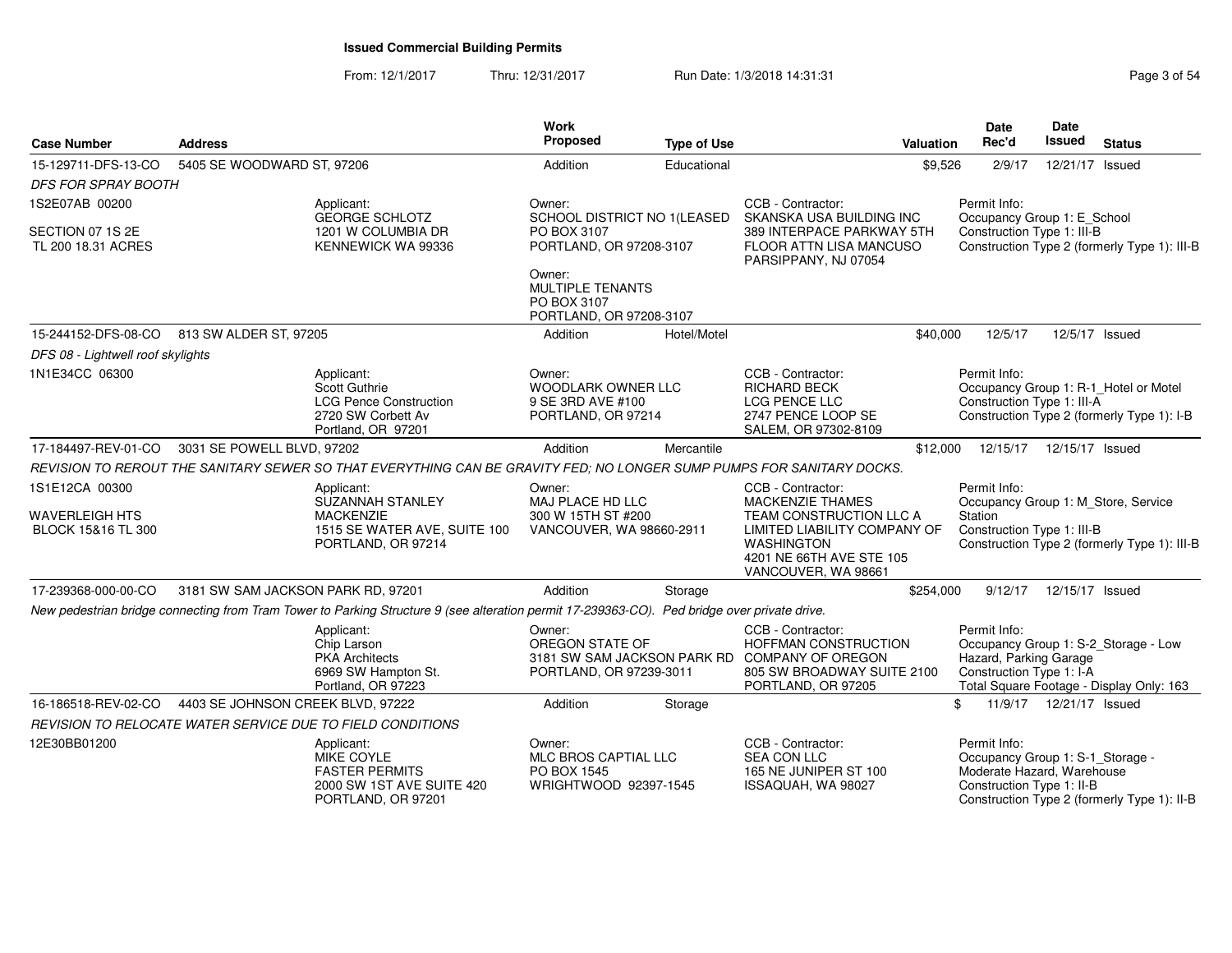From: 12/1/2017Thru: 12/31/2017 Run Date: 1/3/2018 14:31:31 Page 3 of 54

| <b>Case Number</b>                     | <b>Address</b>                                                                                                                               |                                                                                            | Work<br><b>Proposed</b>                                                        | <b>Type of Use</b> | <b>Valuation</b>                                                                                                                                      | <b>Date</b><br>Rec'd                                                                                        | <b>Date</b><br><b>Issued</b> | <b>Status</b>                                                                       |
|----------------------------------------|----------------------------------------------------------------------------------------------------------------------------------------------|--------------------------------------------------------------------------------------------|--------------------------------------------------------------------------------|--------------------|-------------------------------------------------------------------------------------------------------------------------------------------------------|-------------------------------------------------------------------------------------------------------------|------------------------------|-------------------------------------------------------------------------------------|
| 15-129711-DFS-13-CO                    | 5405 SE WOODWARD ST, 97206                                                                                                                   |                                                                                            | Addition                                                                       | Educational        | \$9,526                                                                                                                                               | 2/9/17                                                                                                      | 12/21/17 Issued              |                                                                                     |
| <i>DFS FOR SPRAY BOOTH</i>             |                                                                                                                                              |                                                                                            |                                                                                |                    |                                                                                                                                                       |                                                                                                             |                              |                                                                                     |
| 1S2E07AB 00200                         | Applicant:                                                                                                                                   | <b>GEORGE SCHLOTZ</b>                                                                      | Owner:<br>SCHOOL DISTRICT NO 1(LEASED                                          |                    | CCB - Contractor:<br>SKANSKA USA BUILDING INC                                                                                                         | Permit Info:<br>Occupancy Group 1: E_School                                                                 |                              |                                                                                     |
| SECTION 07 1S 2E<br>TL 200 18.31 ACRES |                                                                                                                                              | 1201 W COLUMBIA DR<br>KENNEWICK WA 99336                                                   | PO BOX 3107<br>PORTLAND, OR 97208-3107                                         |                    | 389 INTERPACE PARKWAY 5TH<br>FLOOR ATTN LISA MANCUSO<br>PARSIPPANY, NJ 07054                                                                          | Construction Type 1: III-B                                                                                  |                              | Construction Type 2 (formerly Type 1): III-B                                        |
|                                        |                                                                                                                                              |                                                                                            | Owner:<br>MULTIPLE TENANTS<br>PO BOX 3107<br>PORTLAND, OR 97208-3107           |                    |                                                                                                                                                       |                                                                                                             |                              |                                                                                     |
|                                        | 15-244152-DFS-08-CO 813 SW ALDER ST, 97205                                                                                                   |                                                                                            | Addition                                                                       | Hotel/Motel        | \$40,000                                                                                                                                              | 12/5/17                                                                                                     | 12/5/17 Issued               |                                                                                     |
| DFS 08 - Lightwell roof skylights      |                                                                                                                                              |                                                                                            |                                                                                |                    |                                                                                                                                                       |                                                                                                             |                              |                                                                                     |
| 1N1E34CC 06300                         | Applicant:                                                                                                                                   | Scott Guthrie<br><b>LCG Pence Construction</b><br>2720 SW Corbett Av<br>Portland, OR 97201 | Owner:<br><b>WOODLARK OWNER LLC</b><br>9 SE 3RD AVE #100<br>PORTLAND, OR 97214 |                    | CCB - Contractor:<br>RICHARD BECK<br><b>LCG PENCE LLC</b><br>2747 PENCE LOOP SE<br>SALEM, OR 97302-8109                                               | Permit Info:<br>Construction Type 1: III-A                                                                  |                              | Occupancy Group 1: R-1_Hotel or Motel<br>Construction Type 2 (formerly Type 1): I-B |
| 17-184497-REV-01-CO                    | 3031 SE POWELL BLVD, 97202                                                                                                                   |                                                                                            | Addition                                                                       | Mercantile         | \$12,000                                                                                                                                              | 12/15/17                                                                                                    | 12/15/17 Issued              |                                                                                     |
|                                        | REVISION TO REROUT THE SANITARY SEWER SO THAT EVERYTHING CAN BE GRAVITY FED; NO LONGER SUMP PUMPS FOR SANITARY DOCKS.                        |                                                                                            |                                                                                |                    |                                                                                                                                                       |                                                                                                             |                              |                                                                                     |
| 1S1E12CA 00300                         | Applicant:                                                                                                                                   | SUZANNAH STANLEY                                                                           | Owner:<br>MAJ PLACE HD LLC                                                     |                    | CCB - Contractor:<br><b>MACKENZIE THAMES</b>                                                                                                          | Permit Info:<br>Occupancy Group 1: M_Store, Service                                                         |                              |                                                                                     |
| WAVERLEIGH HTS<br>BLOCK 15&16 TL 300   |                                                                                                                                              | <b>MACKENZIE</b><br>1515 SE WATER AVE, SUITE 100<br>PORTLAND, OR 97214                     | 300 W 15TH ST #200<br>VANCOUVER, WA 98660-2911                                 |                    | TEAM CONSTRUCTION LLC A<br>LIMITED LIABILITY COMPANY OF<br><b>WASHINGTON</b><br>4201 NE 66TH AVE STE 105<br>VANCOUVER, WA 98661                       | Station<br>Construction Type 1: III-B                                                                       |                              | Construction Type 2 (formerly Type 1): III-B                                        |
| 17-239368-000-00-CO                    | 3181 SW SAM JACKSON PARK RD, 97201                                                                                                           |                                                                                            | Addition                                                                       | Storage            | \$254,000                                                                                                                                             | 9/12/17                                                                                                     | 12/15/17 Issued              |                                                                                     |
|                                        | New pedestrian bridge connecting from Tram Tower to Parking Structure 9 (see alteration permit 17-239363-CO). Ped bridge over private drive. |                                                                                            |                                                                                |                    |                                                                                                                                                       |                                                                                                             |                              |                                                                                     |
|                                        | Applicant:                                                                                                                                   | Chip Larson<br><b>PKA</b> Architects<br>6969 SW Hampton St.<br>Portland, OR 97223          | Owner:<br>OREGON STATE OF<br>PORTLAND, OR 97239-3011                           |                    | CCB - Contractor:<br><b>HOFFMAN CONSTRUCTION</b><br>3181 SW SAM JACKSON PARK RD COMPANY OF OREGON<br>805 SW BROADWAY SUITE 2100<br>PORTLAND, OR 97205 | Permit Info:<br>Hazard, Parking Garage<br>Construction Type 1: I-A                                          |                              | Occupancy Group 1: S-2_Storage - Low<br>Total Square Footage - Display Only: 163    |
| 16-186518-REV-02-CO                    | 4403 SE JOHNSON CREEK BLVD, 97222                                                                                                            |                                                                                            | Addition                                                                       | Storage            |                                                                                                                                                       | \$                                                                                                          | 11/9/17  12/21/17  Issued    |                                                                                     |
|                                        | REVISION TO RELOCATE WATER SERVICE DUE TO FIELD CONDITIONS                                                                                   |                                                                                            |                                                                                |                    |                                                                                                                                                       |                                                                                                             |                              |                                                                                     |
| 12E30BB01200                           | Applicant:                                                                                                                                   | MIKE COYLE<br><b>FASTER PERMITS</b><br>2000 SW 1ST AVE SUITE 420<br>PORTLAND, OR 97201     | Owner:<br>MLC BROS CAPTIAL LLC<br>PO BOX 1545<br>WRIGHTWOOD 92397-1545         |                    | CCB - Contractor:<br><b>SEA CON LLC</b><br>165 NE JUNIPER ST 100<br>ISSAQUAH, WA 98027                                                                | Permit Info:<br>Occupancy Group 1: S-1_Storage -<br>Moderate Hazard, Warehouse<br>Construction Type 1: II-B |                              | Construction Type 2 (formerly Type 1): II-B                                         |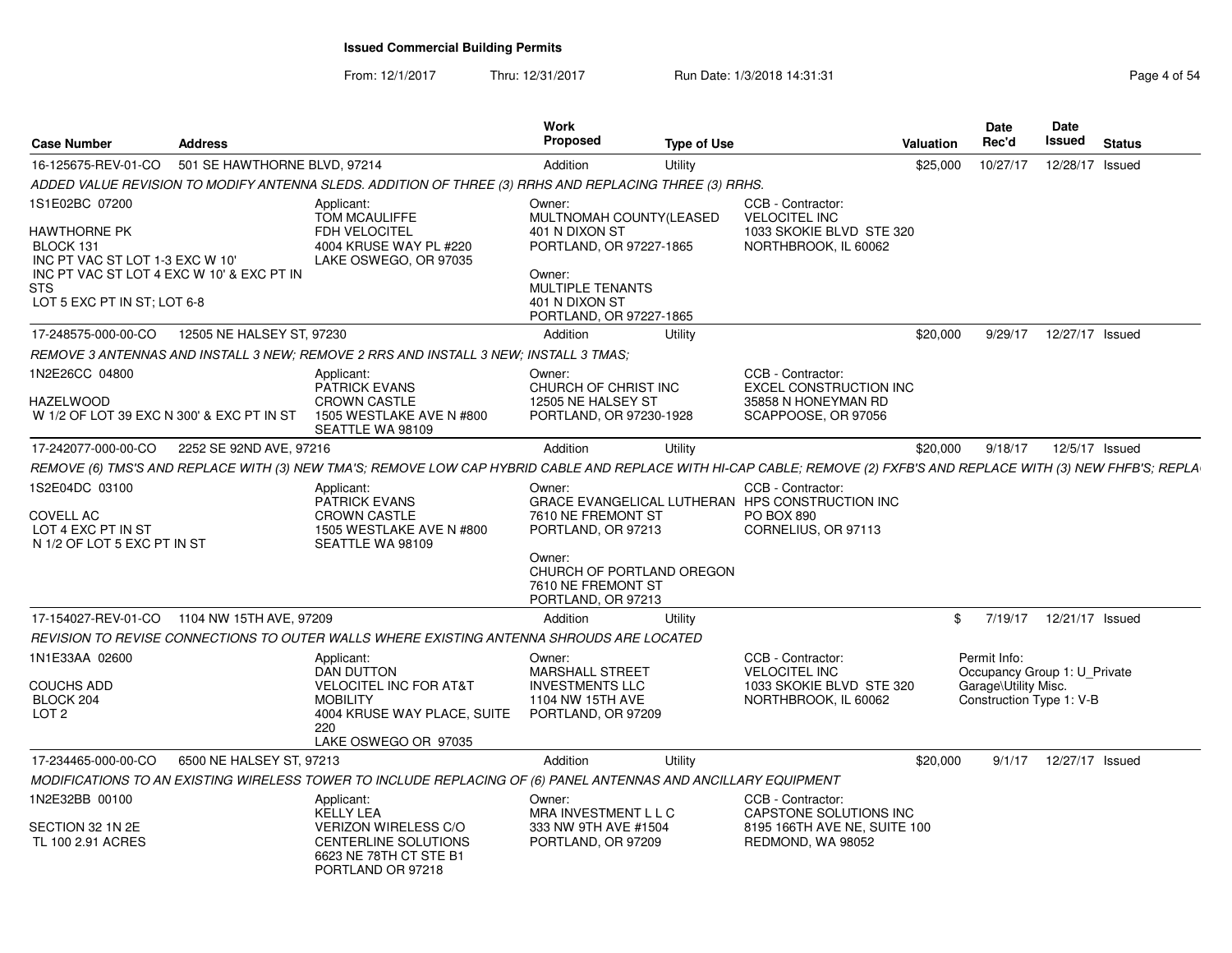From: 12/1/2017

Thru: 12/31/2017 Run Date: 1/3/2018 14:31:31 Page 4 of 54

| Case Number                                                                                                                               | <b>Address</b>               |                                                                                                                                                                      | Work<br><b>Proposed</b>                                                                                             | <b>Type of Use</b> |                                                                                                                  | Valuation | <b>Date</b><br>Rec'd                                                                             | Date<br>Issued  | <b>Status</b> |
|-------------------------------------------------------------------------------------------------------------------------------------------|------------------------------|----------------------------------------------------------------------------------------------------------------------------------------------------------------------|---------------------------------------------------------------------------------------------------------------------|--------------------|------------------------------------------------------------------------------------------------------------------|-----------|--------------------------------------------------------------------------------------------------|-----------------|---------------|
| 16-125675-REV-01-CO                                                                                                                       | 501 SE HAWTHORNE BLVD, 97214 |                                                                                                                                                                      | Addition                                                                                                            | Utility            |                                                                                                                  | \$25,000  | 10/27/17                                                                                         | 12/28/17 Issued |               |
|                                                                                                                                           |                              | ADDED VALUE REVISION TO MODIFY ANTENNA SLEDS. ADDITION OF THREE (3) RRHS AND REPLACING THREE (3) RRHS.                                                               |                                                                                                                     |                    |                                                                                                                  |           |                                                                                                  |                 |               |
| 1S1E02BC 07200<br>HAWTHORNE PK<br>BLOCK 131<br>INC PT VAC ST LOT 1-3 EXC W 10'<br>INC PT VAC ST LOT 4 EXC W 10' & EXC PT IN<br><b>STS</b> |                              | Applicant:<br>TOM MCAULIFFE<br><b>FDH VELOCITEL</b><br>4004 KRUSE WAY PL #220<br>LAKE OSWEGO, OR 97035                                                               | Owner:<br>MULTNOMAH COUNTY(LEASED<br>401 N DIXON ST<br>PORTLAND, OR 97227-1865<br>Owner:<br><b>MULTIPLE TENANTS</b> |                    | CCB - Contractor:<br><b>VELOCITEL INC</b><br>1033 SKOKIE BLVD STE 320<br>NORTHBROOK, IL 60062                    |           |                                                                                                  |                 |               |
| LOT 5 EXC PT IN ST; LOT 6-8                                                                                                               |                              |                                                                                                                                                                      | 401 N DIXON ST<br>PORTLAND, OR 97227-1865                                                                           |                    |                                                                                                                  |           |                                                                                                  |                 |               |
| 17-248575-000-00-CO                                                                                                                       | 12505 NE HALSEY ST. 97230    |                                                                                                                                                                      | Addition                                                                                                            | Utility            |                                                                                                                  | \$20,000  | 9/29/17                                                                                          | 12/27/17 Issued |               |
|                                                                                                                                           |                              | REMOVE 3 ANTENNAS AND INSTALL 3 NEW; REMOVE 2 RRS AND INSTALL 3 NEW; INSTALL 3 TMAS;                                                                                 |                                                                                                                     |                    |                                                                                                                  |           |                                                                                                  |                 |               |
| 1N2E26CC 04800<br>HAZELWOOD<br>W 1/2 OF LOT 39 EXC N 300' & EXC PT IN ST                                                                  |                              | Applicant:<br><b>PATRICK EVANS</b><br><b>CROWN CASTLE</b><br>1505 WESTLAKE AVE N #800<br>SEATTLE WA 98109                                                            | Owner:<br>CHURCH OF CHRIST INC<br>12505 NE HALSEY ST<br>PORTLAND, OR 97230-1928                                     |                    | CCB - Contractor:<br><b>EXCEL CONSTRUCTION INC</b><br>35858 N HONEYMAN RD<br>SCAPPOOSE, OR 97056                 |           |                                                                                                  |                 |               |
| 17-242077-000-00-CO                                                                                                                       | 2252 SE 92ND AVE, 97216      |                                                                                                                                                                      | Addition                                                                                                            | Utility            |                                                                                                                  | \$20,000  | 9/18/17                                                                                          | 12/5/17 Issued  |               |
|                                                                                                                                           |                              | REMOVE (6) TMS'S AND REPLACE WITH (3) NEW TMA'S; REMOVE LOW CAP HYBRID CABLE AND REPLACE WITH HI-CAP CABLE; REMOVE (2) FXFB'S AND REPLACE WITH (3) NEW FHFB'S; REPLA |                                                                                                                     |                    |                                                                                                                  |           |                                                                                                  |                 |               |
| 1S2E04DC 03100<br>COVELL AC<br>LOT 4 EXC PT IN ST<br>N 1/2 OF LOT 5 EXC PT IN ST                                                          |                              | Applicant:<br><b>PATRICK EVANS</b><br><b>CROWN CASTLE</b><br>1505 WESTLAKE AVE N #800<br>SEATTLE WA 98109                                                            | Owner:<br>7610 NE FREMONT ST<br>PORTLAND, OR 97213<br>Owner:                                                        |                    | CCB - Contractor:<br>GRACE EVANGELICAL LUTHERAN HPS CONSTRUCTION INC<br><b>PO BOX 890</b><br>CORNELIUS, OR 97113 |           |                                                                                                  |                 |               |
|                                                                                                                                           |                              |                                                                                                                                                                      | CHURCH OF PORTLAND OREGON<br>7610 NE FREMONT ST<br>PORTLAND, OR 97213                                               |                    |                                                                                                                  |           |                                                                                                  |                 |               |
| 17-154027-REV-01-CO 1104 NW 15TH AVE, 97209                                                                                               |                              |                                                                                                                                                                      | Addition                                                                                                            | Utility            |                                                                                                                  | \$        | 7/19/17                                                                                          | 12/21/17 Issued |               |
|                                                                                                                                           |                              | REVISION TO REVISE CONNECTIONS TO OUTER WALLS WHERE EXISTING ANTENNA SHROUDS ARE LOCATED                                                                             |                                                                                                                     |                    |                                                                                                                  |           |                                                                                                  |                 |               |
| 1N1E33AA 02600<br>COUCHS ADD<br>BLOCK 204<br>LOT <sub>2</sub>                                                                             |                              | Applicant:<br><b>DAN DUTTON</b><br><b>VELOCITEL INC FOR AT&amp;T</b><br><b>MOBILITY</b><br>4004 KRUSE WAY PLACE, SUITE<br>220<br>LAKE OSWEGO OR 97035                | Owner:<br>MARSHALL STREET<br><b>INVESTMENTS LLC</b><br>1104 NW 15TH AVE<br>PORTLAND, OR 97209                       |                    | CCB - Contractor:<br><b>VELOCITEL INC</b><br>1033 SKOKIE BLVD STE 320<br>NORTHBROOK, IL 60062                    |           | Permit Info:<br>Occupancy Group 1: U Private<br>Garage\Utility Misc.<br>Construction Type 1: V-B |                 |               |
| 17-234465-000-00-CO                                                                                                                       | 6500 NE HALSEY ST, 97213     |                                                                                                                                                                      | Addition                                                                                                            | Utility            |                                                                                                                  | \$20,000  | 9/1/17                                                                                           | 12/27/17 Issued |               |
|                                                                                                                                           |                              | MODIFICATIONS TO AN EXISTING WIRELESS TOWER TO INCLUDE REPLACING OF (6) PANEL ANTENNAS AND ANCILLARY EQUIPMENT                                                       |                                                                                                                     |                    |                                                                                                                  |           |                                                                                                  |                 |               |
| 1N2E32BB 00100                                                                                                                            |                              | Applicant:<br><b>KELLY LEA</b>                                                                                                                                       | Owner:<br>MRA INVESTMENT L L C                                                                                      |                    | CCB - Contractor:<br>CAPSTONE SOLUTIONS INC                                                                      |           |                                                                                                  |                 |               |
| SECTION 32 1N 2E<br>TL 100 2.91 ACRES                                                                                                     |                              | <b>VERIZON WIRELESS C/O</b><br><b>CENTERLINE SOLUTIONS</b><br>6623 NE 78TH CT STE B1<br>PORTLAND OR 97218                                                            | 333 NW 9TH AVE #1504<br>PORTLAND, OR 97209                                                                          |                    | 8195 166TH AVE NE, SUITE 100<br>REDMOND, WA 98052                                                                |           |                                                                                                  |                 |               |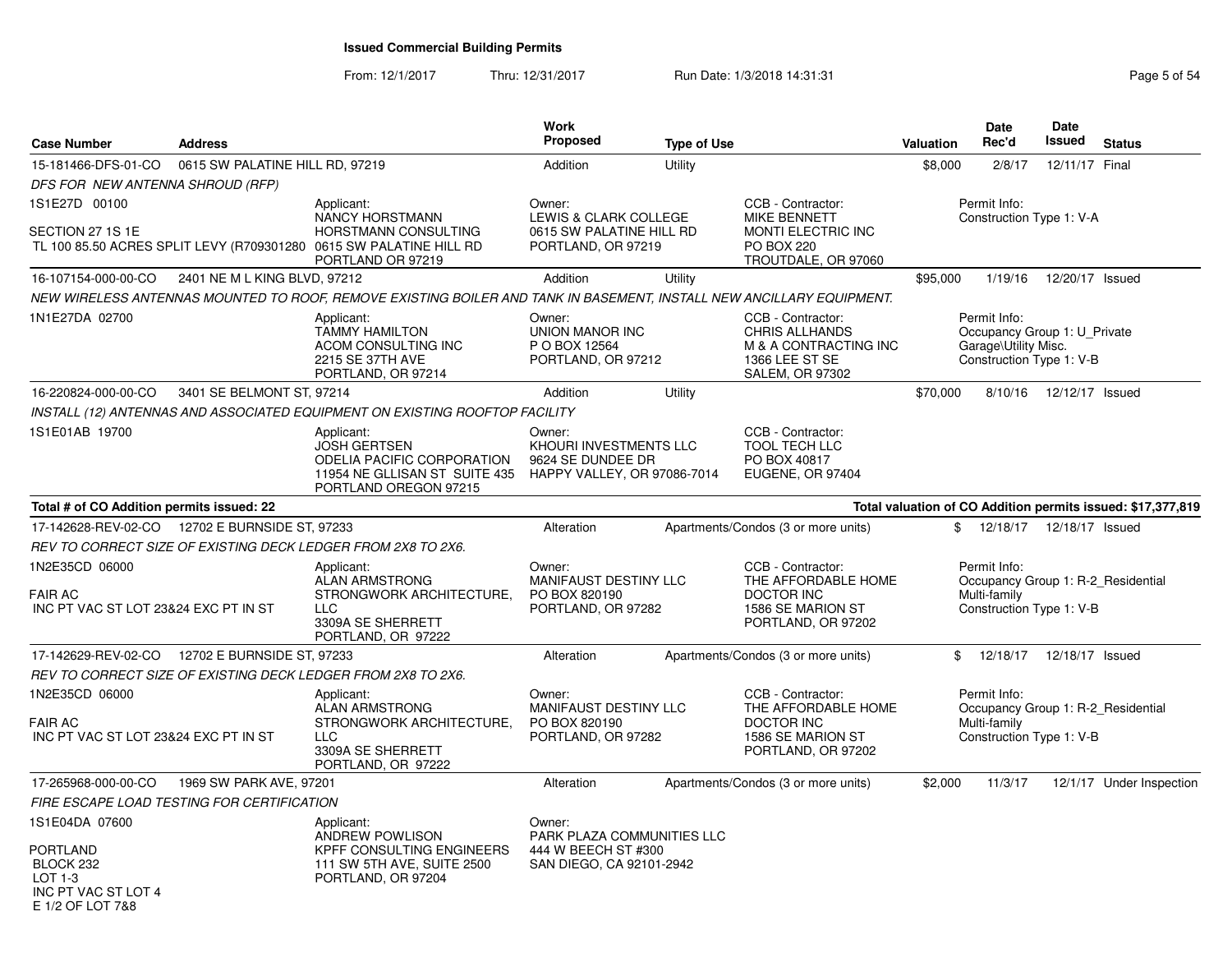From: 12/1/2017Thru: 12/31/2017 **Run Date: 1/3/2018 14:31:31 Page 5 of 54** 

| <b>Case Number</b>                                                                 | <b>Address</b>                             |                                                                                                                                                  | Work<br><b>Proposed</b>                                                              | <b>Type of Use</b> |                                                                                                            | <b>Valuation</b> | Date<br>Rec'd                        | <b>Date</b><br>Issued                                    | <b>Status</b>                                               |
|------------------------------------------------------------------------------------|--------------------------------------------|--------------------------------------------------------------------------------------------------------------------------------------------------|--------------------------------------------------------------------------------------|--------------------|------------------------------------------------------------------------------------------------------------|------------------|--------------------------------------|----------------------------------------------------------|-------------------------------------------------------------|
| 15-181466-DFS-01-CO                                                                | 0615 SW PALATINE HILL RD, 97219            |                                                                                                                                                  | Addition                                                                             | Utility            |                                                                                                            | \$8,000          | 2/8/17                               | 12/11/17 Final                                           |                                                             |
| DFS FOR NEW ANTENNA SHROUD (RFP)                                                   |                                            |                                                                                                                                                  |                                                                                      |                    |                                                                                                            |                  |                                      |                                                          |                                                             |
| 1S1E27D 00100<br>SECTION 27 1S 1E                                                  |                                            | Applicant:<br>NANCY HORSTMANN<br>HORSTMANN CONSULTING<br>TL 100 85.50 ACRES SPLIT LEVY (R709301280 0615 SW PALATINE HILL RD<br>PORTLAND OR 97219 | Owner:<br>LEWIS & CLARK COLLEGE<br>0615 SW PALATINE HILL RD<br>PORTLAND, OR 97219    |                    | CCB - Contractor:<br><b>MIKE BENNETT</b><br>MONTI ELECTRIC INC<br><b>PO BOX 220</b><br>TROUTDALE, OR 97060 |                  | Permit Info:                         | Construction Type 1: V-A                                 |                                                             |
| 16-107154-000-00-CO                                                                | 2401 NE M L KING BLVD, 97212               |                                                                                                                                                  | Addition                                                                             | Utility            |                                                                                                            | \$95,000         | 1/19/16                              | 12/20/17 Issued                                          |                                                             |
|                                                                                    |                                            | NEW WIRELESS ANTENNAS MOUNTED TO ROOF, REMOVE EXISTING BOILER AND TANK IN BASEMENT, INSTALL NEW ANCILLARY EQUIPMENT.                             |                                                                                      |                    |                                                                                                            |                  |                                      |                                                          |                                                             |
| 1N1E27DA 02700                                                                     |                                            | Applicant:<br><b>TAMMY HAMILTON</b><br>ACOM CONSULTING INC<br>2215 SE 37TH AVE<br>PORTLAND, OR 97214                                             | Owner:<br><b>UNION MANOR INC</b><br>P O BOX 12564<br>PORTLAND, OR 97212              |                    | CCB - Contractor:<br>CHRIS ALLHANDS<br>M & A CONTRACTING INC<br>1366 LEE ST SE<br><b>SALEM, OR 97302</b>   |                  | Permit Info:<br>Garage\Utility Misc. | Occupancy Group 1: U_Private<br>Construction Type 1: V-B |                                                             |
| 16-220824-000-00-CO                                                                | 3401 SE BELMONT ST, 97214                  |                                                                                                                                                  | Addition                                                                             | Utility            |                                                                                                            | \$70,000         | 8/10/16                              | 12/12/17 Issued                                          |                                                             |
|                                                                                    |                                            | INSTALL (12) ANTENNAS AND ASSOCIATED EQUIPMENT ON EXISTING ROOFTOP FACILITY                                                                      |                                                                                      |                    |                                                                                                            |                  |                                      |                                                          |                                                             |
| 1S1E01AB 19700                                                                     |                                            | Applicant:<br><b>JOSH GERTSEN</b><br>ODELIA PACIFIC CORPORATION<br>11954 NE GLLISAN ST SUITE 435<br>PORTLAND OREGON 97215                        | Owner:<br>KHOURI INVESTMENTS LLC<br>9624 SE DUNDEE DR<br>HAPPY VALLEY, OR 97086-7014 |                    | CCB - Contractor:<br><b>TOOL TECH LLC</b><br>PO BOX 40817<br>EUGENE, OR 97404                              |                  |                                      |                                                          |                                                             |
| Total # of CO Addition permits issued: 22                                          |                                            |                                                                                                                                                  |                                                                                      |                    |                                                                                                            |                  |                                      |                                                          | Total valuation of CO Addition permits issued: \$17,377,819 |
| 17-142628-REV-02-CO                                                                | 12702 E BURNSIDE ST, 97233                 |                                                                                                                                                  | Alteration                                                                           |                    | Apartments/Condos (3 or more units)                                                                        | \$               | 12/18/17                             | 12/18/17 Issued                                          |                                                             |
|                                                                                    |                                            | REV TO CORRECT SIZE OF EXISTING DECK LEDGER FROM 2X8 TO 2X6.                                                                                     |                                                                                      |                    |                                                                                                            |                  |                                      |                                                          |                                                             |
| 1N2E35CD 06000<br><b>FAIR AC</b><br>INC PT VAC ST LOT 23&24 EXC PT IN ST           |                                            | Applicant:<br><b>ALAN ARMSTRONG</b><br>STRONGWORK ARCHITECTURE,<br><b>LLC</b><br>3309A SE SHERRETT<br>PORTLAND, OR 97222                         | Owner:<br>MANIFAUST DESTINY LLC<br>PO BOX 820190<br>PORTLAND, OR 97282               |                    | CCB - Contractor:<br>THE AFFORDABLE HOME<br><b>DOCTOR INC</b><br>1586 SE MARION ST<br>PORTLAND, OR 97202   |                  | Permit Info:<br>Multi-family         | Construction Type 1: V-B                                 | Occupancy Group 1: R-2 Residential                          |
| 17-142629-REV-02-CO                                                                | 12702 E BURNSIDE ST, 97233                 |                                                                                                                                                  | Alteration                                                                           |                    | Apartments/Condos (3 or more units)                                                                        | \$               | 12/18/17                             | 12/18/17 Issued                                          |                                                             |
|                                                                                    |                                            | REV TO CORRECT SIZE OF EXISTING DECK LEDGER FROM 2X8 TO 2X6.                                                                                     |                                                                                      |                    |                                                                                                            |                  |                                      |                                                          |                                                             |
| 1N2E35CD 06000<br><b>FAIR AC</b><br>INC PT VAC ST LOT 23&24 EXC PT IN ST           |                                            | Applicant:<br><b>ALAN ARMSTRONG</b><br>STRONGWORK ARCHITECTURE.<br><b>LLC</b><br>3309A SE SHERRETT<br>PORTLAND, OR 97222                         | Owner:<br><b>MANIFAUST DESTINY LLC</b><br>PO BOX 820190<br>PORTLAND, OR 97282        |                    | CCB - Contractor:<br>THE AFFORDABLE HOME<br><b>DOCTOR INC</b><br>1586 SE MARION ST<br>PORTLAND, OR 97202   |                  | Permit Info:<br>Multi-family         | Construction Type 1: V-B                                 | Occupancy Group 1: R-2_Residential                          |
| 17-265968-000-00-CO                                                                | 1969 SW PARK AVE, 97201                    |                                                                                                                                                  | Alteration                                                                           |                    | Apartments/Condos (3 or more units)                                                                        | \$2,000          | 11/3/17                              |                                                          | 12/1/17 Under Inspection                                    |
|                                                                                    | FIRE ESCAPE LOAD TESTING FOR CERTIFICATION |                                                                                                                                                  |                                                                                      |                    |                                                                                                            |                  |                                      |                                                          |                                                             |
| 1S1E04DA 07600                                                                     |                                            | Applicant:<br>ANDREW POWLISON                                                                                                                    | Owner:<br>PARK PLAZA COMMUNITIES LLC                                                 |                    |                                                                                                            |                  |                                      |                                                          |                                                             |
| <b>PORTLAND</b><br>BLOCK 232<br>LOT 1-3<br>INC PT VAC ST LOT 4<br>E 1/2 OF LOT 7&8 |                                            | KPFF CONSULTING ENGINEERS<br>111 SW 5TH AVE, SUITE 2500<br>PORTLAND, OR 97204                                                                    | 444 W BEECH ST #300<br>SAN DIEGO, CA 92101-2942                                      |                    |                                                                                                            |                  |                                      |                                                          |                                                             |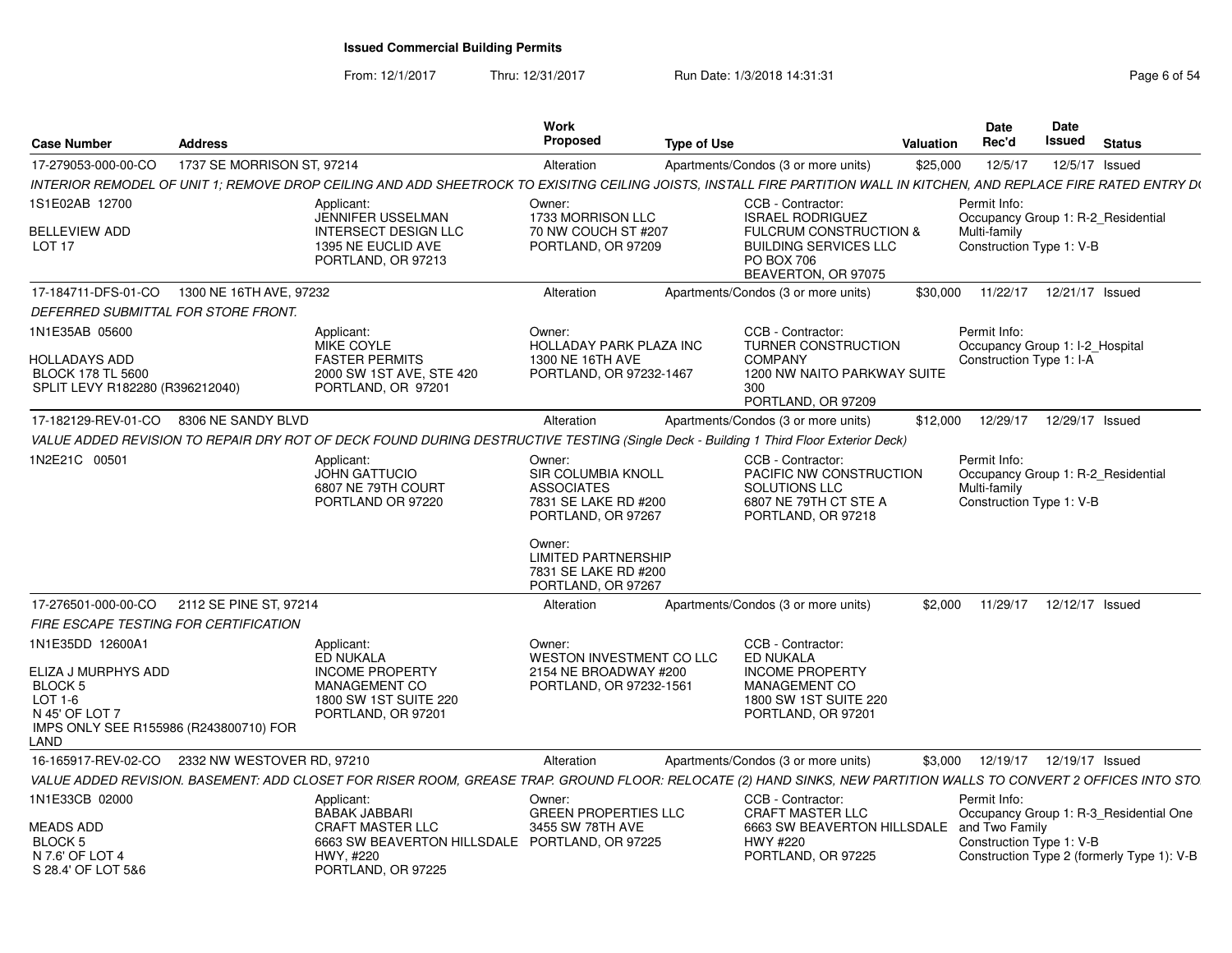From: 12/1/2017Thru: 12/31/2017 **Run Date: 1/3/2018 14:31:31 Page 6 of 54** 

|                                                |                                                                                                                                                                       | Work<br>Proposed                            |                                                           | Date                                     | Date<br>Issued                             |
|------------------------------------------------|-----------------------------------------------------------------------------------------------------------------------------------------------------------------------|---------------------------------------------|-----------------------------------------------------------|------------------------------------------|--------------------------------------------|
| <b>Case Number</b>                             | <b>Address</b>                                                                                                                                                        |                                             | <b>Type of Use</b><br>Valuation                           | <b>Rec'd</b>                             | <b>Status</b>                              |
| 17-279053-000-00-CO                            | 1737 SE MORRISON ST, 97214                                                                                                                                            | Alteration                                  | Apartments/Condos (3 or more units)                       | \$25,000 12/5/17                         | 12/5/17 Issued                             |
|                                                | INTERIOR REMODEL OF UNIT 1; REMOVE DROP CEILING AND ADD SHEETROCK TO EXISITNG CEILING JOISTS, INSTALL FIRE PARTITION WALL IN KITCHEN, AND REPLACE FIRE RATED ENTRY DU |                                             |                                                           |                                          |                                            |
| 1S1E02AB 12700                                 | Applicant:<br>JENNIFER USSELMAN                                                                                                                                       | Owner:<br>1733 MORRISON LLC                 | CCB - Contractor:<br><b>ISRAEL RODRIGUEZ</b>              | Permit Info:                             | Occupancy Group 1: R-2_Residential         |
| <b>BELLEVIEW ADD</b>                           | <b>INTERSECT DESIGN LLC</b>                                                                                                                                           | 70 NW COUCH ST #207                         | <b>FULCRUM CONSTRUCTION &amp;</b>                         | Multi-family                             |                                            |
| <b>LOT 17</b>                                  | 1395 NE EUCLID AVE<br>PORTLAND, OR 97213                                                                                                                              | PORTLAND, OR 97209                          | <b>BUILDING SERVICES LLC</b><br>PO BOX 706                | Construction Type 1: V-B                 |                                            |
|                                                |                                                                                                                                                                       |                                             | BEAVERTON, OR 97075                                       |                                          |                                            |
|                                                | 17-184711-DFS-01-CO 1300 NE 16TH AVE, 97232                                                                                                                           | Alteration                                  | Apartments/Condos (3 or more units)                       |                                          | \$30,000  11/22/17  12/21/17  Issued       |
| DEFERRED SUBMITTAL FOR STORE FRONT             |                                                                                                                                                                       |                                             |                                                           |                                          |                                            |
| 1N1E35AB 05600                                 | Applicant:                                                                                                                                                            | Owner:                                      | CCB - Contractor:                                         | Permit Info:                             |                                            |
| <b>HOLLADAYS ADD</b>                           | MIKE COYLE<br><b>FASTER PERMITS</b>                                                                                                                                   | HOLLADAY PARK PLAZA INC<br>1300 NE 16TH AVE | <b>TURNER CONSTRUCTION</b><br><b>COMPANY</b>              |                                          | Occupancy Group 1: I-2_Hospital            |
| <b>BLOCK 178 TL 5600</b>                       | 2000 SW 1ST AVE, STE 420                                                                                                                                              | PORTLAND, OR 97232-1467                     | 1200 NW NAITO PARKWAY SUITE                               | Construction Type 1: I-A                 |                                            |
| SPLIT LEVY R182280 (R396212040)                | PORTLAND, OR 97201                                                                                                                                                    |                                             | 300                                                       |                                          |                                            |
|                                                | 17-182129-REV-01-CO 8306 NE SANDY BLVD                                                                                                                                | Alteration                                  | PORTLAND, OR 97209<br>Apartments/Condos (3 or more units) |                                          | \$12,000  12/29/17  12/29/17  Issued       |
|                                                | VALUE ADDED REVISION TO REPAIR DRY ROT OF DECK FOUND DURING DESTRUCTIVE TESTING (Single Deck - Building 1 Third Floor Exterior Deck)                                  |                                             |                                                           |                                          |                                            |
| 1N2E21C 00501                                  | Applicant:                                                                                                                                                            | Owner:                                      | CCB - Contractor:                                         | Permit Info:                             |                                            |
|                                                | JOHN GATTUCIO                                                                                                                                                         | SIR COLUMBIA KNOLL                          | PACIFIC NW CONSTRUCTION                                   |                                          | Occupancy Group 1: R-2_Residential         |
|                                                | 6807 NE 79TH COURT<br>PORTLAND OR 97220                                                                                                                               | <b>ASSOCIATES</b><br>7831 SE LAKE RD #200   | SOLUTIONS LLC<br>6807 NE 79TH CT STE A                    | Multi-family<br>Construction Type 1: V-B |                                            |
|                                                |                                                                                                                                                                       | PORTLAND, OR 97267                          | PORTLAND, OR 97218                                        |                                          |                                            |
|                                                |                                                                                                                                                                       |                                             |                                                           |                                          |                                            |
|                                                |                                                                                                                                                                       | Owner:<br><b>LIMITED PARTNERSHIP</b>        |                                                           |                                          |                                            |
|                                                |                                                                                                                                                                       | 7831 SE LAKE RD #200                        |                                                           |                                          |                                            |
|                                                |                                                                                                                                                                       | PORTLAND, OR 97267                          |                                                           |                                          |                                            |
| FIRE ESCAPE TESTING FOR CERTIFICATION          | 17-276501-000-00-CO 2112 SE PINE ST, 97214                                                                                                                            | Alteration                                  | Apartments/Condos (3 or more units)                       |                                          | \$2,000 11/29/17 12/12/17 Issued           |
| 1N1E35DD 12600A1                               |                                                                                                                                                                       | Owner:                                      | CCB - Contractor:                                         |                                          |                                            |
|                                                | Applicant:<br>ED NUKALA                                                                                                                                               | WESTON INVESTMENT CO LLC                    | ED NUKALA                                                 |                                          |                                            |
| ELIZA J MURPHYS ADD                            | <b>INCOME PROPERTY</b>                                                                                                                                                | 2154 NE BROADWAY #200                       | <b>INCOME PROPERTY</b>                                    |                                          |                                            |
| BLOCK 5<br>$LOT 1-6$                           | MANAGEMENT CO<br>1800 SW 1ST SUITE 220                                                                                                                                | PORTLAND, OR 97232-1561                     | MANAGEMENT CO<br>1800 SW 1ST SUITE 220                    |                                          |                                            |
| N 45' OF LOT 7                                 | PORTLAND, OR 97201                                                                                                                                                    |                                             | PORTLAND, OR 97201                                        |                                          |                                            |
| IMPS ONLY SEE R155986 (R243800710) FOR<br>LAND |                                                                                                                                                                       |                                             |                                                           |                                          |                                            |
|                                                | 16-165917-REV-02-CO 2332 NW WESTOVER RD, 97210                                                                                                                        | Alteration                                  | Apartments/Condos (3 or more units)                       |                                          | \$3,000 12/19/17 12/19/17 Issued           |
|                                                | VALUE ADDED REVISION. BASEMENT: ADD CLOSET FOR RISER ROOM, GREASE TRAP. GROUND FLOOR: RELOCATE (2) HAND SINKS, NEW PARTITION WALLS TO CONVERT 2 OFFICES INTO STO      |                                             |                                                           |                                          |                                            |
| 1N1E33CB 02000                                 | Applicant:                                                                                                                                                            | Owner:                                      | CCB - Contractor:                                         | Permit Info:                             |                                            |
|                                                | <b>BABAK JABBARI</b>                                                                                                                                                  | <b>GREEN PROPERTIES LLC</b>                 | <b>CRAFT MASTER LLC</b>                                   |                                          | Occupancy Group 1: R-3_Residential One     |
| <b>MEADS ADD</b><br><b>BLOCK 5</b>             | <b>CRAFT MASTER LLC</b><br>6663 SW BEAVERTON HILLSDALE PORTLAND, OR 97225                                                                                             | 3455 SW 78TH AVE                            | 6663 SW BEAVERTON HILLSDALE and Two Family<br>HWY #220    | Construction Type 1: V-B                 |                                            |
| N 7.6' OF LOT 4                                | HWY, #220                                                                                                                                                             |                                             | PORTLAND, OR 97225                                        |                                          | Construction Type 2 (formerly Type 1): V-B |
| S 28.4' OF LOT 5&6                             | PORTLAND, OR 97225                                                                                                                                                    |                                             |                                                           |                                          |                                            |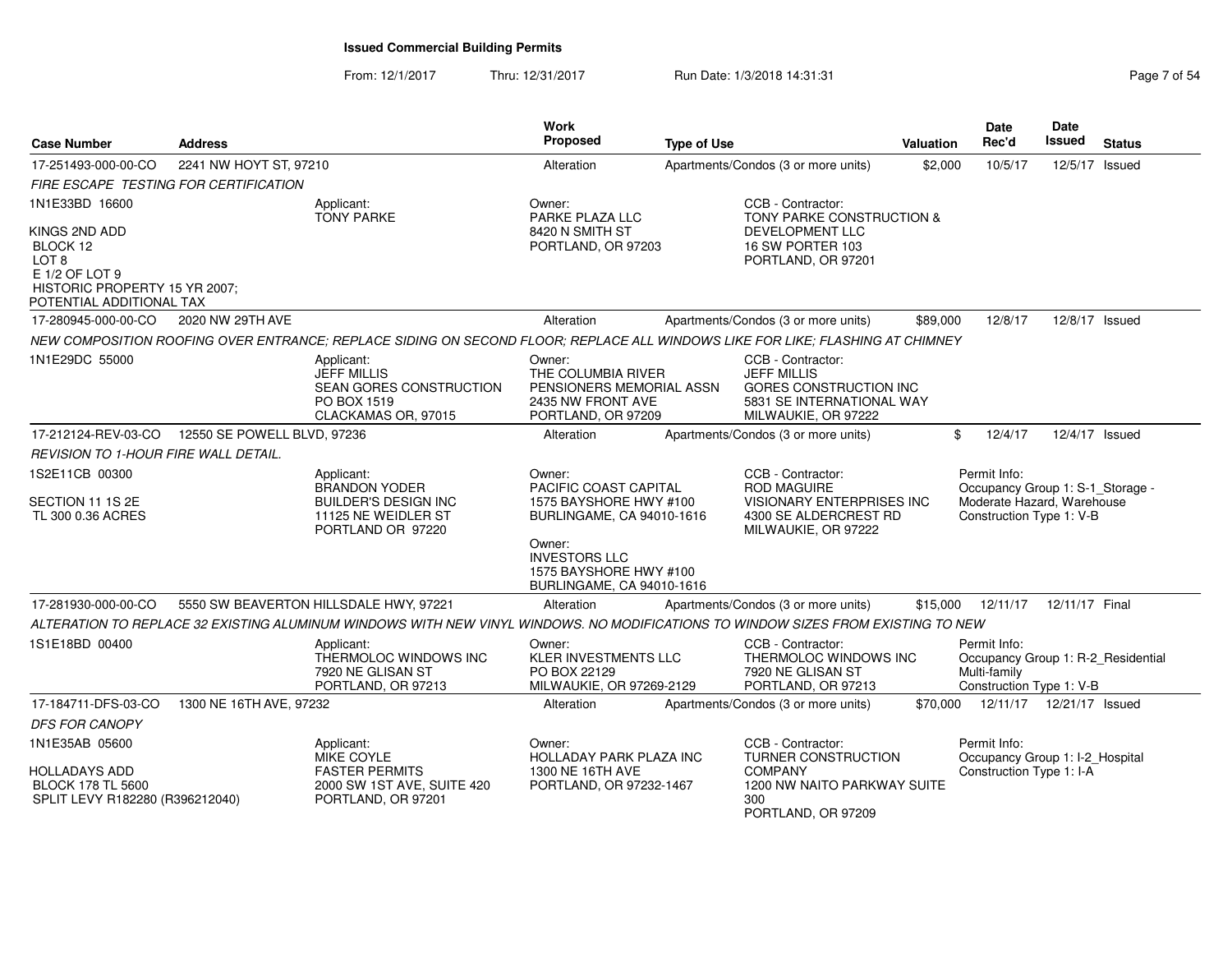From: 12/1/2017Thru: 12/31/2017 Run Date: 1/3/2018 14:31:31 Page 7 of 54

| <b>Case Number</b>                                                                                                | <b>Address</b>                        |                                                                                                                                  | <b>Work</b><br><b>Proposed</b>                                                                      | <b>Type of Use</b> |                                                                                                                       | <b>Valuation</b> | <b>Date</b><br>Rec'd                                                                                       | Date<br>Issued | <b>Status</b> |
|-------------------------------------------------------------------------------------------------------------------|---------------------------------------|----------------------------------------------------------------------------------------------------------------------------------|-----------------------------------------------------------------------------------------------------|--------------------|-----------------------------------------------------------------------------------------------------------------------|------------------|------------------------------------------------------------------------------------------------------------|----------------|---------------|
| 17-251493-000-00-CO                                                                                               | 2241 NW HOYT ST, 97210                |                                                                                                                                  | Alteration                                                                                          |                    | Apartments/Condos (3 or more units)                                                                                   | \$2,000          | 10/5/17                                                                                                    | 12/5/17        | Issued        |
|                                                                                                                   | FIRE ESCAPE TESTING FOR CERTIFICATION |                                                                                                                                  |                                                                                                     |                    |                                                                                                                       |                  |                                                                                                            |                |               |
| 1N1E33BD 16600                                                                                                    |                                       | Applicant:<br><b>TONY PARKE</b>                                                                                                  | Owner:<br>PARKE PLAZA LLC                                                                           |                    | CCB - Contractor:<br>TONY PARKE CONSTRUCTION &                                                                        |                  |                                                                                                            |                |               |
| KINGS 2ND ADD<br>BLOCK 12<br>LOT 8<br>E 1/2 OF LOT 9<br>HISTORIC PROPERTY 15 YR 2007;<br>POTENTIAL ADDITIONAL TAX |                                       |                                                                                                                                  | 8420 N SMITH ST<br>PORTLAND, OR 97203                                                               |                    | <b>DEVELOPMENT LLC</b><br>16 SW PORTER 103<br>PORTLAND, OR 97201                                                      |                  |                                                                                                            |                |               |
| 17-280945-000-00-CO                                                                                               | 2020 NW 29TH AVE                      |                                                                                                                                  | Alteration                                                                                          |                    | Apartments/Condos (3 or more units)                                                                                   | \$89,000         | 12/8/17                                                                                                    | 12/8/17 Issued |               |
|                                                                                                                   |                                       | NEW COMPOSITION ROOFING OVER ENTRANCE: REPLACE SIDING ON SECOND FLOOR: REPLACE ALL WINDOWS LIKE FOR LIKE: FLASHING AT CHIMNEY    |                                                                                                     |                    |                                                                                                                       |                  |                                                                                                            |                |               |
| 1N1E29DC 55000                                                                                                    |                                       | Applicant:<br><b>JEFF MILLIS</b><br>SEAN GORES CONSTRUCTION<br>PO BOX 1519<br>CLACKAMAS OR, 97015                                | Owner:<br>THE COLUMBIA RIVER<br>PENSIONERS MEMORIAL ASSN<br>2435 NW FRONT AVE<br>PORTLAND, OR 97209 |                    | CCB - Contractor:<br><b>JEFF MILLIS</b><br>GORES CONSTRUCTION INC<br>5831 SE INTERNATIONAL WAY<br>MILWAUKIE, OR 97222 |                  |                                                                                                            |                |               |
| 17-212124-REV-03-CO                                                                                               | 12550 SE POWELL BLVD, 97236           |                                                                                                                                  | Alteration                                                                                          |                    | Apartments/Condos (3 or more units)                                                                                   |                  | \$<br>12/4/17                                                                                              | 12/4/17 Issued |               |
| REVISION TO 1-HOUR FIRE WALL DETAIL.                                                                              |                                       |                                                                                                                                  |                                                                                                     |                    |                                                                                                                       |                  |                                                                                                            |                |               |
| 1S2E11CB 00300<br>SECTION 11 1S 2E<br>TL 300 0.36 ACRES                                                           |                                       | Applicant:<br><b>BRANDON YODER</b><br><b>BUILDER'S DESIGN INC</b><br>11125 NE WEIDLER ST<br>PORTLAND OR 97220                    | Owner:<br>PACIFIC COAST CAPITAL<br>1575 BAYSHORE HWY #100<br>BURLINGAME, CA 94010-1616              |                    | CCB - Contractor:<br><b>ROD MAGUIRE</b><br>VISIONARY ENTERPRISES INC<br>4300 SE ALDERCREST RD<br>MILWAUKIE, OR 97222  |                  | Permit Info:<br>Occupancy Group 1: S-1_Storage -<br>Moderate Hazard, Warehouse<br>Construction Type 1: V-B |                |               |
|                                                                                                                   |                                       |                                                                                                                                  | Owner:<br><b>INVESTORS LLC</b><br>1575 BAYSHORE HWY #100<br>BURLINGAME, CA 94010-1616               |                    |                                                                                                                       |                  |                                                                                                            |                |               |
| 17-281930-000-00-CO                                                                                               |                                       | 5550 SW BEAVERTON HILLSDALE HWY, 97221                                                                                           | Alteration                                                                                          |                    | Apartments/Condos (3 or more units)                                                                                   | \$15,000         | 12/11/17                                                                                                   | 12/11/17 Final |               |
|                                                                                                                   |                                       | ALTERATION TO REPLACE 32 EXISTING ALUMINUM WINDOWS WITH NEW VINYL WINDOWS. NO MODIFICATIONS TO WINDOW SIZES FROM EXISTING TO NEW |                                                                                                     |                    |                                                                                                                       |                  |                                                                                                            |                |               |
| 1S1E18BD 00400                                                                                                    |                                       | Applicant:<br>THERMOLOC WINDOWS INC<br>7920 NE GLISAN ST<br>PORTLAND, OR 97213                                                   | Owner:<br>KLER INVESTMENTS LLC<br>PO BOX 22129<br>MILWAUKIE, OR 97269-2129                          |                    | CCB - Contractor:<br>THERMOLOC WINDOWS INC<br>7920 NE GLISAN ST<br>PORTLAND, OR 97213                                 |                  | Permit Info:<br>Occupancy Group 1: R-2_Residential<br>Multi-family<br>Construction Type 1: V-B             |                |               |
| 17-184711-DFS-03-CO                                                                                               | 1300 NE 16TH AVE, 97232               |                                                                                                                                  | Alteration                                                                                          |                    | Apartments/Condos (3 or more units)                                                                                   | \$70,000         | 12/11/17  12/21/17  Issued                                                                                 |                |               |
| <b>DFS FOR CANOPY</b>                                                                                             |                                       |                                                                                                                                  |                                                                                                     |                    |                                                                                                                       |                  |                                                                                                            |                |               |
| 1N1E35AB 05600                                                                                                    |                                       | Applicant:<br>MIKE COYLE                                                                                                         | Owner:<br>HOLLADAY PARK PLAZA INC                                                                   |                    | CCB - Contractor:<br>TURNER CONSTRUCTION                                                                              |                  | Permit Info:<br>Occupancy Group 1: I-2_Hospital                                                            |                |               |
| HOLLADAYS ADD<br><b>BLOCK 178 TL 5600</b><br>SPLIT LEVY R182280 (R396212040)                                      |                                       | <b>FASTER PERMITS</b><br>2000 SW 1ST AVE, SUITE 420<br>PORTLAND, OR 97201                                                        | 1300 NE 16TH AVE<br>PORTLAND, OR 97232-1467                                                         |                    | <b>COMPANY</b><br>1200 NW NAITO PARKWAY SUITE<br>300<br>PORTLAND, OR 97209                                            |                  | Construction Type 1: I-A                                                                                   |                |               |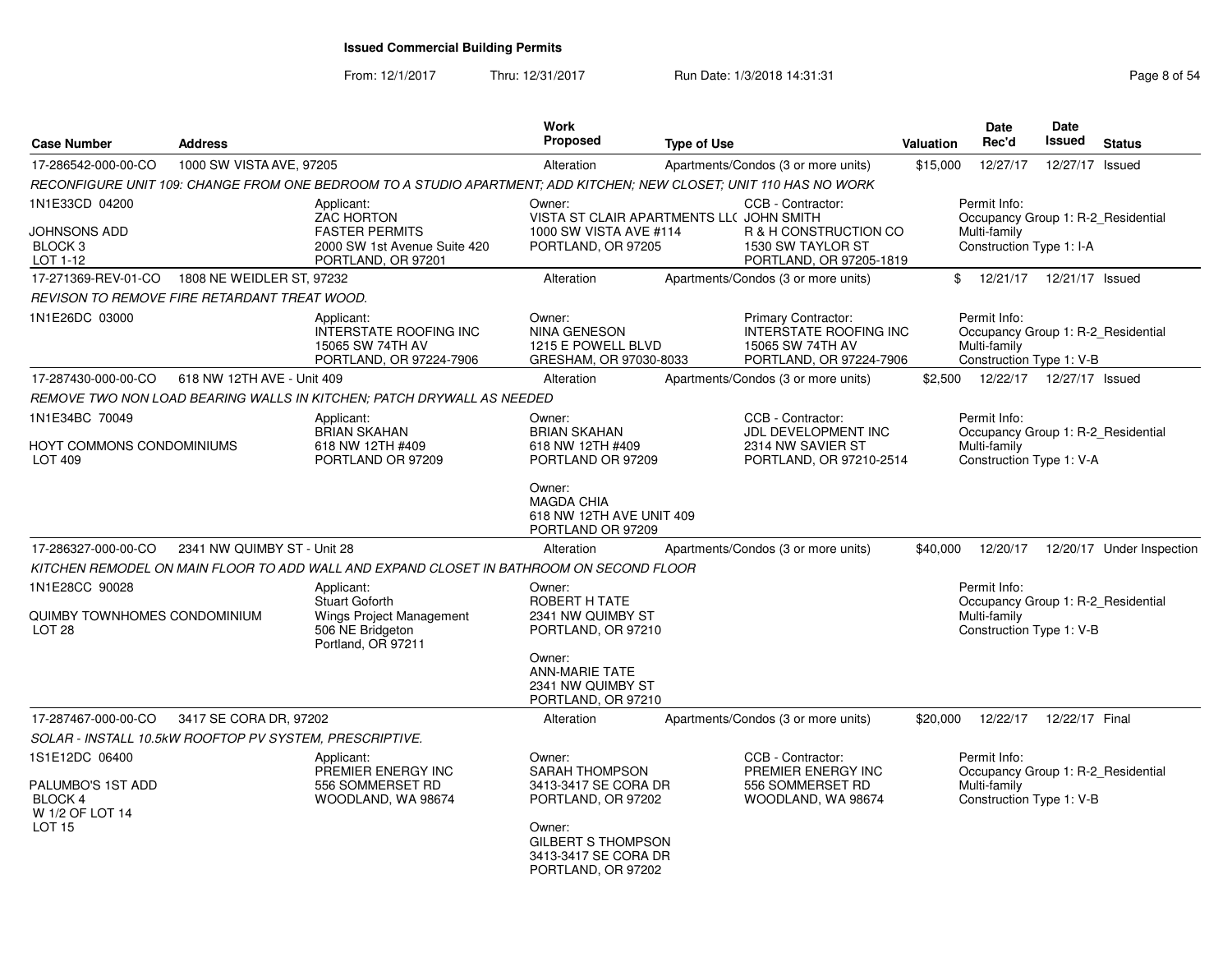From: 12/1/2017Thru: 12/31/2017 Run Date: 1/3/2018 14:31:31 Page 8 of 54

| <b>Case Number</b>                                                                 | <b>Address</b>                                          |                                                                                                                    | Work<br><b>Proposed</b>                                                                                              | <b>Type of Use</b> |                                                                                              | Valuation | <b>Date</b><br>Rec'd                                                                           | <b>Date</b><br><b>Issued</b> | <b>Status</b>             |
|------------------------------------------------------------------------------------|---------------------------------------------------------|--------------------------------------------------------------------------------------------------------------------|----------------------------------------------------------------------------------------------------------------------|--------------------|----------------------------------------------------------------------------------------------|-----------|------------------------------------------------------------------------------------------------|------------------------------|---------------------------|
| 17-286542-000-00-CO                                                                | 1000 SW VISTA AVE, 97205                                |                                                                                                                    | Alteration                                                                                                           |                    | Apartments/Condos (3 or more units)                                                          | \$15,000  | 12/27/17                                                                                       | 12/27/17 Issued              |                           |
|                                                                                    |                                                         | RECONFIGURE UNIT 109: CHANGE FROM ONE BEDROOM TO A STUDIO APARTMENT; ADD KITCHEN; NEW CLOSET; UNIT 110 HAS NO WORK |                                                                                                                      |                    |                                                                                              |           |                                                                                                |                              |                           |
| 1N1E33CD 04200<br>JOHNSONS ADD<br>BLOCK <sub>3</sub><br>LOT 1-12                   |                                                         | Applicant:<br><b>ZAC HORTON</b><br><b>FASTER PERMITS</b><br>2000 SW 1st Avenue Suite 420<br>PORTLAND, OR 97201     | Owner:<br>VISTA ST CLAIR APARTMENTS LL( JOHN SMITH<br>1000 SW VISTA AVE #114<br>PORTLAND, OR 97205                   |                    | CCB - Contractor:<br>R & H CONSTRUCTION CO<br>1530 SW TAYLOR ST<br>PORTLAND, OR 97205-1819   |           | Permit Info:<br>Occupancy Group 1: R-2_Residential<br>Multi-family<br>Construction Type 1: I-A |                              |                           |
| 17-271369-REV-01-CO                                                                | 1808 NE WEIDLER ST, 97232                               |                                                                                                                    | Alteration                                                                                                           |                    | Apartments/Condos (3 or more units)                                                          | \$        | 12/21/17                                                                                       | 12/21/17 Issued              |                           |
|                                                                                    | REVISON TO REMOVE FIRE RETARDANT TREAT WOOD.            |                                                                                                                    |                                                                                                                      |                    |                                                                                              |           |                                                                                                |                              |                           |
| 1N1E26DC 03000                                                                     |                                                         | Applicant:<br><b>INTERSTATE ROOFING INC</b><br>15065 SW 74TH AV<br>PORTLAND, OR 97224-7906                         | Owner:<br><b>NINA GENESON</b><br>1215 E POWELL BLVD<br>GRESHAM, OR 97030-8033                                        |                    | Primary Contractor:<br>INTERSTATE ROOFING INC<br>15065 SW 74TH AV<br>PORTLAND, OR 97224-7906 |           | Permit Info:<br>Occupancy Group 1: R-2 Residential<br>Multi-family<br>Construction Type 1: V-B |                              |                           |
| 17-287430-000-00-CO                                                                | 618 NW 12TH AVE - Unit 409                              |                                                                                                                    | Alteration                                                                                                           |                    | Apartments/Condos (3 or more units)                                                          | \$2,500   |                                                                                                | 12/22/17  12/27/17  Issued   |                           |
|                                                                                    |                                                         | REMOVE TWO NON LOAD BEARING WALLS IN KITCHEN; PATCH DRYWALL AS NEEDED                                              |                                                                                                                      |                    |                                                                                              |           |                                                                                                |                              |                           |
| 1N1E34BC 70049<br>HOYT COMMONS CONDOMINIUMS                                        |                                                         | Applicant:<br><b>BRIAN SKAHAN</b><br>618 NW 12TH #409                                                              | Owner:<br><b>BRIAN SKAHAN</b><br>618 NW 12TH #409                                                                    |                    | CCB - Contractor:<br>JDL DEVELOPMENT INC<br>2314 NW SAVIER ST                                |           | Permit Info:<br>Occupancy Group 1: R-2 Residential<br>Multi-family                             |                              |                           |
| <b>LOT 409</b>                                                                     |                                                         | PORTLAND OR 97209                                                                                                  | PORTLAND OR 97209<br>Owner:                                                                                          |                    | PORTLAND, OR 97210-2514                                                                      |           | Construction Type 1: V-A                                                                       |                              |                           |
|                                                                                    |                                                         |                                                                                                                    | <b>MAGDA CHIA</b><br>618 NW 12TH AVE UNIT 409<br>PORTLAND OR 97209                                                   |                    |                                                                                              |           |                                                                                                |                              |                           |
| 17-286327-000-00-CO                                                                | 2341 NW QUIMBY ST - Unit 28                             |                                                                                                                    | Alteration                                                                                                           |                    | Apartments/Condos (3 or more units)                                                          | \$40,000  | 12/20/17                                                                                       |                              | 12/20/17 Under Inspection |
|                                                                                    |                                                         | KITCHEN REMODEL ON MAIN FLOOR TO ADD WALL AND EXPAND CLOSET IN BATHROOM ON SECOND FLOOR                            |                                                                                                                      |                    |                                                                                              |           |                                                                                                |                              |                           |
| 1N1E28CC 90028<br>QUIMBY TOWNHOMES CONDOMINIUM<br>LOT <sub>28</sub>                |                                                         | Applicant:<br><b>Stuart Goforth</b><br>Wings Project Management<br>506 NE Bridgeton<br>Portland, OR 97211          | Owner:<br>ROBERT H TATE<br>2341 NW QUIMBY ST<br>PORTLAND, OR 97210                                                   |                    |                                                                                              |           | Permit Info:<br>Occupancy Group 1: R-2 Residential<br>Multi-family<br>Construction Type 1: V-B |                              |                           |
|                                                                                    |                                                         |                                                                                                                    | Owner:<br><b>ANN-MARIE TATE</b><br>2341 NW QUIMBY ST<br>PORTLAND, OR 97210                                           |                    |                                                                                              |           |                                                                                                |                              |                           |
| 17-287467-000-00-CO                                                                | 3417 SE CORA DR, 97202                                  |                                                                                                                    | Alteration                                                                                                           |                    | Apartments/Condos (3 or more units)                                                          | \$20,000  | 12/22/17                                                                                       | 12/22/17 Final               |                           |
|                                                                                    | SOLAR - INSTALL 10.5kW ROOFTOP PV SYSTEM, PRESCRIPTIVE. |                                                                                                                    |                                                                                                                      |                    |                                                                                              |           |                                                                                                |                              |                           |
| 1S1E12DC 06400<br>PALUMBO'S 1ST ADD<br><b>BLOCK 4</b><br>W 1/2 OF LOT 14<br>LOT 15 |                                                         | Applicant:<br>PREMIER ENERGY INC<br>556 SOMMERSET RD<br>WOODLAND, WA 98674                                         | Owner:<br><b>SARAH THOMPSON</b><br>3413-3417 SE CORA DR<br>PORTLAND, OR 97202<br>Owner:<br><b>GILBERT S THOMPSON</b> |                    | CCB - Contractor:<br>PREMIER ENERGY INC<br>556 SOMMERSET RD<br>WOODLAND, WA 98674            |           | Permit Info:<br>Occupancy Group 1: R-2 Residential<br>Multi-family<br>Construction Type 1: V-B |                              |                           |
|                                                                                    |                                                         |                                                                                                                    | 3413-3417 SE CORA DR<br>PORTLAND, OR 97202                                                                           |                    |                                                                                              |           |                                                                                                |                              |                           |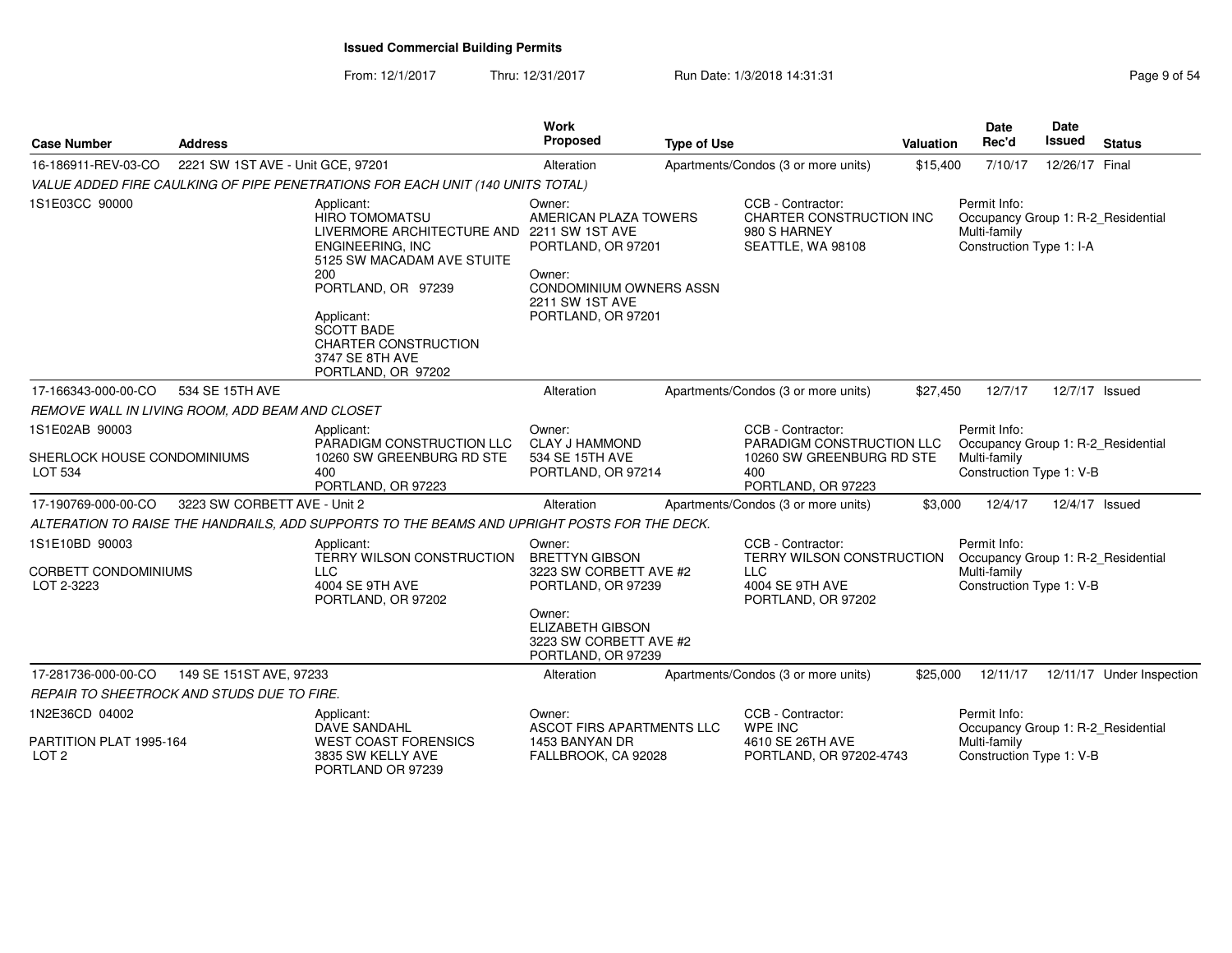From: 12/1/2017Thru: 12/31/2017 Run Date: 1/3/2018 14:31:31 Page 9 of 54

| <b>Case Number</b>                                              | <b>Address</b>                    |                                                                                                                                                                                                                                                                                    | <b>Work</b><br><b>Proposed</b>                                                                                                                                       | <b>Type of Use</b> |                                                                                                          | <b>Valuation</b> | Date<br>Rec'd                                                                                  | <b>Date</b><br>Issued | <b>Status</b>                        |
|-----------------------------------------------------------------|-----------------------------------|------------------------------------------------------------------------------------------------------------------------------------------------------------------------------------------------------------------------------------------------------------------------------------|----------------------------------------------------------------------------------------------------------------------------------------------------------------------|--------------------|----------------------------------------------------------------------------------------------------------|------------------|------------------------------------------------------------------------------------------------|-----------------------|--------------------------------------|
| 16-186911-REV-03-CO                                             | 2221 SW 1ST AVE - Unit GCE, 97201 |                                                                                                                                                                                                                                                                                    | Alteration                                                                                                                                                           |                    | Apartments/Condos (3 or more units)                                                                      | \$15,400         | 7/10/17                                                                                        | 12/26/17 Final        |                                      |
|                                                                 |                                   | VALUE ADDED FIRE CAULKING OF PIPE PENETRATIONS FOR EACH UNIT (140 UNITS TOTAL)                                                                                                                                                                                                     |                                                                                                                                                                      |                    |                                                                                                          |                  |                                                                                                |                       |                                      |
| 1S1E03CC 90000                                                  |                                   | Applicant:<br><b>HIRO TOMOMATSU</b><br>LIVERMORE ARCHITECTURE AND 2211 SW 1ST AVE<br><b>ENGINEERING, INC</b><br>5125 SW MACADAM AVE STUITE<br>200<br>PORTLAND, OR 97239<br>Applicant:<br><b>SCOTT BADE</b><br><b>CHARTER CONSTRUCTION</b><br>3747 SE 8TH AVE<br>PORTLAND, OR 97202 | Owner:<br>AMERICAN PLAZA TOWERS<br>PORTLAND, OR 97201<br>Owner:<br><b>CONDOMINIUM OWNERS ASSN</b><br>2211 SW 1ST AVE<br>PORTLAND, OR 97201                           |                    | CCB - Contractor:<br>CHARTER CONSTRUCTION INC<br>980 S HARNEY<br>SEATTLE, WA 98108                       |                  | Permit Info:<br>Occupancy Group 1: R-2 Residential<br>Multi-family<br>Construction Type 1: I-A |                       |                                      |
| 17-166343-000-00-CO                                             | 534 SE 15TH AVE                   |                                                                                                                                                                                                                                                                                    | Alteration                                                                                                                                                           |                    | Apartments/Condos (3 or more units)                                                                      | \$27,450         | 12/7/17                                                                                        | 12/7/17 Issued        |                                      |
| REMOVE WALL IN LIVING ROOM, ADD BEAM AND CLOSET                 |                                   |                                                                                                                                                                                                                                                                                    |                                                                                                                                                                      |                    |                                                                                                          |                  |                                                                                                |                       |                                      |
| 1S1E02AB 90003<br>SHERLOCK HOUSE CONDOMINIUMS<br><b>LOT 534</b> |                                   | Applicant:<br>PARADIGM CONSTRUCTION LLC<br>10260 SW GREENBURG RD STE<br>400<br>PORTLAND, OR 97223                                                                                                                                                                                  | Owner:<br><b>CLAY J HAMMOND</b><br>534 SE 15TH AVE<br>PORTLAND, OR 97214                                                                                             |                    | CCB - Contractor:<br>PARADIGM CONSTRUCTION LLC<br>10260 SW GREENBURG RD STE<br>400<br>PORTLAND, OR 97223 |                  | Permit Info:<br>Occupancy Group 1: R-2_Residential<br>Multi-family<br>Construction Type 1: V-B |                       |                                      |
| 17-190769-000-00-CO                                             | 3223 SW CORBETT AVE - Unit 2      |                                                                                                                                                                                                                                                                                    | Alteration                                                                                                                                                           |                    | Apartments/Condos (3 or more units)                                                                      | \$3,000          | 12/4/17                                                                                        | 12/4/17 Issued        |                                      |
|                                                                 |                                   | ALTERATION TO RAISE THE HANDRAILS, ADD SUPPORTS TO THE BEAMS AND UPRIGHT POSTS FOR THE DECK.                                                                                                                                                                                       |                                                                                                                                                                      |                    |                                                                                                          |                  |                                                                                                |                       |                                      |
| 1S1E10BD 90003<br><b>CORBETT CONDOMINIUMS</b><br>LOT 2-3223     |                                   | Applicant:<br>TERRY WILSON CONSTRUCTION<br><b>LLC</b><br>4004 SE 9TH AVE<br>PORTLAND, OR 97202                                                                                                                                                                                     | Owner:<br><b>BRETTYN GIBSON</b><br>3223 SW CORBETT AVE #2<br>PORTLAND, OR 97239<br>Owner:<br><b>ELIZABETH GIBSON</b><br>3223 SW CORBETT AVE #2<br>PORTLAND, OR 97239 |                    | CCB - Contractor:<br>TERRY WILSON CONSTRUCTION<br><b>LLC</b><br>4004 SE 9TH AVE<br>PORTLAND, OR 97202    |                  | Permit Info:<br>Occupancy Group 1: R-2 Residential<br>Multi-family<br>Construction Type 1: V-B |                       |                                      |
| 17-281736-000-00-CO                                             | 149 SE 151ST AVE, 97233           |                                                                                                                                                                                                                                                                                    | Alteration                                                                                                                                                           |                    | Apartments/Condos (3 or more units)                                                                      | \$25,000         |                                                                                                |                       | 12/11/17  12/11/17  Under Inspection |
| REPAIR TO SHEETROCK AND STUDS DUE TO FIRE.                      |                                   |                                                                                                                                                                                                                                                                                    |                                                                                                                                                                      |                    |                                                                                                          |                  |                                                                                                |                       |                                      |
| 1N2E36CD 04002<br>PARTITION PLAT 1995-164                       |                                   | Applicant:<br>DAVE SANDAHL<br><b>WEST COAST FORENSICS</b>                                                                                                                                                                                                                          | Owner:<br>ASCOT FIRS APARTMENTS LLC<br>1453 BANYAN DR                                                                                                                |                    | CCB - Contractor:<br>WPE INC<br>4610 SE 26TH AVE                                                         |                  | Permit Info:<br>Occupancy Group 1: R-2_Residential<br>Multi-family                             |                       |                                      |
| LOT <sub>2</sub>                                                |                                   | 3835 SW KELLY AVE<br>PORTLAND OR 97239                                                                                                                                                                                                                                             | FALLBROOK, CA 92028                                                                                                                                                  |                    | PORTLAND, OR 97202-4743                                                                                  |                  | Construction Type 1: V-B                                                                       |                       |                                      |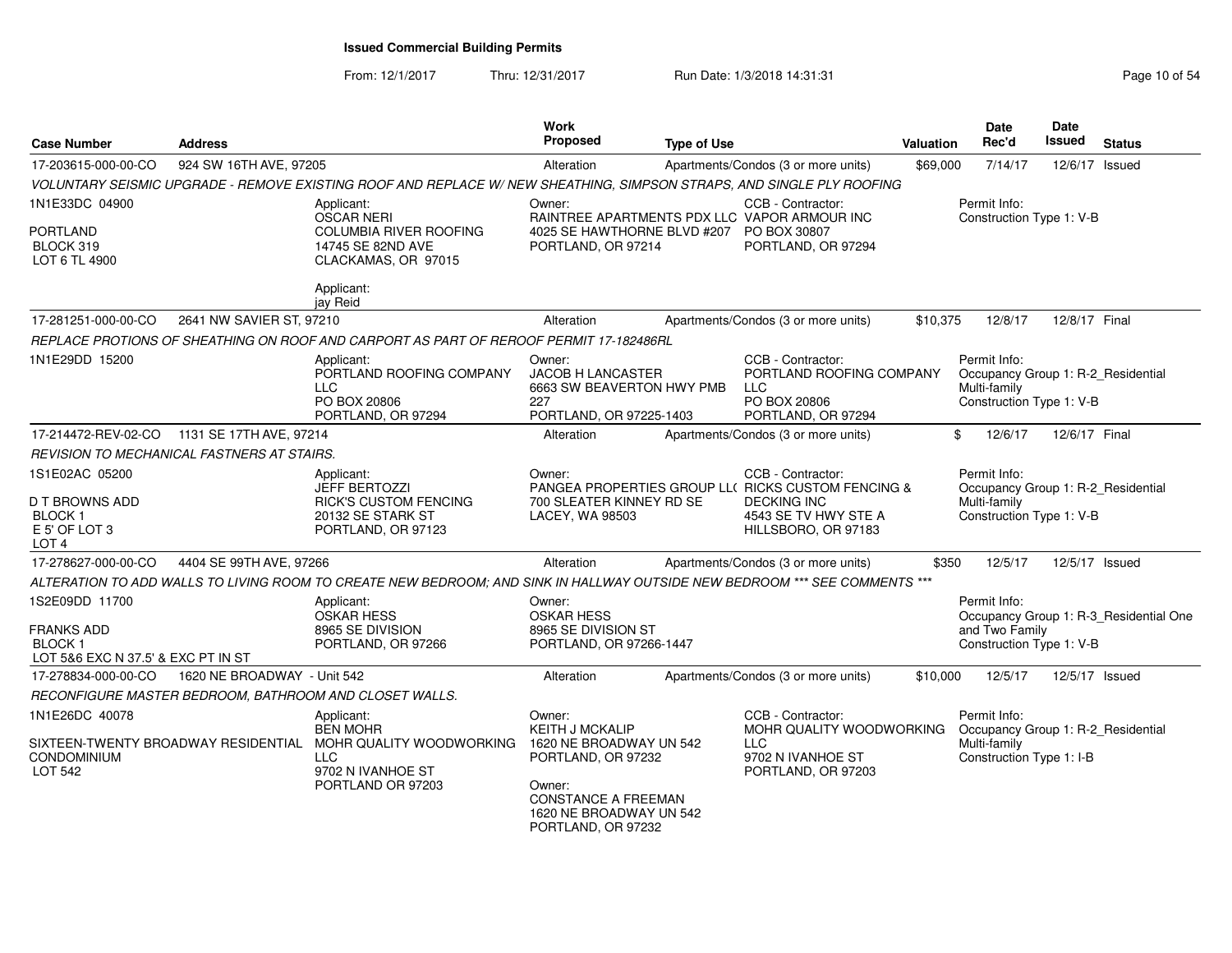#### From: 12/1/2017Thru: 12/31/2017 Run Date: 1/3/2018 14:31:31 Page 10 of 54

| <b>Case Number</b>                                                                            | <b>Address</b>                                    |                                                                                                                                                       | Work<br>Proposed                                                                                                                                                    | <b>Type of Use</b> |                                                                                                                                              | Valuation | Date<br>Rec'd                                                                                  | Date<br><b>Issued</b> | <b>Status</b>                          |
|-----------------------------------------------------------------------------------------------|---------------------------------------------------|-------------------------------------------------------------------------------------------------------------------------------------------------------|---------------------------------------------------------------------------------------------------------------------------------------------------------------------|--------------------|----------------------------------------------------------------------------------------------------------------------------------------------|-----------|------------------------------------------------------------------------------------------------|-----------------------|----------------------------------------|
| 17-203615-000-00-CO                                                                           | 924 SW 16TH AVE, 97205                            |                                                                                                                                                       | Alteration                                                                                                                                                          |                    | Apartments/Condos (3 or more units)                                                                                                          | \$69,000  | 7/14/17                                                                                        | 12/6/17 Issued        |                                        |
|                                                                                               |                                                   | VOLUNTARY SEISMIC UPGRADE - REMOVE EXISTING ROOF AND REPLACE W/NEW SHEATHING, SIMPSON STRAPS, AND SINGLE PLY ROOFING                                  |                                                                                                                                                                     |                    |                                                                                                                                              |           |                                                                                                |                       |                                        |
| 1N1E33DC 04900                                                                                |                                                   | Applicant:<br><b>OSCAR NERI</b>                                                                                                                       | Owner:                                                                                                                                                              |                    | CCB - Contractor:<br>RAINTREE APARTMENTS PDX LLC VAPOR ARMOUR INC                                                                            |           | Permit Info:<br>Construction Type 1: V-B                                                       |                       |                                        |
| <b>PORTLAND</b><br>BLOCK 319<br>LOT 6 TL 4900                                                 |                                                   | COLUMBIA RIVER ROOFING<br>14745 SE 82ND AVE<br>CLACKAMAS, OR 97015                                                                                    | 4025 SE HAWTHORNE BLVD #207 PO BOX 30807<br>PORTLAND, OR 97214                                                                                                      |                    | PORTLAND, OR 97294                                                                                                                           |           |                                                                                                |                       |                                        |
|                                                                                               |                                                   | Applicant:<br>jay Reid                                                                                                                                |                                                                                                                                                                     |                    |                                                                                                                                              |           |                                                                                                |                       |                                        |
| 17-281251-000-00-CO                                                                           | 2641 NW SAVIER ST, 97210                          |                                                                                                                                                       | Alteration                                                                                                                                                          |                    | Apartments/Condos (3 or more units)                                                                                                          | \$10,375  | 12/8/17                                                                                        | 12/8/17 Final         |                                        |
|                                                                                               |                                                   | REPLACE PROTIONS OF SHEATHING ON ROOF AND CARPORT AS PART OF REROOF PERMIT 17-182486RL                                                                |                                                                                                                                                                     |                    |                                                                                                                                              |           |                                                                                                |                       |                                        |
| 1N1E29DD 15200                                                                                |                                                   | Applicant:<br>PORTLAND ROOFING COMPANY<br><b>LLC</b><br>PO BOX 20806<br>PORTLAND, OR 97294                                                            | Owner:<br>JACOB H LANCASTER<br>6663 SW BEAVERTON HWY PMB<br>227<br>PORTLAND, OR 97225-1403                                                                          |                    | CCB - Contractor:<br>PORTLAND ROOFING COMPANY<br><b>LLC</b><br>PO BOX 20806<br>PORTLAND, OR 97294                                            |           | Permit Info:<br>Occupancy Group 1: R-2_Residential<br>Multi-family<br>Construction Type 1: V-B |                       |                                        |
|                                                                                               | 17-214472-REV-02-CO 1131 SE 17TH AVE, 97214       |                                                                                                                                                       | Alteration                                                                                                                                                          |                    | Apartments/Condos (3 or more units)                                                                                                          |           | \$<br>12/6/17                                                                                  | 12/6/17 Final         |                                        |
|                                                                                               | <b>REVISION TO MECHANICAL FASTNERS AT STAIRS.</b> |                                                                                                                                                       |                                                                                                                                                                     |                    |                                                                                                                                              |           |                                                                                                |                       |                                        |
| 1S1E02AC 05200<br><b>D T BROWNS ADD</b><br><b>BLOCK1</b><br>E 5' OF LOT 3<br>LOT <sub>4</sub> |                                                   | Applicant:<br><b>JEFF BERTOZZI</b><br><b>RICK'S CUSTOM FENCING</b><br>20132 SE STARK ST<br>PORTLAND, OR 97123                                         | Owner:<br>700 SLEATER KINNEY RD SE<br><b>LACEY, WA 98503</b>                                                                                                        |                    | CCB - Contractor:<br>PANGEA PROPERTIES GROUP LL( RICKS CUSTOM FENCING &<br><b>DECKING INC</b><br>4543 SE TV HWY STE A<br>HILLSBORO, OR 97183 |           | Permit Info:<br>Occupancy Group 1: R-2_Residential<br>Multi-family<br>Construction Type 1: V-B |                       |                                        |
| 17-278627-000-00-CO                                                                           | 4404 SE 99TH AVE, 97266                           |                                                                                                                                                       | Alteration                                                                                                                                                          |                    | Apartments/Condos (3 or more units)                                                                                                          | \$350     | 12/5/17                                                                                        | 12/5/17 Issued        |                                        |
|                                                                                               |                                                   | ALTERATION TO ADD WALLS TO LIVING ROOM TO CREATE NEW BEDROOM; AND SINK IN HALLWAY OUTSIDE NEW BEDROOM *** SEE COMMENTS ***                            |                                                                                                                                                                     |                    |                                                                                                                                              |           |                                                                                                |                       |                                        |
| 1S2E09DD 11700<br><b>FRANKS ADD</b><br><b>BLOCK1</b><br>LOT 5&6 EXC N 37.5' & EXC PT IN ST    |                                                   | Applicant:<br><b>OSKAR HESS</b><br>8965 SE DIVISION<br>PORTLAND, OR 97266                                                                             | Owner:<br><b>OSKAR HESS</b><br>8965 SE DIVISION ST<br>PORTLAND, OR 97266-1447                                                                                       |                    |                                                                                                                                              |           | Permit Info:<br>and Two Family<br>Construction Type 1: V-B                                     |                       | Occupancy Group 1: R-3_Residential One |
| 17-278834-000-00-CO                                                                           | 1620 NE BROADWAY - Unit 542                       |                                                                                                                                                       | Alteration                                                                                                                                                          |                    | Apartments/Condos (3 or more units)                                                                                                          | \$10,000  | 12/5/17                                                                                        | 12/5/17 Issued        |                                        |
|                                                                                               |                                                   | RECONFIGURE MASTER BEDROOM, BATHROOM AND CLOSET WALLS.                                                                                                |                                                                                                                                                                     |                    |                                                                                                                                              |           |                                                                                                |                       |                                        |
| 1N1E26DC 40078<br><b>CONDOMINIUM</b><br>LOT 542                                               |                                                   | Applicant:<br><b>BEN MOHR</b><br>SIXTEEN-TWENTY BROADWAY RESIDENTIAL MOHR QUALITY WOODWORKING<br><b>LLC</b><br>9702 N IVANHOE ST<br>PORTLAND OR 97203 | Owner:<br><b>KEITH J MCKALIP</b><br>1620 NE BROADWAY UN 542<br>PORTLAND, OR 97232<br>Owner:<br>CONSTANCE A FREEMAN<br>1620 NE BROADWAY UN 542<br>PORTLAND, OR 97232 |                    | CCB - Contractor:<br>MOHR QUALITY WOODWORKING<br><b>LLC</b><br>9702 N IVANHOE ST<br>PORTLAND, OR 97203                                       |           | Permit Info:<br>Occupancy Group 1: R-2_Residential<br>Multi-family<br>Construction Type 1: I-B |                       |                                        |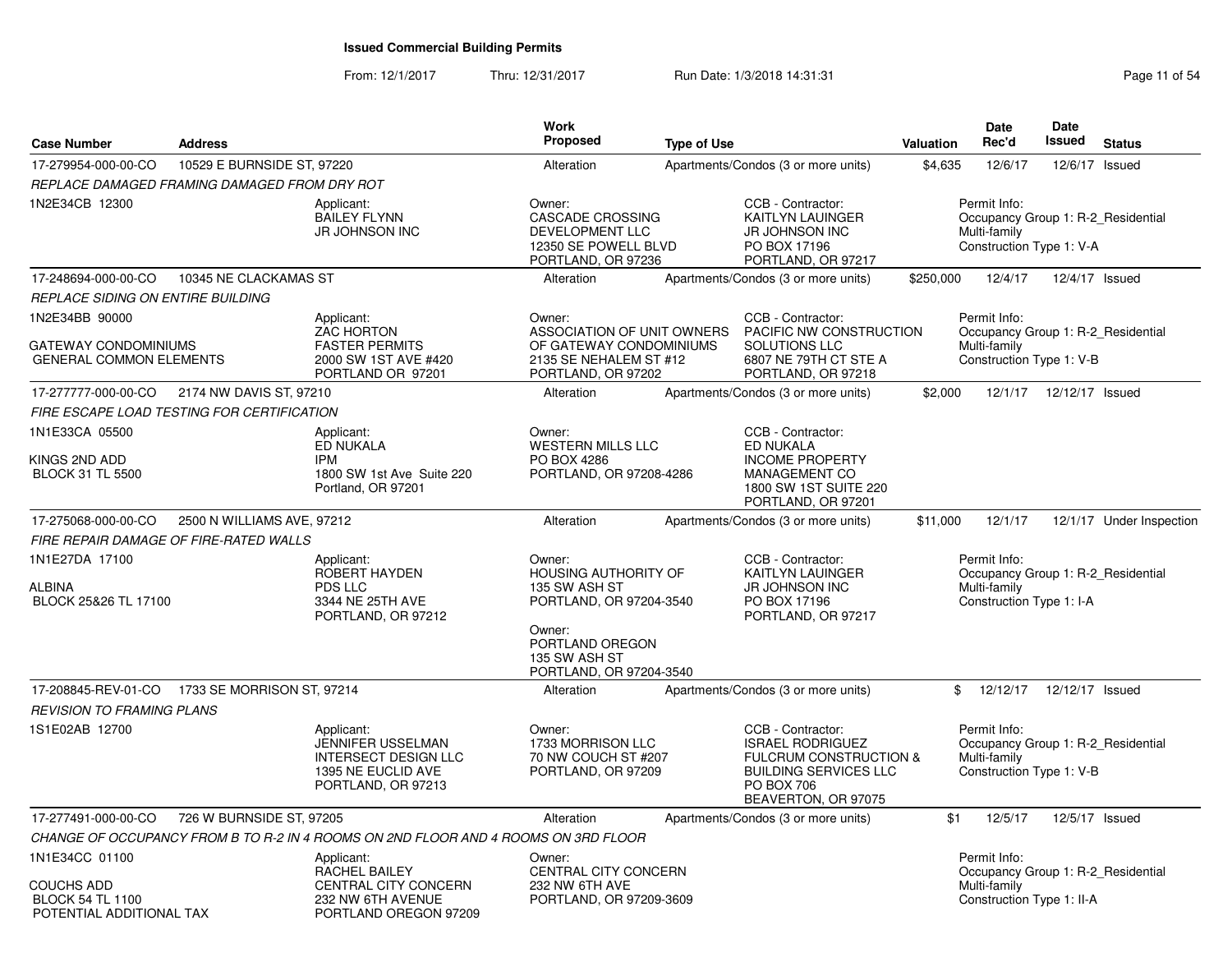From: 12/1/2017Thru: 12/31/2017 **Run Date: 1/3/2018 14:31:31 Research 2018** Page 11 of 54

| <b>Case Number</b>                                                       | <b>Address</b>             |                                                                                                                   | <b>Work</b><br><b>Proposed</b>                                                              | <b>Type of Use</b> |                                                                                                                                                    | Valuation | Date<br>Rec'd                                                                                  | Date<br>Issued  | <b>Status</b>            |
|--------------------------------------------------------------------------|----------------------------|-------------------------------------------------------------------------------------------------------------------|---------------------------------------------------------------------------------------------|--------------------|----------------------------------------------------------------------------------------------------------------------------------------------------|-----------|------------------------------------------------------------------------------------------------|-----------------|--------------------------|
| 17-279954-000-00-CO                                                      | 10529 E BURNSIDE ST, 97220 |                                                                                                                   | Alteration                                                                                  |                    | Apartments/Condos (3 or more units)                                                                                                                | \$4,635   | 12/6/17                                                                                        | 12/6/17 Issued  |                          |
| REPLACE DAMAGED FRAMING DAMAGED FROM DRY ROT                             |                            |                                                                                                                   |                                                                                             |                    |                                                                                                                                                    |           |                                                                                                |                 |                          |
| 1N2E34CB 12300                                                           |                            | Applicant:<br><b>BAILEY FLYNN</b><br>JR JOHNSON INC                                                               | Owner:<br>CASCADE CROSSING<br>DEVELOPMENT LLC<br>12350 SE POWELL BLVD<br>PORTLAND, OR 97236 |                    | CCB - Contractor:<br>KAITLYN LAUINGER<br>JR JOHNSON INC<br>PO BOX 17196<br>PORTLAND, OR 97217                                                      |           | Permit Info:<br>Occupancy Group 1: R-2_Residential<br>Multi-family<br>Construction Type 1: V-A |                 |                          |
| 17-248694-000-00-CO                                                      | 10345 NE CLACKAMAS ST      |                                                                                                                   | Alteration                                                                                  |                    | Apartments/Condos (3 or more units)                                                                                                                | \$250,000 | 12/4/17                                                                                        | 12/4/17 Issued  |                          |
| REPLACE SIDING ON ENTIRE BUILDING                                        |                            |                                                                                                                   |                                                                                             |                    |                                                                                                                                                    |           |                                                                                                |                 |                          |
| 1N2E34BB 90000<br><b>GATEWAY CONDOMINIUMS</b>                            |                            | Applicant:<br><b>ZAC HORTON</b><br><b>FASTER PERMITS</b>                                                          | Owner:<br>ASSOCIATION OF UNIT OWNERS<br>OF GATEWAY CONDOMINIUMS                             |                    | CCB - Contractor:<br>PACIFIC NW CONSTRUCTION<br><b>SOLUTIONS LLC</b>                                                                               |           | Permit Info:<br>Occupancy Group 1: R-2_Residential<br>Multi-family                             |                 |                          |
| <b>GENERAL COMMON ELEMENTS</b>                                           |                            | 2000 SW 1ST AVE #420<br>PORTLAND OR 97201                                                                         | 2135 SE NEHALEM ST #12<br>PORTLAND, OR 97202                                                |                    | 6807 NE 79TH CT STE A<br>PORTLAND, OR 97218                                                                                                        |           | Construction Type 1: V-B                                                                       |                 |                          |
| 17-277777-000-00-CO                                                      | 2174 NW DAVIS ST, 97210    |                                                                                                                   | Alteration                                                                                  |                    | Apartments/Condos (3 or more units)                                                                                                                | \$2,000   | 12/1/17                                                                                        | 12/12/17 Issued |                          |
| FIRE ESCAPE LOAD TESTING FOR CERTIFICATION                               |                            |                                                                                                                   |                                                                                             |                    |                                                                                                                                                    |           |                                                                                                |                 |                          |
| 1N1E33CA 05500                                                           |                            | Applicant:<br><b>ED NUKALA</b>                                                                                    | Owner:<br><b>WESTERN MILLS LLC</b>                                                          |                    | CCB - Contractor:<br><b>ED NUKALA</b>                                                                                                              |           |                                                                                                |                 |                          |
| KINGS 2ND ADD<br><b>BLOCK 31 TL 5500</b>                                 |                            | <b>IPM</b><br>1800 SW 1st Ave Suite 220<br>Portland, OR 97201                                                     | PO BOX 4286<br>PORTLAND, OR 97208-4286                                                      |                    | <b>INCOME PROPERTY</b><br>MANAGEMENT CO<br>1800 SW 1ST SUITE 220<br>PORTLAND, OR 97201                                                             |           |                                                                                                |                 |                          |
| 17-275068-000-00-CO                                                      | 2500 N WILLIAMS AVE, 97212 |                                                                                                                   | Alteration                                                                                  |                    | Apartments/Condos (3 or more units)                                                                                                                | \$11,000  | 12/1/17                                                                                        |                 | 12/1/17 Under Inspection |
| FIRE REPAIR DAMAGE OF FIRE-RATED WALLS                                   |                            |                                                                                                                   |                                                                                             |                    |                                                                                                                                                    |           |                                                                                                |                 |                          |
| 1N1E27DA 17100<br>ALBINA<br>BLOCK 25&26 TL 17100                         |                            | Applicant:<br>ROBERT HAYDEN<br>PDS LLC<br>3344 NE 25TH AVE<br>PORTLAND, OR 97212                                  | Owner:<br><b>HOUSING AUTHORITY OF</b><br>135 SW ASH ST<br>PORTLAND, OR 97204-3540           |                    | CCB - Contractor:<br>KAITLYN LAUINGER<br>JR JOHNSON INC<br>PO BOX 17196<br>PORTLAND, OR 97217                                                      |           | Permit Info:<br>Occupancy Group 1: R-2_Residential<br>Multi-family<br>Construction Type 1: I-A |                 |                          |
|                                                                          |                            |                                                                                                                   | Owner:<br>PORTLAND OREGON<br>135 SW ASH ST<br>PORTLAND, OR 97204-3540                       |                    |                                                                                                                                                    |           |                                                                                                |                 |                          |
| 17-208845-REV-01-CO 1733 SE MORRISON ST, 97214                           |                            |                                                                                                                   | Alteration                                                                                  |                    | Apartments/Condos (3 or more units)                                                                                                                |           | \$<br>12/12/17                                                                                 | 12/12/17 Issued |                          |
| <b>REVISION TO FRAMING PLANS</b>                                         |                            |                                                                                                                   |                                                                                             |                    |                                                                                                                                                    |           |                                                                                                |                 |                          |
| 1S1E02AB 12700                                                           |                            | Applicant:<br><b>JENNIFER USSELMAN</b><br><b>INTERSECT DESIGN LLC</b><br>1395 NE EUCLID AVE<br>PORTLAND, OR 97213 | Owner:<br>1733 MORRISON LLC<br>70 NW COUCH ST #207<br>PORTLAND, OR 97209                    |                    | CCB - Contractor:<br><b>ISRAEL RODRIGUEZ</b><br>FULCRUM CONSTRUCTION &<br><b>BUILDING SERVICES LLC</b><br><b>PO BOX 706</b><br>BEAVERTON, OR 97075 |           | Permit Info:<br>Occupancy Group 1: R-2 Residential<br>Multi-family<br>Construction Type 1: V-B |                 |                          |
| 17-277491-000-00-CO                                                      | 726 W BURNSIDE ST, 97205   |                                                                                                                   | Alteration                                                                                  |                    | Apartments/Condos (3 or more units)                                                                                                                | \$1       | 12/5/17                                                                                        | 12/5/17 Issued  |                          |
|                                                                          |                            | CHANGE OF OCCUPANCY FROM B TO R-2 IN 4 ROOMS ON 2ND FLOOR AND 4 ROOMS ON 3RD FLOOR                                |                                                                                             |                    |                                                                                                                                                    |           |                                                                                                |                 |                          |
| 1N1E34CC 01100                                                           |                            | Applicant:<br>RACHEL BAILEY                                                                                       | Owner:<br><b>CENTRAL CITY CONCERN</b>                                                       |                    |                                                                                                                                                    |           | Permit Info:<br>Occupancy Group 1: R-2_Residential                                             |                 |                          |
| <b>COUCHS ADD</b><br><b>BLOCK 54 TL 1100</b><br>POTENTIAL ADDITIONAL TAX |                            | CENTRAL CITY CONCERN<br>232 NW 6TH AVENUE<br>PORTLAND OREGON 97209                                                | 232 NW 6TH AVE<br>PORTLAND, OR 97209-3609                                                   |                    |                                                                                                                                                    |           | Multi-family<br>Construction Type 1: II-A                                                      |                 |                          |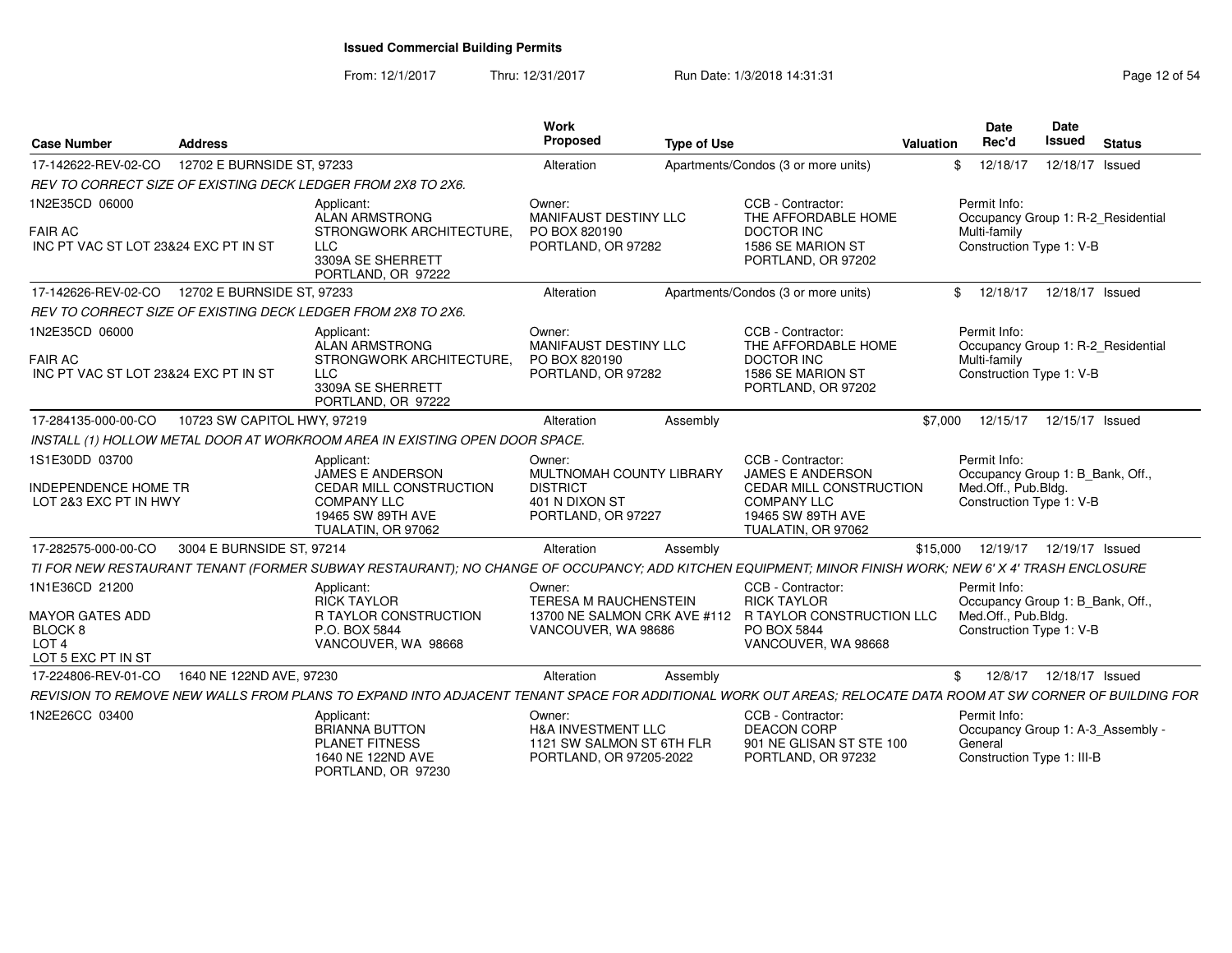From: 12/1/2017Thru: 12/31/2017 **Run Date: 1/3/2018 14:31:31 Research 2018** Page 12 of 54

| <b>Case Number</b>                                                                                   | <b>Address</b>              |                                                                                                                                                             | <b>Work</b><br>Proposed                                                                         | <b>Type of Use</b> |                                                                                                                                          | Valuation | <b>Date</b><br>Rec'd                                                                                | <b>Date</b><br>Issued | <b>Status</b>                      |
|------------------------------------------------------------------------------------------------------|-----------------------------|-------------------------------------------------------------------------------------------------------------------------------------------------------------|-------------------------------------------------------------------------------------------------|--------------------|------------------------------------------------------------------------------------------------------------------------------------------|-----------|-----------------------------------------------------------------------------------------------------|-----------------------|------------------------------------|
| 17-142622-REV-02-CO                                                                                  | 12702 E BURNSIDE ST, 97233  |                                                                                                                                                             | Alteration                                                                                      |                    | Apartments/Condos (3 or more units)                                                                                                      | \$        | 12/18/17                                                                                            | 12/18/17 Issued       |                                    |
|                                                                                                      |                             | REV TO CORRECT SIZE OF EXISTING DECK LEDGER FROM 2X8 TO 2X6.                                                                                                |                                                                                                 |                    |                                                                                                                                          |           |                                                                                                     |                       |                                    |
| 1N2E35CD 06000<br><b>FAIR AC</b><br>INC PT VAC ST LOT 23&24 EXC PT IN ST                             |                             | Applicant:<br>ALAN ARMSTRONG<br>STRONGWORK ARCHITECTURE,<br><b>LLC</b><br>3309A SE SHERRETT<br>PORTLAND, OR 97222                                           | Owner:<br>MANIFAUST DESTINY LLC<br>PO BOX 820190<br>PORTLAND, OR 97282                          |                    | CCB - Contractor:<br>THE AFFORDABLE HOME<br><b>DOCTOR INC</b><br>1586 SE MARION ST<br>PORTLAND, OR 97202                                 |           | Permit Info:<br>Multi-family<br>Construction Type 1: V-B                                            |                       | Occupancy Group 1: R-2 Residential |
| 17-142626-REV-02-CO                                                                                  | 12702 E BURNSIDE ST, 97233  |                                                                                                                                                             | Alteration                                                                                      |                    | Apartments/Condos (3 or more units)                                                                                                      | \$        | 12/18/17                                                                                            | 12/18/17 Issued       |                                    |
|                                                                                                      |                             | REV TO CORRECT SIZE OF EXISTING DECK LEDGER FROM 2X8 TO 2X6.                                                                                                |                                                                                                 |                    |                                                                                                                                          |           |                                                                                                     |                       |                                    |
| 1N2E35CD 06000<br><b>FAIR AC</b><br>INC PT VAC ST LOT 23&24 EXC PT IN ST                             |                             | Applicant:<br><b>ALAN ARMSTRONG</b><br>STRONGWORK ARCHITECTURE,<br>LLC<br>3309A SE SHERRETT<br>PORTLAND, OR 97222                                           | Owner:<br>MANIFAUST DESTINY LLC<br>PO BOX 820190<br>PORTLAND, OR 97282                          |                    | CCB - Contractor:<br>THE AFFORDABLE HOME<br><b>DOCTOR INC</b><br>1586 SE MARION ST<br>PORTLAND, OR 97202                                 |           | Permit Info:<br>Multi-family<br>Construction Type 1: V-B                                            |                       | Occupancy Group 1: R-2_Residential |
| 17-284135-000-00-CO                                                                                  | 10723 SW CAPITOL HWY, 97219 |                                                                                                                                                             | Alteration                                                                                      | Assembly           |                                                                                                                                          | \$7,000   | 12/15/17                                                                                            | 12/15/17 Issued       |                                    |
|                                                                                                      |                             | INSTALL (1) HOLLOW METAL DOOR AT WORKROOM AREA IN EXISTING OPEN DOOR SPACE.                                                                                 |                                                                                                 |                    |                                                                                                                                          |           |                                                                                                     |                       |                                    |
| 1S1E30DD 03700<br>INDEPENDENCE HOME TR<br>LOT 2&3 EXC PT IN HWY                                      |                             | Applicant:<br>JAMES E ANDERSON<br>CEDAR MILL CONSTRUCTION<br><b>COMPANY LLC</b><br>19465 SW 89TH AVE<br>TUALATIN, OR 97062                                  | Owner:<br>MULTNOMAH COUNTY LIBRARY<br><b>DISTRICT</b><br>401 N DIXON ST<br>PORTLAND, OR 97227   |                    | CCB - Contractor:<br><b>JAMES E ANDERSON</b><br>CEDAR MILL CONSTRUCTION<br><b>COMPANY LLC</b><br>19465 SW 89TH AVE<br>TUALATIN, OR 97062 |           | Permit Info:<br>Occupancy Group 1: B_Bank, Off.,<br>Med.Off., Pub.Bldg.<br>Construction Type 1: V-B |                       |                                    |
| 17-282575-000-00-CO                                                                                  | 3004 E BURNSIDE ST, 97214   |                                                                                                                                                             | Alteration                                                                                      | Assembly           |                                                                                                                                          | \$15,000  | 12/19/17                                                                                            | 12/19/17 Issued       |                                    |
|                                                                                                      |                             | TI FOR NEW RESTAURANT TENANT (FORMER SUBWAY RESTAURANT); NO CHANGE OF OCCUPANCY; ADD KITCHEN EQUIPMENT; MINOR FINISH WORK; NEW 6' X 4' TRASH ENCLOSURE      |                                                                                                 |                    |                                                                                                                                          |           |                                                                                                     |                       |                                    |
| 1N1E36CD 21200<br><b>MAYOR GATES ADD</b><br><b>BLOCK 8</b><br>LOT <sub>4</sub><br>LOT 5 EXC PT IN ST |                             | Applicant:<br><b>RICK TAYLOR</b><br><b>R TAYLOR CONSTRUCTION</b><br>P.O. BOX 5844<br>VANCOUVER, WA 98668                                                    | Owner:<br><b>TERESA M RAUCHENSTEIN</b><br>VANCOUVER, WA 98686                                   |                    | CCB - Contractor:<br><b>RICK TAYLOR</b><br>13700 NE SALMON CRK AVE #112 R TAYLOR CONSTRUCTION LLC<br>PO BOX 5844<br>VANCOUVER, WA 98668  |           | Permit Info:<br>Occupancy Group 1: B_Bank, Off.,<br>Med.Off., Pub.Bldg.<br>Construction Type 1: V-B |                       |                                    |
| 17-224806-REV-01-CO                                                                                  | 1640 NE 122ND AVE, 97230    |                                                                                                                                                             | Alteration                                                                                      | Assembly           |                                                                                                                                          | \$        | 12/8/17                                                                                             | 12/18/17 Issued       |                                    |
|                                                                                                      |                             | REVISION TO REMOVE NEW WALLS FROM PLANS TO EXPAND INTO ADJACENT TENANT SPACE FOR ADDITIONAL WORK OUT AREAS; RELOCATE DATA ROOM AT SW CORNER OF BUILDING FOR |                                                                                                 |                    |                                                                                                                                          |           |                                                                                                     |                       |                                    |
| 1N2E26CC 03400                                                                                       |                             | Applicant:<br><b>BRIANNA BUTTON</b><br><b>PLANET FITNESS</b><br>1640 NE 122ND AVE<br>PORTLAND, OR 97230                                                     | Owner:<br><b>H&amp;A INVESTMENT LLC</b><br>1121 SW SALMON ST 6TH FLR<br>PORTLAND, OR 97205-2022 |                    | CCB - Contractor:<br><b>DEACON CORP</b><br>901 NE GLISAN ST STE 100<br>PORTLAND, OR 97232                                                |           | Permit Info:<br>General<br>Construction Type 1: III-B                                               |                       | Occupancy Group 1: A-3_Assembly -  |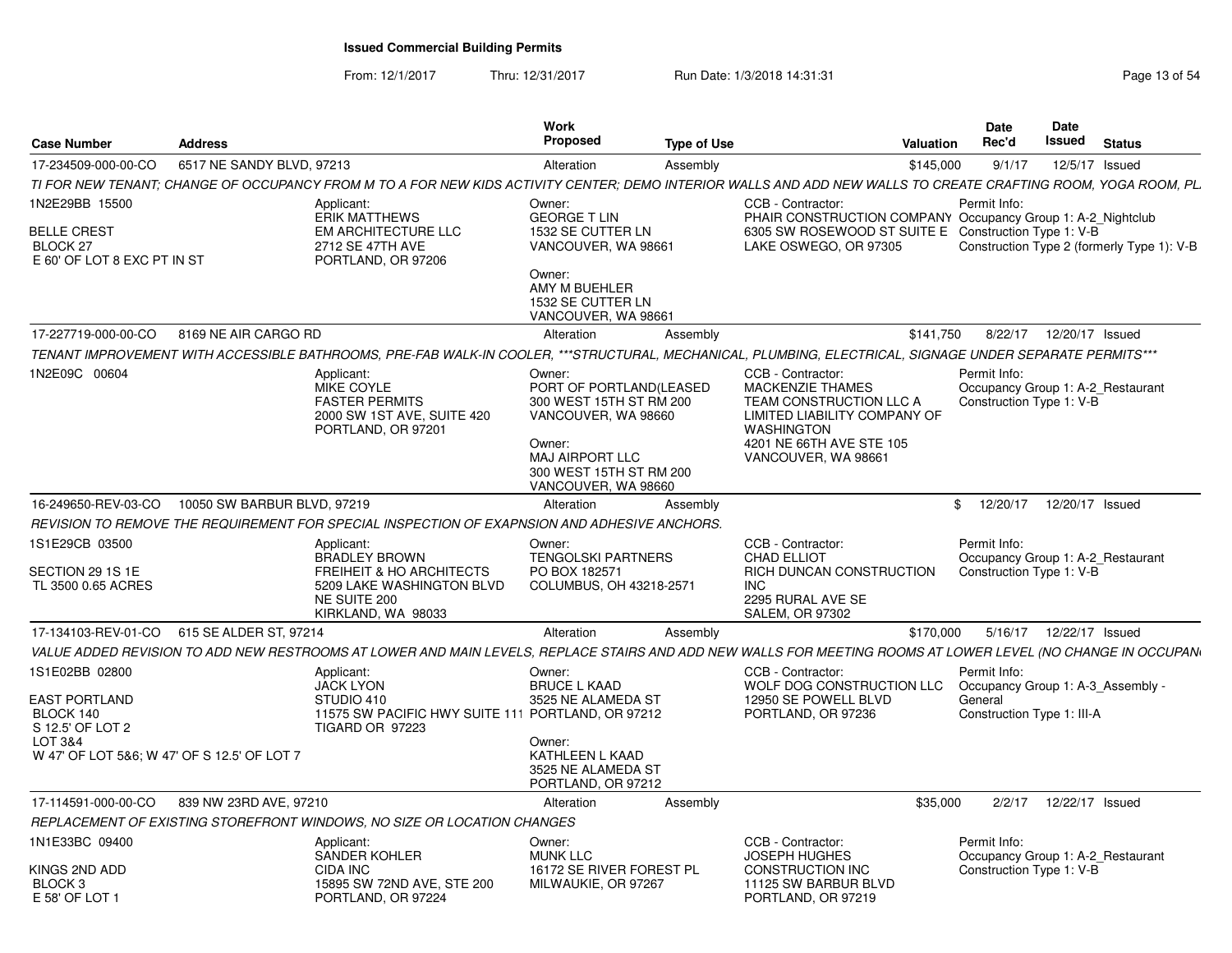From: 12/1/2017Thru: 12/31/2017 Run Date: 1/3/2018 14:31:31 Page 13 of 54

| <b>Case Number</b>                                                                 | <b>Address</b>                              |                                                                                                                                                                | Work<br><b>Proposed</b>                                                                                                                                                   | <b>Type of Use</b> | <b>Valuation</b>                                                                                                                                                                |           | Date<br>Rec'd                                         | Date<br>Issued | <b>Status</b>                              |
|------------------------------------------------------------------------------------|---------------------------------------------|----------------------------------------------------------------------------------------------------------------------------------------------------------------|---------------------------------------------------------------------------------------------------------------------------------------------------------------------------|--------------------|---------------------------------------------------------------------------------------------------------------------------------------------------------------------------------|-----------|-------------------------------------------------------|----------------|--------------------------------------------|
| 17-234509-000-00-CO                                                                | 6517 NE SANDY BLVD, 97213                   |                                                                                                                                                                | Alteration                                                                                                                                                                | Assembly           |                                                                                                                                                                                 | \$145,000 | 9/1/17                                                |                | 12/5/17 Issued                             |
|                                                                                    |                                             | TI FOR NEW TENANT: CHANGE OF OCCUPANCY FROM M TO A FOR NEW KIDS ACTIVITY CENTER: DEMO INTERIOR WALLS AND ADD NEW WALLS TO CREATE CRAFTING ROOM. YOGA ROOM. PL. |                                                                                                                                                                           |                    |                                                                                                                                                                                 |           |                                                       |                |                                            |
| 1N2E29BB 15500<br><b>BELLE CREST</b><br>BLOCK 27<br>E 60' OF LOT 8 EXC PT IN ST    |                                             | Applicant:<br><b>ERIK MATTHEWS</b><br><b>EM ARCHITECTURE LLC</b><br>2712 SE 47TH AVE<br>PORTLAND, OR 97206                                                     | Owner:<br><b>GEORGE T LIN</b><br>1532 SE CUTTER LN<br>VANCOUVER, WA 98661<br>Owner:<br>AMY M BUEHLER<br>1532 SE CUTTER LN<br>VANCOUVER, WA 98661                          |                    | CCB - Contractor:<br>PHAIR CONSTRUCTION COMPANY Occupancy Group 1: A-2 Nightclub<br>6305 SW ROSEWOOD ST SUITE E Construction Type 1: V-B<br>LAKE OSWEGO, OR 97305               |           | Permit Info:                                          |                | Construction Type 2 (formerly Type 1): V-B |
| 17-227719-000-00-CO                                                                | 8169 NE AIR CARGO RD                        |                                                                                                                                                                | Alteration                                                                                                                                                                | Assembly           |                                                                                                                                                                                 | \$141,750 | 8/22/17                                               |                | 12/20/17 Issued                            |
|                                                                                    |                                             | TENANT IMPROVEMENT WITH ACCESSIBLE BATHROOMS, PRE-FAB WALK-IN COOLER, ***STRUCTURAL, MECHANICAL, PLUMBING, ELECTRICAL, SIGNAGE UNDER SEPARATE PERMITS***       |                                                                                                                                                                           |                    |                                                                                                                                                                                 |           |                                                       |                |                                            |
| 1N2E09C 00604                                                                      |                                             | Applicant:<br>MIKE COYLE<br><b>FASTER PERMITS</b><br>2000 SW 1ST AVE, SUITE 420<br>PORTLAND, OR 97201                                                          | Owner:<br>PORT OF PORTLAND(LEASED<br>300 WEST 15TH ST RM 200<br>VANCOUVER, WA 98660<br>Owner:<br><b>MAJ AIRPORT LLC</b><br>300 WEST 15TH ST RM 200<br>VANCOUVER, WA 98660 |                    | CCB - Contractor:<br><b>MACKENZIE THAMES</b><br>TEAM CONSTRUCTION LLC A<br>LIMITED LIABILITY COMPANY OF<br><b>WASHINGTON</b><br>4201 NE 66TH AVE STE 105<br>VANCOUVER, WA 98661 |           | Permit Info:<br>Construction Type 1: V-B              |                | Occupancy Group 1: A-2_Restaurant          |
| 16-249650-REV-03-CO                                                                | 10050 SW BARBUR BLVD, 97219                 |                                                                                                                                                                | Alteration                                                                                                                                                                | Assembly           |                                                                                                                                                                                 | \$        | 12/20/17                                              |                | 12/20/17 Issued                            |
|                                                                                    |                                             | REVISION TO REMOVE THE REQUIREMENT FOR SPECIAL INSPECTION OF EXAPNSION AND ADHESIVE ANCHORS.                                                                   |                                                                                                                                                                           |                    |                                                                                                                                                                                 |           |                                                       |                |                                            |
| 1S1E29CB 03500<br>SECTION 29 1S 1E<br>TL 3500 0.65 ACRES                           |                                             | Applicant:<br><b>BRADLEY BROWN</b><br><b>FREIHEIT &amp; HO ARCHITECTS</b><br>5209 LAKE WASHINGTON BLVD<br>NE SUITE 200<br>KIRKLAND, WA 98033                   | Owner:<br><b>TENGOLSKI PARTNERS</b><br>PO BOX 182571<br>COLUMBUS, OH 43218-2571                                                                                           |                    | CCB - Contractor:<br><b>CHAD ELLIOT</b><br>RICH DUNCAN CONSTRUCTION<br>INC.<br>2295 RURAL AVE SE<br><b>SALEM, OR 97302</b>                                                      |           | Permit Info:<br>Construction Type 1: V-B              |                | Occupancy Group 1: A-2 Restaurant          |
| 17-134103-REV-01-CO                                                                | 615 SE ALDER ST, 97214                      |                                                                                                                                                                | Alteration                                                                                                                                                                | Assembly           |                                                                                                                                                                                 | \$170,000 |                                                       |                | 5/16/17  12/22/17  Issued                  |
|                                                                                    |                                             | VALUE ADDED REVISION TO ADD NEW RESTROOMS AT LOWER AND MAIN LEVELS, REPLACE STAIRS AND ADD NEW WALLS FOR MEETING ROOMS AT LOWER LEVEL (NO CHANGE IN OCCUPAN    |                                                                                                                                                                           |                    |                                                                                                                                                                                 |           |                                                       |                |                                            |
| 1S1E02BB 02800<br><b>EAST PORTLAND</b><br>BLOCK 140<br>S 12.5' OF LOT 2<br>LOT 3&4 | W 47' OF LOT 5&6; W 47' OF S 12.5' OF LOT 7 | Applicant:<br><b>JACK LYON</b><br>STUDIO 410<br>11575 SW PACIFIC HWY SUITE 111 PORTLAND, OR 97212<br>TIGARD OR 97223                                           | Owner:<br><b>BRUCE L KAAD</b><br>3525 NE ALAMEDA ST<br>Owner:<br>KATHLEEN L KAAD<br>3525 NE ALAMEDA ST<br>PORTLAND, OR 97212                                              |                    | CCB - Contractor:<br>WOLF DOG CONSTRUCTION LLC<br>12950 SE POWELL BLVD<br>PORTLAND, OR 97236                                                                                    |           | Permit Info:<br>General<br>Construction Type 1: III-A |                | Occupancy Group 1: A-3 Assembly -          |
| 17-114591-000-00-CO                                                                | 839 NW 23RD AVE, 97210                      |                                                                                                                                                                | Alteration                                                                                                                                                                | Assembly           |                                                                                                                                                                                 | \$35,000  | 2/2/17                                                |                | 12/22/17 Issued                            |
|                                                                                    |                                             | REPLACEMENT OF EXISTING STOREFRONT WINDOWS, NO SIZE OR LOCATION CHANGES                                                                                        |                                                                                                                                                                           |                    |                                                                                                                                                                                 |           |                                                       |                |                                            |
| 1N1E33BC 09400<br>KINGS 2ND ADD<br>BLOCK <sub>3</sub>                              |                                             | Applicant:<br><b>SANDER KOHLER</b><br>CIDA INC<br>15895 SW 72ND AVE, STE 200                                                                                   | Owner:<br><b>MUNK LLC</b><br>16172 SE RIVER FOREST PL<br>MILWAUKIE, OR 97267                                                                                              |                    | CCB - Contractor:<br><b>JOSEPH HUGHES</b><br><b>CONSTRUCTION INC</b><br>11125 SW BARBUR BLVD                                                                                    |           | Permit Info:<br>Construction Type 1: V-B              |                | Occupancy Group 1: A-2 Restaurant          |
| E 58' OF LOT 1                                                                     |                                             | PORTLAND, OR 97224                                                                                                                                             |                                                                                                                                                                           |                    | PORTLAND, OR 97219                                                                                                                                                              |           |                                                       |                |                                            |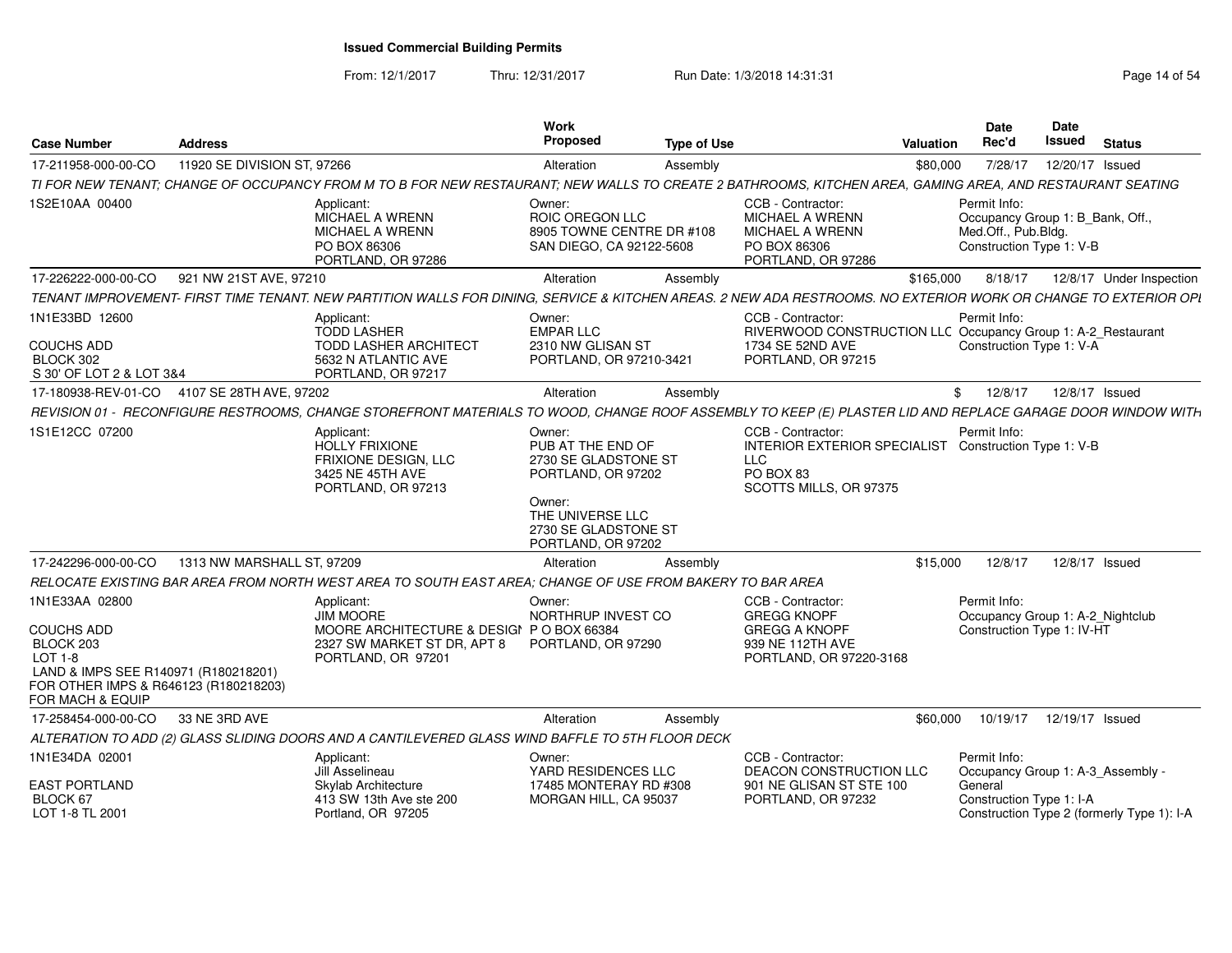From: 12/1/2017Thru: 12/31/2017 **Run Date: 1/3/2018 14:31:31 Research 2018 14:31:31** Page 14 of 54

| <b>Case Number</b>                                                                                                                                               | <b>Address</b>              |                                                                                                                                                                 | Work<br><b>Proposed</b>                                                                                                                               | <b>Type of Use</b> |                                                                                                                                 | Valuation | <b>Date</b><br>Rec'd                                                                                | <b>Date</b><br>Issued | <b>Status</b>                              |
|------------------------------------------------------------------------------------------------------------------------------------------------------------------|-----------------------------|-----------------------------------------------------------------------------------------------------------------------------------------------------------------|-------------------------------------------------------------------------------------------------------------------------------------------------------|--------------------|---------------------------------------------------------------------------------------------------------------------------------|-----------|-----------------------------------------------------------------------------------------------------|-----------------------|--------------------------------------------|
| 17-211958-000-00-CO                                                                                                                                              | 11920 SE DIVISION ST, 97266 |                                                                                                                                                                 | Alteration                                                                                                                                            | Assembly           |                                                                                                                                 | \$80,000  | 7/28/17                                                                                             | 12/20/17 Issued       |                                            |
|                                                                                                                                                                  |                             | TI FOR NEW TENANT; CHANGE OF OCCUPANCY FROM M TO B FOR NEW RESTAURANT; NEW WALLS TO CREATE 2 BATHROOMS, KITCHEN AREA, GAMING AREA, AND RESTAURANT SEATING       |                                                                                                                                                       |                    |                                                                                                                                 |           |                                                                                                     |                       |                                            |
| 1S2E10AA 00400                                                                                                                                                   |                             | Applicant:<br>MICHAEL A WRENN<br>MICHAEL A WRENN<br>PO BOX 86306<br>PORTLAND, OR 97286                                                                          | Owner:<br>ROIC OREGON LLC<br>8905 TOWNE CENTRE DR #108<br>SAN DIEGO, CA 92122-5608                                                                    |                    | CCB - Contractor:<br><b>MICHAEL A WRENN</b><br>MICHAEL A WRENN<br>PO BOX 86306<br>PORTLAND, OR 97286                            |           | Permit Info:<br>Occupancy Group 1: B Bank, Off.,<br>Med.Off., Pub.Bldg.<br>Construction Type 1: V-B |                       |                                            |
| 17-226222-000-00-CO                                                                                                                                              | 921 NW 21ST AVE, 97210      |                                                                                                                                                                 | Alteration                                                                                                                                            | Assembly           |                                                                                                                                 | \$165,000 | 8/18/17                                                                                             |                       | 12/8/17 Under Inspection                   |
|                                                                                                                                                                  |                             | TENANT IMPROVEMENT- FIRST TIME TENANT. NEW PARTITION WALLS FOR DINING, SERVICE & KITCHEN AREAS. 2 NEW ADA RESTROOMS. NO EXTERIOR WORK OR CHANGE TO EXTERIOR OPI |                                                                                                                                                       |                    |                                                                                                                                 |           |                                                                                                     |                       |                                            |
| 1N1E33BD 12600<br><b>COUCHS ADD</b><br>BLOCK 302<br>S 30' OF LOT 2 & LOT 3&4                                                                                     |                             | Applicant:<br><b>TODD LASHER</b><br><b>TODD LASHER ARCHITECT</b><br>5632 N ATLANTIC AVE<br>PORTLAND, OR 97217                                                   | Owner:<br><b>EMPAR LLC</b><br>2310 NW GLISAN ST<br>PORTLAND, OR 97210-3421                                                                            |                    | CCB - Contractor:<br>RIVERWOOD CONSTRUCTION LLC Occupancy Group 1: A-2_Restaurant<br>1734 SE 52ND AVE<br>PORTLAND, OR 97215     |           | Permit Info:<br>Construction Type 1: V-A                                                            |                       |                                            |
| 17-180938-REV-01-CO                                                                                                                                              | 4107 SE 28TH AVE, 97202     |                                                                                                                                                                 | Alteration                                                                                                                                            | Assembly           |                                                                                                                                 | \$        | 12/8/17                                                                                             | 12/8/17 Issued        |                                            |
|                                                                                                                                                                  |                             | REVISION 01 - RECONFIGURE RESTROOMS, CHANGE STOREFRONT MATERIALS TO WOOD, CHANGE ROOF ASSEMBLY TO KEEP (E) PLASTER LID AND REPLACE GARAGE DOOR WINDOW WITH      |                                                                                                                                                       |                    |                                                                                                                                 |           |                                                                                                     |                       |                                            |
| 1S1E12CC 07200                                                                                                                                                   |                             | Applicant:<br><b>HOLLY FRIXIONE</b><br><b>FRIXIONE DESIGN, LLC</b><br>3425 NE 45TH AVE<br>PORTLAND, OR 97213                                                    | Owner:<br>PUB AT THE END OF<br>2730 SE GLADSTONE ST<br>PORTLAND, OR 97202<br>Owner:<br>THE UNIVERSE LLC<br>2730 SE GLADSTONE ST<br>PORTLAND, OR 97202 |                    | CCB - Contractor:<br>INTERIOR EXTERIOR SPECIALIST Construction Type 1: V-B<br><b>LLC</b><br>PO BOX 83<br>SCOTTS MILLS, OR 97375 |           | Permit Info:                                                                                        |                       |                                            |
| 17-242296-000-00-CO                                                                                                                                              | 1313 NW MARSHALL ST, 97209  |                                                                                                                                                                 | Alteration                                                                                                                                            | Assembly           |                                                                                                                                 | \$15,000  | 12/8/17                                                                                             | 12/8/17 Issued        |                                            |
|                                                                                                                                                                  |                             | RELOCATE EXISTING BAR AREA FROM NORTH WEST AREA TO SOUTH EAST AREA; CHANGE OF USE FROM BAKERY TO BAR AREA                                                       |                                                                                                                                                       |                    |                                                                                                                                 |           |                                                                                                     |                       |                                            |
| 1N1E33AA 02800<br><b>COUCHS ADD</b><br>BLOCK 203<br>LOT 1-8<br>LAND & IMPS SEE R140971 (R180218201)<br>FOR OTHER IMPS & R646123 (R180218203)<br>FOR MACH & EQUIP |                             | Applicant:<br><b>JIM MOORE</b><br>MOORE ARCHITECTURE & DESIGI P O BOX 66384<br>2327 SW MARKET ST DR, APT 8<br>PORTLAND, OR 97201                                | Owner:<br>NORTHRUP INVEST CO<br>PORTLAND, OR 97290                                                                                                    |                    | CCB - Contractor:<br><b>GREGG KNOPF</b><br><b>GREGG A KNOPF</b><br>939 NE 112TH AVE<br>PORTLAND, OR 97220-3168                  |           | Permit Info:<br>Occupancy Group 1: A-2_Nightclub<br>Construction Type 1: IV-HT                      |                       |                                            |
| 17-258454-000-00-CO                                                                                                                                              | 33 NE 3RD AVE               |                                                                                                                                                                 | Alteration                                                                                                                                            | Assembly           |                                                                                                                                 | \$60,000  | 10/19/17                                                                                            | 12/19/17 Issued       |                                            |
|                                                                                                                                                                  |                             | ALTERATION TO ADD (2) GLASS SLIDING DOORS AND A CANTILEVERED GLASS WIND BAFFLE TO 5TH FLOOR DECK                                                                |                                                                                                                                                       |                    |                                                                                                                                 |           |                                                                                                     |                       |                                            |
| 1N1E34DA 02001<br><b>EAST PORTLAND</b><br>BLOCK 67<br>LOT 1-8 TL 2001                                                                                            |                             | Applicant:<br>Jill Asselineau<br>Skylab Architecture<br>413 SW 13th Ave ste 200<br>Portland, OR 97205                                                           | Owner:<br>YARD RESIDENCES LLC<br>17485 MONTERAY RD #308<br>MORGAN HILL, CA 95037                                                                      |                    | CCB - Contractor:<br><b>DEACON CONSTRUCTION LLC</b><br>901 NE GLISAN ST STE 100<br>PORTLAND, OR 97232                           |           | Permit Info:<br>Occupancy Group 1: A-3 Assembly -<br>General<br>Construction Type 1: I-A            |                       | Construction Type 2 (formerly Type 1): I-A |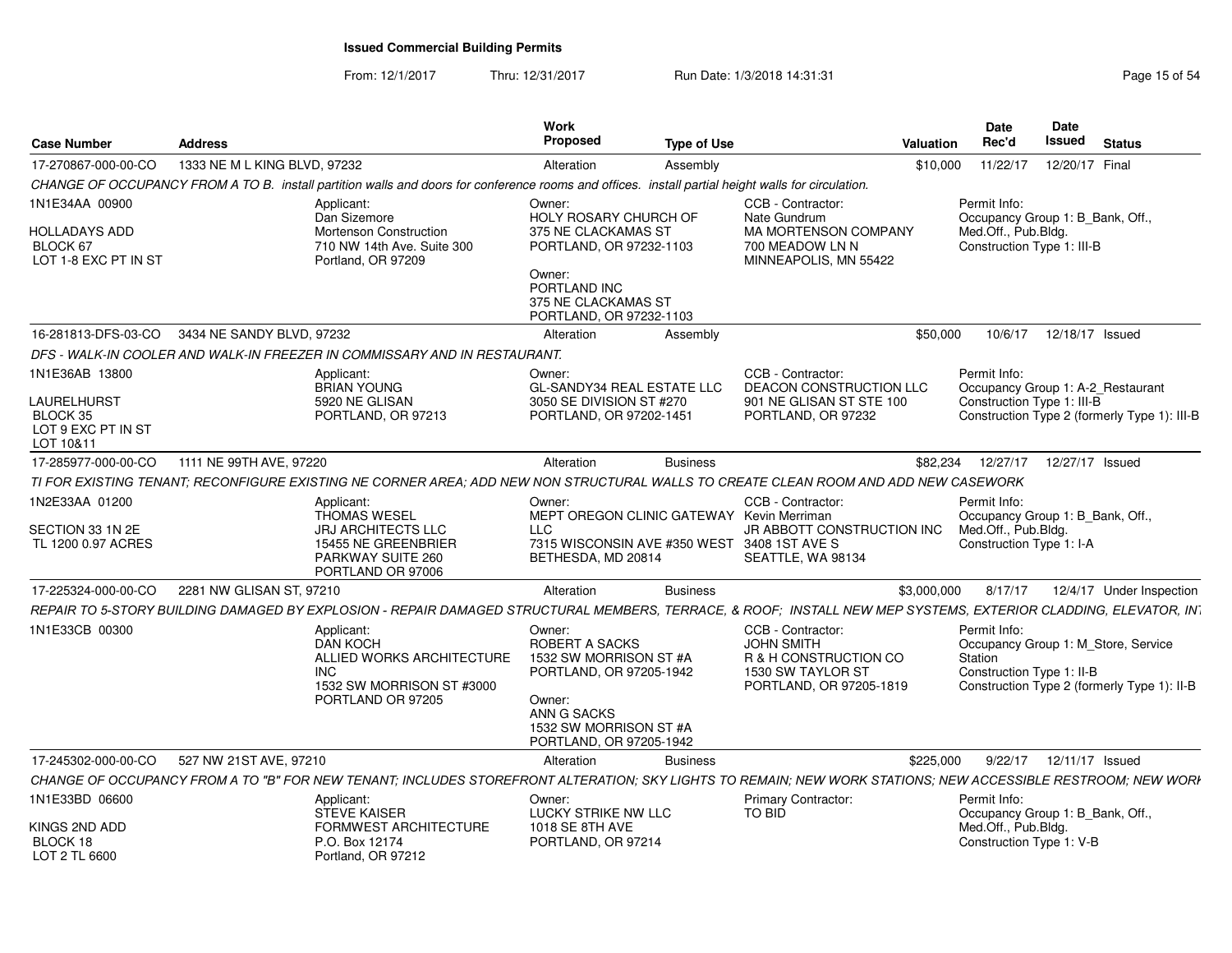From: 12/1/2017

Thru: 12/31/2017 **Run Date: 1/3/2018 14:31:31 Research 2018** Page 15 of 54

| <b>Case Number</b>                                                | <b>Address</b>               |                                                                                                                                                                 | Work<br>Proposed                                                                                                                                            | <b>Type of Use</b> |                                                                                                                 | Valuation   | Date<br>Rec'd                                                                                                                              | Date<br>Issued  | <b>Status</b> |                          |
|-------------------------------------------------------------------|------------------------------|-----------------------------------------------------------------------------------------------------------------------------------------------------------------|-------------------------------------------------------------------------------------------------------------------------------------------------------------|--------------------|-----------------------------------------------------------------------------------------------------------------|-------------|--------------------------------------------------------------------------------------------------------------------------------------------|-----------------|---------------|--------------------------|
| 17-270867-000-00-CO                                               | 1333 NE M L KING BLVD, 97232 |                                                                                                                                                                 | Alteration                                                                                                                                                  | Assembly           |                                                                                                                 | \$10,000    | 11/22/17                                                                                                                                   | 12/20/17 Final  |               |                          |
|                                                                   |                              | CHANGE OF OCCUPANCY FROM A TO B. install partition walls and doors for conference rooms and offices. install partial height walls for circulation.              |                                                                                                                                                             |                    |                                                                                                                 |             |                                                                                                                                            |                 |               |                          |
| 1N1E34AA 00900                                                    |                              | Applicant:<br>Dan Sizemore                                                                                                                                      | Owner:<br><b>HOLY ROSARY CHURCH OF</b>                                                                                                                      |                    | CCB - Contractor:<br>Nate Gundrum                                                                               |             | Permit Info:<br>Occupancy Group 1: B_Bank, Off.,                                                                                           |                 |               |                          |
| HOLLADAYS ADD<br>BLOCK 67<br>LOT 1-8 EXC PT IN ST                 |                              | <b>Mortenson Construction</b><br>710 NW 14th Ave. Suite 300<br>Portland, OR 97209                                                                               | 375 NE CLACKAMAS ST<br>PORTLAND, OR 97232-1103<br>Owner:                                                                                                    |                    | <b>MA MORTENSON COMPANY</b><br>700 MEADOW LN N<br>MINNEAPOLIS, MN 55422                                         |             | Med.Off., Pub.Bldg.<br>Construction Type 1: III-B                                                                                          |                 |               |                          |
|                                                                   |                              |                                                                                                                                                                 | PORTLAND INC<br>375 NE CLACKAMAS ST<br>PORTLAND, OR 97232-1103                                                                                              |                    |                                                                                                                 |             |                                                                                                                                            |                 |               |                          |
| 16-281813-DFS-03-CO                                               | 3434 NE SANDY BLVD, 97232    |                                                                                                                                                                 | Alteration                                                                                                                                                  | Assembly           |                                                                                                                 | \$50,000    | 10/6/17                                                                                                                                    | 12/18/17 Issued |               |                          |
|                                                                   |                              | DFS - WALK-IN COOLER AND WALK-IN FREEZER IN COMMISSARY AND IN RESTAURANT.                                                                                       |                                                                                                                                                             |                    |                                                                                                                 |             |                                                                                                                                            |                 |               |                          |
| 1N1E36AB 13800                                                    |                              | Applicant:<br><b>BRIAN YOUNG</b>                                                                                                                                | Owner:<br><b>GL-SANDY34 REAL ESTATE LLC</b>                                                                                                                 |                    | CCB - Contractor:<br><b>DEACON CONSTRUCTION LLC</b>                                                             |             | Permit Info:<br>Occupancy Group 1: A-2 Restaurant                                                                                          |                 |               |                          |
| LAURELHURST<br><b>BLOCK 35</b><br>LOT 9 EXC PT IN ST<br>LOT 10&11 |                              | 5920 NE GLISAN<br>PORTLAND, OR 97213                                                                                                                            | 3050 SE DIVISION ST #270<br>PORTLAND, OR 97202-1451                                                                                                         |                    | 901 NE GLISAN ST STE 100<br>PORTLAND, OR 97232                                                                  |             | Construction Type 1: III-B<br>Construction Type 2 (formerly Type 1): III-B                                                                 |                 |               |                          |
| 17-285977-000-00-CO                                               | 1111 NE 99TH AVE, 97220      |                                                                                                                                                                 | Alteration                                                                                                                                                  | <b>Business</b>    |                                                                                                                 | \$82,234    | 12/27/17                                                                                                                                   | 12/27/17 Issued |               |                          |
|                                                                   |                              | TI FOR EXISTING TENANT; RECONFIGURE EXISTING NE CORNER AREA; ADD NEW NON STRUCTURAL WALLS TO CREATE CLEAN ROOM AND ADD NEW CASEWORK                             |                                                                                                                                                             |                    |                                                                                                                 |             |                                                                                                                                            |                 |               |                          |
| 1N2E33AA 01200                                                    |                              | Applicant:<br><b>THOMAS WESEL</b>                                                                                                                               | Owner:<br>MEPT OREGON CLINIC GATEWAY Kevin Merriman                                                                                                         |                    | CCB - Contractor:                                                                                               |             | Permit Info:<br>Occupancy Group 1: B Bank, Off.,                                                                                           |                 |               |                          |
| SECTION 33 1N 2E<br>TL 1200 0.97 ACRES                            |                              | <b>JRJ ARCHITECTS LLC</b><br>15455 NE GREENBRIER<br>PARKWAY SUITE 260<br>PORTLAND OR 97006                                                                      | <b>LLC</b><br>7315 WISCONSIN AVE #350 WEST<br>BETHESDA, MD 20814                                                                                            |                    | JR ABBOTT CONSTRUCTION INC<br>3408 1ST AVE S<br>SEATTLE, WA 98134                                               |             | Med.Off., Pub.Bldg.<br>Construction Type 1: I-A                                                                                            |                 |               |                          |
| 17-225324-000-00-CO                                               | 2281 NW GLISAN ST, 97210     |                                                                                                                                                                 | Alteration                                                                                                                                                  | <b>Business</b>    |                                                                                                                 | \$3,000,000 | 8/17/17                                                                                                                                    |                 |               | 12/4/17 Under Inspection |
|                                                                   |                              | REPAIR TO 5-STORY BUILDING DAMAGED BY EXPLOSION - REPAIR DAMAGED STRUCTURAL MEMBERS, TERRACE, & ROOF; INSTALL NEW MEP SYSTEMS, EXTERIOR CLADDING, ELEVATOR, INT |                                                                                                                                                             |                    |                                                                                                                 |             |                                                                                                                                            |                 |               |                          |
| 1N1E33CB 00300                                                    |                              | Applicant:<br>DAN KOCH<br>ALLIED WORKS ARCHITECTURE<br>INC.<br>1532 SW MORRISON ST #3000<br>PORTLAND OR 97205                                                   | Owner:<br>ROBERT A SACKS<br>1532 SW MORRISON ST #A<br>PORTLAND, OR 97205-1942<br>Owner:<br>ANN G SACKS<br>1532 SW MORRISON ST #A<br>PORTLAND, OR 97205-1942 |                    | CCB - Contractor:<br><b>JOHN SMITH</b><br>R & H CONSTRUCTION CO<br>1530 SW TAYLOR ST<br>PORTLAND, OR 97205-1819 |             | Permit Info:<br>Occupancy Group 1: M_Store, Service<br>Station<br>Construction Type 1: II-B<br>Construction Type 2 (formerly Type 1): II-B |                 |               |                          |
| 17-245302-000-00-CO                                               | 527 NW 21ST AVE, 97210       |                                                                                                                                                                 | Alteration                                                                                                                                                  | <b>Business</b>    |                                                                                                                 | \$225,000   | 9/22/17                                                                                                                                    | 12/11/17 Issued |               |                          |
|                                                                   |                              | CHANGE OF OCCUPANCY FROM A TO "B" FOR NEW TENANT: INCLUDES STOREFRONT ALTERATION: SKY LIGHTS TO REMAIN: NEW WORK STATIONS: NEW ACCESSIBLE RESTROOM: NEW WORK    |                                                                                                                                                             |                    |                                                                                                                 |             |                                                                                                                                            |                 |               |                          |
| 1N1E33BD 06600                                                    |                              | Applicant:<br><b>STEVE KAISER</b>                                                                                                                               | Owner:<br>LUCKY STRIKE NW LLC                                                                                                                               |                    | <b>Primary Contractor:</b><br>TO BID                                                                            |             | Permit Info:<br>Occupancy Group 1: B Bank, Off.,                                                                                           |                 |               |                          |
| KINGS 2ND ADD<br>BLOCK 18<br>LOT 2 TL 6600                        |                              | FORMWEST ARCHITECTURE<br>P.O. Box 12174<br>Portland, OR 97212                                                                                                   | 1018 SE 8TH AVE<br>PORTLAND, OR 97214                                                                                                                       |                    |                                                                                                                 |             | Med.Off., Pub.Bldg.<br>Construction Type 1: V-B                                                                                            |                 |               |                          |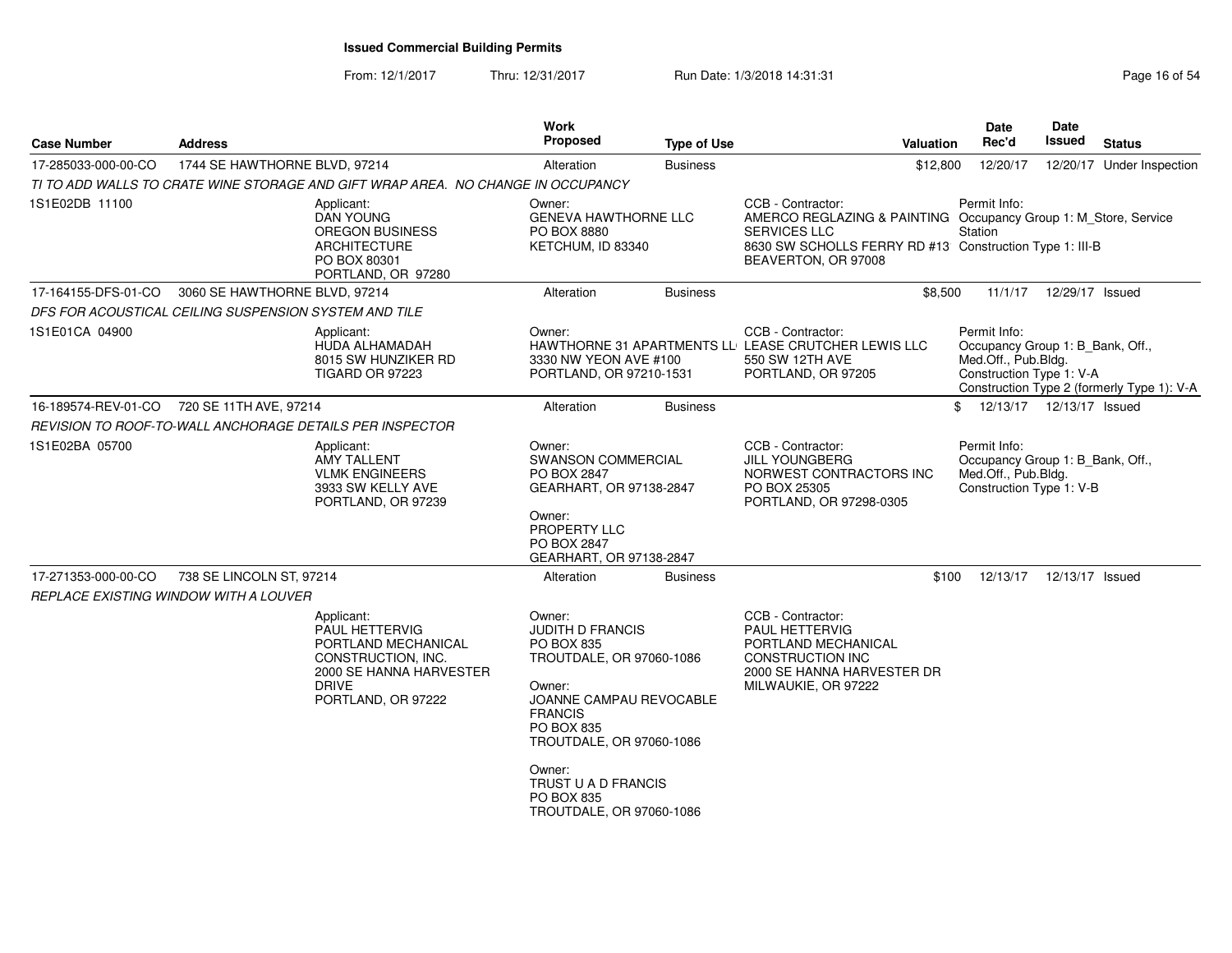From: 12/1/2017Thru: 12/31/2017 **Run Date: 1/3/2018 14:31:31 Research 2018 14:31:31** Page 16 of 54

| <b>Case Number</b>                                    | <b>Address</b>                |                                                                                                                | <b>Work</b><br><b>Proposed</b>                                                                       | <b>Type of Use</b> | Valuation                                                                                                                                                                              | Date<br>Rec'd                                                                                       | Date<br><b>Issued</b>      | <b>Status</b>                              |
|-------------------------------------------------------|-------------------------------|----------------------------------------------------------------------------------------------------------------|------------------------------------------------------------------------------------------------------|--------------------|----------------------------------------------------------------------------------------------------------------------------------------------------------------------------------------|-----------------------------------------------------------------------------------------------------|----------------------------|--------------------------------------------|
| 17-285033-000-00-CO                                   | 1744 SE HAWTHORNE BLVD, 97214 |                                                                                                                | Alteration                                                                                           | <b>Business</b>    | \$12,800                                                                                                                                                                               | 12/20/17                                                                                            |                            | 12/20/17 Under Inspection                  |
|                                                       |                               | TI TO ADD WALLS TO CRATE WINE STORAGE AND GIFT WRAP AREA. NO CHANGE IN OCCUPANCY                               |                                                                                                      |                    |                                                                                                                                                                                        |                                                                                                     |                            |                                            |
| 1S1E02DB 11100                                        |                               | Applicant:<br><b>DAN YOUNG</b><br>OREGON BUSINESS<br><b>ARCHITECTURE</b><br>PO BOX 80301<br>PORTLAND, OR 97280 | Owner:<br><b>GENEVA HAWTHORNE LLC</b><br>PO BOX 8880<br>KETCHUM, ID 83340                            |                    | CCB - Contractor:<br>AMERCO REGLAZING & PAINTING Occupancy Group 1: M_Store, Service<br>SERVICES LLC<br>8630 SW SCHOLLS FERRY RD #13 Construction Type 1: III-B<br>BEAVERTON, OR 97008 | Permit Info:<br>Station                                                                             |                            |                                            |
| 17-164155-DFS-01-CO                                   | 3060 SE HAWTHORNE BLVD, 97214 |                                                                                                                | Alteration                                                                                           | <b>Business</b>    | \$8,500                                                                                                                                                                                | 11/1/17                                                                                             | 12/29/17 Issued            |                                            |
| DFS FOR ACOUSTICAL CEILING SUSPENSION SYSTEM AND TILE |                               |                                                                                                                |                                                                                                      |                    |                                                                                                                                                                                        |                                                                                                     |                            |                                            |
| 1S1E01CA 04900                                        |                               | Applicant:<br>HUDA ALHAMADAH<br>8015 SW HUNZIKER RD<br><b>TIGARD OR 97223</b>                                  | Owner:<br>3330 NW YEON AVE #100<br>PORTLAND, OR 97210-1531                                           |                    | CCB - Contractor:<br>HAWTHORNE 31 APARTMENTS LL LEASE CRUTCHER LEWIS LLC<br>550 SW 12TH AVE<br>PORTLAND, OR 97205                                                                      | Permit Info:<br>Occupancy Group 1: B_Bank, Off.,<br>Med.Off., Pub.Bldg.<br>Construction Type 1: V-A |                            | Construction Type 2 (formerly Type 1): V-A |
| 16-189574-REV-01-CO                                   | 720 SE 11TH AVE, 97214        |                                                                                                                | Alteration                                                                                           | <b>Business</b>    |                                                                                                                                                                                        | \$                                                                                                  | 12/13/17  12/13/17  Issued |                                            |
|                                                       |                               | REVISION TO ROOF-TO-WALL ANCHORAGE DETAILS PER INSPECTOR                                                       |                                                                                                      |                    |                                                                                                                                                                                        |                                                                                                     |                            |                                            |
| 1S1E02BA 05700                                        |                               | Applicant:<br><b>AMY TALLENT</b><br><b>VLMK ENGINEERS</b><br>3933 SW KELLY AVE<br>PORTLAND, OR 97239           | Owner:<br><b>SWANSON COMMERCIAL</b><br>PO BOX 2847<br>GEARHART, OR 97138-2847                        |                    | CCB - Contractor:<br><b>JILL YOUNGBERG</b><br>NORWEST CONTRACTORS INC<br>PO BOX 25305<br>PORTLAND, OR 97298-0305                                                                       | Permit Info:<br>Occupancy Group 1: B_Bank, Off.,<br>Med.Off., Pub.Bldg.<br>Construction Type 1: V-B |                            |                                            |
|                                                       |                               |                                                                                                                | Owner:<br>PROPERTY LLC<br>PO BOX 2847<br>GEARHART, OR 97138-2847                                     |                    |                                                                                                                                                                                        |                                                                                                     |                            |                                            |
| 17-271353-000-00-CO                                   | 738 SE LINCOLN ST, 97214      |                                                                                                                | Alteration                                                                                           | <b>Business</b>    | \$100                                                                                                                                                                                  | 12/13/17                                                                                            | 12/13/17 Issued            |                                            |
| REPLACE EXISTING WINDOW WITH A LOUVER                 |                               |                                                                                                                |                                                                                                      |                    |                                                                                                                                                                                        |                                                                                                     |                            |                                            |
|                                                       |                               | Applicant:<br>PAUL HETTERVIG<br>PORTLAND MECHANICAL<br>CONSTRUCTION, INC.<br>2000 SE HANNA HARVESTER           | Owner:<br>JUDITH D FRANCIS<br><b>PO BOX 835</b><br>TROUTDALE, OR 97060-1086                          |                    | CCB - Contractor:<br>PAUL HETTERVIG<br>PORTLAND MECHANICAL<br><b>CONSTRUCTION INC</b><br>2000 SE HANNA HARVESTER DR                                                                    |                                                                                                     |                            |                                            |
|                                                       |                               | <b>DRIVE</b><br>PORTLAND, OR 97222                                                                             | Owner:<br>JOANNE CAMPAU REVOCABLE<br><b>FRANCIS</b><br><b>PO BOX 835</b><br>TROUTDALE, OR 97060-1086 |                    | MILWAUKIE, OR 97222                                                                                                                                                                    |                                                                                                     |                            |                                            |
|                                                       |                               |                                                                                                                | Owner:<br>TRUST U A D FRANCIS<br>PO BOX 835<br>TROUTDALE, OR 97060-1086                              |                    |                                                                                                                                                                                        |                                                                                                     |                            |                                            |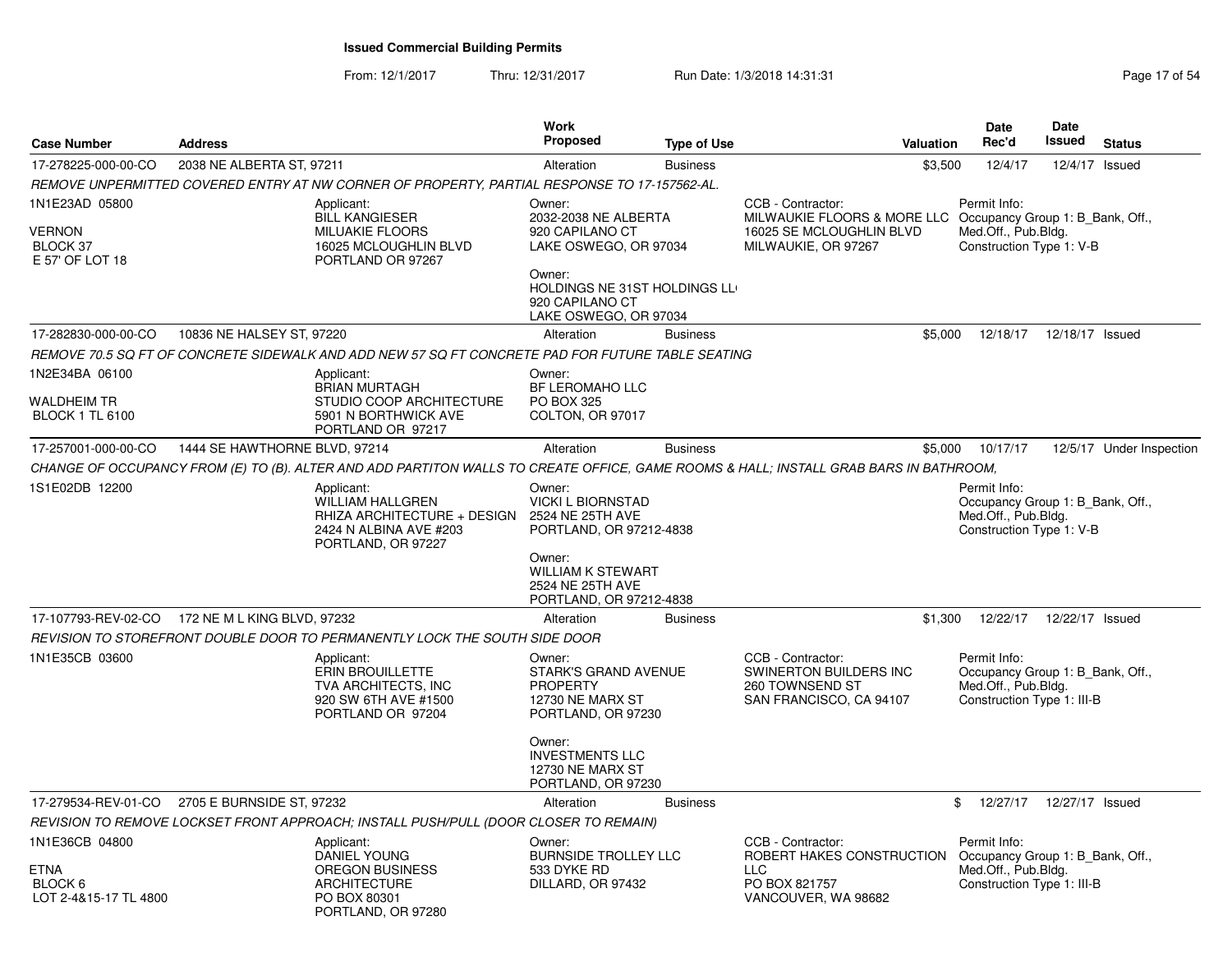From: 12/1/2017Thru: 12/31/2017 Run Date: 1/3/2018 14:31:31 Page 17 of 54

| <b>Case Number</b>                                                | <b>Address</b>                                  |                                                                                                                                       | <b>Work</b><br><b>Proposed</b>                                                                                                                                         | <b>Type of Use</b> | Valuation                                                                                            | <b>Date</b><br>Rec'd                                                                                  | <b>Date</b><br>Issued | <b>Status</b>            |
|-------------------------------------------------------------------|-------------------------------------------------|---------------------------------------------------------------------------------------------------------------------------------------|------------------------------------------------------------------------------------------------------------------------------------------------------------------------|--------------------|------------------------------------------------------------------------------------------------------|-------------------------------------------------------------------------------------------------------|-----------------------|--------------------------|
| 17-278225-000-00-CO                                               | 2038 NE ALBERTA ST, 97211                       |                                                                                                                                       | Alteration                                                                                                                                                             | <b>Business</b>    | \$3,500                                                                                              | 12/4/17                                                                                               |                       | 12/4/17 Issued           |
|                                                                   |                                                 | REMOVE UNPERMITTED COVERED ENTRY AT NW CORNER OF PROPERTY, PARTIAL RESPONSE TO 17-157562-AL.                                          |                                                                                                                                                                        |                    |                                                                                                      |                                                                                                       |                       |                          |
| 1N1E23AD 05800<br>VERNON<br>BLOCK 37<br>E 57' OF LOT 18           |                                                 | Applicant:<br><b>BILL KANGIESER</b><br><b>MILUAKIE FLOORS</b><br>16025 MCLOUGHLIN BLVD<br>PORTLAND OR 97267                           | Owner:<br>2032-2038 NE ALBERTA<br>920 CAPILANO CT<br>LAKE OSWEGO, OR 97034<br>Owner:<br>HOLDINGS NE 31ST HOLDINGS LL<br>920 CAPILANO CT<br>LAKE OSWEGO, OR 97034       |                    | CCB - Contractor:<br>MILWAUKIE FLOORS & MORE LLC<br>16025 SE MCLOUGHLIN BLVD<br>MILWAUKIE, OR 97267  | Permit Info:<br>Occupancy Group 1: B Bank, Off.,<br>Med.Off., Pub.Bldg.<br>Construction Type 1: V-B   |                       |                          |
| 17-282830-000-00-CO                                               | 10836 NE HALSEY ST, 97220                       |                                                                                                                                       | Alteration                                                                                                                                                             | <b>Business</b>    | \$5,000                                                                                              | 12/18/17                                                                                              | 12/18/17 Issued       |                          |
|                                                                   |                                                 | REMOVE 70.5 SQ FT OF CONCRETE SIDEWALK AND ADD NEW 57 SQ FT CONCRETE PAD FOR FUTURE TABLE SEATING                                     |                                                                                                                                                                        |                    |                                                                                                      |                                                                                                       |                       |                          |
| 1N2E34BA 06100<br><b>WALDHEIM TR</b><br><b>BLOCK 1 TL 6100</b>    |                                                 | Applicant:<br><b>BRIAN MURTAGH</b><br>STUDIO COOP ARCHITECTURE<br>5901 N BORTHWICK AVE<br>PORTLAND OR 97217                           | Owner:<br>BF LEROMAHO LLC<br>PO BOX 325<br>COLTON, OR 97017                                                                                                            |                    |                                                                                                      |                                                                                                       |                       |                          |
| 17-257001-000-00-CO                                               | 1444 SE HAWTHORNE BLVD, 97214                   |                                                                                                                                       | Alteration                                                                                                                                                             | <b>Business</b>    | \$5,000                                                                                              | 10/17/17                                                                                              |                       | 12/5/17 Under Inspection |
|                                                                   |                                                 | CHANGE OF OCCUPANCY FROM (E) TO (B). ALTER AND ADD PARTITON WALLS TO CREATE OFFICE, GAME ROOMS & HALL; INSTALL GRAB BARS IN BATHROOM, |                                                                                                                                                                        |                    |                                                                                                      |                                                                                                       |                       |                          |
| 1S1E02DB 12200                                                    |                                                 | Applicant:<br>WILLIAM HALLGREN<br>RHIZA ARCHITECTURE + DESIGN<br>2424 N ALBINA AVE #203<br>PORTLAND, OR 97227                         | Owner:<br><b>VICKI L BIORNSTAD</b><br>2524 NE 25TH AVE<br>PORTLAND, OR 97212-4838<br>Owner:<br><b>WILLIAM K STEWART</b><br>2524 NE 25TH AVE<br>PORTLAND, OR 97212-4838 |                    |                                                                                                      | Permit Info:<br>Occupancy Group 1: B Bank, Off.,<br>Med.Off., Pub.Bldg.<br>Construction Type 1: V-B   |                       |                          |
|                                                                   | 17-107793-REV-02-CO 172 NE M L KING BLVD, 97232 |                                                                                                                                       | Alteration                                                                                                                                                             | <b>Business</b>    | \$1,300                                                                                              | 12/22/17                                                                                              | 12/22/17 Issued       |                          |
|                                                                   |                                                 | REVISION TO STOREFRONT DOUBLE DOOR TO PERMANENTLY LOCK THE SOUTH SIDE DOOR                                                            |                                                                                                                                                                        |                    |                                                                                                      |                                                                                                       |                       |                          |
| 1N1E35CB 03600                                                    |                                                 | Applicant:<br><b>ERIN BROUILLETTE</b><br><b>TVA ARCHITECTS, INC</b><br>920 SW 6TH AVE #1500<br>PORTLAND OR 97204                      | Owner:<br>STARK'S GRAND AVENUE<br><b>PROPERTY</b><br><b>12730 NE MARX ST</b><br>PORTLAND, OR 97230<br>Owner:<br><b>INVESTMENTS LLC</b><br><b>12730 NE MARX ST</b>      |                    | CCB - Contractor:<br>SWINERTON BUILDERS INC<br>260 TOWNSEND ST<br>SAN FRANCISCO, CA 94107            | Permit Info:<br>Occupancy Group 1: B Bank, Off.,<br>Med.Off., Pub.Bldg.<br>Construction Type 1: III-B |                       |                          |
|                                                                   |                                                 |                                                                                                                                       | PORTLAND, OR 97230                                                                                                                                                     |                    |                                                                                                      |                                                                                                       |                       |                          |
| 17-279534-REV-01-CO                                               | 2705 E BURNSIDE ST, 97232                       |                                                                                                                                       | Alteration                                                                                                                                                             | <b>Business</b>    |                                                                                                      | 12/27/17  12/27/17  Issued<br>\$                                                                      |                       |                          |
|                                                                   |                                                 | REVISION TO REMOVE LOCKSET FRONT APPROACH; INSTALL PUSH/PULL (DOOR CLOSER TO REMAIN)                                                  |                                                                                                                                                                        |                    |                                                                                                      |                                                                                                       |                       |                          |
| 1N1E36CB 04800<br><b>ETNA</b><br>BLOCK 6<br>LOT 2-4&15-17 TL 4800 |                                                 | Applicant:<br><b>DANIEL YOUNG</b><br><b>OREGON BUSINESS</b><br><b>ARCHITECTURE</b><br>PO BOX 80301<br>PORTLAND, OR 97280              | Owner:<br><b>BURNSIDE TROLLEY LLC</b><br>533 DYKE RD<br>DILLARD, OR 97432                                                                                              |                    | CCB - Contractor:<br>ROBERT HAKES CONSTRUCTION<br><b>LLC</b><br>PO BOX 821757<br>VANCOUVER, WA 98682 | Permit Info:<br>Occupancy Group 1: B Bank, Off.,<br>Med.Off., Pub.Bldg.<br>Construction Type 1: III-B |                       |                          |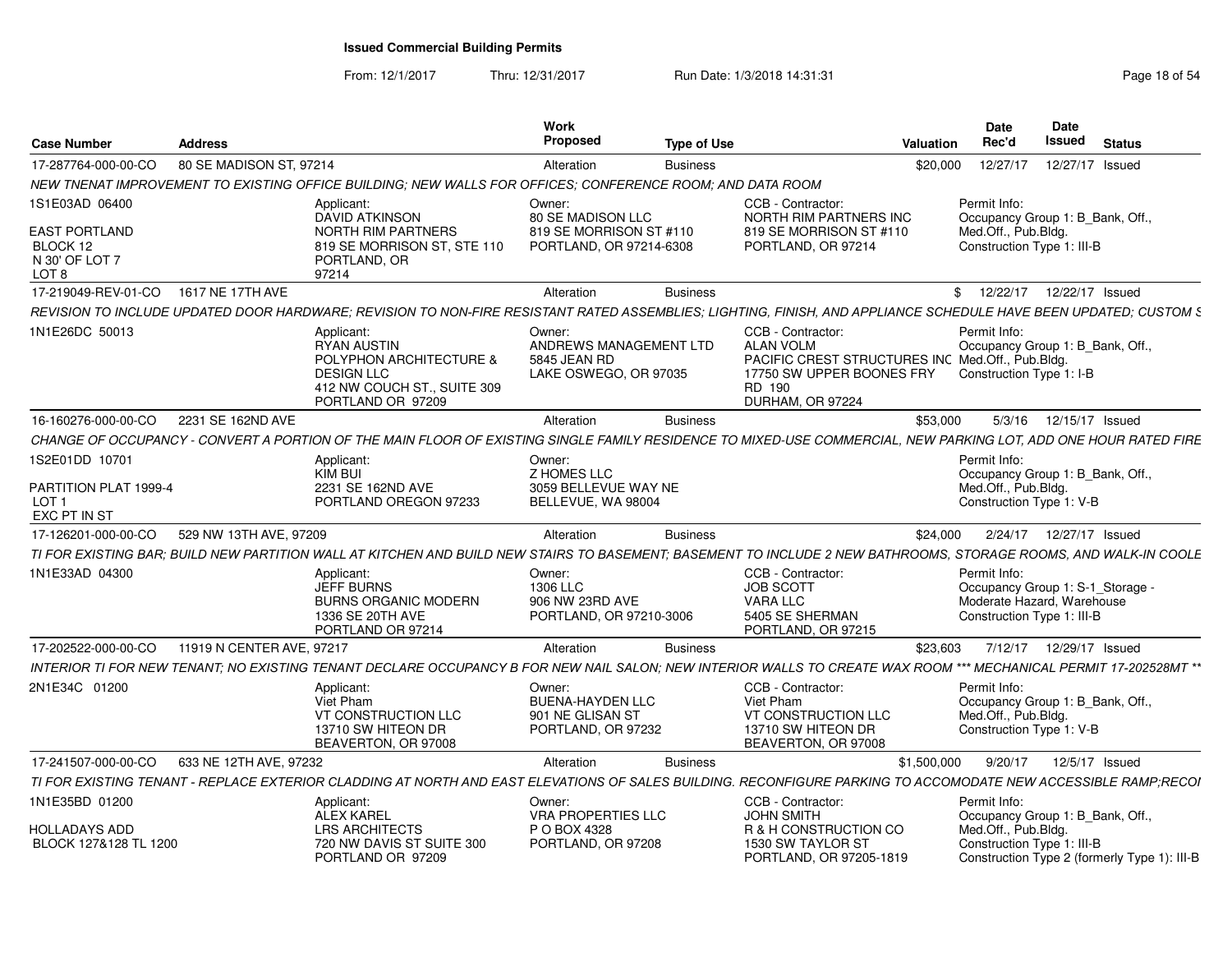From: 12/1/2017Thru: 12/31/2017 Run Date: 1/3/2018 14:31:31 Page 18 of 54

| <b>Case Number</b>                                                   | <b>Address</b>            |                                                                                                                                                                   | Work<br><b>Proposed</b>                                                           | <b>Type of Use</b> |                                                                                                                                                      | Valuation   | <b>Date</b><br>Rec'd                                              | Date<br>Issued<br><b>Status</b>                                                  |
|----------------------------------------------------------------------|---------------------------|-------------------------------------------------------------------------------------------------------------------------------------------------------------------|-----------------------------------------------------------------------------------|--------------------|------------------------------------------------------------------------------------------------------------------------------------------------------|-------------|-------------------------------------------------------------------|----------------------------------------------------------------------------------|
| 17-287764-000-00-CO                                                  | 80 SE MADISON ST, 97214   |                                                                                                                                                                   | Alteration                                                                        | <b>Business</b>    |                                                                                                                                                      | \$20,000    | 12/27/17                                                          | 12/27/17 Issued                                                                  |
|                                                                      |                           | NEW TNENAT IMPROVEMENT TO EXISTING OFFICE BUILDING: NEW WALLS FOR OFFICES: CONFERENCE ROOM: AND DATA ROOM                                                         |                                                                                   |                    |                                                                                                                                                      |             |                                                                   |                                                                                  |
| 1S1E03AD 06400<br><b>EAST PORTLAND</b><br>BLOCK 12<br>N 30' OF LOT 7 |                           | Applicant:<br><b>DAVID ATKINSON</b><br>NORTH RIM PARTNERS<br>819 SE MORRISON ST, STE 110<br>PORTLAND, OR                                                          | Owner:<br>80 SE MADISON LLC<br>819 SE MORRISON ST #110<br>PORTLAND, OR 97214-6308 |                    | CCB - Contractor:<br>NORTH RIM PARTNERS INC<br>819 SE MORRISON ST #110<br>PORTLAND, OR 97214                                                         |             | Permit Info:<br>Med.Off., Pub.Bldg.<br>Construction Type 1: III-B | Occupancy Group 1: B Bank, Off.                                                  |
| LOT 8                                                                |                           | 97214                                                                                                                                                             |                                                                                   |                    |                                                                                                                                                      |             |                                                                   |                                                                                  |
| 17-219049-REV-01-CO   1617 NE 17TH AVE                               |                           |                                                                                                                                                                   | Alteration                                                                        | <b>Business</b>    |                                                                                                                                                      |             |                                                                   | \$ 12/22/17 12/22/17 Issued                                                      |
|                                                                      |                           | REVISION TO INCLUDE UPDATED DOOR HARDWARE; REVISION TO NON-FIRE RESISTANT RATED ASSEMBLIES; LIGHTING, FINISH, AND APPLIANCE SCHEDULE HAVE BEEN UPDATED; CUSTOM &  |                                                                                   |                    |                                                                                                                                                      |             |                                                                   |                                                                                  |
| 1N1E26DC 50013                                                       |                           | Applicant:<br><b>RYAN AUSTIN</b><br>POLYPHON ARCHITECTURE &<br><b>DESIGN LLC</b><br>412 NW COUCH ST., SUITE 309<br>PORTLAND OR 97209                              | Owner:<br>ANDREWS MANAGEMENT LTD<br>5845 JEAN RD<br>LAKE OSWEGO, OR 97035         |                    | CCB - Contractor:<br><b>ALAN VOLM</b><br>PACIFIC CREST STRUCTURES INC Med.Off., Pub.Bldg.<br>17750 SW UPPER BOONES FRY<br>RD 190<br>DURHAM, OR 97224 |             | Permit Info:<br>Construction Type 1: I-B                          | Occupancy Group 1: B Bank, Off.                                                  |
| 16-160276-000-00-CO                                                  | 2231 SE 162ND AVE         |                                                                                                                                                                   | Alteration                                                                        | <b>Business</b>    |                                                                                                                                                      | \$53,000    |                                                                   | 5/3/16  12/15/17  Issued                                                         |
|                                                                      |                           | CHANGE OF OCCUPANCY - CONVERT A PORTION OF THE MAIN FLOOR OF EXISTING SINGLE FAMILY RESIDENCE TO MIXED-USE COMMERCIAL, NEW PARKING LOT, ADD ONE HOUR RATED FIRE   |                                                                                   |                    |                                                                                                                                                      |             |                                                                   |                                                                                  |
| 1S2E01DD 10701                                                       |                           | Applicant:                                                                                                                                                        | Owner:                                                                            |                    |                                                                                                                                                      |             | Permit Info:                                                      |                                                                                  |
| PARTITION PLAT 1999-4<br>LOT <sub>1</sub><br>EXC PT IN ST            |                           | KIM BUI<br>2231 SE 162ND AVE<br>PORTLAND OREGON 97233                                                                                                             | <b>Z HOMES LLC</b><br>3059 BELLEVUE WAY NE<br>BELLEVUE, WA 98004                  |                    |                                                                                                                                                      |             | Med.Off., Pub.Bldg.<br>Construction Type 1: V-B                   | Occupancy Group 1: B_Bank, Off.                                                  |
| 17-126201-000-00-CO                                                  | 529 NW 13TH AVE, 97209    |                                                                                                                                                                   | Alteration                                                                        | <b>Business</b>    |                                                                                                                                                      | \$24,000    |                                                                   | 2/24/17  12/27/17  Issued                                                        |
|                                                                      |                           | TI FOR EXISTING BAR; BUILD NEW PARTITION WALL AT KITCHEN AND BUILD NEW STAIRS TO BASEMENT; BASEMENT TO INCLUDE 2 NEW BATHROOMS, STORAGE ROOMS, AND WALK-IN COOLE  |                                                                                   |                    |                                                                                                                                                      |             |                                                                   |                                                                                  |
| 1N1E33AD 04300                                                       |                           | Applicant:<br>JEFF BURNS<br><b>BURNS ORGANIC MODERN</b><br>1336 SE 20TH AVE<br>PORTLAND OR 97214                                                                  | Owner:<br>1306 LLC<br>906 NW 23RD AVE<br>PORTLAND, OR 97210-3006                  |                    | CCB - Contractor:<br><b>JOB SCOTT</b><br>VARA LLC<br>5405 SE SHERMAN<br>PORTLAND, OR 97215                                                           |             | Permit Info:<br>Construction Type 1: III-B                        | Occupancy Group 1: S-1 Storage<br>Moderate Hazard. Warehouse                     |
| 17-202522-000-00-CO                                                  | 11919 N CENTER AVE, 97217 |                                                                                                                                                                   | Alteration                                                                        | <b>Business</b>    |                                                                                                                                                      | \$23,603    |                                                                   | 7/12/17  12/29/17  Issued                                                        |
|                                                                      |                           | INTERIOR TI FOR NEW TENANT: NO EXISTING TENANT DECLARE OCCUPANCY B FOR NEW NAIL SALON: NEW INTERIOR WALLS TO CREATE WAX ROOM *** MECHANICAL PERMIT 17-202528MT ** |                                                                                   |                    |                                                                                                                                                      |             |                                                                   |                                                                                  |
| 2N1E34C 01200                                                        |                           | Applicant:<br>Viet Pham<br>VT CONSTRUCTION LLC<br>13710 SW HITEON DR<br>BEAVERTON, OR 97008                                                                       | Owner:<br><b>BUENA-HAYDEN LLC</b><br>901 NE GLISAN ST<br>PORTLAND, OR 97232       |                    | CCB - Contractor:<br>Viet Pham<br>VT CONSTRUCTION LLC<br>13710 SW HITEON DR<br>BEAVERTON, OR 97008                                                   |             | Permit Info:<br>Med.Off., Pub.Bldg.<br>Construction Type 1: V-B   | Occupancy Group 1: B_Bank, Off.                                                  |
| 17-241507-000-00-CO                                                  | 633 NE 12TH AVE, 97232    |                                                                                                                                                                   | Alteration                                                                        | <b>Business</b>    |                                                                                                                                                      | \$1.500.000 | 9/20/17                                                           | 12/5/17 Issued                                                                   |
|                                                                      |                           | TI FOR EXISTING TENANT - REPLACE EXTERIOR CLADDING AT NORTH AND EAST ELEVATIONS OF SALES BUILDING. RECONFIGURE PARKING TO ACCOMODATE NEW ACCESSIBLE RAMP;RECOI    |                                                                                   |                    |                                                                                                                                                      |             |                                                                   |                                                                                  |
| 1N1E35BD 01200                                                       |                           | Applicant:                                                                                                                                                        | Owner:                                                                            |                    | CCB - Contractor:                                                                                                                                    |             | Permit Info:                                                      |                                                                                  |
| <b>HOLLADAYS ADD</b><br>BLOCK 127&128 TL 1200                        |                           | <b>ALEX KAREL</b><br><b>LRS ARCHITECTS</b><br>720 NW DAVIS ST SUITE 300<br>PORTLAND OR 97209                                                                      | <b>VRA PROPERTIES LLC</b><br>P O BOX 4328<br>PORTLAND, OR 97208                   |                    | <b>JOHN SMITH</b><br>R & H CONSTRUCTION CO<br>1530 SW TAYLOR ST<br>PORTLAND, OR 97205-1819                                                           |             | Med.Off., Pub.Bldg.<br>Construction Type 1: III-B                 | Occupancy Group 1: B_Bank, Off.,<br>Construction Type 2 (formerly Type 1): III-B |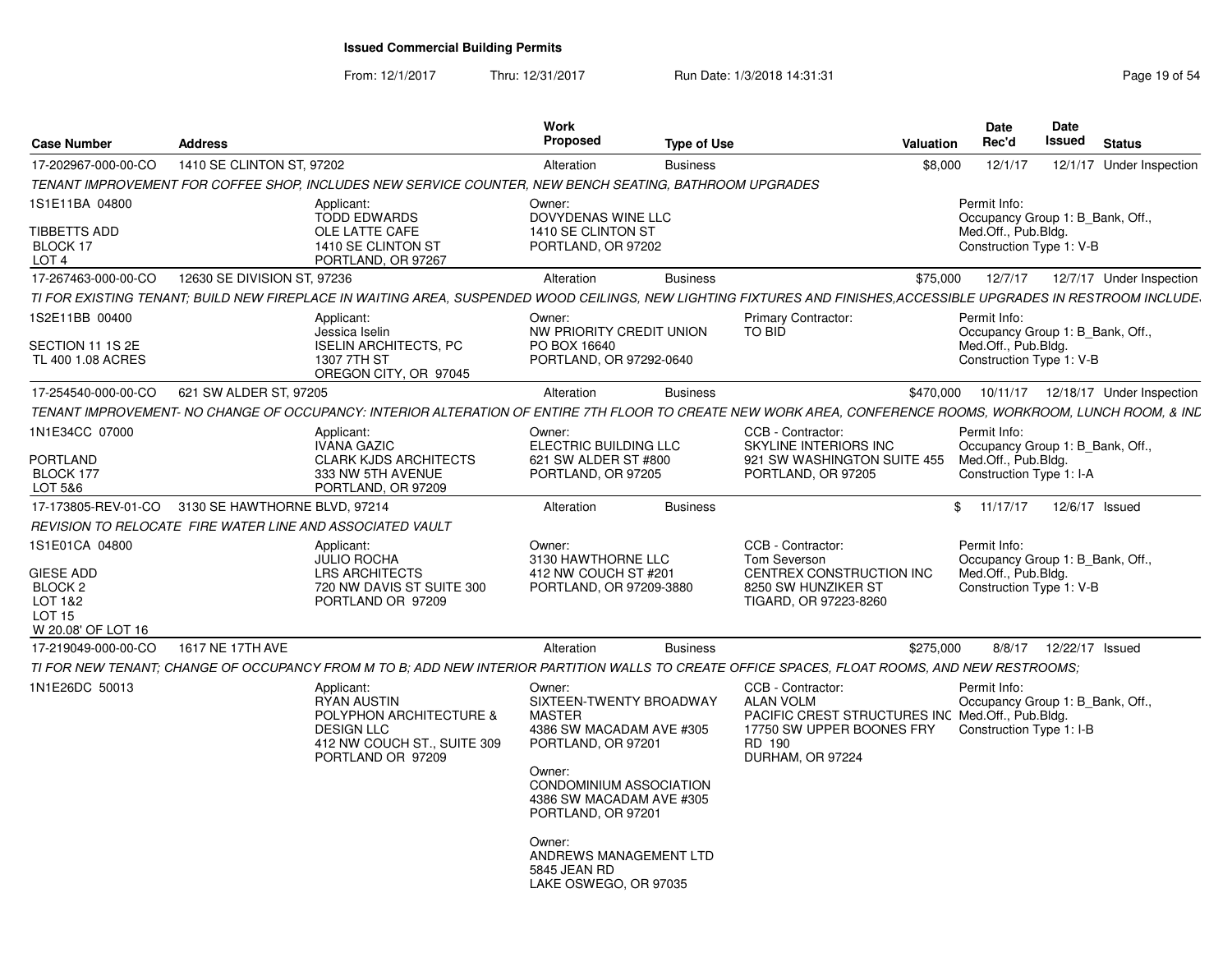From: 12/1/2017

Thru: 12/31/2017 Run Date: 1/3/2018 14:31:31 Page 19 of 54

| <b>Case Number</b>                                                                           | <b>Address</b>              |                                                                                                                                                                  | Work<br>Proposed                                                                                                                                                                                                                                                         | <b>Type of Use</b> |                                                                                                                                                      | Valuation | <b>Date</b><br>Rec'd                                                                                | Date<br>Issued  | <b>Status</b>                        |
|----------------------------------------------------------------------------------------------|-----------------------------|------------------------------------------------------------------------------------------------------------------------------------------------------------------|--------------------------------------------------------------------------------------------------------------------------------------------------------------------------------------------------------------------------------------------------------------------------|--------------------|------------------------------------------------------------------------------------------------------------------------------------------------------|-----------|-----------------------------------------------------------------------------------------------------|-----------------|--------------------------------------|
| 17-202967-000-00-CO                                                                          | 1410 SE CLINTON ST, 97202   |                                                                                                                                                                  | Alteration                                                                                                                                                                                                                                                               | <b>Business</b>    |                                                                                                                                                      | \$8,000   | 12/1/17                                                                                             | 12/1/17         | Under Inspection                     |
|                                                                                              |                             | TENANT IMPROVEMENT FOR COFFEE SHOP, INCLUDES NEW SERVICE COUNTER, NEW BENCH SEATING, BATHROOM UPGRADES                                                           |                                                                                                                                                                                                                                                                          |                    |                                                                                                                                                      |           |                                                                                                     |                 |                                      |
| 1S1E11BA 04800<br>TIBBETTS ADD<br>BLOCK 17<br>LOT <sub>4</sub>                               |                             | Applicant:<br><b>TODD EDWARDS</b><br>OLE LATTE CAFE<br>1410 SE CLINTON ST<br>PORTLAND, OR 97267                                                                  | Owner:<br>DOVYDENAS WINE LLC<br>1410 SE CLINTON ST<br>PORTLAND, OR 97202                                                                                                                                                                                                 |                    |                                                                                                                                                      |           | Permit Info:<br>Occupancy Group 1: B Bank, Off.,<br>Med.Off., Pub.Bldg.<br>Construction Type 1: V-B |                 |                                      |
| 17-267463-000-00-CO                                                                          | 12630 SE DIVISION ST, 97236 |                                                                                                                                                                  | Alteration                                                                                                                                                                                                                                                               | <b>Business</b>    |                                                                                                                                                      | \$75,000  | 12/7/17                                                                                             |                 | 12/7/17 Under Inspection             |
|                                                                                              |                             | TI FOR EXISTING TENANT; BUILD NEW FIREPLACE IN WAITING AREA, SUSPENDED WOOD CEILINGS, NEW LIGHTING FIXTURES AND FINISHES,ACCESSIBLE UPGRADES IN RESTROOM INCLUDE |                                                                                                                                                                                                                                                                          |                    |                                                                                                                                                      |           |                                                                                                     |                 |                                      |
| 1S2E11BB 00400<br>SECTION 11 1S 2E<br>TL 400 1.08 ACRES                                      |                             | Applicant:<br>Jessica Iselin<br><b>ISELIN ARCHITECTS, PC</b><br>1307 7TH ST<br>OREGON CITY, OR 97045                                                             | Owner:<br>NW PRIORITY CREDIT UNION<br>PO BOX 16640<br>PORTLAND, OR 97292-0640                                                                                                                                                                                            |                    | Primary Contractor:<br>TO BID                                                                                                                        |           | Permit Info:<br>Occupancy Group 1: B Bank, Off.,<br>Med.Off., Pub.Bldg.<br>Construction Type 1: V-B |                 |                                      |
| 17-254540-000-00-CO                                                                          | 621 SW ALDER ST, 97205      |                                                                                                                                                                  | Alteration                                                                                                                                                                                                                                                               | <b>Business</b>    |                                                                                                                                                      | \$470,000 |                                                                                                     |                 | 10/11/17  12/18/17  Under Inspection |
|                                                                                              |                             | TENANT IMPROVEMENT- NO CHANGE OF OCCUPANCY: INTERIOR ALTERATION OF ENTIRE 7TH FLOOR TO CREATE NEW WORK AREA, CONFERENCE ROOMS, WORKROOM, LUNCH ROOM, & INC       |                                                                                                                                                                                                                                                                          |                    |                                                                                                                                                      |           |                                                                                                     |                 |                                      |
| 1N1E34CC 07000<br>PORTLAND<br>BLOCK 177<br>LOT 5&6                                           |                             | Applicant:<br><b>IVANA GAZIC</b><br><b>CLARK KJDS ARCHITECTS</b><br>333 NW 5TH AVENUE<br>PORTLAND, OR 97209                                                      | Owner:<br>ELECTRIC BUILDING LLC<br>621 SW ALDER ST #800<br>PORTLAND, OR 97205                                                                                                                                                                                            |                    | CCB - Contractor:<br>SKYLINE INTERIORS INC<br>921 SW WASHINGTON SUITE 455<br>PORTLAND, OR 97205                                                      |           | Permit Info:<br>Occupancy Group 1: B Bank, Off.,<br>Med.Off., Pub.Bldg.<br>Construction Type 1: I-A |                 |                                      |
| 17-173805-REV-01-CO 3130 SE HAWTHORNE BLVD, 97214                                            |                             |                                                                                                                                                                  | Alteration                                                                                                                                                                                                                                                               | <b>Business</b>    |                                                                                                                                                      | \$        | 11/17/17                                                                                            |                 | 12/6/17 Issued                       |
|                                                                                              |                             | REVISION TO RELOCATE FIRE WATER LINE AND ASSOCIATED VAULT                                                                                                        |                                                                                                                                                                                                                                                                          |                    |                                                                                                                                                      |           |                                                                                                     |                 |                                      |
| 1S1E01CA 04800<br>GIESE ADD<br>BLOCK 2<br>LOT 1&2<br>LOT <sub>15</sub><br>W 20.08' OF LOT 16 |                             | Applicant:<br><b>JULIO ROCHA</b><br><b>LRS ARCHITECTS</b><br>720 NW DAVIS ST SUITE 300<br>PORTLAND OR 97209                                                      | Owner:<br>3130 HAWTHORNE LLC<br>412 NW COUCH ST #201<br>PORTLAND, OR 97209-3880                                                                                                                                                                                          |                    | CCB - Contractor:<br>Tom Severson<br>CENTREX CONSTRUCTION INC<br>8250 SW HUNZIKER ST<br>TIGARD, OR 97223-8260                                        |           | Permit Info:<br>Occupancy Group 1: B Bank, Off.,<br>Med.Off., Pub.Bldg.<br>Construction Type 1: V-B |                 |                                      |
| 17-219049-000-00-CO                                                                          | 1617 NE 17TH AVE            |                                                                                                                                                                  | Alteration                                                                                                                                                                                                                                                               | <b>Business</b>    |                                                                                                                                                      | \$275,000 | 8/8/17                                                                                              | 12/22/17 Issued |                                      |
|                                                                                              |                             | TI FOR NEW TENANT; CHANGE OF OCCUPANCY FROM M TO B; ADD NEW INTERIOR PARTITION WALLS TO CREATE OFFICE SPACES, FLOAT ROOMS, AND NEW RESTROOMS;                    |                                                                                                                                                                                                                                                                          |                    |                                                                                                                                                      |           |                                                                                                     |                 |                                      |
| 1N1E26DC 50013                                                                               |                             | Applicant:<br><b>RYAN AUSTIN</b><br>POLYPHON ARCHITECTURE &<br><b>DESIGN LLC</b><br>412 NW COUCH ST., SUITE 309<br>PORTLAND OR 97209                             | Owner:<br>SIXTEEN-TWENTY BROADWAY<br><b>MASTER</b><br>4386 SW MACADAM AVE #305<br>PORTLAND, OR 97201<br>Owner:<br>CONDOMINIUM ASSOCIATION<br>4386 SW MACADAM AVE #305<br>PORTLAND, OR 97201<br>Owner:<br>ANDREWS MANAGEMENT LTD<br>5845 JEAN RD<br>LAKE OSWEGO, OR 97035 |                    | CCB - Contractor:<br><b>ALAN VOLM</b><br>PACIFIC CREST STRUCTURES INC Med.Off., Pub.Bldg.<br>17750 SW UPPER BOONES FRY<br>RD 190<br>DURHAM, OR 97224 |           | Permit Info:<br>Occupancy Group 1: B_Bank, Off.,<br>Construction Type 1: I-B                        |                 |                                      |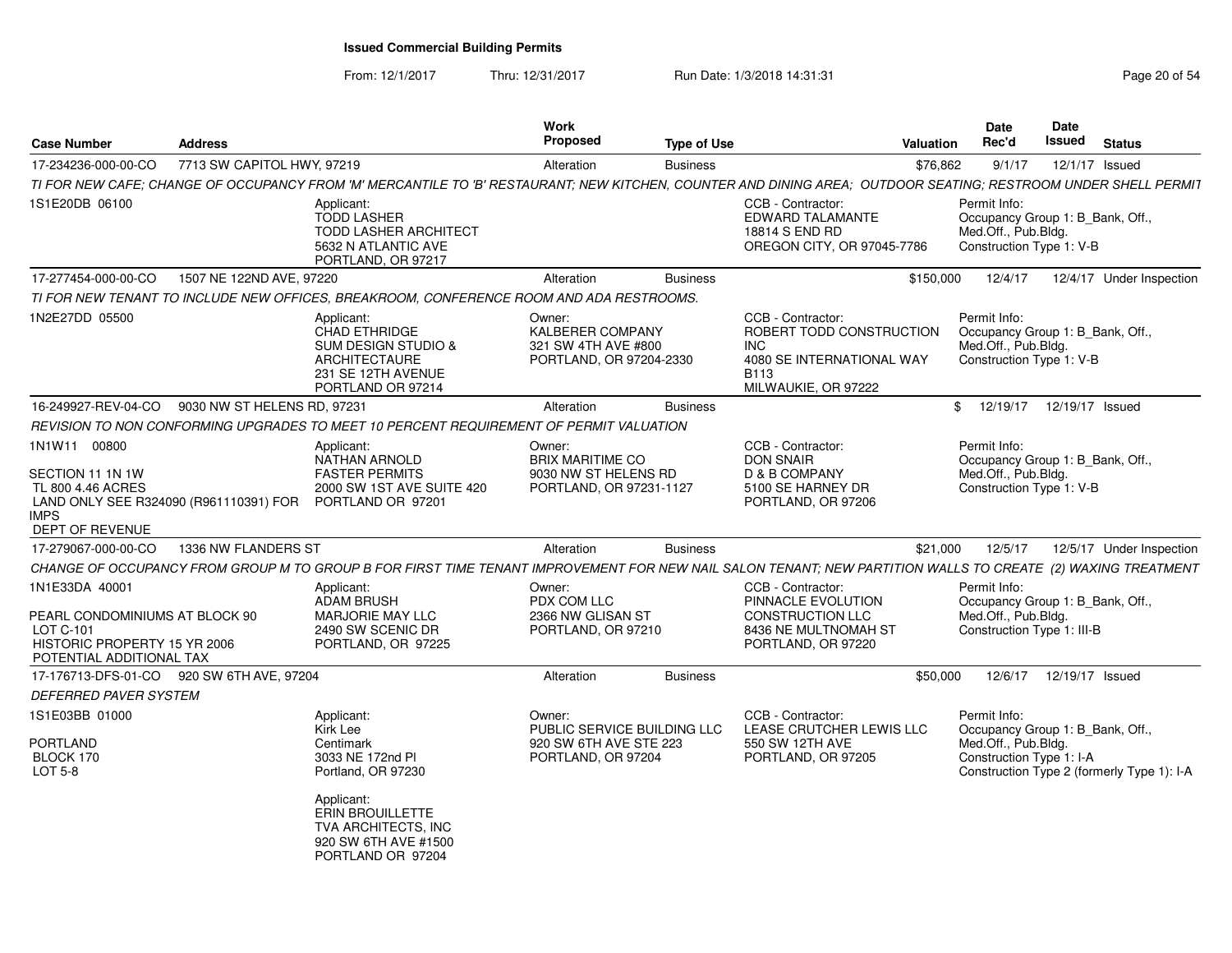From: 12/1/2017Thru: 12/31/2017 Run Date: 1/3/2018 14:31:31 Page 20 of 54

| <b>Case Number</b>                                                                                                                                  | Address                     |                                                                                                                                                                | <b>Work</b><br><b>Proposed</b>                                                        | <b>Type of Use</b> | Valuation                                                                                                                | <b>Date</b><br>Rec'd                                                                                  | Date<br><b>Issued</b> | <b>Status</b>                              |
|-----------------------------------------------------------------------------------------------------------------------------------------------------|-----------------------------|----------------------------------------------------------------------------------------------------------------------------------------------------------------|---------------------------------------------------------------------------------------|--------------------|--------------------------------------------------------------------------------------------------------------------------|-------------------------------------------------------------------------------------------------------|-----------------------|--------------------------------------------|
| 17-234236-000-00-CO                                                                                                                                 | 7713 SW CAPITOL HWY, 97219  |                                                                                                                                                                | Alteration                                                                            | <b>Business</b>    | \$76,862                                                                                                                 | 9/1/17                                                                                                | 12/1/17 Issued        |                                            |
|                                                                                                                                                     |                             | TI FOR NEW CAFE; CHANGE OF OCCUPANCY FROM 'M' MERCANTILE TO 'B' RESTAURANT; NEW KITCHEN, COUNTER AND DINING AREA; OUTDOOR SEATING; RESTROOM UNDER SHELL PERMIT |                                                                                       |                    |                                                                                                                          |                                                                                                       |                       |                                            |
| 1S1E20DB 06100                                                                                                                                      |                             | Applicant:<br><b>TODD LASHER</b><br><b>TODD LASHER ARCHITECT</b><br>5632 N ATLANTIC AVE<br>PORTLAND, OR 97217                                                  |                                                                                       |                    | CCB - Contractor:<br>EDWARD TALAMANTE<br>18814 S END RD<br>OREGON CITY, OR 97045-7786                                    | Permit Info:<br>Occupancy Group 1: B_Bank, Off.,<br>Med.Off., Pub.Bldg.<br>Construction Type 1: V-B   |                       |                                            |
| 17-277454-000-00-CO                                                                                                                                 | 1507 NE 122ND AVE, 97220    |                                                                                                                                                                | Alteration                                                                            | <b>Business</b>    | \$150,000                                                                                                                | 12/4/17                                                                                               |                       | 12/4/17 Under Inspection                   |
|                                                                                                                                                     |                             | TI FOR NEW TENANT TO INCLUDE NEW OFFICES, BREAKROOM, CONFERENCE ROOM AND ADA RESTROOMS.                                                                        |                                                                                       |                    |                                                                                                                          |                                                                                                       |                       |                                            |
| 1N2E27DD 05500                                                                                                                                      |                             | Applicant:<br><b>CHAD ETHRIDGE</b><br><b>SUM DESIGN STUDIO &amp;</b><br>ARCHITECTAURE<br>231 SE 12TH AVENUE<br>PORTLAND OR 97214                               | Owner:<br><b>KALBERER COMPANY</b><br>321 SW 4TH AVE #800<br>PORTLAND, OR 97204-2330   |                    | CCB - Contractor:<br>ROBERT TODD CONSTRUCTION<br>INC.<br>4080 SE INTERNATIONAL WAY<br><b>B113</b><br>MILWAUKIE, OR 97222 | Permit Info:<br>Occupancy Group 1: B Bank, Off.,<br>Med.Off., Pub.Bldg.<br>Construction Type 1: V-B   |                       |                                            |
| 16-249927-REV-04-CO                                                                                                                                 | 9030 NW ST HELENS RD, 97231 |                                                                                                                                                                | Alteration                                                                            | <b>Business</b>    |                                                                                                                          | \$12/19/17                                                                                            | 12/19/17 Issued       |                                            |
|                                                                                                                                                     |                             | REVISION TO NON CONFORMING UPGRADES TO MEET 10 PERCENT REQUIREMENT OF PERMIT VALUATION                                                                         |                                                                                       |                    |                                                                                                                          |                                                                                                       |                       |                                            |
| 1N1W11 00800<br>SECTION 11 1N 1W<br>TL 800 4.46 ACRES<br>LAND ONLY SEE R324090 (R961110391) FOR PORTLAND OR 97201<br><b>IMPS</b><br>DEPT OF REVENUE |                             | Applicant:<br><b>NATHAN ARNOLD</b><br><b>FASTER PERMITS</b><br>2000 SW 1ST AVE SUITE 420                                                                       | Owner:<br><b>BRIX MARITIME CO</b><br>9030 NW ST HELENS RD<br>PORTLAND, OR 97231-1127  |                    | CCB - Contractor:<br><b>DON SNAIR</b><br>D & B COMPANY<br>5100 SE HARNEY DR<br>PORTLAND, OR 97206                        | Permit Info:<br>Occupancy Group 1: B_Bank, Off.,<br>Med.Off., Pub.Bldg.<br>Construction Type 1: V-B   |                       |                                            |
| 17-279067-000-00-CO                                                                                                                                 | 1336 NW FLANDERS ST         |                                                                                                                                                                | Alteration                                                                            | <b>Business</b>    | \$21,000                                                                                                                 | 12/5/17                                                                                               |                       | 12/5/17 Under Inspection                   |
|                                                                                                                                                     |                             | CHANGE OF OCCUPANCY FROM GROUP M TO GROUP B FOR FIRST TIME TENANT IMPROVEMENT FOR NEW NAIL SALON TENANT; NEW PARTITION WALLS TO CREATE (2) WAXING TREATMENT    |                                                                                       |                    |                                                                                                                          |                                                                                                       |                       |                                            |
| 1N1E33DA 40001<br>PEARL CONDOMINIUMS AT BLOCK 90<br><b>LOT C-101</b><br>HISTORIC PROPERTY 15 YR 2006<br>POTENTIAL ADDITIONAL TAX                    |                             | Applicant:<br><b>ADAM BRUSH</b><br><b>MARJORIE MAY LLC</b><br>2490 SW SCENIC DR<br>PORTLAND, OR 97225                                                          | Owner:<br>PDX COM LLC<br>2366 NW GLISAN ST<br>PORTLAND, OR 97210                      |                    | CCB - Contractor:<br>PINNACLE EVOLUTION<br><b>CONSTRUCTION LLC</b><br>8436 NE MULTNOMAH ST<br>PORTLAND, OR 97220         | Permit Info:<br>Occupancy Group 1: B Bank, Off.,<br>Med.Off., Pub.Bldg.<br>Construction Type 1: III-B |                       |                                            |
| 17-176713-DFS-01-CO                                                                                                                                 | 920 SW 6TH AVE, 97204       |                                                                                                                                                                | Alteration                                                                            | <b>Business</b>    | \$50,000                                                                                                                 | 12/6/17                                                                                               | 12/19/17 Issued       |                                            |
| <b>DEFERRED PAVER SYSTEM</b>                                                                                                                        |                             |                                                                                                                                                                |                                                                                       |                    |                                                                                                                          |                                                                                                       |                       |                                            |
| 1S1E03BB 01000<br>PORTLAND<br>BLOCK 170<br><b>LOT 5-8</b>                                                                                           |                             | Applicant:<br>Kirk Lee<br>Centimark<br>3033 NE 172nd PI<br>Portland, OR 97230                                                                                  | Owner:<br>PUBLIC SERVICE BUILDING LLC<br>920 SW 6TH AVE STE 223<br>PORTLAND, OR 97204 |                    | CCB - Contractor:<br>LEASE CRUTCHER LEWIS LLC<br>550 SW 12TH AVE<br>PORTLAND, OR 97205                                   | Permit Info:<br>Occupancy Group 1: B_Bank, Off.,<br>Med.Off., Pub.Bldg.<br>Construction Type 1: I-A   |                       | Construction Type 2 (formerly Type 1): I-A |
|                                                                                                                                                     |                             | Applicant:<br><b>ERIN BROUILLETTE</b><br>TVA ARCHITECTS, INC<br>920 SW 6TH AVE #1500<br>PORTLAND OR 97204                                                      |                                                                                       |                    |                                                                                                                          |                                                                                                       |                       |                                            |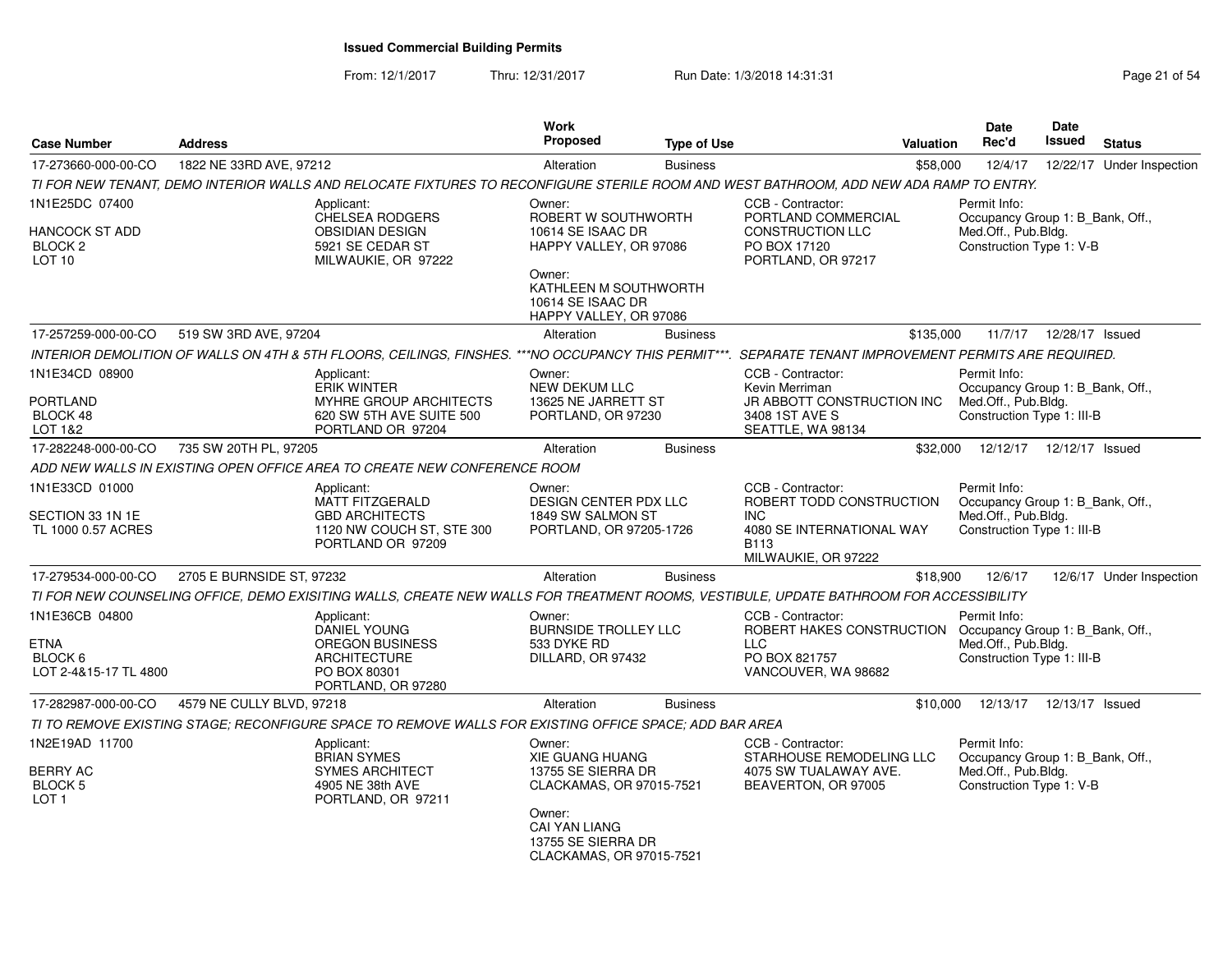From: 12/1/2017

Thru: 12/31/2017 **Run Date: 1/3/2018 14:31:31 Research 2018** Page 21 of 54

| <b>Case Number</b>                                                          | <b>Address</b>            |                                                                                                                                                        | <b>Work</b><br>Proposed                                                                                                                                                | <b>Type of Use</b> |                                                                                                                                       | Valuation | Date<br>Rec'd                                                                                         | <b>Date</b><br>Issued | <b>Status</b>             |
|-----------------------------------------------------------------------------|---------------------------|--------------------------------------------------------------------------------------------------------------------------------------------------------|------------------------------------------------------------------------------------------------------------------------------------------------------------------------|--------------------|---------------------------------------------------------------------------------------------------------------------------------------|-----------|-------------------------------------------------------------------------------------------------------|-----------------------|---------------------------|
| 17-273660-000-00-CO                                                         | 1822 NE 33RD AVE, 97212   |                                                                                                                                                        | Alteration                                                                                                                                                             | <b>Business</b>    |                                                                                                                                       | \$58,000  | 12/4/17                                                                                               |                       | 12/22/17 Under Inspection |
|                                                                             |                           | TI FOR NEW TENANT, DEMO INTERIOR WALLS AND RELOCATE FIXTURES TO RECONFIGURE STERILE ROOM AND WEST BATHROOM, ADD NEW ADA RAMP TO ENTRY.                 |                                                                                                                                                                        |                    |                                                                                                                                       |           |                                                                                                       |                       |                           |
| 1N1E25DC 07400<br>HANCOCK ST ADD<br>BLOCK <sub>2</sub><br>LOT <sub>10</sub> |                           | Applicant:<br><b>CHELSEA RODGERS</b><br><b>OBSIDIAN DESIGN</b><br>5921 SE CEDAR ST<br>MILWAUKIE, OR 97222                                              | Owner:<br>ROBERT W SOUTHWORTH<br>10614 SE ISAAC DR<br>HAPPY VALLEY, OR 97086<br>Owner:<br>KATHLEEN M SOUTHWORTH<br>10614 SE ISAAC DR                                   |                    | CCB - Contractor:<br>PORTLAND COMMERCIAL<br><b>CONSTRUCTION LLC</b><br>PO BOX 17120<br>PORTLAND, OR 97217                             |           | Permit Info:<br>Occupancy Group 1: B_Bank, Off.,<br>Med.Off., Pub.Bldg.<br>Construction Type 1: V-B   |                       |                           |
|                                                                             |                           |                                                                                                                                                        | HAPPY VALLEY, OR 97086                                                                                                                                                 |                    |                                                                                                                                       |           |                                                                                                       |                       |                           |
| 17-257259-000-00-CO                                                         | 519 SW 3RD AVE, 97204     |                                                                                                                                                        | Alteration                                                                                                                                                             | <b>Business</b>    |                                                                                                                                       | \$135.000 | 11/7/17                                                                                               | 12/28/17 Issued       |                           |
|                                                                             |                           | INTERIOR DEMOLITION OF WALLS ON 4TH & 5TH FLOORS, CEILINGS, FINSHES. ***NO OCCUPANCY THIS PERMIT***. SEPARATE TENANT IMPROVEMENT PERMITS ARE REQUIRED. |                                                                                                                                                                        |                    |                                                                                                                                       |           |                                                                                                       |                       |                           |
| 1N1E34CD 08900<br><b>PORTLAND</b><br>BLOCK 48<br>LOT 1&2                    |                           | Applicant:<br>ERIK WINTER<br>MYHRE GROUP ARCHITECTS<br>620 SW 5TH AVE SUITE 500<br>PORTLAND OR 97204                                                   | Owner:<br><b>NEW DEKUM LLC</b><br>13625 NE JARRETT ST<br>PORTLAND, OR 97230                                                                                            |                    | CCB - Contractor:<br>Kevin Merriman<br>JR ABBOTT CONSTRUCTION INC<br>3408 1ST AVE S<br>SEATTLE, WA 98134                              |           | Permit Info:<br>Occupancy Group 1: B_Bank, Off.,<br>Med.Off., Pub.Bldg.<br>Construction Type 1: III-B |                       |                           |
| 17-282248-000-00-CO                                                         | 735 SW 20TH PL, 97205     |                                                                                                                                                        | Alteration                                                                                                                                                             | <b>Business</b>    |                                                                                                                                       | \$32,000  | 12/12/17                                                                                              | 12/12/17 Issued       |                           |
|                                                                             |                           | ADD NEW WALLS IN EXISTING OPEN OFFICE AREA TO CREATE NEW CONFERENCE ROOM                                                                               |                                                                                                                                                                        |                    |                                                                                                                                       |           |                                                                                                       |                       |                           |
| 1N1E33CD 01000<br>SECTION 33 1N 1E<br>TL 1000 0.57 ACRES                    |                           | Applicant:<br><b>MATT FITZGERALD</b><br><b>GBD ARCHITECTS</b><br>1120 NW COUCH ST, STE 300<br>PORTLAND OR 97209                                        | Owner:<br><b>DESIGN CENTER PDX LLC</b><br>1849 SW SALMON ST<br>PORTLAND, OR 97205-1726                                                                                 |                    | CCB - Contractor:<br>ROBERT TODD CONSTRUCTION<br>INC.<br>4080 SE INTERNATIONAL WAY<br>B113<br>MILWAUKIE, OR 97222                     |           | Permit Info:<br>Occupancy Group 1: B Bank, Off.,<br>Med.Off., Pub.Bldg.<br>Construction Type 1: III-B |                       |                           |
| 17-279534-000-00-CO                                                         | 2705 E BURNSIDE ST, 97232 |                                                                                                                                                        | Alteration                                                                                                                                                             | <b>Business</b>    |                                                                                                                                       | \$18,900  | 12/6/17                                                                                               |                       | 12/6/17 Under Inspection  |
|                                                                             |                           | TI FOR NEW COUNSELING OFFICE, DEMO EXISITING WALLS, CREATE NEW WALLS FOR TREATMENT ROOMS, VESTIBULE, UPDATE BATHROOM FOR ACCESSIBILITY                 |                                                                                                                                                                        |                    |                                                                                                                                       |           |                                                                                                       |                       |                           |
| 1N1E36CB 04800<br>ETNA<br>BLOCK 6<br>LOT 2-4&15-17 TL 4800                  |                           | Applicant:<br>DANIEL YOUNG<br><b>OREGON BUSINESS</b><br><b>ARCHITECTURE</b><br>PO BOX 80301<br>PORTLAND, OR 97280                                      | Owner:<br><b>BURNSIDE TROLLEY LLC</b><br>533 DYKE RD<br>DILLARD, OR 97432                                                                                              |                    | CCB - Contractor:<br>ROBERT HAKES CONSTRUCTION Occupancy Group 1: B_Bank, Off.,<br><b>LLC</b><br>PO BOX 821757<br>VANCOUVER, WA 98682 |           | Permit Info:<br>Med.Off., Pub.Bldg.<br>Construction Type 1: III-B                                     |                       |                           |
| 17-282987-000-00-CO                                                         | 4579 NE CULLY BLVD, 97218 |                                                                                                                                                        | Alteration                                                                                                                                                             | <b>Business</b>    |                                                                                                                                       | \$10,000  | 12/13/17                                                                                              | 12/13/17 Issued       |                           |
|                                                                             |                           | TI TO REMOVE EXISTING STAGE: RECONFIGURE SPACE TO REMOVE WALLS FOR EXISTING OFFICE SPACE: ADD BAR AREA                                                 |                                                                                                                                                                        |                    |                                                                                                                                       |           |                                                                                                       |                       |                           |
| 1N2E19AD 11700<br><b>BERRY AC</b><br>BLOCK 5<br>LOT <sub>1</sub>            |                           | Applicant:<br><b>BRIAN SYMES</b><br><b>SYMES ARCHITECT</b><br>4905 NE 38th AVE<br>PORTLAND, OR 97211                                                   | Owner:<br><b>XIE GUANG HUANG</b><br>13755 SE SIERRA DR<br>CLACKAMAS, OR 97015-7521<br>Owner:<br><b>CAI YAN LIANG</b><br>13755 SE SIERRA DR<br>CLACKAMAS, OR 97015-7521 |                    | CCB - Contractor:<br>STARHOUSE REMODELING LLC<br>4075 SW TUALAWAY AVE.<br>BEAVERTON, OR 97005                                         |           | Permit Info:<br>Occupancy Group 1: B_Bank, Off.,<br>Med.Off., Pub.Bldg.<br>Construction Type 1: V-B   |                       |                           |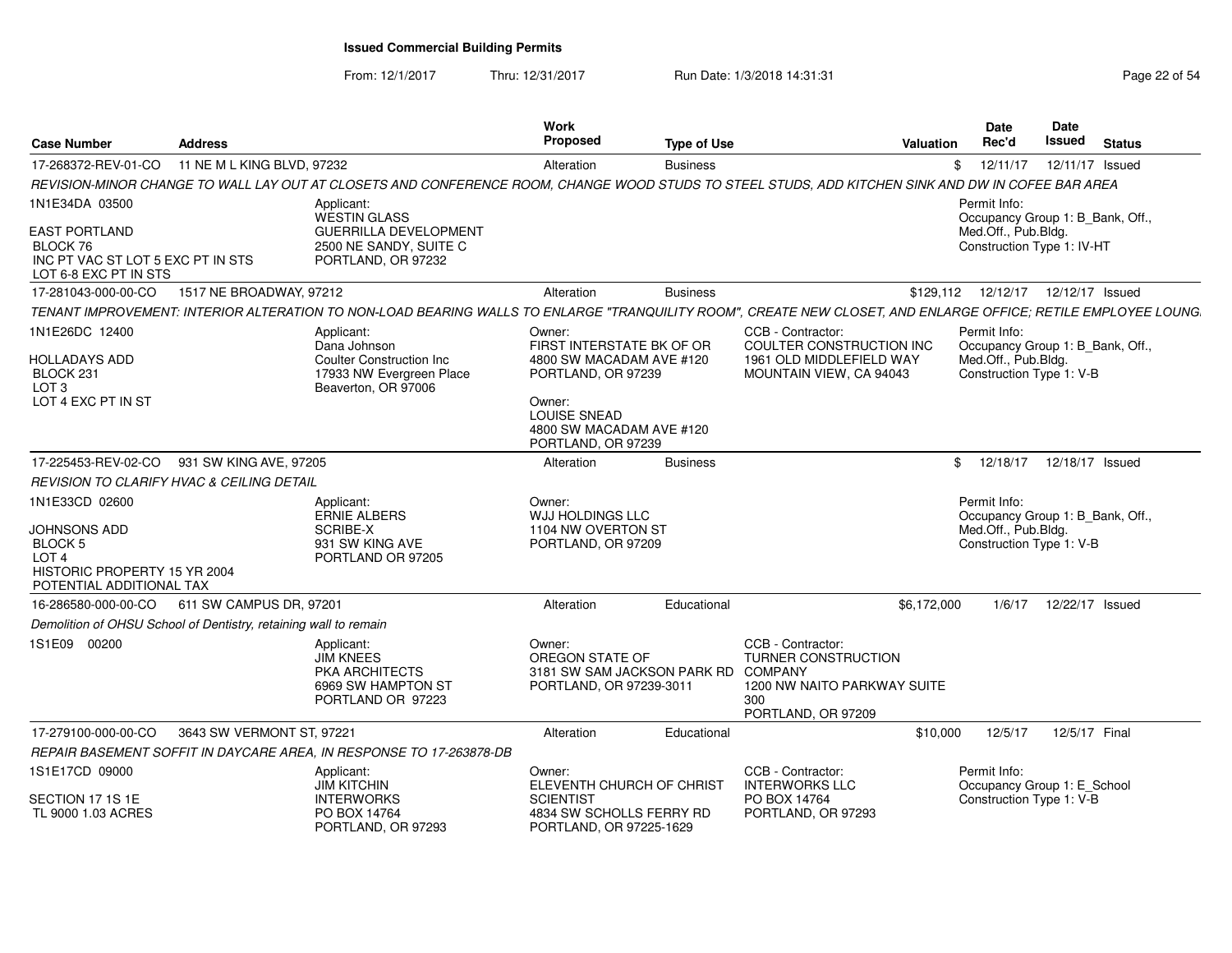From: 12/1/2017Thru: 12/31/2017 **Run Date: 1/3/2018 14:31:31 Research 20 and 20 and 20 and 22 of 54** 

| <b>Case Number</b>                                                                                      | <b>Address</b>             |                                                                                                                                                                | Work<br><b>Proposed</b>                                                             | <b>Type of Use</b> |                                                                                                                 | <b>Valuation</b> | <b>Date</b><br>Rec'd                              | <b>Date</b><br><b>Issued</b> | <b>Status</b> |
|---------------------------------------------------------------------------------------------------------|----------------------------|----------------------------------------------------------------------------------------------------------------------------------------------------------------|-------------------------------------------------------------------------------------|--------------------|-----------------------------------------------------------------------------------------------------------------|------------------|---------------------------------------------------|------------------------------|---------------|
| 17-268372-REV-01-CO                                                                                     | 11 NE M L KING BLVD, 97232 |                                                                                                                                                                | Alteration                                                                          | <b>Business</b>    |                                                                                                                 | \$               | 12/11/17                                          | 12/11/17 Issued              |               |
|                                                                                                         |                            | REVISION-MINOR CHANGE TO WALL LAY OUT AT CLOSETS AND CONFERENCE ROOM, CHANGE WOOD STUDS TO STEEL STUDS, ADD KITCHEN SINK AND DW IN COFEE BAR AREA              |                                                                                     |                    |                                                                                                                 |                  |                                                   |                              |               |
| 1N1E34DA 03500                                                                                          |                            | Applicant:<br><b>WESTIN GLASS</b>                                                                                                                              |                                                                                     |                    |                                                                                                                 |                  | Permit Info:<br>Occupancy Group 1: B_Bank, Off.,  |                              |               |
| <b>EAST PORTLAND</b><br>BLOCK 76<br>INC PT VAC ST LOT 5 EXC PT IN STS<br>LOT 6-8 EXC PT IN STS          |                            | GUERRILLA DEVELOPMENT<br>2500 NE SANDY, SUITE C<br>PORTLAND, OR 97232                                                                                          |                                                                                     |                    |                                                                                                                 |                  | Med.Off., Pub.Bldg.<br>Construction Type 1: IV-HT |                              |               |
| 17-281043-000-00-CO                                                                                     | 1517 NE BROADWAY, 97212    |                                                                                                                                                                | Alteration                                                                          | <b>Business</b>    |                                                                                                                 |                  | \$129,112  12/12/17  12/12/17  Issued             |                              |               |
|                                                                                                         |                            | TENANT IMPROVEMENT: INTERIOR ALTERATION TO NON-LOAD BEARING WALLS TO ENLARGE "TRANQUILITY ROOM", CREATE NEW CLOSET, AND ENLARGE OFFICE; RETILE EMPLOYEE LOUNG. |                                                                                     |                    |                                                                                                                 |                  |                                                   |                              |               |
| 1N1E26DC 12400                                                                                          |                            | Applicant:<br>Dana Johnson                                                                                                                                     | Owner:<br>FIRST INTERSTATE BK OF OR                                                 |                    | CCB - Contractor:<br>COULTER CONSTRUCTION INC                                                                   |                  | Permit Info:<br>Occupancy Group 1: B_Bank, Off.,  |                              |               |
| <b>HOLLADAYS ADD</b><br>BLOCK 231<br>LOT <sub>3</sub>                                                   |                            | <b>Coulter Construction Inc</b><br>17933 NW Evergreen Place<br>Beaverton, OR 97006                                                                             | 4800 SW MACADAM AVE #120<br>PORTLAND, OR 97239                                      |                    | 1961 OLD MIDDLEFIELD WAY<br>MOUNTAIN VIEW, CA 94043                                                             |                  | Med.Off., Pub.Bldg.<br>Construction Type 1: V-B   |                              |               |
| LOT 4 EXC PT IN ST                                                                                      |                            |                                                                                                                                                                | Owner:<br><b>LOUISE SNEAD</b><br>4800 SW MACADAM AVE #120<br>PORTLAND, OR 97239     |                    |                                                                                                                 |                  |                                                   |                              |               |
| 17-225453-REV-02-CO                                                                                     | 931 SW KING AVE, 97205     |                                                                                                                                                                | Alteration                                                                          | <b>Business</b>    |                                                                                                                 | \$               | 12/18/17  12/18/17  Issued                        |                              |               |
| REVISION TO CLARIFY HVAC & CEILING DETAIL                                                               |                            |                                                                                                                                                                |                                                                                     |                    |                                                                                                                 |                  |                                                   |                              |               |
| 1N1E33CD 02600                                                                                          |                            | Applicant:<br><b>ERNIE ALBERS</b>                                                                                                                              | Owner:<br>WJJ HOLDINGS LLC                                                          |                    |                                                                                                                 |                  | Permit Info:<br>Occupancy Group 1: B_Bank, Off.,  |                              |               |
| JOHNSONS ADD<br>BLOCK 5<br>LOT <sub>4</sub><br>HISTORIC PROPERTY 15 YR 2004<br>POTENTIAL ADDITIONAL TAX |                            | <b>SCRIBE-X</b><br>931 SW KING AVE<br>PORTLAND OR 97205                                                                                                        | 1104 NW OVERTON ST<br>PORTLAND, OR 97209                                            |                    |                                                                                                                 |                  | Med.Off., Pub.Bldg.<br>Construction Type 1: V-B   |                              |               |
| 16-286580-000-00-CO                                                                                     | 611 SW CAMPUS DR, 97201    |                                                                                                                                                                | Alteration                                                                          | Educational        |                                                                                                                 | \$6,172,000      | 1/6/17                                            | 12/22/17 Issued              |               |
| Demolition of OHSU School of Dentistry, retaining wall to remain                                        |                            |                                                                                                                                                                |                                                                                     |                    |                                                                                                                 |                  |                                                   |                              |               |
| 1S1E09 00200                                                                                            |                            | Applicant:<br><b>JIM KNEES</b><br>PKA ARCHITECTS<br>6969 SW HAMPTON ST<br>PORTLAND OR 97223                                                                    | Owner:<br>OREGON STATE OF<br>3181 SW SAM JACKSON PARK RD<br>PORTLAND, OR 97239-3011 |                    | CCB - Contractor:<br>TURNER CONSTRUCTION<br>COMPANY<br>1200 NW NAITO PARKWAY SUITE<br>300<br>PORTLAND, OR 97209 |                  |                                                   |                              |               |
| 17-279100-000-00-CO                                                                                     | 3643 SW VERMONT ST, 97221  |                                                                                                                                                                | Alteration                                                                          | Educational        |                                                                                                                 | \$10,000         | 12/5/17                                           | 12/5/17 Final                |               |
|                                                                                                         |                            | REPAIR BASEMENT SOFFIT IN DAYCARE AREA, IN RESPONSE TO 17-263878-DB                                                                                            |                                                                                     |                    |                                                                                                                 |                  |                                                   |                              |               |
| 1S1E17CD 09000                                                                                          |                            | Applicant:<br><b>JIM KITCHIN</b>                                                                                                                               | Owner:<br>ELEVENTH CHURCH OF CHRIST                                                 |                    | CCB - Contractor:<br><b>INTERWORKS LLC</b>                                                                      |                  | Permit Info:<br>Occupancy Group 1: E_School       |                              |               |
| SECTION 17 1S 1E<br>TL 9000 1.03 ACRES                                                                  |                            | <b>INTERWORKS</b><br>PO BOX 14764<br>PORTLAND, OR 97293                                                                                                        | <b>SCIENTIST</b><br>4834 SW SCHOLLS FERRY RD<br>PORTLAND, OR 97225-1629             |                    | PO BOX 14764<br>PORTLAND, OR 97293                                                                              |                  | Construction Type 1: V-B                          |                              |               |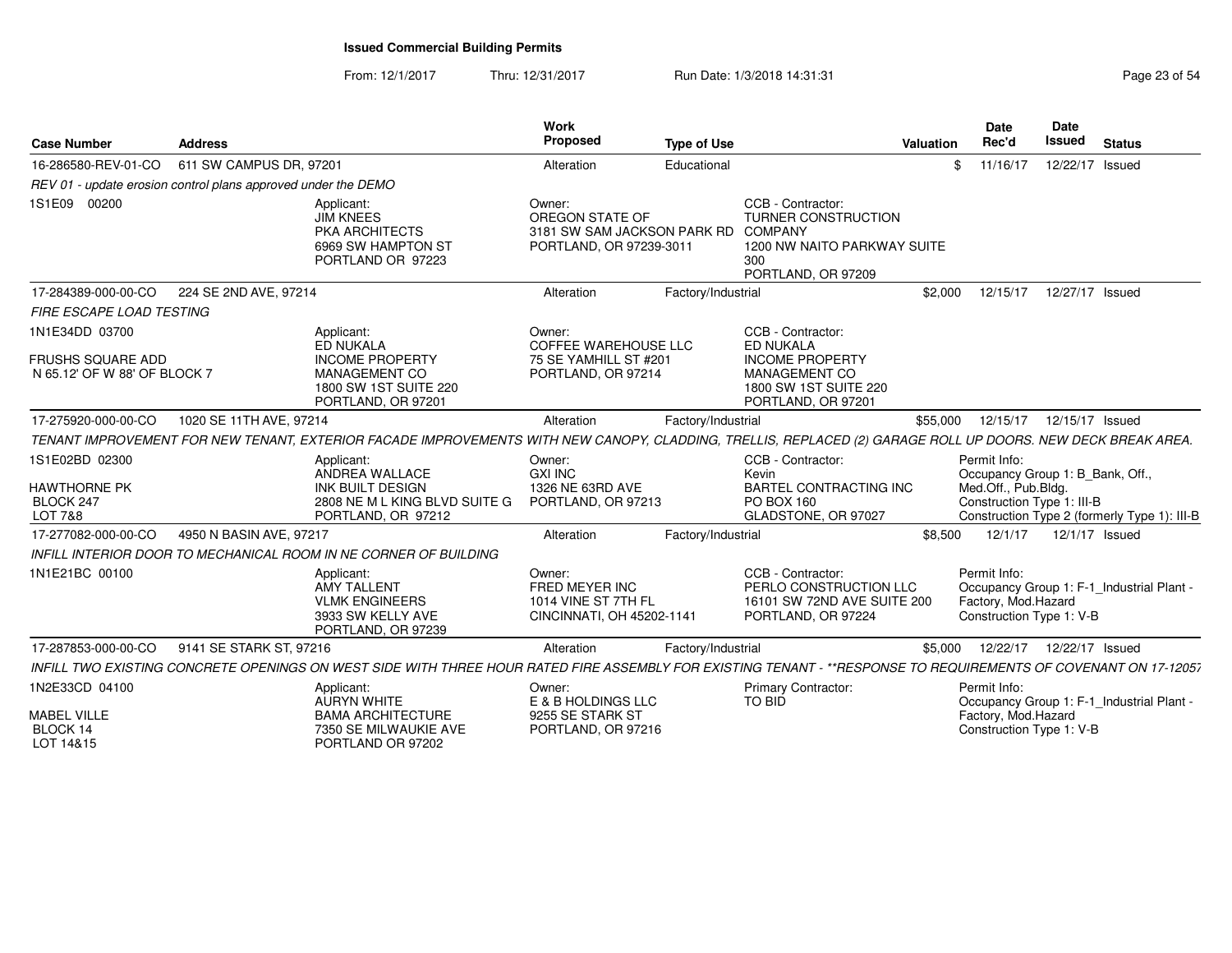From: 12/1/2017Thru: 12/31/2017 **Run Date: 1/3/2018 14:31:31 Research 20 and 20 and 20 and 23 of 54** 

| <b>Case Number</b>                                            | <b>Address</b>          |                                                                                                                                                                 | Work<br>Proposed                                                                    | <b>Type of Use</b> |                                                                                                                               | <b>Valuation</b> | Date<br>Rec'd                                                   | Date<br><b>Issued</b>      | <b>Status</b>                                |
|---------------------------------------------------------------|-------------------------|-----------------------------------------------------------------------------------------------------------------------------------------------------------------|-------------------------------------------------------------------------------------|--------------------|-------------------------------------------------------------------------------------------------------------------------------|------------------|-----------------------------------------------------------------|----------------------------|----------------------------------------------|
| 16-286580-REV-01-CO                                           | 611 SW CAMPUS DR, 97201 |                                                                                                                                                                 | Alteration                                                                          | Educational        |                                                                                                                               | \$               | 11/16/17                                                        | 12/22/17                   | Issued                                       |
| REV 01 - update erosion control plans approved under the DEMO |                         |                                                                                                                                                                 |                                                                                     |                    |                                                                                                                               |                  |                                                                 |                            |                                              |
| 1S1E09 00200                                                  |                         | Applicant:<br><b>JIM KNEES</b><br>PKA ARCHITECTS<br>6969 SW HAMPTON ST<br>PORTLAND OR 97223                                                                     | Owner:<br>OREGON STATE OF<br>3181 SW SAM JACKSON PARK RD<br>PORTLAND, OR 97239-3011 |                    | CCB - Contractor:<br><b>TURNER CONSTRUCTION</b><br><b>COMPANY</b><br>1200 NW NAITO PARKWAY SUITE<br>300<br>PORTLAND, OR 97209 |                  |                                                                 |                            |                                              |
| 17-284389-000-00-CO                                           | 224 SE 2ND AVE, 97214   |                                                                                                                                                                 | Alteration                                                                          | Factory/Industrial |                                                                                                                               | \$2,000          | 12/15/17                                                        | 12/27/17 Issued            |                                              |
| <b>FIRE ESCAPE LOAD TESTING</b>                               |                         |                                                                                                                                                                 |                                                                                     |                    |                                                                                                                               |                  |                                                                 |                            |                                              |
| 1N1E34DD 03700<br><b>FRUSHS SQUARE ADD</b>                    |                         | Applicant:<br>ED NUKALA<br><b>INCOME PROPERTY</b>                                                                                                               | Owner:<br><b>COFFEE WAREHOUSE LLC</b><br>75 SE YAMHILL ST #201                      |                    | CCB - Contractor:<br><b>ED NUKALA</b><br><b>INCOME PROPERTY</b>                                                               |                  |                                                                 |                            |                                              |
| N 65.12' OF W 88' OF BLOCK 7                                  |                         | <b>MANAGEMENT CO</b><br>1800 SW 1ST SUITE 220<br>PORTLAND, OR 97201                                                                                             | PORTLAND, OR 97214                                                                  |                    | MANAGEMENT CO<br>1800 SW 1ST SUITE 220<br>PORTLAND, OR 97201                                                                  |                  |                                                                 |                            |                                              |
| 17-275920-000-00-CO                                           | 1020 SE 11TH AVE, 97214 |                                                                                                                                                                 | Alteration                                                                          | Factory/Industrial |                                                                                                                               | \$55,000         | 12/15/17                                                        | 12/15/17 Issued            |                                              |
|                                                               |                         | TENANT IMPROVEMENT FOR NEW TENANT, EXTERIOR FACADE IMPROVEMENTS WITH NEW CANOPY, CLADDING, TRELLIS, REPLACED (2) GARAGE ROLL UP DOORS. NEW DECK BREAK AREA.     |                                                                                     |                    |                                                                                                                               |                  |                                                                 |                            |                                              |
| 1S1E02BD 02300                                                |                         | Applicant:<br>ANDREA WALLACE                                                                                                                                    | Owner:<br><b>GXI INC</b>                                                            |                    | CCB - Contractor:<br>Kevin                                                                                                    |                  | Permit Info:<br>Occupancy Group 1: B_Bank, Off.,                |                            |                                              |
| <b>HAWTHORNE PK</b><br>BLOCK 247<br>LOT 7&8                   |                         | <b>INK BUILT DESIGN</b><br>2808 NE M L KING BLVD SUITE G<br>PORTLAND, OR 97212                                                                                  | 1326 NE 63RD AVE<br>PORTLAND, OR 97213                                              |                    | <b>BARTEL CONTRACTING INC</b><br>PO BOX 160<br>GLADSTONE, OR 97027                                                            |                  | Med.Off., Pub.Bldg.<br>Construction Type 1: III-B               |                            | Construction Type 2 (formerly Type 1): III-B |
| 17-277082-000-00-CO                                           | 4950 N BASIN AVE, 97217 |                                                                                                                                                                 | Alteration                                                                          | Factory/Industrial |                                                                                                                               | \$8,500          | 12/1/17                                                         | 12/1/17 Issued             |                                              |
|                                                               |                         | INFILL INTERIOR DOOR TO MECHANICAL ROOM IN NE CORNER OF BUILDING                                                                                                |                                                                                     |                    |                                                                                                                               |                  |                                                                 |                            |                                              |
| 1N1E21BC 00100                                                |                         | Applicant:<br><b>AMY TALLENT</b><br><b>VLMK ENGINEERS</b><br>3933 SW KELLY AVE<br>PORTLAND, OR 97239                                                            | Owner:<br>FRED MEYER INC<br>1014 VINE ST 7TH FL<br>CINCINNATI, OH 45202-1141        |                    | CCB - Contractor:<br>PERLO CONSTRUCTION LLC<br>16101 SW 72ND AVE SUITE 200<br>PORTLAND, OR 97224                              |                  | Permit Info:<br>Factory, Mod.Hazard<br>Construction Type 1: V-B |                            | Occupancy Group 1: F-1_Industrial Plant -    |
| 17-287853-000-00-CO                                           | 9141 SE STARK ST, 97216 |                                                                                                                                                                 | Alteration                                                                          | Factory/Industrial |                                                                                                                               | \$5,000          |                                                                 | 12/22/17  12/22/17  Issued |                                              |
|                                                               |                         | INFILL TWO EXISTING CONCRETE OPENINGS ON WEST SIDE WITH THREE HOUR RATED FIRE ASSEMBLY FOR EXISTING TENANT - **RESPONSE TO REQUIREMENTS OF COVENANT ON 17-12057 |                                                                                     |                    |                                                                                                                               |                  |                                                                 |                            |                                              |
| 1N2E33CD 04100                                                |                         | Applicant:<br><b>AURYN WHITE</b>                                                                                                                                | Owner:<br>E & B HOLDINGS LLC                                                        |                    | Primary Contractor:<br>TO BID                                                                                                 |                  | Permit Info:                                                    |                            | Occupancy Group 1: F-1_Industrial Plant -    |
| <b>MABEL VILLE</b><br>BLOCK 14<br>LOT 14&15                   |                         | <b>BAMA ARCHITECTURE</b><br>7350 SE MILWAUKIE AVE<br>PORTLAND OR 97202                                                                                          | 9255 SE STARK ST<br>PORTLAND, OR 97216                                              |                    |                                                                                                                               |                  | Factory, Mod.Hazard<br>Construction Type 1: V-B                 |                            |                                              |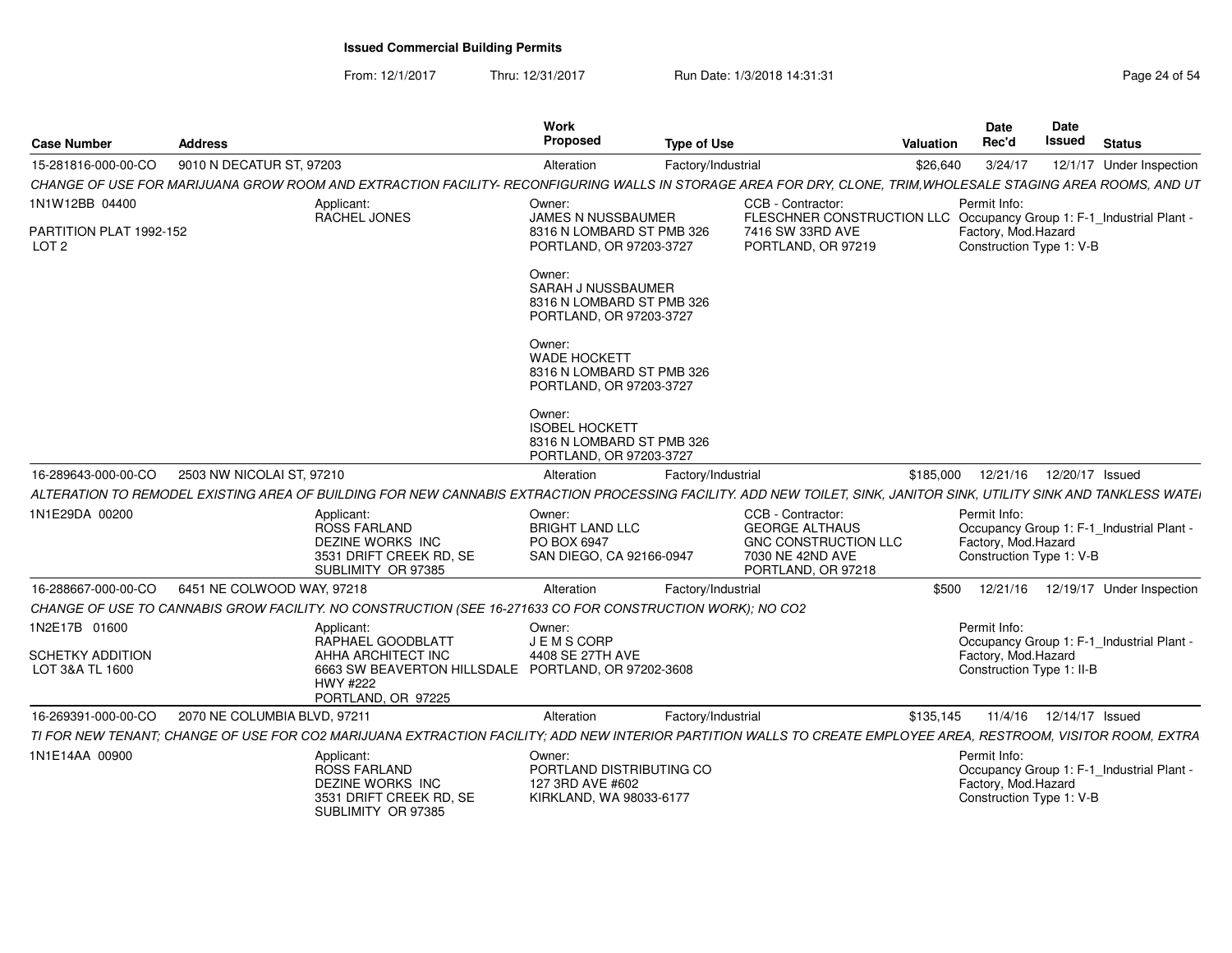From: 12/1/2017Thru: 12/31/2017 Run Date: 1/3/2018 14:31:31 Page 24 of 54

| <b>Case Number</b>                                            | <b>Address</b>                                                                                                                                                       | Work<br>Proposed                                                                            | <b>Type of Use</b> |                                                                                                                                     | <b>Valuation</b> | <b>Date</b><br>Rec'd                                             | Date<br><b>Issued</b> | <b>Status</b>                             |
|---------------------------------------------------------------|----------------------------------------------------------------------------------------------------------------------------------------------------------------------|---------------------------------------------------------------------------------------------|--------------------|-------------------------------------------------------------------------------------------------------------------------------------|------------------|------------------------------------------------------------------|-----------------------|-------------------------------------------|
| 15-281816-000-00-CO                                           | 9010 N DECATUR ST, 97203                                                                                                                                             | Alteration                                                                                  | Factory/Industrial |                                                                                                                                     | \$26,640         | 3/24/17                                                          |                       | 12/1/17 Under Inspection                  |
|                                                               | CHANGE OF USE FOR MARIJUANA GROW ROOM AND EXTRACTION FACILITY- RECONFIGURING WALLS IN STORAGE AREA FOR DRY, CLONE, TRIM, WHOLESALE STAGING AREA ROOMS, AND UT        |                                                                                             |                    |                                                                                                                                     |                  |                                                                  |                       |                                           |
| 1N1W12BB 04400<br>PARTITION PLAT 1992-152<br>LOT <sub>2</sub> | Applicant:<br>RACHEL JONES                                                                                                                                           | Owner:<br><b>JAMES N NUSSBAUMER</b><br>8316 N LOMBARD ST PMB 326<br>PORTLAND, OR 97203-3727 |                    | CCB - Contractor:<br>FLESCHNER CONSTRUCTION LLC Occupancy Group 1: F-1_Industrial Plant -<br>7416 SW 33RD AVE<br>PORTLAND, OR 97219 |                  | Permit Info:<br>Factory, Mod.Hazard<br>Construction Type 1: V-B  |                       |                                           |
|                                                               |                                                                                                                                                                      | Owner:<br>SARAH J NUSSBAUMER<br>8316 N LOMBARD ST PMB 326<br>PORTLAND, OR 97203-3727        |                    |                                                                                                                                     |                  |                                                                  |                       |                                           |
|                                                               |                                                                                                                                                                      | Owner:<br><b>WADE HOCKETT</b><br>8316 N LOMBARD ST PMB 326<br>PORTLAND, OR 97203-3727       |                    |                                                                                                                                     |                  |                                                                  |                       |                                           |
|                                                               |                                                                                                                                                                      | Owner:<br><b>ISOBEL HOCKETT</b><br>8316 N LOMBARD ST PMB 326<br>PORTLAND, OR 97203-3727     |                    |                                                                                                                                     |                  |                                                                  |                       |                                           |
| 16-289643-000-00-CO                                           | 2503 NW NICOLAI ST, 97210                                                                                                                                            | Alteration                                                                                  | Factory/Industrial |                                                                                                                                     | \$185,000        | 12/21/16  12/20/17  Issued                                       |                       |                                           |
|                                                               | ALTERATION TO REMODEL EXISTING AREA OF BUILDING FOR NEW CANNABIS EXTRACTION PROCESSING FACILITY. ADD NEW TOILET, SINK, JANITOR SINK, UTILITY SINK AND TANKLESS WATEI |                                                                                             |                    |                                                                                                                                     |                  |                                                                  |                       |                                           |
| 1N1E29DA 00200                                                | Applicant:<br>ROSS FARLAND<br>DEZINE WORKS INC<br>3531 DRIFT CREEK RD, SE<br>SUBLIMITY OR 97385                                                                      | Owner:<br><b>BRIGHT LAND LLC</b><br><b>PO BOX 6947</b><br>SAN DIEGO, CA 92166-0947          |                    | CCB - Contractor:<br><b>GEORGE ALTHAUS</b><br>GNC CONSTRUCTION LLC<br>7030 NE 42ND AVE<br>PORTLAND, OR 97218                        |                  | Permit Info:<br>Factory, Mod.Hazard<br>Construction Type 1: V-B  |                       | Occupancy Group 1: F-1_Industrial Plant - |
| 16-288667-000-00-CO                                           | 6451 NE COLWOOD WAY, 97218                                                                                                                                           | Alteration                                                                                  | Factory/Industrial |                                                                                                                                     | \$500            |                                                                  |                       | 12/21/16  12/19/17  Under Inspection      |
|                                                               | CHANGE OF USE TO CANNABIS GROW FACILITY. NO CONSTRUCTION (SEE 16-271633 CO FOR CONSTRUCTION WORK); NO CO2                                                            |                                                                                             |                    |                                                                                                                                     |                  |                                                                  |                       |                                           |
| 1N2E17B 01600<br><b>SCHETKY ADDITION</b><br>LOT 3&A TL 1600   | Applicant:<br>RAPHAEL GOODBLATT<br>AHHA ARCHITECT INC<br>6663 SW BEAVERTON HILLSDALE PORTLAND, OR 97202-3608                                                         | Owner:<br>J E M S CORP<br>4408 SE 27TH AVE                                                  |                    |                                                                                                                                     |                  | Permit Info:<br>Factory, Mod.Hazard<br>Construction Type 1: II-B |                       | Occupancy Group 1: F-1_Industrial Plant - |
|                                                               | HWY #222<br>PORTLAND, OR 97225                                                                                                                                       |                                                                                             |                    |                                                                                                                                     |                  |                                                                  |                       |                                           |
| 16-269391-000-00-CO                                           | 2070 NE COLUMBIA BLVD, 97211                                                                                                                                         | Alteration                                                                                  | Factory/Industrial |                                                                                                                                     | \$135,145        | 11/4/16                                                          | 12/14/17 Issued       |                                           |
|                                                               | TI FOR NEW TENANT; CHANGE OF USE FOR CO2 MARIJUANA EXTRACTION FACILITY; ADD NEW INTERIOR PARTITION WALLS TO CREATE EMPLOYEE AREA, RESTROOM, VISITOR ROOM, EXTRA      |                                                                                             |                    |                                                                                                                                     |                  |                                                                  |                       |                                           |
| 1N1E14AA 00900                                                | Applicant:<br><b>ROSS FARLAND</b><br>DEZINE WORKS INC<br>3531 DRIFT CREEK RD, SE<br>SUBLIMITY OR 97385                                                               | Owner:<br>PORTLAND DISTRIBUTING CO<br>127 3RD AVE #602<br>KIRKLAND, WA 98033-6177           |                    |                                                                                                                                     |                  | Permit Info:<br>Factory, Mod.Hazard<br>Construction Type 1: V-B  |                       | Occupancy Group 1: F-1_Industrial Plant - |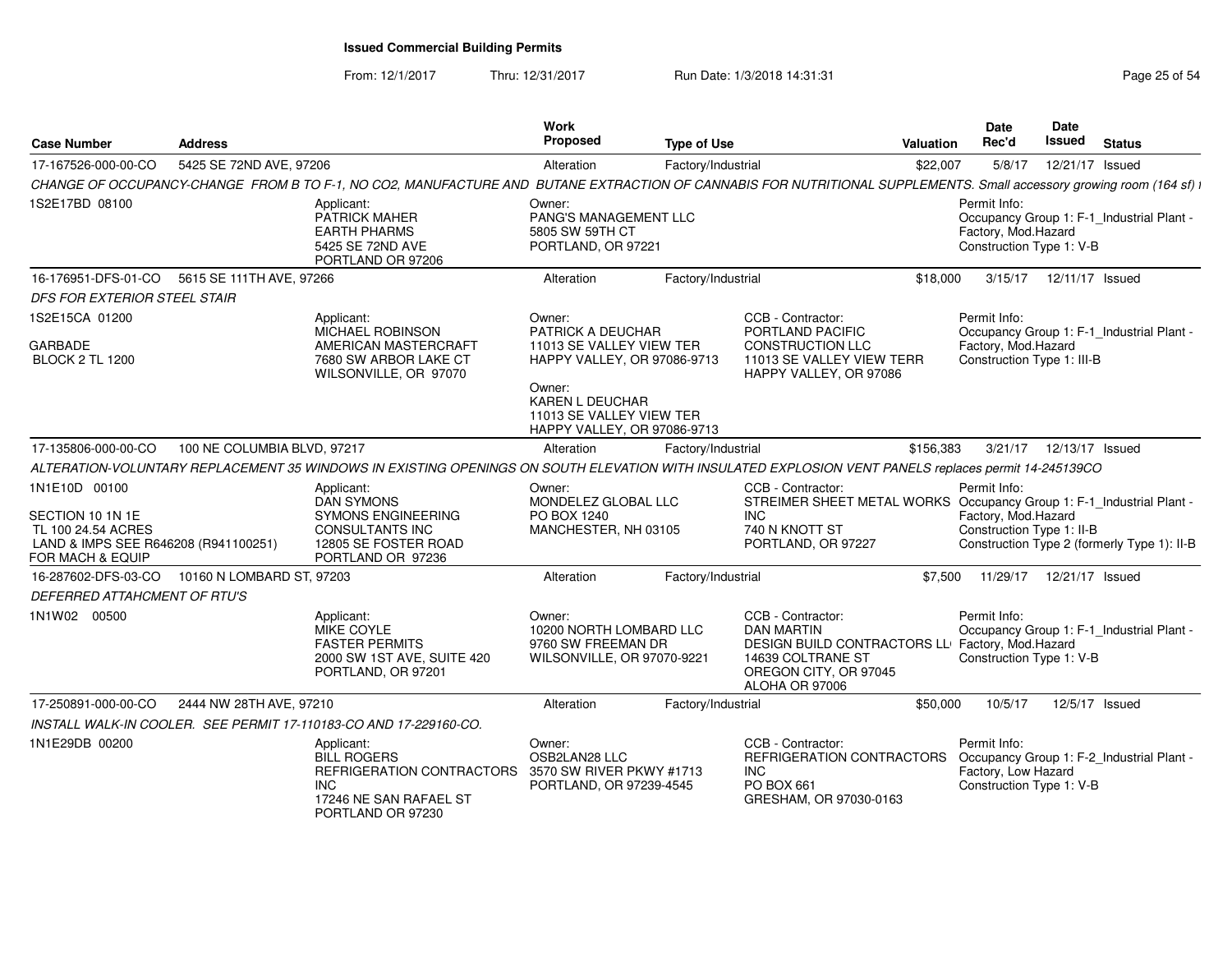From: 12/1/2017

Thru: 12/31/2017 **Run Date: 1/3/2018 14:31:31 Research 2018** Page 25 of 54

| <b>Case Number</b>                                                                                 | <b>Address</b>              |                                                                                                                                                                      | Work<br><b>Proposed</b>                                                                     | <b>Type of Use</b> |                                                                                                                                                           | <b>Valuation</b> | Date<br>Rec'd                                                   | Date<br><b>Issued</b>     | <b>Status</b>                               |
|----------------------------------------------------------------------------------------------------|-----------------------------|----------------------------------------------------------------------------------------------------------------------------------------------------------------------|---------------------------------------------------------------------------------------------|--------------------|-----------------------------------------------------------------------------------------------------------------------------------------------------------|------------------|-----------------------------------------------------------------|---------------------------|---------------------------------------------|
| 17-167526-000-00-CO                                                                                | 5425 SE 72ND AVE, 97206     |                                                                                                                                                                      | Alteration                                                                                  | Factory/Industrial |                                                                                                                                                           | \$22,007         | 5/8/17                                                          | 12/21/17 Issued           |                                             |
|                                                                                                    |                             | CHANGE OF OCCUPANCY-CHANGE FROM B TO F-1, NO CO2, MANUFACTURE AND BUTANE EXTRACTION OF CANNABIS FOR NUTRITIONAL SUPPLEMENTS. Small accessory growing room (164 sf) i |                                                                                             |                    |                                                                                                                                                           |                  |                                                                 |                           |                                             |
| 1S2E17BD 08100                                                                                     |                             | Applicant:<br>PATRICK MAHER<br><b>EARTH PHARMS</b><br>5425 SE 72ND AVE<br>PORTLAND OR 97206                                                                          | Owner:<br>PANG'S MANAGEMENT LLC<br>5805 SW 59TH CT<br>PORTLAND, OR 97221                    |                    |                                                                                                                                                           |                  | Permit Info:<br>Factory, Mod.Hazard<br>Construction Type 1: V-B |                           | Occupancy Group 1: F-1 Industrial Plant -   |
| 16-176951-DFS-01-CO 5615 SE 111TH AVE, 97266                                                       |                             |                                                                                                                                                                      | Alteration                                                                                  | Factory/Industrial |                                                                                                                                                           | \$18,000         | 3/15/17                                                         | 12/11/17 Issued           |                                             |
| <b>DFS FOR EXTERIOR STEEL STAIR</b>                                                                |                             |                                                                                                                                                                      |                                                                                             |                    |                                                                                                                                                           |                  |                                                                 |                           |                                             |
| 1S2E15CA 01200<br><b>GARBADE</b>                                                                   |                             | Applicant:<br>MICHAEL ROBINSON<br>AMERICAN MASTERCRAFT                                                                                                               | Owner:<br>PATRICK A DEUCHAR<br>11013 SE VALLEY VIEW TER                                     |                    | CCB - Contractor:<br>PORTLAND PACIFIC                                                                                                                     |                  | Permit Info:                                                    |                           | Occupancy Group 1: F-1 Industrial Plant -   |
| <b>BLOCK 2 TL 1200</b>                                                                             |                             | 7680 SW ARBOR LAKE CT<br>WILSONVILLE, OR 97070                                                                                                                       | HAPPY VALLEY, OR 97086-9713                                                                 |                    | CONSTRUCTION LLC<br>11013 SE VALLEY VIEW TERR<br>HAPPY VALLEY, OR 97086                                                                                   |                  | Factory, Mod.Hazard<br>Construction Type 1: III-B               |                           |                                             |
|                                                                                                    |                             |                                                                                                                                                                      | Owner:<br><b>KAREN L DEUCHAR</b><br>11013 SE VALLEY VIEW TER<br>HAPPY VALLEY, OR 97086-9713 |                    |                                                                                                                                                           |                  |                                                                 |                           |                                             |
| 17-135806-000-00-CO                                                                                | 100 NE COLUMBIA BLVD, 97217 |                                                                                                                                                                      | Alteration                                                                                  | Factory/Industrial |                                                                                                                                                           | \$156,383        |                                                                 | 3/21/17  12/13/17  Issued |                                             |
|                                                                                                    |                             | ALTERATION-VOLUNTARY REPLACEMENT 35 WINDOWS IN EXISTING OPENINGS ON SOUTH ELEVATION WITH INSULATED EXPLOSION VENT PANELS replaces permit 14-245139CO                 |                                                                                             |                    |                                                                                                                                                           |                  |                                                                 |                           |                                             |
| 1N1E10D 00100                                                                                      |                             | Applicant:<br><b>DAN SYMONS</b>                                                                                                                                      | Owner:<br>MONDELEZ GLOBAL LLC                                                               |                    | CCB - Contractor:<br>STREIMER SHEET METAL WORKS Occupancy Group 1: F-1_Industrial Plant -                                                                 |                  | Permit Info:                                                    |                           |                                             |
| SECTION 10 1N 1E<br>TL 100 24.54 ACRES<br>LAND & IMPS SEE R646208 (R941100251)<br>FOR MACH & EQUIP |                             | <b>SYMONS ENGINEERING</b><br><b>CONSULTANTS INC</b><br>12805 SE FOSTER ROAD<br>PORTLAND OR 97236                                                                     | PO BOX 1240<br>MANCHESTER, NH 03105                                                         |                    | INC.<br>740 N KNOTT ST<br>PORTLAND, OR 97227                                                                                                              |                  | Factory, Mod.Hazard<br>Construction Type 1: II-B                |                           | Construction Type 2 (formerly Type 1): II-B |
| 16-287602-DFS-03-CO 10160 N LOMBARD ST, 97203                                                      |                             |                                                                                                                                                                      | Alteration                                                                                  | Factory/Industrial |                                                                                                                                                           | \$7.500          | 11/29/17                                                        | 12/21/17 Issued           |                                             |
| DEFERRED ATTAHCMENT OF RTU'S                                                                       |                             |                                                                                                                                                                      |                                                                                             |                    |                                                                                                                                                           |                  |                                                                 |                           |                                             |
| 1N1W02 00500                                                                                       |                             | Applicant:<br>MIKE COYLE<br><b>FASTER PERMITS</b><br>2000 SW 1ST AVE, SUITE 420<br>PORTLAND, OR 97201                                                                | Owner:<br>10200 NORTH LOMBARD LLC<br>9760 SW FREEMAN DR<br>WILSONVILLE, OR 97070-9221       |                    | CCB - Contractor:<br><b>DAN MARTIN</b><br>DESIGN BUILD CONTRACTORS LL Factory, Mod.Hazard<br>14639 COLTRANE ST<br>OREGON CITY, OR 97045<br>ALOHA OR 97006 |                  | Permit Info:<br>Construction Type 1: V-B                        |                           | Occupancy Group 1: F-1 Industrial Plant -   |
| 17-250891-000-00-CO                                                                                | 2444 NW 28TH AVE, 97210     |                                                                                                                                                                      | Alteration                                                                                  | Factory/Industrial |                                                                                                                                                           | \$50,000         | 10/5/17                                                         |                           | 12/5/17 Issued                              |
|                                                                                                    |                             | INSTALL WALK-IN COOLER. SEE PERMIT 17-110183-CO AND 17-229160-CO.                                                                                                    |                                                                                             |                    |                                                                                                                                                           |                  |                                                                 |                           |                                             |
| 1N1E29DB 00200                                                                                     |                             | Applicant:<br><b>BILL ROGERS</b><br>REFRIGERATION CONTRACTORS 3570 SW RIVER PKWY #1713<br><b>INC</b><br>17246 NE SAN RAFAEL ST<br>PORTLAND OR 97230                  | Owner:<br>OSB2LAN28 LLC<br>PORTLAND, OR 97239-4545                                          |                    | CCB - Contractor:<br>REFRIGERATION CONTRACTORS<br><b>INC</b><br>PO BOX 661<br>GRESHAM, OR 97030-0163                                                      |                  | Permit Info:<br>Factory, Low Hazard<br>Construction Type 1: V-B |                           | Occupancy Group 1: F-2_Industrial Plant -   |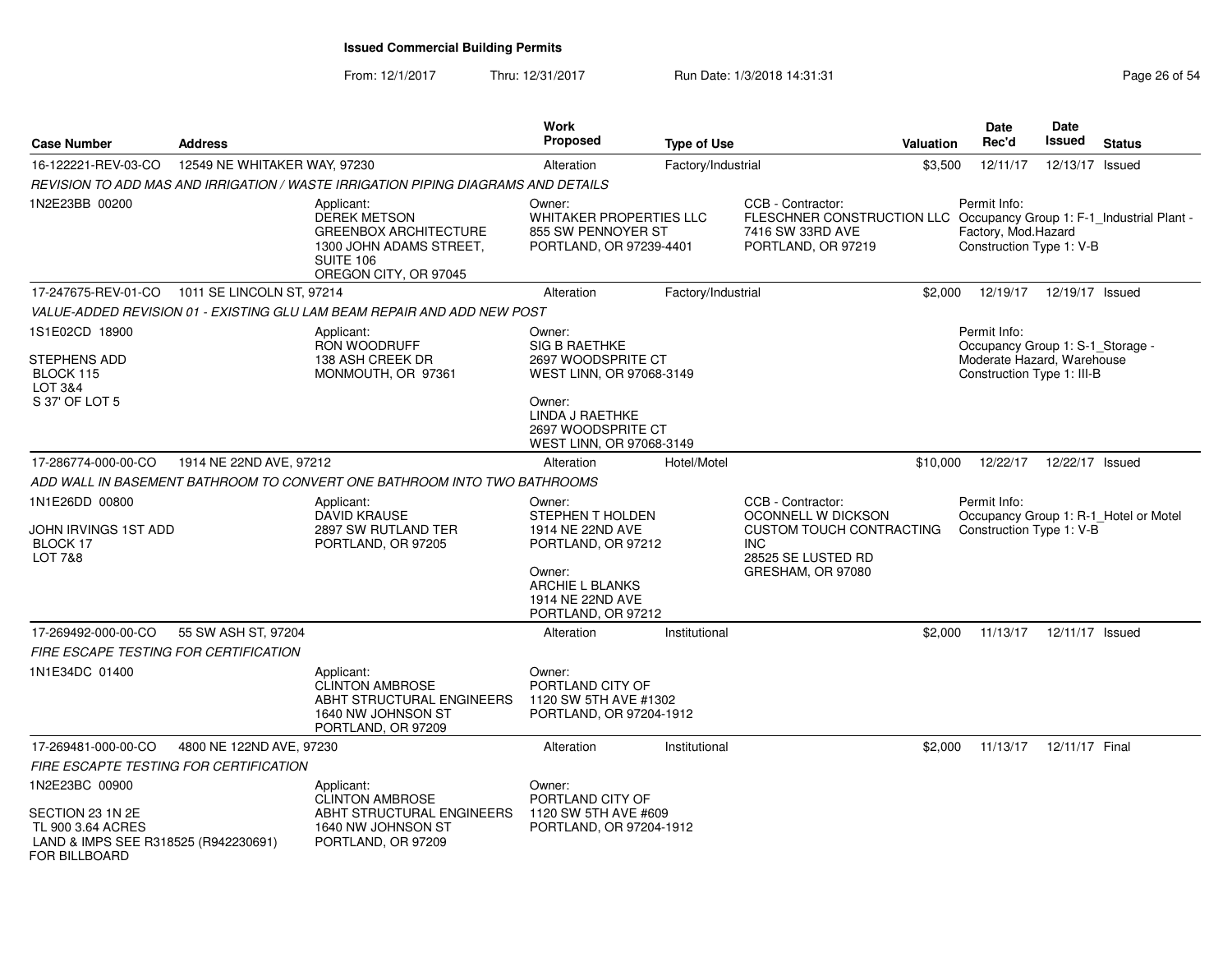From: 12/1/2017Thru: 12/31/2017 **Run Date: 1/3/2018 14:31:31 Research 2018** Page 26 of 54

| <b>Case Number</b>                                                                                    | <b>Address</b>               |                                                                                                                                    | Work<br><b>Proposed</b>                                                                                                                            | <b>Type of Use</b> |                                                                                                                                     | <b>Valuation</b> | <b>Date</b><br>Rec'd                                            | Date<br>Issued  | <b>Status</b>                         |
|-------------------------------------------------------------------------------------------------------|------------------------------|------------------------------------------------------------------------------------------------------------------------------------|----------------------------------------------------------------------------------------------------------------------------------------------------|--------------------|-------------------------------------------------------------------------------------------------------------------------------------|------------------|-----------------------------------------------------------------|-----------------|---------------------------------------|
| 16-122221-REV-03-CO                                                                                   | 12549 NE WHITAKER WAY, 97230 |                                                                                                                                    | Alteration                                                                                                                                         | Factory/Industrial |                                                                                                                                     | \$3,500          | 12/11/17                                                        | 12/13/17 Issued |                                       |
|                                                                                                       |                              | REVISION TO ADD MAS AND IRRIGATION / WASTE IRRIGATION PIPING DIAGRAMS AND DETAILS                                                  |                                                                                                                                                    |                    |                                                                                                                                     |                  |                                                                 |                 |                                       |
| 1N2E23BB 00200                                                                                        |                              | Applicant:<br><b>DEREK METSON</b><br><b>GREENBOX ARCHITECTURE</b><br>1300 JOHN ADAMS STREET,<br>SUITE 106<br>OREGON CITY, OR 97045 | Owner:<br>WHITAKER PROPERTIES LLC<br>855 SW PENNOYER ST<br>PORTLAND, OR 97239-4401                                                                 |                    | CCB - Contractor:<br>FLESCHNER CONSTRUCTION LLC Occupancy Group 1: F-1_Industrial Plant -<br>7416 SW 33RD AVE<br>PORTLAND, OR 97219 |                  | Permit Info:<br>Factory, Mod.Hazard<br>Construction Type 1: V-B |                 |                                       |
| 17-247675-REV-01-CO 1011 SE LINCOLN ST, 97214                                                         |                              |                                                                                                                                    | Alteration                                                                                                                                         | Factory/Industrial |                                                                                                                                     |                  | \$2,000  12/19/17  12/19/17  Issued                             |                 |                                       |
|                                                                                                       |                              | VALUE-ADDED REVISION 01 - EXISTING GLU LAM BEAM REPAIR AND ADD NEW POST                                                            |                                                                                                                                                    |                    |                                                                                                                                     |                  |                                                                 |                 |                                       |
| 1S1E02CD 18900                                                                                        |                              | Applicant:                                                                                                                         | Owner:<br>SIG B RAETHKE                                                                                                                            |                    |                                                                                                                                     |                  | Permit Info:                                                    |                 |                                       |
| <b>STEPHENS ADD</b>                                                                                   |                              | <b>RON WOODRUFF</b><br>138 ASH CREEK DR                                                                                            | 2697 WOODSPRITE CT                                                                                                                                 |                    |                                                                                                                                     |                  | Occupancy Group 1: S-1_Storage -<br>Moderate Hazard, Warehouse  |                 |                                       |
| BLOCK 115                                                                                             |                              | MONMOUTH, OR 97361                                                                                                                 | WEST LINN, OR 97068-3149                                                                                                                           |                    |                                                                                                                                     |                  | Construction Type 1: III-B                                      |                 |                                       |
| LOT 3&4<br>S 37' OF LOT 5                                                                             |                              |                                                                                                                                    | Owner:<br><b>LINDA J RAETHKE</b><br>2697 WOODSPRITE CT<br>WEST LINN, OR 97068-3149                                                                 |                    |                                                                                                                                     |                  |                                                                 |                 |                                       |
| 17-286774-000-00-CO                                                                                   | 1914 NE 22ND AVE, 97212      |                                                                                                                                    | Alteration                                                                                                                                         | Hotel/Motel        |                                                                                                                                     | \$10,000         | 12/22/17                                                        | 12/22/17 Issued |                                       |
|                                                                                                       |                              | ADD WALL IN BASEMENT BATHROOM TO CONVERT ONE BATHROOM INTO TWO BATHROOMS                                                           |                                                                                                                                                    |                    |                                                                                                                                     |                  |                                                                 |                 |                                       |
| 1N1E26DD 00800<br>JOHN IRVINGS 1ST ADD<br>BLOCK 17<br>LOT 7&8                                         |                              | Applicant:<br><b>DAVID KRAUSE</b><br>2897 SW RUTLAND TER<br>PORTLAND, OR 97205                                                     | Owner:<br>STEPHEN T HOLDEN<br>1914 NE 22ND AVE<br>PORTLAND, OR 97212<br>Owner:<br><b>ARCHIE L BLANKS</b><br>1914 NE 22ND AVE<br>PORTLAND, OR 97212 |                    | CCB - Contractor:<br>OCONNELL W DICKSON<br><b>CUSTOM TOUCH CONTRACTING</b><br><b>INC</b><br>28525 SE LUSTED RD<br>GRESHAM, OR 97080 |                  | Permit Info:<br>Construction Type 1: V-B                        |                 | Occupancy Group 1: R-1_Hotel or Motel |
| 17-269492-000-00-CO                                                                                   | 55 SW ASH ST, 97204          |                                                                                                                                    | Alteration                                                                                                                                         | Institutional      |                                                                                                                                     | \$2,000          | 11/13/17                                                        | 12/11/17 Issued |                                       |
| FIRE ESCAPE TESTING FOR CERTIFICATION                                                                 |                              |                                                                                                                                    |                                                                                                                                                    |                    |                                                                                                                                     |                  |                                                                 |                 |                                       |
| 1N1E34DC 01400                                                                                        |                              | Applicant:<br><b>CLINTON AMBROSE</b><br>ABHT STRUCTURAL ENGINEERS<br>1640 NW JOHNSON ST<br>PORTLAND, OR 97209                      | Owner:<br>PORTLAND CITY OF<br>1120 SW 5TH AVE #1302<br>PORTLAND, OR 97204-1912                                                                     |                    |                                                                                                                                     |                  |                                                                 |                 |                                       |
| 17-269481-000-00-CO                                                                                   | 4800 NE 122ND AVE, 97230     |                                                                                                                                    | Alteration                                                                                                                                         | Institutional      |                                                                                                                                     | \$2,000          | 11/13/17                                                        | 12/11/17 Final  |                                       |
| FIRE ESCAPTE TESTING FOR CERTIFICATION                                                                |                              |                                                                                                                                    |                                                                                                                                                    |                    |                                                                                                                                     |                  |                                                                 |                 |                                       |
| 1N2E23BC 00900                                                                                        |                              | Applicant:<br><b>CLINTON AMBROSE</b>                                                                                               | Owner:<br>PORTLAND CITY OF                                                                                                                         |                    |                                                                                                                                     |                  |                                                                 |                 |                                       |
| SECTION 23 1N 2E<br>TL 900 3.64 ACRES<br>LAND & IMPS SEE R318525 (R942230691)<br><b>FOR BILLBOARD</b> |                              | ABHT STRUCTURAL ENGINEERS<br>1640 NW JOHNSON ST<br>PORTLAND, OR 97209                                                              | 1120 SW 5TH AVE #609<br>PORTLAND, OR 97204-1912                                                                                                    |                    |                                                                                                                                     |                  |                                                                 |                 |                                       |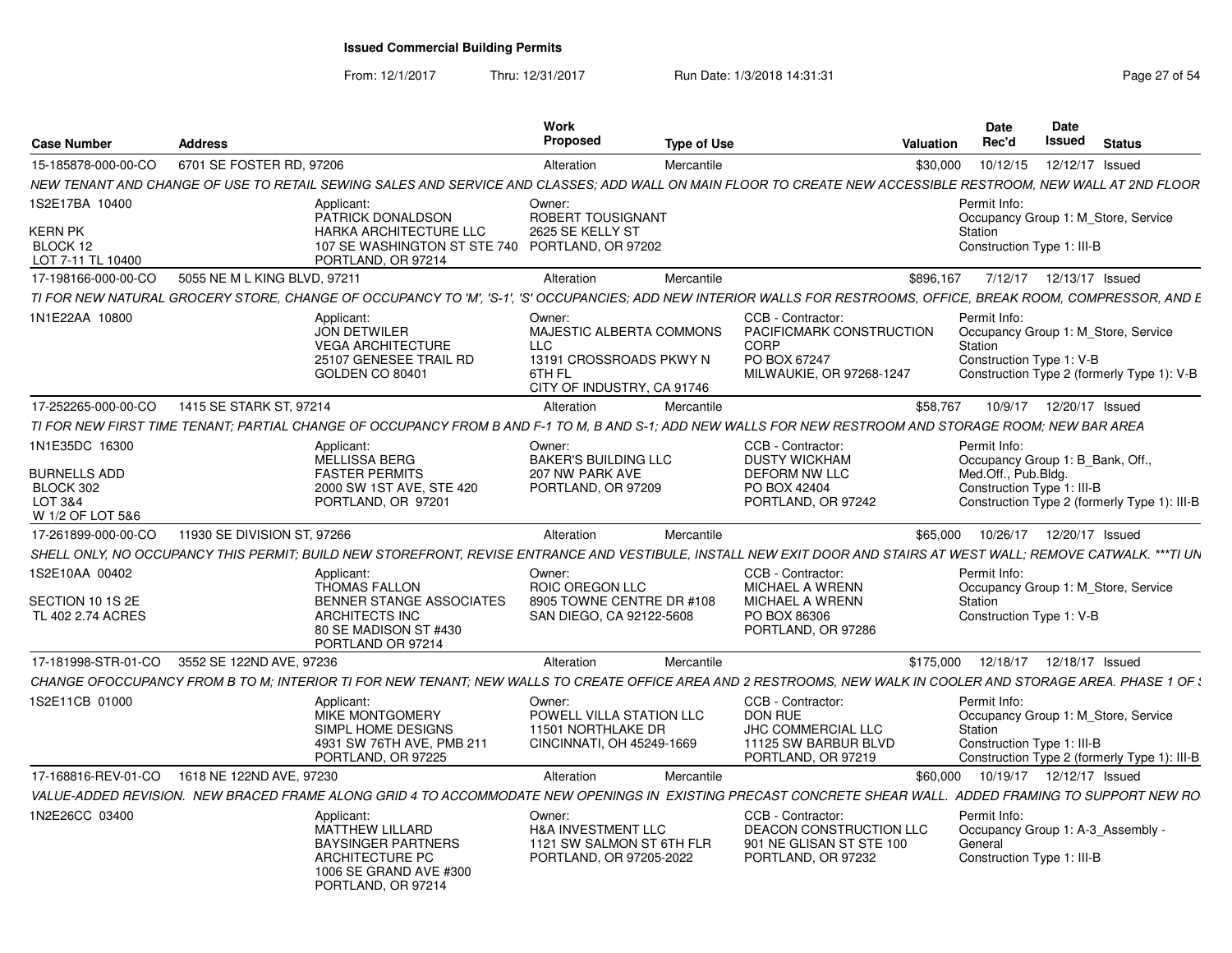From: 12/1/2017

Thru: 12/31/2017 **Run Date: 1/3/2018 14:31:31 Research 2018** Page 27 of 54

| <b>Case Number</b>                                       | <b>Address</b>                               |                                                                                                                                                                    | Work<br><b>Proposed</b>                                                                                      | <b>Type of Use</b> |                                                                                                          | Valuation | <b>Date</b><br>Rec'd                                                                         | <b>Date</b> | Issued<br><b>Status</b>    |                                              |
|----------------------------------------------------------|----------------------------------------------|--------------------------------------------------------------------------------------------------------------------------------------------------------------------|--------------------------------------------------------------------------------------------------------------|--------------------|----------------------------------------------------------------------------------------------------------|-----------|----------------------------------------------------------------------------------------------|-------------|----------------------------|----------------------------------------------|
| 15-185878-000-00-CO                                      | 6701 SE FOSTER RD, 97206                     |                                                                                                                                                                    | Alteration                                                                                                   | Mercantile         |                                                                                                          | \$30,000  | 10/12/15                                                                                     |             | 12/12/17 Issued            |                                              |
|                                                          |                                              | NEW TENANT AND CHANGE OF USE TO RETAIL SEWING SALES AND SERVICE AND CLASSES; ADD WALL ON MAIN FLOOR TO CREATE NEW ACCESSIBLE RESTROOM, NEW WALL AT 2ND FLOOR       |                                                                                                              |                    |                                                                                                          |           |                                                                                              |             |                            |                                              |
| 1S2E17BA 10400<br><b>KERN PK</b><br>BLOCK 12             |                                              | Applicant:<br>PATRICK DONALDSON<br>HARKA ARCHITECTURE LLC<br>107 SE WASHINGTON ST STE 740 PORTLAND, OR 97202                                                       | Owner:<br>ROBERT TOUSIGNANT<br>2625 SE KELLY ST                                                              |                    |                                                                                                          |           | Permit Info:<br>Occupancy Group 1: M Store, Service<br>Station<br>Construction Type 1: III-B |             |                            |                                              |
| LOT 7-11 TL 10400                                        |                                              | PORTLAND, OR 97214                                                                                                                                                 |                                                                                                              |                    |                                                                                                          |           |                                                                                              |             |                            |                                              |
| 17-198166-000-00-CO                                      | 5055 NE M L KING BLVD, 97211                 |                                                                                                                                                                    | Alteration                                                                                                   | Mercantile         |                                                                                                          | \$896.167 | 7/12/17                                                                                      |             | 12/13/17 Issued            |                                              |
|                                                          |                                              | TI FOR NEW NATURAL GROCERY STORE, CHANGE OF OCCUPANCY TO 'M', 'S-1'.                                                                                               |                                                                                                              |                    | 'S' OCCUPANCIES: ADD NEW INTERIOR WALLS FOR RESTROOMS, OFFICE, BREAK ROOM, COMPRESSOR, AND E             |           |                                                                                              |             |                            |                                              |
| 1N1E22AA 10800                                           |                                              | Applicant:<br><b>JON DETWILER</b><br><b>VEGA ARCHITECTURE</b><br>25107 GENESEE TRAIL RD<br><b>GOLDEN CO 80401</b>                                                  | Owner:<br>MAJESTIC ALBERTA COMMONS<br>LLC<br>13191 CROSSROADS PKWY N<br>6TH FL<br>CITY OF INDUSTRY, CA 91746 |                    | CCB - Contractor:<br><b>PACIFICMARK CONSTRUCTION</b><br>CORP<br>PO BOX 67247<br>MILWAUKIE, OR 97268-1247 |           | Permit Info:<br>Occupancy Group 1: M_Store, Service<br>Station<br>Construction Type 1: V-B   |             |                            | Construction Type 2 (formerly Type 1): V-B   |
| 17-252265-000-00-CO                                      | 1415 SE STARK ST, 97214                      |                                                                                                                                                                    | Alteration                                                                                                   | Mercantile         |                                                                                                          | \$58.767  | 10/9/17                                                                                      |             | 12/20/17 Issued            |                                              |
|                                                          |                                              | TI FOR NEW FIRST TIME TENANT: PARTIAL CHANGE OF OCCUPANCY FROM B AND F-1 TO M. B AND S-1: ADD NEW WALLS FOR NEW RESTROOM AND STORAGE ROOM: NEW BAR AREA            |                                                                                                              |                    |                                                                                                          |           |                                                                                              |             |                            |                                              |
| 1N1E35DC 16300                                           |                                              | Applicant:<br>MELLISSA BERG                                                                                                                                        | Owner:<br><b>BAKER'S BUILDING LLC</b>                                                                        |                    | CCB - Contractor:<br><b>DUSTY WICKHAM</b>                                                                |           | Permit Info:<br>Occupancy Group 1: B Bank, Off.,                                             |             |                            |                                              |
| BURNELLS ADD<br>BLOCK 302<br>LOT 3&4<br>W 1/2 OF LOT 5&6 |                                              | <b>FASTER PERMITS</b><br>2000 SW 1ST AVE, STE 420<br>PORTLAND, OR 97201                                                                                            | 207 NW PARK AVE<br>PORTLAND, OR 97209                                                                        |                    | <b>DEFORM NW LLC</b><br>PO BOX 42404<br>PORTLAND, OR 97242                                               |           | Med.Off., Pub.Blda.<br>Construction Type 1: III-B                                            |             |                            | Construction Type 2 (formerly Type 1): III-B |
| 17-261899-000-00-CO                                      | 11930 SE DIVISION ST, 97266                  |                                                                                                                                                                    | Alteration                                                                                                   | Mercantile         |                                                                                                          | \$65,000  |                                                                                              |             | 10/26/17  12/20/17  Issued |                                              |
|                                                          |                                              | SHELL ONLY. NO OCCUPANCY THIS PERMIT: BUILD NEW STOREFRONT. REVISE ENTRANCE AND VESTIBULE. INSTALL NEW EXIT DOOR AND STAIRS AT WEST WALL: REMOVE CATWALK. ***TI UN |                                                                                                              |                    |                                                                                                          |           |                                                                                              |             |                            |                                              |
| IS2E10AA 00402<br>SECTION 10 1S 2E<br>TL 402 2.74 ACRES  |                                              | Applicant:<br><b>THOMAS FALLON</b><br>BENNER STANGE ASSOCIATES<br>ARCHITECTS INC<br>80 SE MADISON ST #430                                                          | Owner:<br>ROIC OREGON LLC<br>8905 TOWNE CENTRE DR #108<br>SAN DIEGO, CA 92122-5608                           |                    | CCB - Contractor:<br><b>MICHAEL A WRENN</b><br>MICHAEL A WRENN<br>PO BOX 86306<br>PORTLAND, OR 97286     |           | Permit Info:<br>Occupancy Group 1: M Store, Service<br>Station<br>Construction Type 1: V-B   |             |                            |                                              |
|                                                          |                                              | PORTLAND OR 97214                                                                                                                                                  |                                                                                                              |                    |                                                                                                          |           |                                                                                              |             |                            |                                              |
|                                                          | 17-181998-STR-01-CO 3552 SE 122ND AVE, 97236 |                                                                                                                                                                    | Alteration                                                                                                   | Mercantile         |                                                                                                          | \$175.000 |                                                                                              |             | 12/18/17  12/18/17  Issued |                                              |
|                                                          |                                              | CHANGE OFOCCUPANCY FROM B TO M; INTERIOR TI FOR NEW TENANT; NEW WALLS TO CREATE OFFICE AREA AND 2 RESTROOMS, NEW WALK IN COOLER AND STORAGE AREA. PHASE 1 OF :     |                                                                                                              |                    |                                                                                                          |           |                                                                                              |             |                            |                                              |
| 1S2E11CB 01000                                           |                                              | Applicant:<br><b>MIKE MONTGOMERY</b><br>SIMPL HOME DESIGNS<br>4931 SW 76TH AVE, PMB 211<br>PORTLAND, OR 97225                                                      | Owner:<br>POWELL VILLA STATION LLC<br>11501 NORTHLAKE DR<br>CINCINNATI, OH 45249-1669                        |                    | CCB - Contractor:<br><b>DON RUE</b><br>JHC COMMERCIAL LLC<br>11125 SW BARBUR BLVD<br>PORTLAND, OR 97219  |           | Permit Info:<br>Occupancy Group 1: M_Store, Service<br>Station<br>Construction Type 1: III-B |             |                            | Construction Type 2 (formerly Type 1): III-B |
|                                                          | 17-168816-REV-01-CO 1618 NE 122ND AVE, 97230 |                                                                                                                                                                    | Alteration                                                                                                   | Mercantile         |                                                                                                          | \$60,000  |                                                                                              |             | 10/19/17  12/12/17  Issued |                                              |
|                                                          |                                              | VALUE-ADDED REVISION. NEW BRACED FRAME ALONG GRID 4 TO ACCOMMODATE NEW OPENINGS IN EXISTING PRECAST CONCRETE SHEAR WALL. ADDED FRAMING TO SUPPORT NEW RO           |                                                                                                              |                    |                                                                                                          |           |                                                                                              |             |                            |                                              |
| 1N2E26CC 03400                                           |                                              | Applicant:<br>MATTHEW LILLARD<br><b>BAYSINGER PARTNERS</b><br>ARCHITECTURE PC<br>1006 SE GRAND AVE #300<br>PORTLAND, OR 97214                                      | Owner:<br>H&A INVESTMENT LLC<br>1121 SW SALMON ST 6TH FLR<br>PORTLAND, OR 97205-2022                         |                    | CCB - Contractor:<br>DEACON CONSTRUCTION LLC<br>901 NE GLISAN ST STE 100<br>PORTLAND, OR 97232           |           | Permit Info:<br>Occupancy Group 1: A-3 Assembly -<br>General<br>Construction Type 1: III-B   |             |                            |                                              |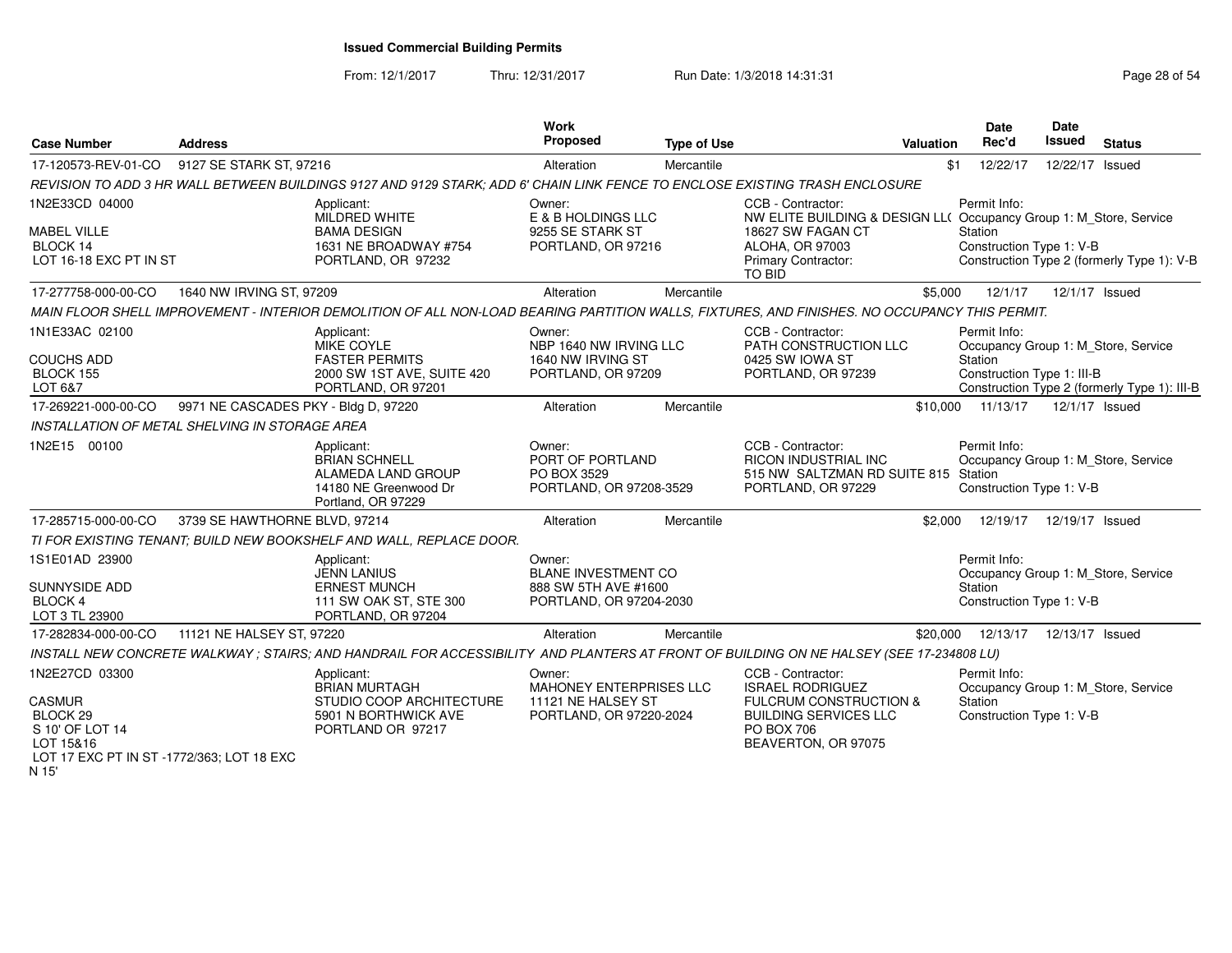From: 12/1/2017Thru: 12/31/2017 **Run Date: 1/3/2018 14:31:31 Research 20 and 28 of 54** 

| <b>Case Number</b>                                                                                                                  | <b>Address</b>                       |                                                                                                                                               | Work<br><b>Proposed</b>                                                                 | <b>Type of Use</b> |                                                                                                                                                                  | <b>Valuation</b> | <b>Date</b><br>Rec'd                                  | Date<br><b>Issued</b> | <b>Status</b>                                                                       |
|-------------------------------------------------------------------------------------------------------------------------------------|--------------------------------------|-----------------------------------------------------------------------------------------------------------------------------------------------|-----------------------------------------------------------------------------------------|--------------------|------------------------------------------------------------------------------------------------------------------------------------------------------------------|------------------|-------------------------------------------------------|-----------------------|-------------------------------------------------------------------------------------|
| 17-120573-REV-01-CO                                                                                                                 | 9127 SE STARK ST, 97216              |                                                                                                                                               | Alteration                                                                              | Mercantile         |                                                                                                                                                                  | \$1              | 12/22/17                                              | 12/22/17              | Issued                                                                              |
|                                                                                                                                     |                                      | REVISION TO ADD 3 HR WALL BETWEEN BUILDINGS 9127 AND 9129 STARK; ADD 6' CHAIN LINK FENCE TO ENCLOSE EXISTING TRASH ENCLOSURE                  |                                                                                         |                    |                                                                                                                                                                  |                  |                                                       |                       |                                                                                     |
| 1N2E33CD 04000<br><b>MABEL VILLE</b><br>BLOCK 14<br>LOT 16-18 EXC PT IN ST                                                          |                                      | Applicant:<br>MILDRED WHITE<br><b>BAMA DESIGN</b><br>1631 NE BROADWAY #754<br>PORTLAND, OR 97232                                              | Owner:<br>E & B HOLDINGS LLC<br>9255 SE STARK ST<br>PORTLAND, OR 97216                  |                    | CCB - Contractor:<br>NW ELITE BUILDING & DESIGN LL( Occupancy Group 1: M_Store, Service<br>18627 SW FAGAN CT<br>ALOHA, OR 97003<br>Primary Contractor:<br>TO BID |                  | Permit Info:<br>Station<br>Construction Type 1: V-B   |                       | Construction Type 2 (formerly Type 1): V-B                                          |
| 17-277758-000-00-CO                                                                                                                 | 1640 NW IRVING ST, 97209             |                                                                                                                                               | Alteration                                                                              | Mercantile         |                                                                                                                                                                  | \$5.000          | 12/1/17                                               | 12/1/17 Issued        |                                                                                     |
|                                                                                                                                     |                                      | MAIN FLOOR SHELL IMPROVEMENT - INTERIOR DEMOLITION OF ALL NON-LOAD BEARING PARTITION WALLS, FIXTURES, AND FINISHES. NO OCCUPANCY THIS PERMIT. |                                                                                         |                    |                                                                                                                                                                  |                  |                                                       |                       |                                                                                     |
| 1N1E33AC 02100<br><b>COUCHS ADD</b><br>BLOCK 155<br>LOT 6&7                                                                         |                                      | Applicant:<br>MIKE COYLE<br><b>FASTER PERMITS</b><br>2000 SW 1ST AVE, SUITE 420<br>PORTLAND, OR 97201                                         | Owner:<br>NBP 1640 NW IRVING LLC<br>1640 NW IRVING ST<br>PORTLAND, OR 97209             |                    | CCB - Contractor:<br>PATH CONSTRUCTION LLC<br>0425 SW IOWA ST<br>PORTLAND, OR 97239                                                                              |                  | Permit Info:<br>Station<br>Construction Type 1: III-B |                       | Occupancy Group 1: M_Store, Service<br>Construction Type 2 (formerly Type 1): III-B |
| 17-269221-000-00-CO                                                                                                                 | 9971 NE CASCADES PKY - Bldg D, 97220 |                                                                                                                                               | Alteration                                                                              | Mercantile         |                                                                                                                                                                  | \$10,000         | 11/13/17                                              | 12/1/17 Issued        |                                                                                     |
| INSTALLATION OF METAL SHELVING IN STORAGE AREA                                                                                      |                                      |                                                                                                                                               |                                                                                         |                    |                                                                                                                                                                  |                  |                                                       |                       |                                                                                     |
| 1N2E15 00100                                                                                                                        |                                      | Applicant:<br><b>BRIAN SCHNELL</b><br>ALAMEDA LAND GROUP<br>14180 NE Greenwood Dr<br>Portland, OR 97229                                       | Owner:<br>PORT OF PORTLAND<br>PO BOX 3529<br>PORTLAND, OR 97208-3529                    |                    | CCB - Contractor:<br>RICON INDUSTRIAL INC<br>515 NW SALTZMAN RD SUITE 815 Station<br>PORTLAND, OR 97229                                                          |                  | Permit Info:<br>Construction Type 1: V-B              |                       | Occupancy Group 1: M_Store, Service                                                 |
| 17-285715-000-00-CO                                                                                                                 | 3739 SE HAWTHORNE BLVD, 97214        |                                                                                                                                               | Alteration                                                                              | Mercantile         |                                                                                                                                                                  | \$2.000          | 12/19/17                                              | 12/19/17 Issued       |                                                                                     |
|                                                                                                                                     |                                      | TI FOR EXISTING TENANT; BUILD NEW BOOKSHELF AND WALL, REPLACE DOOR.                                                                           |                                                                                         |                    |                                                                                                                                                                  |                  |                                                       |                       |                                                                                     |
| 1S1E01AD 23900<br>SUNNYSIDE ADD<br><b>BLOCK 4</b><br>LOT 3 TL 23900                                                                 |                                      | Applicant:<br><b>JENN LANIUS</b><br><b>ERNEST MUNCH</b><br>111 SW OAK ST, STE 300<br>PORTLAND, OR 97204                                       | Owner:<br><b>BLANE INVESTMENT CO</b><br>888 SW 5TH AVE #1600<br>PORTLAND, OR 97204-2030 |                    |                                                                                                                                                                  |                  | Permit Info:<br>Station<br>Construction Type 1: V-B   |                       | Occupancy Group 1: M_Store, Service                                                 |
| 17-282834-000-00-CO                                                                                                                 | 11121 NE HALSEY ST, 97220            |                                                                                                                                               | Alteration                                                                              | Mercantile         |                                                                                                                                                                  | \$20,000         | 12/13/17                                              | 12/13/17 Issued       |                                                                                     |
|                                                                                                                                     |                                      | INSTALL NEW CONCRETE WALKWAY; STAIRS; AND HANDRAIL FOR ACCESSIBILITY AND PLANTERS AT FRONT OF BUILDING ON NE HALSEY (SEE 17-234808 LU)        |                                                                                         |                    |                                                                                                                                                                  |                  |                                                       |                       |                                                                                     |
| 1N2E27CD 03300<br><b>CASMUR</b><br>BLOCK <sub>29</sub><br>S 10' OF LOT 14<br>LOT 15&16<br>LOT 17 EXC PT IN ST -1772/363; LOT 18 EXC |                                      | Applicant:<br><b>BRIAN MURTAGH</b><br>STUDIO COOP ARCHITECTURE<br>5901 N BORTHWICK AVE<br>PORTLAND OR 97217                                   | Owner:<br>MAHONEY ENTERPRISES LLC<br>11121 NE HALSEY ST<br>PORTLAND, OR 97220-2024      |                    | CCB - Contractor:<br><b>ISRAEL RODRIGUEZ</b><br><b>FULCRUM CONSTRUCTION &amp;</b><br><b>BUILDING SERVICES LLC</b><br>PO BOX 706<br>BEAVERTON, OR 97075           |                  | Permit Info:<br>Station<br>Construction Type 1: V-B   |                       | Occupancy Group 1: M_Store, Service                                                 |

N 15'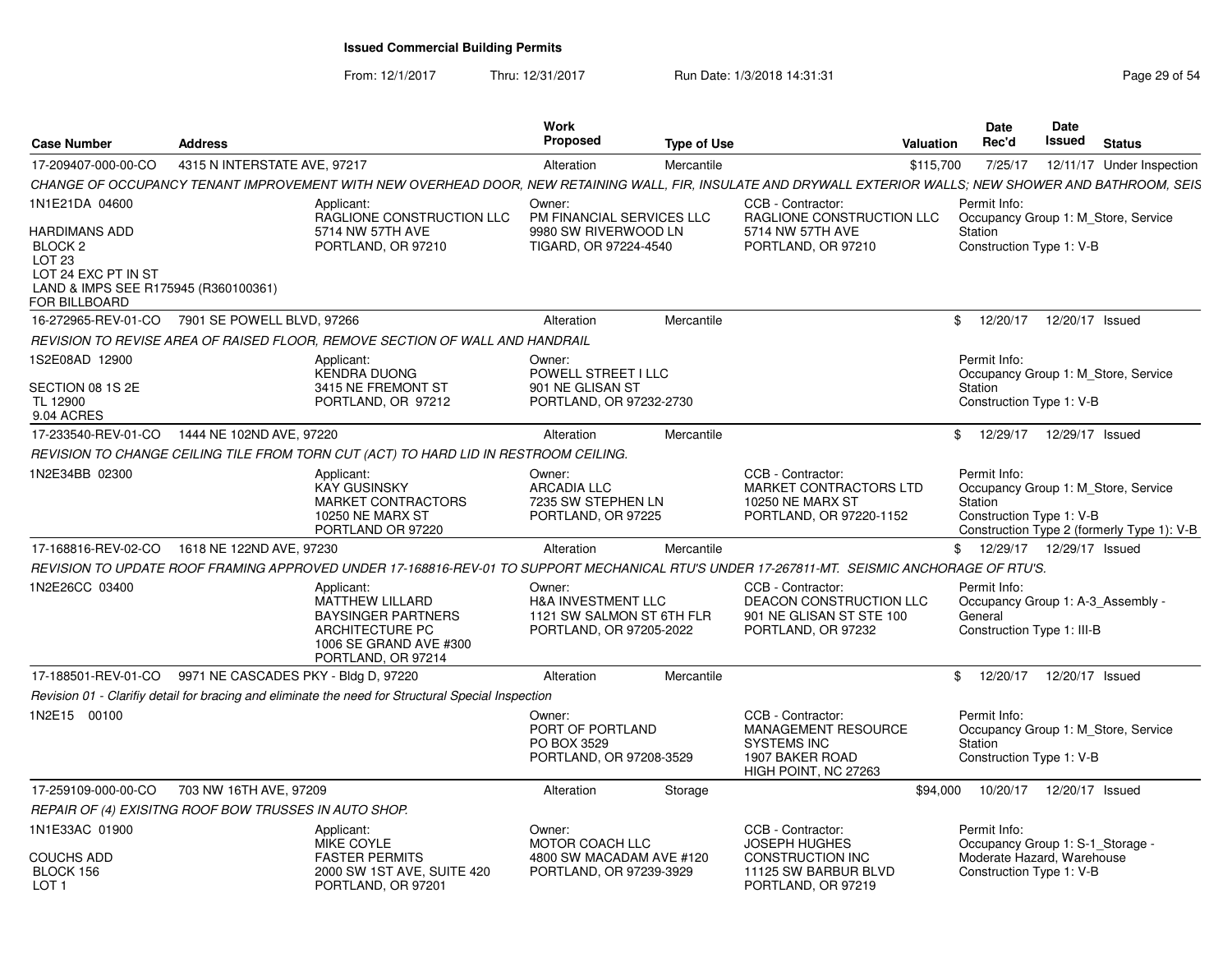From: 12/1/2017Thru: 12/31/2017 **Run Date: 1/3/2018 14:31:31 Research 20 and 20 and 29 of 54** 

| 4315 N INTERSTATE AVE, 97217<br>Alteration<br>Mercantile<br>\$115,700<br>7/25/17<br>12/11/17 Under Inspection<br>CCB - Contractor:<br>Permit Info:<br>Applicant:<br>Owner:<br>RAGLIONE CONSTRUCTION LLC<br>PM FINANCIAL SERVICES LLC<br>RAGLIONE CONSTRUCTION LLC<br>Occupancy Group 1: M Store, Service<br>5714 NW 57TH AVE<br>9980 SW RIVERWOOD LN<br>5714 NW 57TH AVE<br>Station<br>PORTLAND, OR 97210<br>TIGARD, OR 97224-4540<br>PORTLAND, OR 97210<br>Construction Type 1: V-B<br>BLOCK <sub>2</sub><br>LOT <sub>23</sub><br>LOT 24 EXC PT IN ST<br>LAND & IMPS SEE R175945 (R360100361)<br>FOR BILLBOARD<br>16-272965-REV-01-CO 7901 SE POWELL BLVD, 97266<br>12/20/17 Issued<br>Alteration<br>Mercantile<br>\$12/20/17<br>REVISION TO REVISE AREA OF RAISED FLOOR. REMOVE SECTION OF WALL AND HANDRAIL<br>1S2E08AD 12900<br>Permit Info:<br>Applicant:<br>Owner:<br><b>KENDRA DUONG</b><br>POWELL STREET I LLC<br>Occupancy Group 1: M Store, Service<br>3415 NE FREMONT ST<br>901 NE GLISAN ST<br>Station<br>PORTLAND, OR 97232-2730<br>Construction Type 1: V-B<br>TL 12900<br>PORTLAND, OR 97212<br>9.04 ACRES<br>17-233540-REV-01-CO  1444 NE 102ND AVE, 97220<br>Alteration<br>\$ 12/29/17 12/29/17 Issued<br>Mercantile<br>REVISION TO CHANGE CEILING TILE FROM TORN CUT (ACT) TO HARD LID IN RESTROOM CEILING.<br>Applicant:<br>CCB - Contractor:<br>Permit Info:<br>Owner:<br>Occupancy Group 1: M_Store, Service<br><b>KAY GUSINSKY</b><br><b>ARCADIA LLC</b><br>MARKET CONTRACTORS LTD<br>7235 SW STEPHEN LN<br><b>MARKET CONTRACTORS</b><br>10250 NE MARX ST<br>Station<br><b>10250 NE MARX ST</b><br>PORTLAND, OR 97225<br>Construction Type 1: V-B<br>PORTLAND, OR 97220-1152<br>PORTLAND OR 97220<br>1618 NE 122ND AVE, 97230<br>\$ 12/29/17 12/29/17 Issued<br>Alteration<br>Mercantile<br>REVISION TO UPDATE ROOF FRAMING APPROVED UNDER 17-168816-REV-01 TO SUPPORT MECHANICAL RTU'S UNDER 17-267811-MT. SEISMIC ANCHORAGE OF RTU'S.<br>CCB - Contractor:<br>Owner:<br>Permit Info:<br>Applicant:<br>DEACON CONSTRUCTION LLC<br><b>MATTHEW LILLARD</b><br><b>H&amp;A INVESTMENT LLC</b><br>Occupancy Group 1: A-3 Assembly -<br><b>BAYSINGER PARTNERS</b><br>1121 SW SALMON ST 6TH FLR<br>901 NE GLISAN ST STE 100<br>General<br>ARCHITECTURE PC<br>PORTLAND, OR 97205-2022<br>PORTLAND, OR 97232<br>Construction Type 1: III-B<br>1006 SE GRAND AVE #300<br>PORTLAND, OR 97214<br>17-188501-REV-01-CO 9971 NE CASCADES PKY - Bldg D, 97220<br>12/20/17 Issued<br>Alteration<br>Mercantile<br>$\mathbb{S}$<br>12/20/17<br>Revision 01 - Clarifiy detail for bracing and eliminate the need for Structural Special Inspection<br>CCB - Contractor:<br>Permit Info:<br>Owner:<br>PORT OF PORTLAND<br><b>MANAGEMENT RESOURCE</b><br>Occupancy Group 1: M_Store, Service<br>PO BOX 3529<br><b>SYSTEMS INC</b><br>Station<br>PORTLAND, OR 97208-3529<br>1907 BAKER ROAD<br>Construction Type 1: V-B<br>HIGH POINT, NC 27263<br>703 NW 16TH AVE, 97209<br>10/20/17  12/20/17  Issued<br>Alteration<br>Storage<br>\$94,000<br>REPAIR OF (4) EXISITNG ROOF BOW TRUSSES IN AUTO SHOP.<br>Applicant:<br>CCB - Contractor:<br>Permit Info:<br>Owner:<br><b>MIKE COYLE</b><br><b>MOTOR COACH LLC</b><br><b>JOSEPH HUGHES</b><br>Occupancy Group 1: S-1 Storage -<br>Moderate Hazard, Warehouse<br><b>FASTER PERMITS</b><br>4800 SW MACADAM AVE #120<br><b>CONSTRUCTION INC</b><br>Construction Type 1: V-B<br>BLOCK 156<br>2000 SW 1ST AVE, SUITE 420<br>PORTLAND, OR 97239-3929<br>11125 SW BARBUR BLVD<br>LOT <sub>1</sub><br>PORTLAND, OR 97201<br>PORTLAND, OR 97219 | <b>Case Number</b>  | <b>Address</b> | Work<br><b>Proposed</b> | <b>Type of Use</b> | Valuation | Date<br>Rec'd | Date<br>Issued | <b>Status</b> |
|---------------------------------------------------------------------------------------------------------------------------------------------------------------------------------------------------------------------------------------------------------------------------------------------------------------------------------------------------------------------------------------------------------------------------------------------------------------------------------------------------------------------------------------------------------------------------------------------------------------------------------------------------------------------------------------------------------------------------------------------------------------------------------------------------------------------------------------------------------------------------------------------------------------------------------------------------------------------------------------------------------------------------------------------------------------------------------------------------------------------------------------------------------------------------------------------------------------------------------------------------------------------------------------------------------------------------------------------------------------------------------------------------------------------------------------------------------------------------------------------------------------------------------------------------------------------------------------------------------------------------------------------------------------------------------------------------------------------------------------------------------------------------------------------------------------------------------------------------------------------------------------------------------------------------------------------------------------------------------------------------------------------------------------------------------------------------------------------------------------------------------------------------------------------------------------------------------------------------------------------------------------------------------------------------------------------------------------------------------------------------------------------------------------------------------------------------------------------------------------------------------------------------------------------------------------------------------------------------------------------------------------------------------------------------------------------------------------------------------------------------------------------------------------------------------------------------------------------------------------------------------------------------------------------------------------------------------------------------------------------------------------------------------------------------------------------------------------------------------------------------------------------------------------------------------------------------------------------------------------------------------------------------------------------------------------------------------------------------------------------------------------------------------------------------------------------------------------------------------------------------------------------------------------------------------------------------------------|---------------------|----------------|-------------------------|--------------------|-----------|---------------|----------------|---------------|
| CHANGE OF OCCUPANCY TENANT IMPROVEMENT WITH NEW OVERHEAD DOOR, NEW RETAINING WALL, FIR, INSULATE AND DRYWALL EXTERIOR WALLS; NEW SHOWER AND BATHROOM, SEIS                                                                                                                                                                                                                                                                                                                                                                                                                                                                                                                                                                                                                                                                                                                                                                                                                                                                                                                                                                                                                                                                                                                                                                                                                                                                                                                                                                                                                                                                                                                                                                                                                                                                                                                                                                                                                                                                                                                                                                                                                                                                                                                                                                                                                                                                                                                                                                                                                                                                                                                                                                                                                                                                                                                                                                                                                                                                                                                                                                                                                                                                                                                                                                                                                                                                                                                                                                                                                            | 17-209407-000-00-CO |                |                         |                    |           |               |                |               |
| Construction Type 2 (formerly Type 1): V-B                                                                                                                                                                                                                                                                                                                                                                                                                                                                                                                                                                                                                                                                                                                                                                                                                                                                                                                                                                                                                                                                                                                                                                                                                                                                                                                                                                                                                                                                                                                                                                                                                                                                                                                                                                                                                                                                                                                                                                                                                                                                                                                                                                                                                                                                                                                                                                                                                                                                                                                                                                                                                                                                                                                                                                                                                                                                                                                                                                                                                                                                                                                                                                                                                                                                                                                                                                                                                                                                                                                                            |                     |                |                         |                    |           |               |                |               |
|                                                                                                                                                                                                                                                                                                                                                                                                                                                                                                                                                                                                                                                                                                                                                                                                                                                                                                                                                                                                                                                                                                                                                                                                                                                                                                                                                                                                                                                                                                                                                                                                                                                                                                                                                                                                                                                                                                                                                                                                                                                                                                                                                                                                                                                                                                                                                                                                                                                                                                                                                                                                                                                                                                                                                                                                                                                                                                                                                                                                                                                                                                                                                                                                                                                                                                                                                                                                                                                                                                                                                                                       | 1N1E21DA 04600      |                |                         |                    |           |               |                |               |
|                                                                                                                                                                                                                                                                                                                                                                                                                                                                                                                                                                                                                                                                                                                                                                                                                                                                                                                                                                                                                                                                                                                                                                                                                                                                                                                                                                                                                                                                                                                                                                                                                                                                                                                                                                                                                                                                                                                                                                                                                                                                                                                                                                                                                                                                                                                                                                                                                                                                                                                                                                                                                                                                                                                                                                                                                                                                                                                                                                                                                                                                                                                                                                                                                                                                                                                                                                                                                                                                                                                                                                                       | HARDIMANS ADD       |                |                         |                    |           |               |                |               |
|                                                                                                                                                                                                                                                                                                                                                                                                                                                                                                                                                                                                                                                                                                                                                                                                                                                                                                                                                                                                                                                                                                                                                                                                                                                                                                                                                                                                                                                                                                                                                                                                                                                                                                                                                                                                                                                                                                                                                                                                                                                                                                                                                                                                                                                                                                                                                                                                                                                                                                                                                                                                                                                                                                                                                                                                                                                                                                                                                                                                                                                                                                                                                                                                                                                                                                                                                                                                                                                                                                                                                                                       |                     |                |                         |                    |           |               |                |               |
|                                                                                                                                                                                                                                                                                                                                                                                                                                                                                                                                                                                                                                                                                                                                                                                                                                                                                                                                                                                                                                                                                                                                                                                                                                                                                                                                                                                                                                                                                                                                                                                                                                                                                                                                                                                                                                                                                                                                                                                                                                                                                                                                                                                                                                                                                                                                                                                                                                                                                                                                                                                                                                                                                                                                                                                                                                                                                                                                                                                                                                                                                                                                                                                                                                                                                                                                                                                                                                                                                                                                                                                       |                     |                |                         |                    |           |               |                |               |
|                                                                                                                                                                                                                                                                                                                                                                                                                                                                                                                                                                                                                                                                                                                                                                                                                                                                                                                                                                                                                                                                                                                                                                                                                                                                                                                                                                                                                                                                                                                                                                                                                                                                                                                                                                                                                                                                                                                                                                                                                                                                                                                                                                                                                                                                                                                                                                                                                                                                                                                                                                                                                                                                                                                                                                                                                                                                                                                                                                                                                                                                                                                                                                                                                                                                                                                                                                                                                                                                                                                                                                                       | SECTION 08 1S 2E    |                |                         |                    |           |               |                |               |
|                                                                                                                                                                                                                                                                                                                                                                                                                                                                                                                                                                                                                                                                                                                                                                                                                                                                                                                                                                                                                                                                                                                                                                                                                                                                                                                                                                                                                                                                                                                                                                                                                                                                                                                                                                                                                                                                                                                                                                                                                                                                                                                                                                                                                                                                                                                                                                                                                                                                                                                                                                                                                                                                                                                                                                                                                                                                                                                                                                                                                                                                                                                                                                                                                                                                                                                                                                                                                                                                                                                                                                                       |                     |                |                         |                    |           |               |                |               |
|                                                                                                                                                                                                                                                                                                                                                                                                                                                                                                                                                                                                                                                                                                                                                                                                                                                                                                                                                                                                                                                                                                                                                                                                                                                                                                                                                                                                                                                                                                                                                                                                                                                                                                                                                                                                                                                                                                                                                                                                                                                                                                                                                                                                                                                                                                                                                                                                                                                                                                                                                                                                                                                                                                                                                                                                                                                                                                                                                                                                                                                                                                                                                                                                                                                                                                                                                                                                                                                                                                                                                                                       |                     |                |                         |                    |           |               |                |               |
|                                                                                                                                                                                                                                                                                                                                                                                                                                                                                                                                                                                                                                                                                                                                                                                                                                                                                                                                                                                                                                                                                                                                                                                                                                                                                                                                                                                                                                                                                                                                                                                                                                                                                                                                                                                                                                                                                                                                                                                                                                                                                                                                                                                                                                                                                                                                                                                                                                                                                                                                                                                                                                                                                                                                                                                                                                                                                                                                                                                                                                                                                                                                                                                                                                                                                                                                                                                                                                                                                                                                                                                       | 1N2E34BB 02300      |                |                         |                    |           |               |                |               |
|                                                                                                                                                                                                                                                                                                                                                                                                                                                                                                                                                                                                                                                                                                                                                                                                                                                                                                                                                                                                                                                                                                                                                                                                                                                                                                                                                                                                                                                                                                                                                                                                                                                                                                                                                                                                                                                                                                                                                                                                                                                                                                                                                                                                                                                                                                                                                                                                                                                                                                                                                                                                                                                                                                                                                                                                                                                                                                                                                                                                                                                                                                                                                                                                                                                                                                                                                                                                                                                                                                                                                                                       | 17-168816-REV-02-CO |                |                         |                    |           |               |                |               |
|                                                                                                                                                                                                                                                                                                                                                                                                                                                                                                                                                                                                                                                                                                                                                                                                                                                                                                                                                                                                                                                                                                                                                                                                                                                                                                                                                                                                                                                                                                                                                                                                                                                                                                                                                                                                                                                                                                                                                                                                                                                                                                                                                                                                                                                                                                                                                                                                                                                                                                                                                                                                                                                                                                                                                                                                                                                                                                                                                                                                                                                                                                                                                                                                                                                                                                                                                                                                                                                                                                                                                                                       |                     |                |                         |                    |           |               |                |               |
|                                                                                                                                                                                                                                                                                                                                                                                                                                                                                                                                                                                                                                                                                                                                                                                                                                                                                                                                                                                                                                                                                                                                                                                                                                                                                                                                                                                                                                                                                                                                                                                                                                                                                                                                                                                                                                                                                                                                                                                                                                                                                                                                                                                                                                                                                                                                                                                                                                                                                                                                                                                                                                                                                                                                                                                                                                                                                                                                                                                                                                                                                                                                                                                                                                                                                                                                                                                                                                                                                                                                                                                       | 1N2E26CC 03400      |                |                         |                    |           |               |                |               |
|                                                                                                                                                                                                                                                                                                                                                                                                                                                                                                                                                                                                                                                                                                                                                                                                                                                                                                                                                                                                                                                                                                                                                                                                                                                                                                                                                                                                                                                                                                                                                                                                                                                                                                                                                                                                                                                                                                                                                                                                                                                                                                                                                                                                                                                                                                                                                                                                                                                                                                                                                                                                                                                                                                                                                                                                                                                                                                                                                                                                                                                                                                                                                                                                                                                                                                                                                                                                                                                                                                                                                                                       |                     |                |                         |                    |           |               |                |               |
|                                                                                                                                                                                                                                                                                                                                                                                                                                                                                                                                                                                                                                                                                                                                                                                                                                                                                                                                                                                                                                                                                                                                                                                                                                                                                                                                                                                                                                                                                                                                                                                                                                                                                                                                                                                                                                                                                                                                                                                                                                                                                                                                                                                                                                                                                                                                                                                                                                                                                                                                                                                                                                                                                                                                                                                                                                                                                                                                                                                                                                                                                                                                                                                                                                                                                                                                                                                                                                                                                                                                                                                       |                     |                |                         |                    |           |               |                |               |
|                                                                                                                                                                                                                                                                                                                                                                                                                                                                                                                                                                                                                                                                                                                                                                                                                                                                                                                                                                                                                                                                                                                                                                                                                                                                                                                                                                                                                                                                                                                                                                                                                                                                                                                                                                                                                                                                                                                                                                                                                                                                                                                                                                                                                                                                                                                                                                                                                                                                                                                                                                                                                                                                                                                                                                                                                                                                                                                                                                                                                                                                                                                                                                                                                                                                                                                                                                                                                                                                                                                                                                                       | 1N2E15 00100        |                |                         |                    |           |               |                |               |
|                                                                                                                                                                                                                                                                                                                                                                                                                                                                                                                                                                                                                                                                                                                                                                                                                                                                                                                                                                                                                                                                                                                                                                                                                                                                                                                                                                                                                                                                                                                                                                                                                                                                                                                                                                                                                                                                                                                                                                                                                                                                                                                                                                                                                                                                                                                                                                                                                                                                                                                                                                                                                                                                                                                                                                                                                                                                                                                                                                                                                                                                                                                                                                                                                                                                                                                                                                                                                                                                                                                                                                                       | 17-259109-000-00-CO |                |                         |                    |           |               |                |               |
|                                                                                                                                                                                                                                                                                                                                                                                                                                                                                                                                                                                                                                                                                                                                                                                                                                                                                                                                                                                                                                                                                                                                                                                                                                                                                                                                                                                                                                                                                                                                                                                                                                                                                                                                                                                                                                                                                                                                                                                                                                                                                                                                                                                                                                                                                                                                                                                                                                                                                                                                                                                                                                                                                                                                                                                                                                                                                                                                                                                                                                                                                                                                                                                                                                                                                                                                                                                                                                                                                                                                                                                       |                     |                |                         |                    |           |               |                |               |
|                                                                                                                                                                                                                                                                                                                                                                                                                                                                                                                                                                                                                                                                                                                                                                                                                                                                                                                                                                                                                                                                                                                                                                                                                                                                                                                                                                                                                                                                                                                                                                                                                                                                                                                                                                                                                                                                                                                                                                                                                                                                                                                                                                                                                                                                                                                                                                                                                                                                                                                                                                                                                                                                                                                                                                                                                                                                                                                                                                                                                                                                                                                                                                                                                                                                                                                                                                                                                                                                                                                                                                                       | 1N1E33AC 01900      |                |                         |                    |           |               |                |               |
|                                                                                                                                                                                                                                                                                                                                                                                                                                                                                                                                                                                                                                                                                                                                                                                                                                                                                                                                                                                                                                                                                                                                                                                                                                                                                                                                                                                                                                                                                                                                                                                                                                                                                                                                                                                                                                                                                                                                                                                                                                                                                                                                                                                                                                                                                                                                                                                                                                                                                                                                                                                                                                                                                                                                                                                                                                                                                                                                                                                                                                                                                                                                                                                                                                                                                                                                                                                                                                                                                                                                                                                       | COUCHS ADD          |                |                         |                    |           |               |                |               |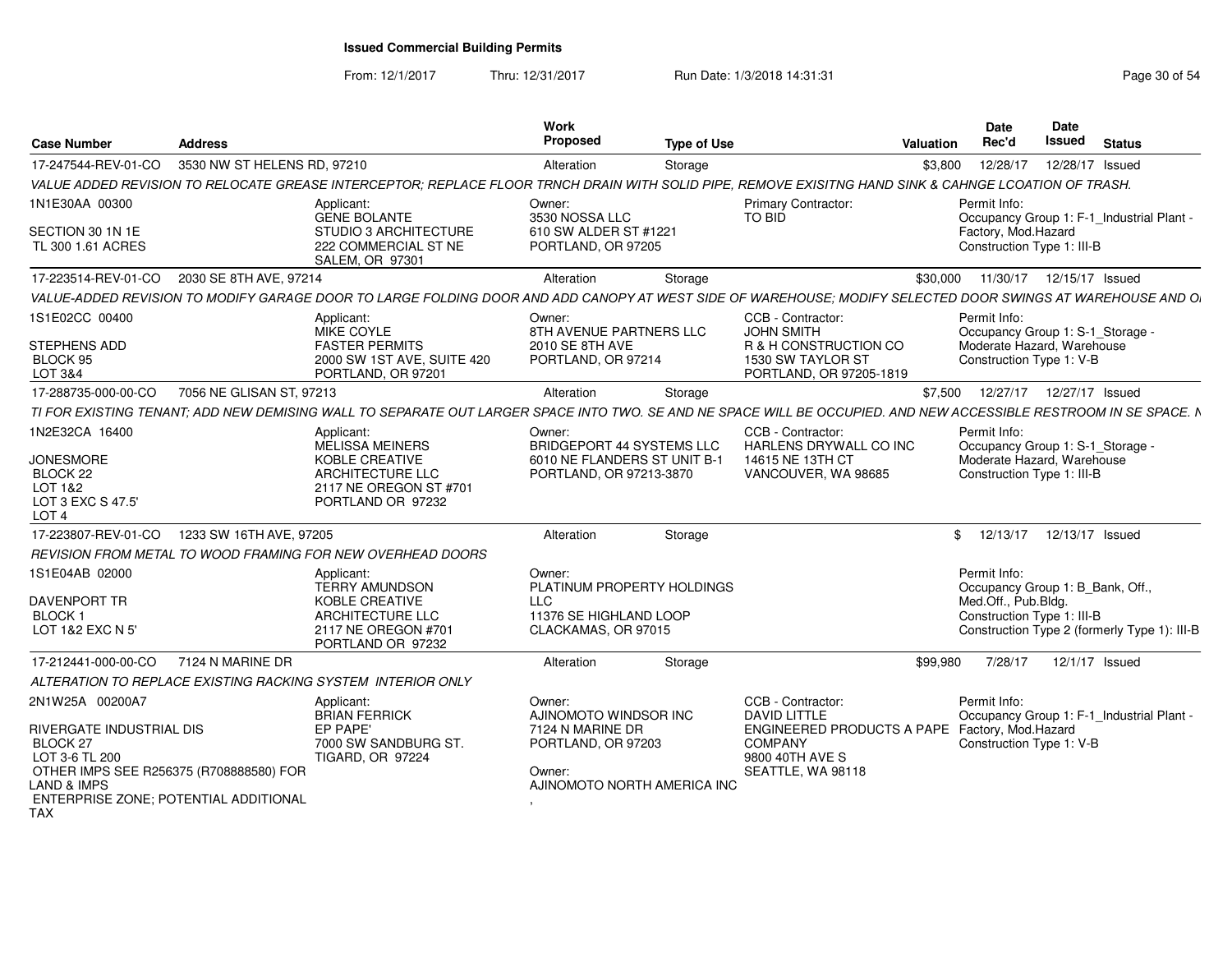From: 12/1/2017Thru: 12/31/2017 **Run Date: 1/3/2018 14:31:31 Research 20 and 20 and 20 and 21 and 21 and 21 and 21 and 21 and 21 and 21 and 21 and 21 and 21 and 22 and 22 and 22 and 22 and 22 and 22 and 22 and 22 and 22 and 22 and 22 a** 

| <b>Case Number</b>                                                                                                                                                                                | <b>Address</b>              |                                                                                                                                                                   | <b>Work</b><br>Proposed                                                                                            | <b>Type of Use</b> |                                                                                                                                  | <b>Valuation</b> | <b>Date</b><br>Rec'd                                                                                         | Date<br><b>Issued</b> | <b>Status</b>                                |
|---------------------------------------------------------------------------------------------------------------------------------------------------------------------------------------------------|-----------------------------|-------------------------------------------------------------------------------------------------------------------------------------------------------------------|--------------------------------------------------------------------------------------------------------------------|--------------------|----------------------------------------------------------------------------------------------------------------------------------|------------------|--------------------------------------------------------------------------------------------------------------|-----------------------|----------------------------------------------|
| 17-247544-REV-01-CO                                                                                                                                                                               | 3530 NW ST HELENS RD, 97210 |                                                                                                                                                                   | Alteration                                                                                                         | Storage            |                                                                                                                                  | \$3,800          | 12/28/17                                                                                                     | 12/28/17 Issued       |                                              |
|                                                                                                                                                                                                   |                             | VALUE ADDED REVISION TO RELOCATE GREASE INTERCEPTOR; REPLACE FLOOR TRNCH DRAIN WITH SOLID PIPE, REMOVE EXISITNG HAND SINK & CAHNGE LCOATION OF TRASH.             |                                                                                                                    |                    |                                                                                                                                  |                  |                                                                                                              |                       |                                              |
| 1N1E30AA 00300                                                                                                                                                                                    |                             | Applicant:<br><b>GENE BOLANTE</b>                                                                                                                                 | Owner:<br>3530 NOSSA LLC                                                                                           |                    | Primary Contractor:<br>TO BID                                                                                                    |                  | Permit Info:                                                                                                 |                       | Occupancy Group 1: F-1_Industrial Plant -    |
| SECTION 30 1N 1E<br>TL 300 1.61 ACRES                                                                                                                                                             |                             | STUDIO 3 ARCHITECTURE<br>222 COMMERCIAL ST NE<br>SALEM, OR 97301                                                                                                  | 610 SW ALDER ST #1221<br>PORTLAND, OR 97205                                                                        |                    |                                                                                                                                  |                  | Factory, Mod.Hazard<br>Construction Type 1: III-B                                                            |                       |                                              |
| 17-223514-REV-01-CO                                                                                                                                                                               | 2030 SE 8TH AVE, 97214      |                                                                                                                                                                   | Alteration                                                                                                         | Storage            |                                                                                                                                  | \$30,000         | 11/30/17  12/15/17  Issued                                                                                   |                       |                                              |
|                                                                                                                                                                                                   |                             | VALUE-ADDED REVISION TO MODIFY GARAGE DOOR TO LARGE FOLDING DOOR AND ADD CANOPY AT WEST SIDE OF WAREHOUSE; MODIFY SELECTED DOOR SWINGS AT WAREHOUSE AND O         |                                                                                                                    |                    |                                                                                                                                  |                  |                                                                                                              |                       |                                              |
| 1S1E02CC 00400                                                                                                                                                                                    |                             | Applicant:<br>MIKE COYLE                                                                                                                                          | Owner:<br>8TH AVENUE PARTNERS LLC                                                                                  |                    | CCB - Contractor:<br><b>JOHN SMITH</b>                                                                                           |                  | Permit Info:<br>Occupancy Group 1: S-1_Storage -                                                             |                       |                                              |
| STEPHENS ADD<br>BLOCK 95<br>LOT 3&4                                                                                                                                                               |                             | <b>FASTER PERMITS</b><br>2000 SW 1ST AVE, SUITE 420<br>PORTLAND, OR 97201                                                                                         | 2010 SE 8TH AVE<br>PORTLAND, OR 97214                                                                              |                    | R & H CONSTRUCTION CO<br>1530 SW TAYLOR ST<br>PORTLAND, OR 97205-1819                                                            |                  | Moderate Hazard, Warehouse<br>Construction Type 1: V-B                                                       |                       |                                              |
| 17-288735-000-00-CO                                                                                                                                                                               | 7056 NE GLISAN ST, 97213    |                                                                                                                                                                   | Alteration                                                                                                         | Storage            |                                                                                                                                  | \$7,500          | 12/27/17  12/27/17  Issued                                                                                   |                       |                                              |
|                                                                                                                                                                                                   |                             | TI FOR EXISTING TENANT; ADD NEW DEMISING WALL TO SEPARATE OUT LARGER SPACE INTO TWO. SE AND NE SPACE WILL BE OCCUPIED. AND NEW ACCESSIBLE RESTROOM IN SE SPACE. N |                                                                                                                    |                    |                                                                                                                                  |                  |                                                                                                              |                       |                                              |
| 1N2E32CA 16400<br><b>JONESMORE</b><br>BLOCK 22<br>LOT 1&2<br>LOT 3 EXC S 47.5'<br>LOT <sub>4</sub>                                                                                                |                             | Applicant:<br>MELISSA MEINERS<br>KOBLE CREATIVE<br>ARCHITECTURE LLC<br>2117 NE OREGON ST #701<br>PORTLAND OR 97232                                                | Owner:<br><b>BRIDGEPORT 44 SYSTEMS LLC</b><br>6010 NE FLANDERS ST UNIT B-1<br>PORTLAND, OR 97213-3870              |                    | CCB - Contractor:<br>HARLENS DRYWALL CO INC<br>14615 NE 13TH CT<br>VANCOUVER, WA 98685                                           |                  | Permit Info:<br>Occupancy Group 1: S-1_Storage -<br>Moderate Hazard, Warehouse<br>Construction Type 1: III-B |                       |                                              |
| 17-223807-REV-01-CO                                                                                                                                                                               | 1233 SW 16TH AVE, 97205     |                                                                                                                                                                   | Alteration                                                                                                         | Storage            |                                                                                                                                  | \$               | 12/13/17                                                                                                     | 12/13/17 Issued       |                                              |
|                                                                                                                                                                                                   |                             | REVISION FROM METAL TO WOOD FRAMING FOR NEW OVERHEAD DOORS                                                                                                        |                                                                                                                    |                    |                                                                                                                                  |                  |                                                                                                              |                       |                                              |
| 1S1E04AB 02000<br><b>DAVENPORT TR</b><br><b>BLOCK1</b><br>LOT 1&2 EXC N 5'                                                                                                                        |                             | Applicant:<br><b>TERRY AMUNDSON</b><br>KOBLE CREATIVE<br>ARCHITECTURE LLC<br>2117 NE OREGON #701<br>PORTLAND OR 97232                                             | Owner:<br>PLATINUM PROPERTY HOLDINGS<br>$\sqcup$ C<br>11376 SE HIGHLAND LOOP<br>CLACKAMAS, OR 97015                |                    |                                                                                                                                  |                  | Permit Info:<br>Occupancy Group 1: B_Bank, Off.,<br>Med.Off., Pub.Bldg.<br>Construction Type 1: III-B        |                       | Construction Type 2 (formerly Type 1): III-B |
| 17-212441-000-00-CO                                                                                                                                                                               | 7124 N MARINE DR            |                                                                                                                                                                   | Alteration                                                                                                         | Storage            |                                                                                                                                  | \$99,980         | 7/28/17                                                                                                      | 12/1/17 Issued        |                                              |
|                                                                                                                                                                                                   |                             | ALTERATION TO REPLACE EXISTING RACKING SYSTEM INTERIOR ONLY                                                                                                       |                                                                                                                    |                    |                                                                                                                                  |                  |                                                                                                              |                       |                                              |
| 2N1W25A 00200A7<br>RIVERGATE INDUSTRIAL DIS<br><b>BLOCK 27</b><br>LOT 3-6 TL 200<br>OTHER IMPS SEE R256375 (R708888580) FOR<br>LAND & IMPS<br>ENTERPRISE ZONE; POTENTIAL ADDITIONAL<br><b>TAX</b> |                             | Applicant:<br><b>BRIAN FERRICK</b><br>EP PAPE'<br>7000 SW SANDBURG ST.<br><b>TIGARD, OR 97224</b>                                                                 | Owner:<br>AJINOMOTO WINDSOR INC<br>7124 N MARINE DR<br>PORTLAND, OR 97203<br>Owner:<br>AJINOMOTO NORTH AMERICA INC |                    | CCB - Contractor:<br><b>DAVID LITTLE</b><br>ENGINEERED PRODUCTS A PAPE<br><b>COMPANY</b><br>9800 40TH AVE S<br>SEATTLE, WA 98118 |                  | Permit Info:<br>Factory, Mod.Hazard<br>Construction Type 1: V-B                                              |                       | Occupancy Group 1: F-1_Industrial Plant -    |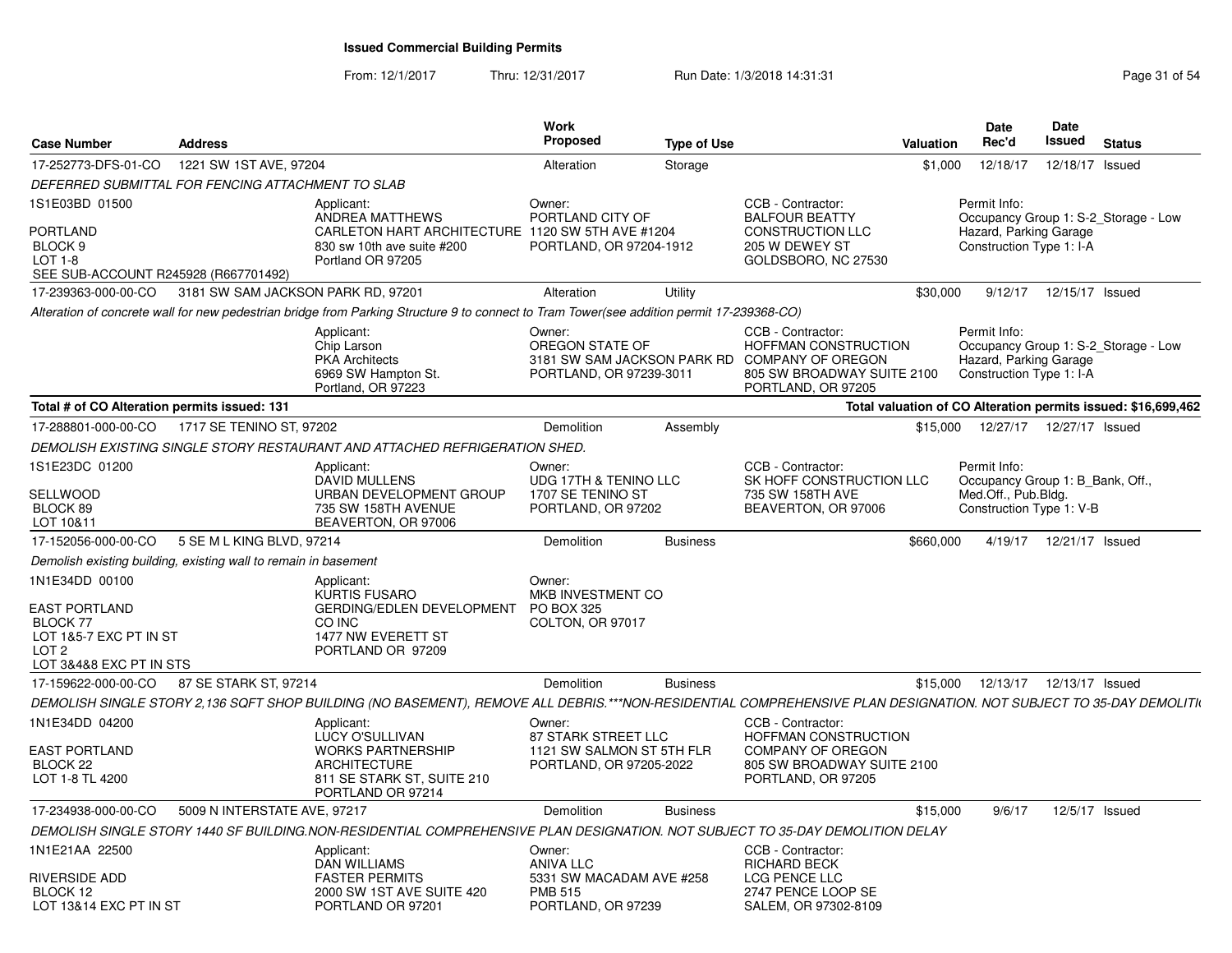From: 12/1/2017Thru: 12/31/2017 Run Date: 1/3/2018 14:31:31 Page 31 of 54

| <b>Case Number</b>                                                                                                          | <b>Address</b>                     |                                                                                                                                                                    | Work<br><b>Proposed</b>                                                                        | <b>Type of Use</b> |                                                                                                                                                       | Valuation | <b>Date</b><br>Rec'd                                                                                       | Date<br><b>Issued</b> | <b>Status</b> |  |
|-----------------------------------------------------------------------------------------------------------------------------|------------------------------------|--------------------------------------------------------------------------------------------------------------------------------------------------------------------|------------------------------------------------------------------------------------------------|--------------------|-------------------------------------------------------------------------------------------------------------------------------------------------------|-----------|------------------------------------------------------------------------------------------------------------|-----------------------|---------------|--|
| 17-252773-DFS-01-CO                                                                                                         | 1221 SW 1ST AVE, 97204             |                                                                                                                                                                    | Alteration                                                                                     | Storage            |                                                                                                                                                       | \$1,000   | 12/18/17                                                                                                   | 12/18/17 Issued       |               |  |
| DEFERRED SUBMITTAL FOR FENCING ATTACHMENT TO SLAB                                                                           |                                    |                                                                                                                                                                    |                                                                                                |                    |                                                                                                                                                       |           |                                                                                                            |                       |               |  |
| 1S1E03BD 01500<br><b>PORTLAND</b><br>BLOCK <sub>9</sub><br><b>LOT 1-8</b><br>SEE SUB-ACCOUNT R245928 (R667701492)           |                                    | Applicant:<br>ANDREA MATTHEWS<br>CARLETON HART ARCHITECTURE 1120 SW 5TH AVE #1204<br>830 sw 10th ave suite #200<br>Portland OR 97205                               | Owner:<br>PORTLAND CITY OF<br>PORTLAND, OR 97204-1912                                          |                    | CCB - Contractor:<br><b>BALFOUR BEATTY</b><br><b>CONSTRUCTION LLC</b><br>205 W DEWEY ST<br>GOLDSBORO, NC 27530                                        |           | Permit Info:<br>Occupancy Group 1: S-2_Storage - Low<br>Hazard, Parking Garage<br>Construction Type 1: I-A |                       |               |  |
| 17-239363-000-00-CO                                                                                                         | 3181 SW SAM JACKSON PARK RD, 97201 |                                                                                                                                                                    | Alteration                                                                                     | Utility            |                                                                                                                                                       | \$30,000  | 9/12/17                                                                                                    | 12/15/17 Issued       |               |  |
|                                                                                                                             |                                    | Alteration of concrete wall for new pedestrian bridge from Parking Structure 9 to connect to Tram Tower(see addition permit 17-239368-CO)                          |                                                                                                |                    |                                                                                                                                                       |           |                                                                                                            |                       |               |  |
|                                                                                                                             |                                    | Applicant:<br>Chip Larson<br><b>PKA Architects</b><br>6969 SW Hampton St.<br>Portland, OR 97223                                                                    | Owner:<br>OREGON STATE OF<br>PORTLAND, OR 97239-3011                                           |                    | CCB - Contractor:<br><b>HOFFMAN CONSTRUCTION</b><br>3181 SW SAM JACKSON PARK RD COMPANY OF OREGON<br>805 SW BROADWAY SUITE 2100<br>PORTLAND, OR 97205 |           | Permit Info:<br>Occupancy Group 1: S-2_Storage - Low<br>Hazard, Parking Garage<br>Construction Type 1: I-A |                       |               |  |
| Total # of CO Alteration permits issued: 131                                                                                |                                    |                                                                                                                                                                    |                                                                                                |                    |                                                                                                                                                       |           | Total valuation of CO Alteration permits issued: \$16,699,462                                              |                       |               |  |
| 17-288801-000-00-CO                                                                                                         | 1717 SE TENINO ST, 97202           |                                                                                                                                                                    | Demolition                                                                                     | Assembly           |                                                                                                                                                       | \$15,000  | 12/27/17  12/27/17  Issued                                                                                 |                       |               |  |
|                                                                                                                             |                                    | DEMOLISH EXISTING SINGLE STORY RESTAURANT AND ATTACHED REFRIGERATION SHED.                                                                                         |                                                                                                |                    |                                                                                                                                                       |           |                                                                                                            |                       |               |  |
| 1S1E23DC 01200<br>SELLWOOD<br>BLOCK 89<br>LOT 10&11                                                                         |                                    | Applicant:<br><b>DAVID MULLENS</b><br>URBAN DEVELOPMENT GROUP<br>735 SW 158TH AVENUE<br>BEAVERTON, OR 97006                                                        | Owner:<br>UDG 17TH & TENINO LLC<br>1707 SE TENINO ST<br>PORTLAND, OR 97202                     |                    | CCB - Contractor:<br>SK HOFF CONSTRUCTION LLC<br>735 SW 158TH AVE<br>BEAVERTON, OR 97006                                                              |           | Permit Info:<br>Occupancy Group 1: B Bank, Off.,<br>Med.Off., Pub.Bldg.<br>Construction Type 1: V-B        |                       |               |  |
| 17-152056-000-00-CO                                                                                                         | 5 SE M L KING BLVD, 97214          |                                                                                                                                                                    | Demolition                                                                                     | <b>Business</b>    |                                                                                                                                                       | \$660,000 | 4/19/17                                                                                                    | 12/21/17 Issued       |               |  |
| Demolish existing building, existing wall to remain in basement                                                             |                                    |                                                                                                                                                                    |                                                                                                |                    |                                                                                                                                                       |           |                                                                                                            |                       |               |  |
| 1N1E34DD 00100<br><b>EAST PORTLAND</b><br>BLOCK 77<br>LOT 1&5-7 EXC PT IN ST<br>LOT <sub>2</sub><br>LOT 3&4&8 EXC PT IN STS |                                    | Applicant:<br><b>KURTIS FUSARO</b><br>GERDING/EDLEN DEVELOPMENT<br>CO INC<br>1477 NW EVERETT ST<br>PORTLAND OR 97209                                               | Owner:<br>MKB INVESTMENT CO<br>PO BOX 325<br>COLTON, OR 97017                                  |                    |                                                                                                                                                       |           |                                                                                                            |                       |               |  |
| 17-159622-000-00-CO                                                                                                         | 87 SE STARK ST, 97214              |                                                                                                                                                                    | Demolition                                                                                     | <b>Business</b>    |                                                                                                                                                       | \$15,000  | 12/13/17  12/13/17  Issued                                                                                 |                       |               |  |
|                                                                                                                             |                                    | DEMOLISH SINGLE STORY 2,136 SQFT SHOP BUILDING (NO BASEMENT), REMOVE ALL DEBRIS.***NON-RESIDENTIAL COMPREHENSIVE PLAN DESIGNATION. NOT SUBJECT TO 35-DAY DEMOLITIN |                                                                                                |                    |                                                                                                                                                       |           |                                                                                                            |                       |               |  |
| 1N1E34DD 04200                                                                                                              |                                    | Applicant:<br><b>LUCY O'SULLIVAN</b>                                                                                                                               | Owner:<br>87 STARK STREET LLC                                                                  |                    | CCB - Contractor:<br><b>HOFFMAN CONSTRUCTION</b>                                                                                                      |           |                                                                                                            |                       |               |  |
| <b>EAST PORTLAND</b><br>BLOCK <sub>22</sub><br>LOT 1-8 TL 4200                                                              |                                    | <b>WORKS PARTNERSHIP</b><br>ARCHITECTURE<br>811 SE STARK ST, SUITE 210<br>PORTLAND OR 97214                                                                        | 1121 SW SALMON ST 5TH FLR<br>PORTLAND, OR 97205-2022                                           |                    | <b>COMPANY OF OREGON</b><br>805 SW BROADWAY SUITE 2100<br>PORTLAND, OR 97205                                                                          |           |                                                                                                            |                       |               |  |
| 17-234938-000-00-CO                                                                                                         | 5009 N INTERSTATE AVE, 97217       |                                                                                                                                                                    | Demolition                                                                                     | <b>Business</b>    |                                                                                                                                                       | \$15,000  | 9/6/17                                                                                                     | 12/5/17 Issued        |               |  |
|                                                                                                                             |                                    | DEMOLISH SINGLE STORY 1440 SF BUILDING.NON-RESIDENTIAL COMPREHENSIVE PLAN DESIGNATION. NOT SUBJECT TO 35-DAY DEMOLITION DELAY                                      |                                                                                                |                    |                                                                                                                                                       |           |                                                                                                            |                       |               |  |
| 1N1E21AA 22500<br>RIVERSIDE ADD<br>BLOCK 12<br>LOT 13&14 EXC PT IN ST                                                       |                                    | Applicant:<br><b>DAN WILLIAMS</b><br><b>FASTER PERMITS</b><br>2000 SW 1ST AVE SUITE 420<br>PORTLAND OR 97201                                                       | Owner:<br><b>ANIVA LLC</b><br>5331 SW MACADAM AVE #258<br><b>PMB 515</b><br>PORTLAND, OR 97239 |                    | CCB - Contractor:<br>RICHARD BECK<br>LCG PENCE LLC<br>2747 PENCE LOOP SE<br>SALEM, OR 97302-8109                                                      |           |                                                                                                            |                       |               |  |
|                                                                                                                             |                                    |                                                                                                                                                                    |                                                                                                |                    |                                                                                                                                                       |           |                                                                                                            |                       |               |  |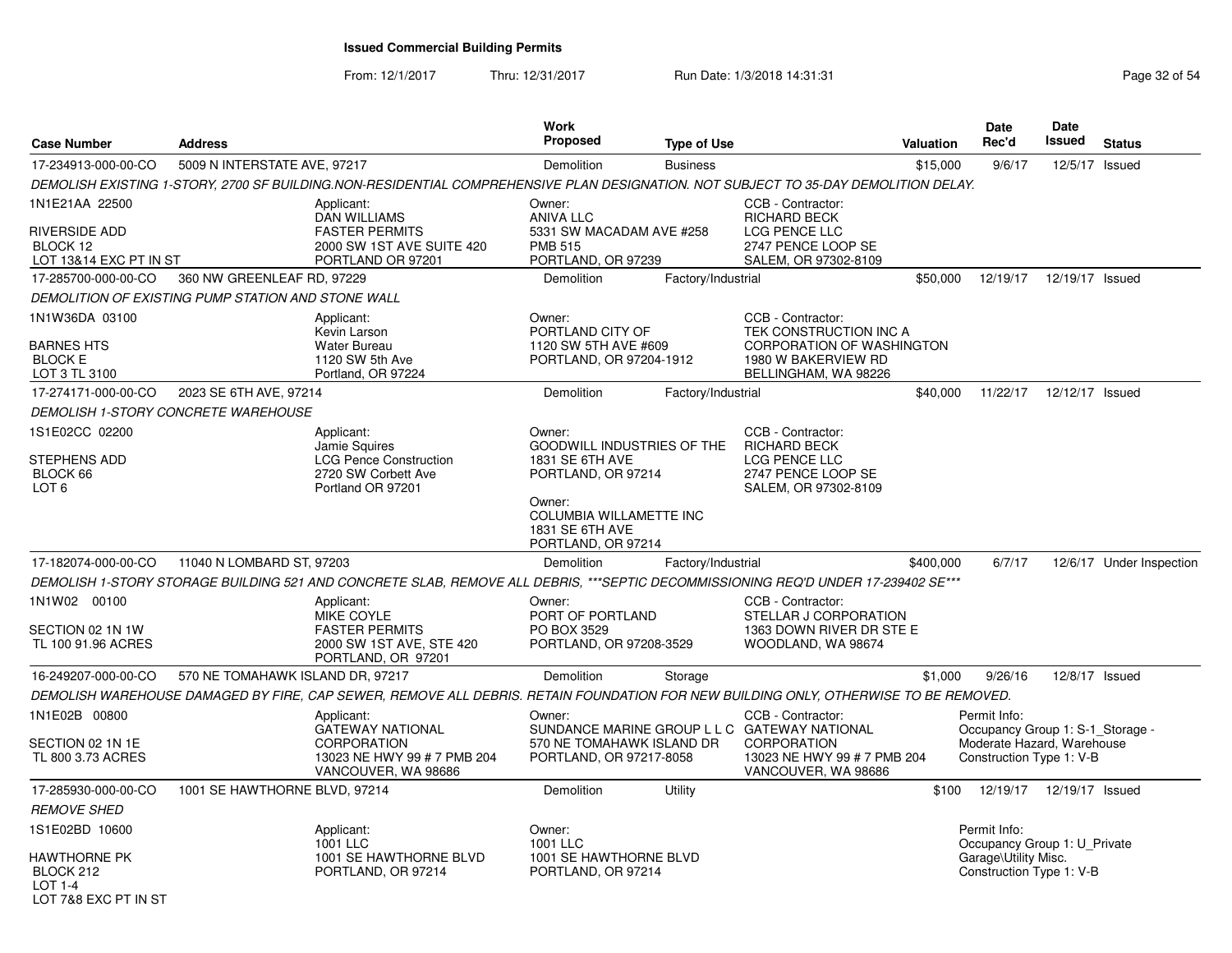From: 12/1/2017Thru: 12/31/2017 **Run Date: 1/3/2018 14:31:31 Research 2018** Page 32 of 54

| <b>Case Number</b>                                                                    | <b>Address</b>                   |                                                                                                                                     | Work<br><b>Proposed</b>                                                                                                                             | <b>Type of Use</b> |                                                                                                                                               | Valuation | <b>Date</b><br>Rec'd                                                                                       | <b>Date</b><br>Issued | <b>Status</b>            |
|---------------------------------------------------------------------------------------|----------------------------------|-------------------------------------------------------------------------------------------------------------------------------------|-----------------------------------------------------------------------------------------------------------------------------------------------------|--------------------|-----------------------------------------------------------------------------------------------------------------------------------------------|-----------|------------------------------------------------------------------------------------------------------------|-----------------------|--------------------------|
| 17-234913-000-00-CO                                                                   | 5009 N INTERSTATE AVE, 97217     |                                                                                                                                     | Demolition                                                                                                                                          | <b>Business</b>    |                                                                                                                                               | \$15,000  | 9/6/17                                                                                                     | 12/5/17               | Issued                   |
|                                                                                       |                                  | DEMOLISH EXISTING 1-STORY, 2700 SF BUILDING.NON-RESIDENTIAL COMPREHENSIVE PLAN DESIGNATION. NOT SUBJECT TO 35-DAY DEMOLITION DELAY. |                                                                                                                                                     |                    |                                                                                                                                               |           |                                                                                                            |                       |                          |
| 1N1E21AA 22500<br><b>RIVERSIDE ADD</b><br>BLOCK 12<br>LOT 13&14 EXC PT IN ST          |                                  | Applicant:<br><b>DAN WILLIAMS</b><br><b>FASTER PERMITS</b><br>2000 SW 1ST AVE SUITE 420<br>PORTLAND OR 97201                        | Owner:<br><b>ANIVA LLC</b><br>5331 SW MACADAM AVE #258<br><b>PMB 515</b><br>PORTLAND, OR 97239                                                      |                    | CCB - Contractor:<br><b>RICHARD BECK</b><br><b>LCG PENCE LLC</b><br>2747 PENCE LOOP SE<br>SALEM, OR 97302-8109                                |           |                                                                                                            |                       |                          |
| 17-285700-000-00-CO                                                                   | 360 NW GREENLEAF RD, 97229       |                                                                                                                                     | Demolition                                                                                                                                          | Factory/Industrial |                                                                                                                                               | \$50,000  | 12/19/17  12/19/17  Issued                                                                                 |                       |                          |
| DEMOLITION OF EXISTING PUMP STATION AND STONE WALL                                    |                                  |                                                                                                                                     |                                                                                                                                                     |                    |                                                                                                                                               |           |                                                                                                            |                       |                          |
| 1N1W36DA 03100<br><b>BARNES HTS</b><br><b>BLOCK E</b><br>LOT 3 TL 3100                |                                  | Applicant:<br>Kevin Larson<br><b>Water Bureau</b><br>1120 SW 5th Ave<br>Portland, OR 97224                                          | Owner:<br>PORTLAND CITY OF<br>1120 SW 5TH AVE #609<br>PORTLAND, OR 97204-1912                                                                       |                    | CCB - Contractor:<br>TEK CONSTRUCTION INC A<br><b>CORPORATION OF WASHINGTON</b><br>1980 W BAKERVIEW RD<br>BELLINGHAM, WA 98226                |           |                                                                                                            |                       |                          |
| 17-274171-000-00-CO                                                                   | 2023 SE 6TH AVE, 97214           |                                                                                                                                     | Demolition                                                                                                                                          | Factory/Industrial |                                                                                                                                               | \$40,000  | 11/22/17                                                                                                   | 12/12/17 Issued       |                          |
| DEMOLISH 1-STORY CONCRETE WAREHOUSE                                                   |                                  |                                                                                                                                     |                                                                                                                                                     |                    |                                                                                                                                               |           |                                                                                                            |                       |                          |
| 1S1E02CC 02200<br><b>STEPHENS ADD</b><br>BLOCK 66<br>LOT <sub>6</sub>                 |                                  | Applicant:<br>Jamie Squires<br><b>LCG Pence Construction</b><br>2720 SW Corbett Ave<br>Portland OR 97201                            | Owner:<br><b>GOODWILL INDUSTRIES OF THE</b><br><b>1831 SE 6TH AVE</b><br>PORTLAND, OR 97214<br>Owner:<br>COLUMBIA WILLAMETTE INC<br>1831 SE 6TH AVE |                    | CCB - Contractor:<br><b>RICHARD BECK</b><br><b>LCG PENCE LLC</b><br>2747 PENCE LOOP SE<br>SALEM, OR 97302-8109                                |           |                                                                                                            |                       |                          |
|                                                                                       |                                  |                                                                                                                                     | PORTLAND, OR 97214                                                                                                                                  |                    |                                                                                                                                               |           |                                                                                                            |                       |                          |
| 17-182074-000-00-CO                                                                   | 11040 N LOMBARD ST, 97203        |                                                                                                                                     | Demolition                                                                                                                                          | Factory/Industrial |                                                                                                                                               | \$400,000 | 6/7/17                                                                                                     |                       | 12/6/17 Under Inspection |
|                                                                                       |                                  | DEMOLISH 1-STORY STORAGE BUILDING 521 AND CONCRETE SLAB, REMOVE ALL DEBRIS, ***SEPTIC DECOMMISSIONING REQ'D UNDER 17-239402 SE***   |                                                                                                                                                     |                    |                                                                                                                                               |           |                                                                                                            |                       |                          |
| 1N1W02 00100<br>SECTION 02 1N 1W<br>TL 100 91.96 ACRES                                |                                  | Applicant:<br>MIKE COYLE<br><b>FASTER PERMITS</b><br>2000 SW 1ST AVE, STE 420<br>PORTLAND, OR 97201                                 | Owner:<br>PORT OF PORTLAND<br>PO BOX 3529<br>PORTLAND, OR 97208-3529                                                                                |                    | CCB - Contractor:<br>STELLAR J CORPORATION<br>1363 DOWN RIVER DR STE E<br>WOODLAND, WA 98674                                                  |           |                                                                                                            |                       |                          |
| 16-249207-000-00-CO                                                                   | 570 NE TOMAHAWK ISLAND DR, 97217 |                                                                                                                                     | Demolition                                                                                                                                          | Storage            |                                                                                                                                               | \$1,000   | 9/26/16                                                                                                    | 12/8/17 Issued        |                          |
|                                                                                       |                                  | DEMOLISH WAREHOUSE DAMAGED BY FIRE, CAP SEWER, REMOVE ALL DEBRIS. RETAIN FOUNDATION FOR NEW BUILDING ONLY, OTHERWISE TO BE REMOVED. |                                                                                                                                                     |                    |                                                                                                                                               |           |                                                                                                            |                       |                          |
| 1N1E02B 00800<br>SECTION 02 1N 1E<br>TL 800 3.73 ACRES                                |                                  | Applicant:<br><b>GATEWAY NATIONAL</b><br><b>CORPORATION</b><br>13023 NE HWY 99 # 7 PMB 204<br>VANCOUVER, WA 98686                   | Owner:<br>570 NE TOMAHAWK ISLAND DR<br>PORTLAND, OR 97217-8058                                                                                      |                    | CCB - Contractor:<br>SUNDANCE MARINE GROUP L L C GATEWAY NATIONAL<br><b>CORPORATION</b><br>13023 NE HWY 99 # 7 PMB 204<br>VANCOUVER, WA 98686 |           | Permit Info:<br>Occupancy Group 1: S-1_Storage -<br>Moderate Hazard, Warehouse<br>Construction Type 1: V-B |                       |                          |
| 17-285930-000-00-CO                                                                   | 1001 SE HAWTHORNE BLVD, 97214    |                                                                                                                                     | Demolition                                                                                                                                          | Utility            |                                                                                                                                               | \$100     | 12/19/17  12/19/17  Issued                                                                                 |                       |                          |
| <i><b>REMOVE SHED</b></i>                                                             |                                  |                                                                                                                                     |                                                                                                                                                     |                    |                                                                                                                                               |           |                                                                                                            |                       |                          |
| 1S1E02BD 10600<br>HAWTHORNE PK<br>BLOCK 212<br><b>LOT 1-4</b><br>LOT 7&8 EXC PT IN ST |                                  | Applicant:<br>1001 LLC<br>1001 SE HAWTHORNE BLVD<br>PORTLAND, OR 97214                                                              | Owner:<br>1001 LLC<br>1001 SE HAWTHORNE BLVD<br>PORTLAND, OR 97214                                                                                  |                    |                                                                                                                                               |           | Permit Info:<br>Occupancy Group 1: U Private<br>Garage\Utility Misc.<br>Construction Type 1: V-B           |                       |                          |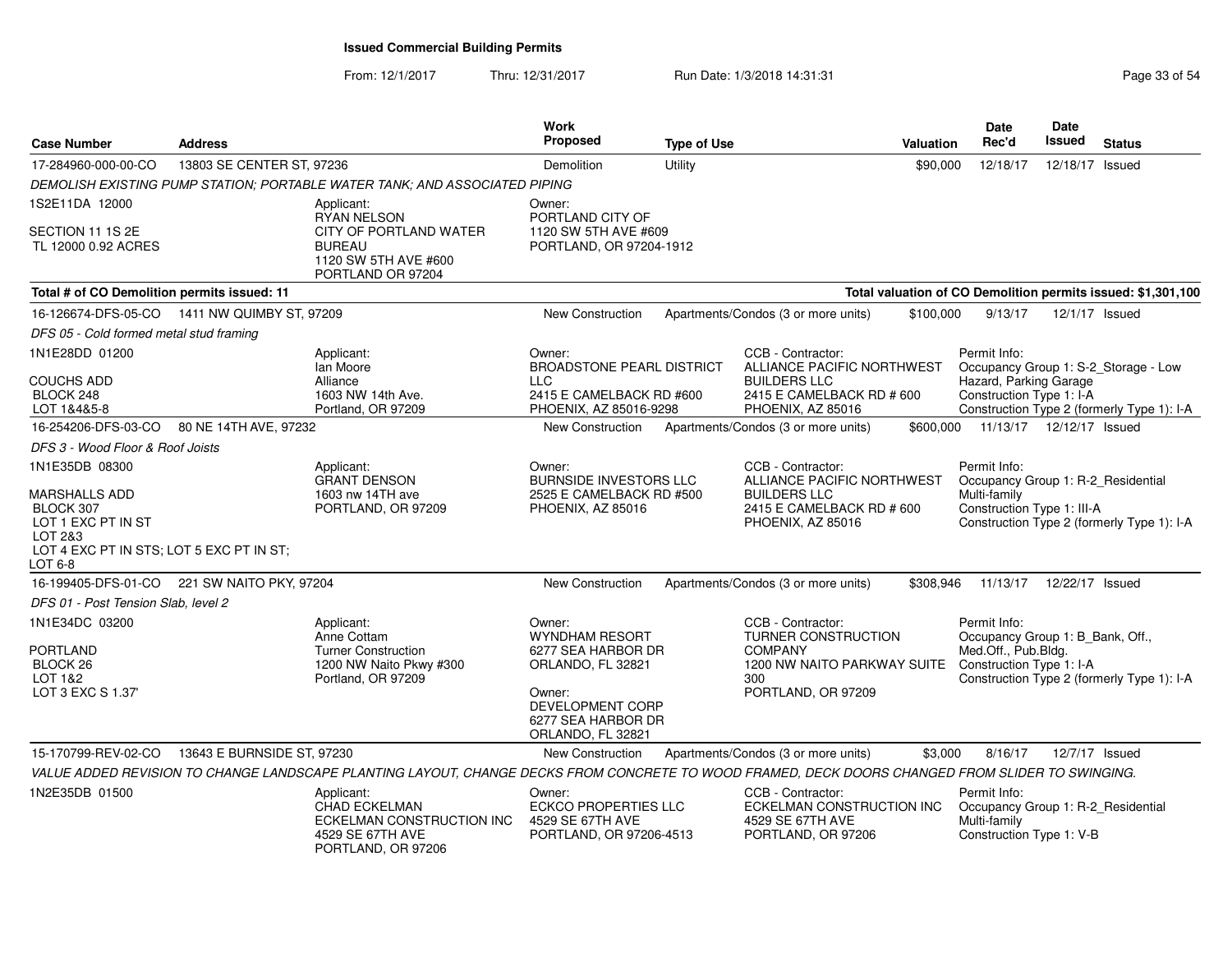From: 12/1/2017Thru: 12/31/2017 Run Date: 1/3/2018 14:31:31 Page 33 of 54

| <b>Case Number</b>                                                                                                                   | <b>Address</b>                                |                                                                                                                                                  | <b>Work</b><br>Proposed                                                                                                                      | <b>Type of Use</b> | Valuation                                                                                                                | <b>Date</b><br>Rec'd                                                                                | <b>Date</b><br><b>Issued</b> | <b>Status</b>                                                                      |
|--------------------------------------------------------------------------------------------------------------------------------------|-----------------------------------------------|--------------------------------------------------------------------------------------------------------------------------------------------------|----------------------------------------------------------------------------------------------------------------------------------------------|--------------------|--------------------------------------------------------------------------------------------------------------------------|-----------------------------------------------------------------------------------------------------|------------------------------|------------------------------------------------------------------------------------|
| 17-284960-000-00-CO                                                                                                                  | 13803 SE CENTER ST, 97236                     |                                                                                                                                                  | Demolition                                                                                                                                   | Utility            | \$90,000                                                                                                                 | 12/18/17                                                                                            | 12/18/17 Issued              |                                                                                    |
|                                                                                                                                      |                                               | DEMOLISH EXISTING PUMP STATION: PORTABLE WATER TANK: AND ASSOCIATED PIPING                                                                       |                                                                                                                                              |                    |                                                                                                                          |                                                                                                     |                              |                                                                                    |
| 1S2E11DA 12000                                                                                                                       |                                               | Applicant:                                                                                                                                       | Owner:                                                                                                                                       |                    |                                                                                                                          |                                                                                                     |                              |                                                                                    |
| SECTION 11 1S 2E<br>TL 12000 0.92 ACRES                                                                                              |                                               | <b>RYAN NELSON</b><br>CITY OF PORTLAND WATER<br><b>BUREAU</b><br>1120 SW 5TH AVE #600<br>PORTLAND OR 97204                                       | PORTLAND CITY OF<br>1120 SW 5TH AVE #609<br>PORTLAND, OR 97204-1912                                                                          |                    |                                                                                                                          |                                                                                                     |                              |                                                                                    |
| Total # of CO Demolition permits issued: 11                                                                                          |                                               |                                                                                                                                                  |                                                                                                                                              |                    |                                                                                                                          |                                                                                                     |                              | Total valuation of CO Demolition permits issued: \$1,301,100                       |
|                                                                                                                                      | 16-126674-DFS-05-CO  1411 NW QUIMBY ST, 97209 |                                                                                                                                                  | <b>New Construction</b>                                                                                                                      |                    | Apartments/Condos (3 or more units)<br>\$100,000                                                                         | 9/13/17                                                                                             |                              | 12/1/17 Issued                                                                     |
| DFS 05 - Cold formed metal stud framing                                                                                              |                                               |                                                                                                                                                  |                                                                                                                                              |                    |                                                                                                                          |                                                                                                     |                              |                                                                                    |
| 1N1E28DD 01200<br><b>COUCHS ADD</b><br>BLOCK 248<br>LOT 1&4&5-8                                                                      |                                               | Applicant:<br>lan Moore<br>Alliance<br>1603 NW 14th Ave.<br>Portland, OR 97209                                                                   | Owner:<br><b>BROADSTONE PEARL DISTRICT</b><br><b>LLC</b><br>2415 E CAMELBACK RD #600<br>PHOENIX, AZ 85016-9298                               |                    | CCB - Contractor:<br>ALLIANCE PACIFIC NORTHWEST<br><b>BUILDERS LLC</b><br>2415 E CAMELBACK RD # 600<br>PHOENIX, AZ 85016 | Permit Info:<br>Hazard, Parking Garage<br>Construction Type 1: I-A                                  |                              | Occupancy Group 1: S-2_Storage - Low<br>Construction Type 2 (formerly Type 1): I-A |
| 16-254206-DFS-03-CO                                                                                                                  | 80 NE 14TH AVE, 97232                         |                                                                                                                                                  | New Construction                                                                                                                             |                    | Apartments/Condos (3 or more units)<br>\$600,000                                                                         |                                                                                                     | 11/13/17  12/12/17  Issued   |                                                                                    |
| DFS 3 - Wood Floor & Roof Joists                                                                                                     |                                               |                                                                                                                                                  |                                                                                                                                              |                    |                                                                                                                          |                                                                                                     |                              |                                                                                    |
| 1N1E35DB 08300<br>MARSHALLS ADD<br>BLOCK 307<br>LOT 1 EXC PT IN ST<br>LOT 2&3<br>LOT 4 EXC PT IN STS; LOT 5 EXC PT IN ST;<br>LOT 6-8 |                                               | Applicant:<br><b>GRANT DENSON</b><br>1603 nw 14TH ave<br>PORTLAND, OR 97209                                                                      | Owner:<br>BURNSIDE INVESTORS LLC<br>2525 E CAMELBACK RD #500<br>PHOENIX, AZ 85016                                                            |                    | CCB - Contractor:<br>ALLIANCE PACIFIC NORTHWEST<br><b>BUILDERS LLC</b><br>2415 E CAMELBACK RD # 600<br>PHOENIX, AZ 85016 | Permit Info:<br>Occupancy Group 1: R-2_Residential<br>Multi-family<br>Construction Type 1: III-A    |                              | Construction Type 2 (formerly Type 1): I-A                                         |
|                                                                                                                                      | 16-199405-DFS-01-CO 221 SW NAITO PKY, 97204   |                                                                                                                                                  | <b>New Construction</b>                                                                                                                      |                    | Apartments/Condos (3 or more units)<br>\$308,946                                                                         |                                                                                                     | 11/13/17  12/22/17  Issued   |                                                                                    |
| DFS 01 - Post Tension Slab, level 2                                                                                                  |                                               |                                                                                                                                                  |                                                                                                                                              |                    |                                                                                                                          |                                                                                                     |                              |                                                                                    |
| 1N1E34DC 03200<br><b>PORTLAND</b><br>BLOCK <sub>26</sub><br>LOT 1&2<br>LOT 3 EXC S 1.37'                                             |                                               | Applicant:<br>Anne Cottam<br><b>Turner Construction</b><br>1200 NW Naito Pkwy #300<br>Portland, OR 97209                                         | Owner:<br>WYNDHAM RESORT<br>6277 SEA HARBOR DR<br>ORLANDO, FL 32821<br>Owner:<br>DEVELOPMENT CORP<br>6277 SEA HARBOR DR<br>ORLANDO, FL 32821 |                    | CCB - Contractor:<br>TURNER CONSTRUCTION<br><b>COMPANY</b><br>1200 NW NAITO PARKWAY SUITE<br>300<br>PORTLAND, OR 97209   | Permit Info:<br>Occupancy Group 1: B_Bank, Off.,<br>Med.Off., Pub.Bldg.<br>Construction Type 1: I-A |                              | Construction Type 2 (formerly Type 1): I-A                                         |
| 15-170799-REV-02-CO                                                                                                                  | 13643 E BURNSIDE ST, 97230                    |                                                                                                                                                  | <b>New Construction</b>                                                                                                                      |                    | Apartments/Condos (3 or more units)                                                                                      | \$3,000<br>8/16/17                                                                                  |                              | 12/7/17 Issued                                                                     |
|                                                                                                                                      |                                               | VALUE ADDED REVISION TO CHANGE LANDSCAPE PLANTING LAYOUT, CHANGE DECKS FROM CONCRETE TO WOOD FRAMED, DECK DOORS CHANGED FROM SLIDER TO SWINGING. |                                                                                                                                              |                    |                                                                                                                          |                                                                                                     |                              |                                                                                    |
| 1N2E35DB 01500                                                                                                                       |                                               | Applicant:<br><b>CHAD ECKELMAN</b><br>ECKELMAN CONSTRUCTION INC<br>4529 SE 67TH AVE<br>PORTLAND, OR 97206                                        | Owner:<br><b>ECKCO PROPERTIES LLC</b><br>4529 SE 67TH AVE<br>PORTLAND, OR 97206-4513                                                         |                    | CCB - Contractor:<br>ECKELMAN CONSTRUCTION INC<br>4529 SE 67TH AVE<br>PORTLAND, OR 97206                                 | Permit Info:<br>Occupancy Group 1: R-2_Residential<br>Multi-family<br>Construction Type 1: V-B      |                              |                                                                                    |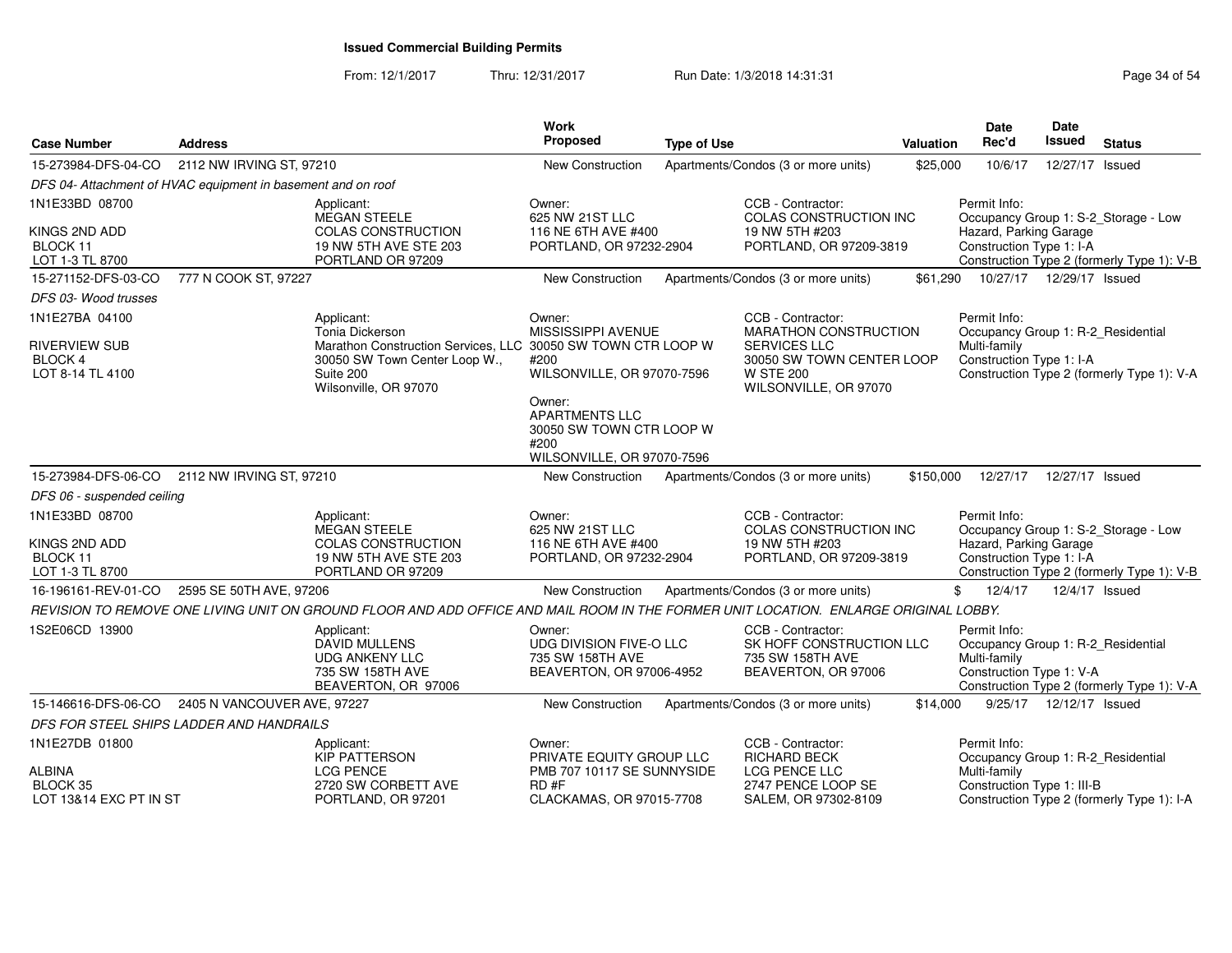From: 12/1/2017Thru: 12/31/2017 Run Date: 1/3/2018 14:31:31 Page 34 of 54

| <b>Case Number</b>                                           | <b>Address</b>              |                                                                                                                                      | <b>Work</b><br>Proposed                                                                  | <b>Type of Use</b> |                                                                                               | <b>Valuation</b> | <b>Date</b><br>Rec'd                                                                           | Date<br><b>Issued</b> | <b>Status</b>                              |
|--------------------------------------------------------------|-----------------------------|--------------------------------------------------------------------------------------------------------------------------------------|------------------------------------------------------------------------------------------|--------------------|-----------------------------------------------------------------------------------------------|------------------|------------------------------------------------------------------------------------------------|-----------------------|--------------------------------------------|
| 15-273984-DFS-04-CO                                          | 2112 NW IRVING ST, 97210    |                                                                                                                                      | New Construction                                                                         |                    | Apartments/Condos (3 or more units)                                                           | \$25,000         | 10/6/17                                                                                        | 12/27/17 Issued       |                                            |
| DFS 04- Attachment of HVAC equipment in basement and on roof |                             |                                                                                                                                      |                                                                                          |                    |                                                                                               |                  |                                                                                                |                       |                                            |
| 1N1E33BD 08700                                               |                             | Applicant:<br>MEGAN STEELE                                                                                                           | Owner:<br>625 NW 21ST LLC                                                                |                    | CCB - Contractor:<br>COLAS CONSTRUCTION INC                                                   |                  | Permit Info:                                                                                   |                       | Occupancy Group 1: S-2_Storage - Low       |
| KINGS 2ND ADD<br>BLOCK 11<br>LOT 1-3 TL 8700                 |                             | <b>COLAS CONSTRUCTION</b><br>19 NW 5TH AVE STE 203<br>PORTLAND OR 97209                                                              | 116 NE 6TH AVE #400<br>PORTLAND, OR 97232-2904                                           |                    | 19 NW 5TH #203<br>PORTLAND, OR 97209-3819                                                     |                  | Hazard, Parking Garage<br>Construction Type 1: I-A                                             |                       | Construction Type 2 (formerly Type 1): V-B |
| 15-271152-DFS-03-CO                                          | 777 N COOK ST, 97227        |                                                                                                                                      | New Construction                                                                         |                    | Apartments/Condos (3 or more units)                                                           | \$61,290         | 10/27/17  12/29/17  Issued                                                                     |                       |                                            |
| DFS 03- Wood trusses                                         |                             |                                                                                                                                      |                                                                                          |                    |                                                                                               |                  |                                                                                                |                       |                                            |
| 1N1E27BA 04100                                               |                             | Applicant:<br>Tonia Dickerson                                                                                                        | Owner:<br>MISSISSIPPI AVENUE                                                             |                    | CCB - Contractor:<br>MARATHON CONSTRUCTION                                                    |                  | Permit Info:<br>Occupancy Group 1: R-2_Residential                                             |                       |                                            |
| <b>RIVERVIEW SUB</b><br><b>BLOCK 4</b><br>LOT 8-14 TL 4100   |                             | Marathon Construction Services, LLC 30050 SW TOWN CTR LOOP W<br>30050 SW Town Center Loop W.,<br>Suite 200<br>Wilsonville, OR 97070  | #200<br>WILSONVILLE, OR 97070-7596<br>Owner:                                             |                    | <b>SERVICES LLC</b><br>30050 SW TOWN CENTER LOOP<br><b>W STE 200</b><br>WILSONVILLE, OR 97070 |                  | Multi-family<br>Construction Type 1: I-A                                                       |                       | Construction Type 2 (formerly Type 1): V-A |
|                                                              |                             |                                                                                                                                      | <b>APARTMENTS LLC</b><br>30050 SW TOWN CTR LOOP W<br>#200<br>WILSONVILLE, OR 97070-7596  |                    |                                                                                               |                  |                                                                                                |                       |                                            |
| 15-273984-DFS-06-CO                                          | 2112 NW IRVING ST, 97210    |                                                                                                                                      | New Construction                                                                         |                    | Apartments/Condos (3 or more units)                                                           | \$150,000        | 12/27/17                                                                                       | 12/27/17 Issued       |                                            |
| DFS 06 - suspended ceiling                                   |                             |                                                                                                                                      |                                                                                          |                    |                                                                                               |                  |                                                                                                |                       |                                            |
| 1N1E33BD 08700                                               |                             | Applicant:<br>MEGAN STEELE                                                                                                           | Owner:<br>625 NW 21ST LLC                                                                |                    | CCB - Contractor:<br>COLAS CONSTRUCTION INC                                                   |                  | Permit Info:                                                                                   |                       | Occupancy Group 1: S-2_Storage - Low       |
| KINGS 2ND ADD<br>BLOCK 11<br>LOT 1-3 TL 8700                 |                             | <b>COLAS CONSTRUCTION</b><br>19 NW 5TH AVE STE 203<br>PORTLAND OR 97209                                                              | 116 NE 6TH AVE #400<br>PORTLAND, OR 97232-2904                                           |                    | 19 NW 5TH #203<br>PORTLAND, OR 97209-3819                                                     |                  | Hazard, Parking Garage<br>Construction Type 1: I-A                                             |                       | Construction Type 2 (formerly Type 1): V-B |
| 16-196161-REV-01-CO                                          | 2595 SE 50TH AVE, 97206     |                                                                                                                                      | New Construction                                                                         |                    | Apartments/Condos (3 or more units)                                                           |                  | \$<br>12/4/17                                                                                  |                       | 12/4/17 Issued                             |
|                                                              |                             | REVISION TO REMOVE ONE LIVING UNIT ON GROUND FLOOR AND ADD OFFICE AND MAIL ROOM IN THE FORMER UNIT LOCATION. ENLARGE ORIGINAL LOBBY. |                                                                                          |                    |                                                                                               |                  |                                                                                                |                       |                                            |
| 1S2E06CD 13900                                               |                             | Applicant:<br><b>DAVID MULLENS</b><br><b>UDG ANKENY LLC</b><br>735 SW 158TH AVE<br>BEAVERTON, OR 97006                               | Owner:<br><b>UDG DIVISION FIVE-O LLC</b><br>735 SW 158TH AVE<br>BEAVERTON, OR 97006-4952 |                    | CCB - Contractor:<br>SK HOFF CONSTRUCTION LLC<br>735 SW 158TH AVE<br>BEAVERTON, OR 97006      |                  | Permit Info:<br>Occupancy Group 1: R-2_Residential<br>Multi-family<br>Construction Type 1: V-A |                       | Construction Type 2 (formerly Type 1): V-A |
| 15-146616-DFS-06-CO                                          | 2405 N VANCOUVER AVE, 97227 |                                                                                                                                      | <b>New Construction</b>                                                                  |                    | Apartments/Condos (3 or more units)                                                           | \$14,000         | 9/25/17                                                                                        | 12/12/17 Issued       |                                            |
| DFS FOR STEEL SHIPS LADDER AND HANDRAILS                     |                             |                                                                                                                                      |                                                                                          |                    |                                                                                               |                  |                                                                                                |                       |                                            |
| 1N1E27DB 01800                                               |                             | Applicant:<br><b>KIP PATTERSON</b>                                                                                                   | Owner:<br>PRIVATE EQUITY GROUP LLC                                                       |                    | CCB - Contractor:<br><b>RICHARD BECK</b>                                                      |                  | Permit Info:<br>Occupancy Group 1: R-2_Residential                                             |                       |                                            |
| <b>ALBINA</b><br>BLOCK 35<br>LOT 13&14 EXC PT IN ST          |                             | <b>LCG PENCE</b><br>2720 SW CORBETT AVE<br>PORTLAND, OR 97201                                                                        | PMB 707 10117 SE SUNNYSIDE<br>RD#F<br>CLACKAMAS, OR 97015-7708                           |                    | LCG PENCE LLC<br>2747 PENCE LOOP SE<br>SALEM, OR 97302-8109                                   |                  | Multi-family<br>Construction Type 1: III-B                                                     |                       | Construction Type 2 (formerly Type 1): I-A |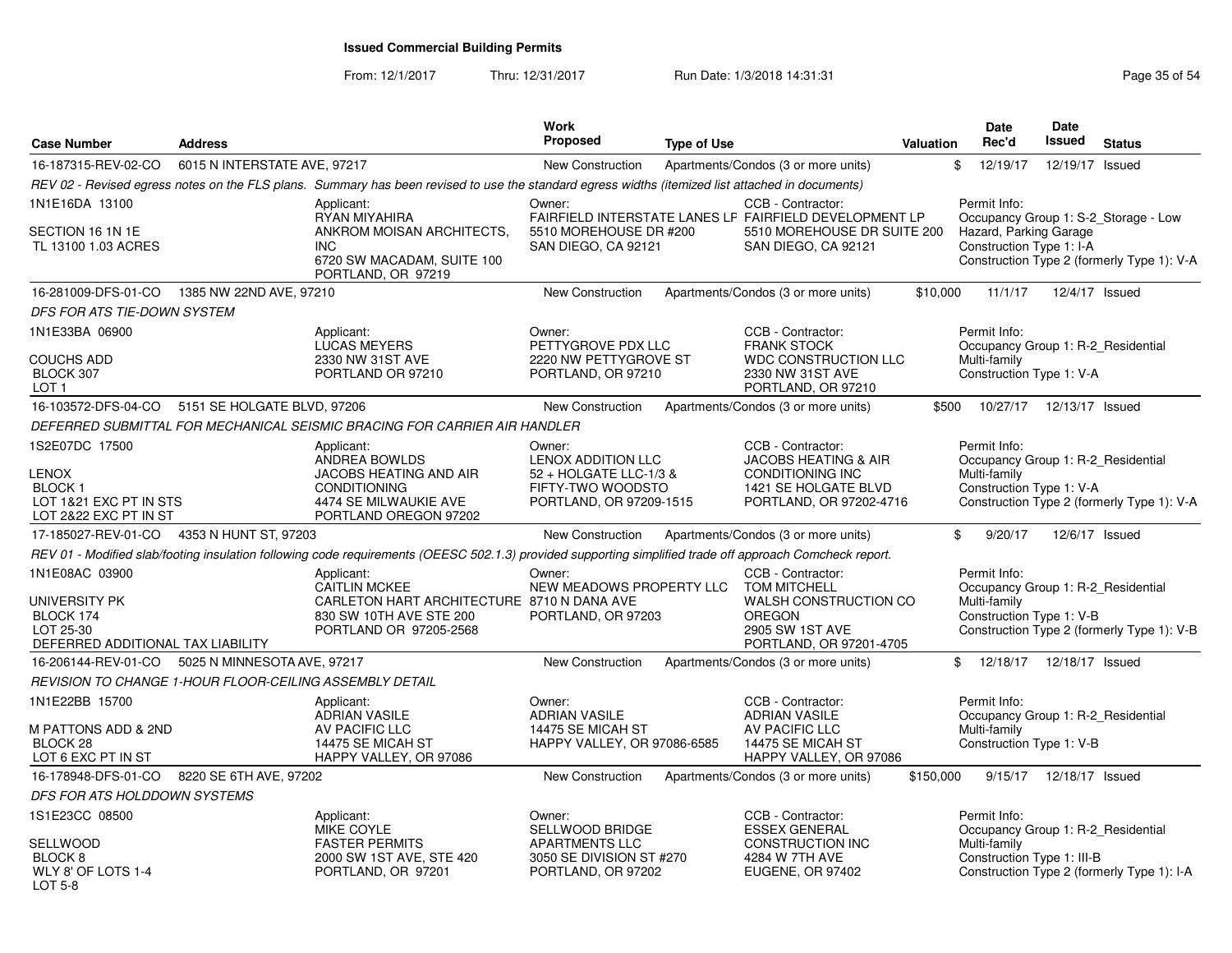From: 12/1/2017Thru: 12/31/2017 **Run Date: 1/3/2018 14:31:31 Research 2018** Page 35 of 54

| <b>Case Number</b>                                                                             | <b>Address</b>                                          |                                                                                                                                                          | Work<br><b>Proposed</b>                                                                                       | <b>Type of Use</b> |                                                                                                                                    | <b>Valuation</b> | <b>Date</b><br>Rec'd                                                                             | Date<br><b>Issued</b> | <b>Status</b>                                                                      |
|------------------------------------------------------------------------------------------------|---------------------------------------------------------|----------------------------------------------------------------------------------------------------------------------------------------------------------|---------------------------------------------------------------------------------------------------------------|--------------------|------------------------------------------------------------------------------------------------------------------------------------|------------------|--------------------------------------------------------------------------------------------------|-----------------------|------------------------------------------------------------------------------------|
| 16-187315-REV-02-CO                                                                            | 6015 N INTERSTATE AVE, 97217                            |                                                                                                                                                          | New Construction                                                                                              |                    | Apartments/Condos (3 or more units)                                                                                                |                  | \$<br>12/19/17                                                                                   | 12/19/17              | Issued                                                                             |
|                                                                                                |                                                         | REV 02 - Revised egress notes on the FLS plans. Summary has been revised to use the standard egress widths (itemized list attached in documents)         |                                                                                                               |                    |                                                                                                                                    |                  |                                                                                                  |                       |                                                                                    |
| 1N1E16DA 13100<br>SECTION 16 1N 1E<br>TL 13100 1.03 ACRES                                      |                                                         | Applicant:<br>RYAN MIYAHIRA<br>ANKROM MOISAN ARCHITECTS.<br><b>INC</b><br>6720 SW MACADAM, SUITE 100<br>PORTLAND, OR 97219                               | Owner:<br>5510 MOREHOUSE DR #200<br>SAN DIEGO, CA 92121                                                       |                    | CCB - Contractor:<br>FAIRFIELD INTERSTATE LANES LF FAIRFIELD DEVELOPMENT LP<br>5510 MOREHOUSE DR SUITE 200<br>SAN DIEGO, CA 92121  |                  | Permit Info:<br>Hazard, Parking Garage<br>Construction Type 1: I-A                               |                       | Occupancy Group 1: S-2_Storage - Low<br>Construction Type 2 (formerly Type 1): V-A |
| 16-281009-DFS-01-CO                                                                            | 1385 NW 22ND AVE, 97210                                 |                                                                                                                                                          | New Construction                                                                                              |                    | Apartments/Condos (3 or more units)                                                                                                | \$10,000         | 11/1/17                                                                                          | 12/4/17 Issued        |                                                                                    |
| DFS FOR ATS TIE-DOWN SYSTEM                                                                    |                                                         |                                                                                                                                                          |                                                                                                               |                    |                                                                                                                                    |                  |                                                                                                  |                       |                                                                                    |
| 1N1E33BA 06900<br><b>COUCHS ADD</b><br>BLOCK 307<br>LOT <sub>1</sub>                           |                                                         | Applicant:<br><b>LUCAS MEYERS</b><br>2330 NW 31ST AVE<br>PORTLAND OR 97210                                                                               | Owner:<br>PETTYGROVE PDX LLC<br>2220 NW PETTYGROVE ST<br>PORTLAND, OR 97210                                   |                    | CCB - Contractor:<br><b>FRANK STOCK</b><br><b>WDC CONSTRUCTION LLC</b><br>2330 NW 31ST AVE<br>PORTLAND, OR 97210                   |                  | Permit Info:<br>Occupancy Group 1: R-2 Residential<br>Multi-family<br>Construction Type 1: V-A   |                       |                                                                                    |
| 16-103572-DFS-04-CO 5151 SE HOLGATE BLVD, 97206                                                |                                                         |                                                                                                                                                          | New Construction                                                                                              |                    | Apartments/Condos (3 or more units)                                                                                                | \$500            | 10/27/17  12/13/17  Issued                                                                       |                       |                                                                                    |
|                                                                                                |                                                         | DEFERRED SUBMITTAL FOR MECHANICAL SEISMIC BRACING FOR CARRIER AIR HANDLER                                                                                |                                                                                                               |                    |                                                                                                                                    |                  |                                                                                                  |                       |                                                                                    |
| 1S2E07DC 17500<br>LENOX<br>BLOCK 1<br>LOT 1&21 EXC PT IN STS<br>LOT 2&22 EXC PT IN ST          |                                                         | Applicant:<br><b>ANDREA BOWLDS</b><br>JACOBS HEATING AND AIR<br><b>CONDITIONING</b><br>4474 SE MILWAUKIE AVE<br>PORTLAND OREGON 97202                    | Owner:<br><b>LENOX ADDITION LLC</b><br>52 + HOLGATE LLC-1/3 &<br>FIFTY-TWO WOODSTO<br>PORTLAND, OR 97209-1515 |                    | CCB - Contractor:<br><b>JACOBS HEATING &amp; AIR</b><br><b>CONDITIONING INC</b><br>1421 SE HOLGATE BLVD<br>PORTLAND, OR 97202-4716 |                  | Permit Info:<br>Occupancy Group 1: R-2_Residential<br>Multi-family<br>Construction Type 1: V-A   |                       | Construction Type 2 (formerly Type 1): V-A                                         |
| 17-185027-REV-01-CO                                                                            | 4353 N HUNT ST, 97203                                   |                                                                                                                                                          | <b>New Construction</b>                                                                                       |                    | Apartments/Condos (3 or more units)                                                                                                |                  | \$<br>9/20/17                                                                                    |                       | 12/6/17 Issued                                                                     |
|                                                                                                |                                                         | REV 01 - Modified slab/footing insulation following code requirements (OEESC 502.1.3) provided supporting simplified trade off approach Comcheck report. |                                                                                                               |                    |                                                                                                                                    |                  |                                                                                                  |                       |                                                                                    |
| 1N1E08AC 03900<br>UNIVERSITY PK<br>BLOCK 174<br>LOT 25-30<br>DEFERRED ADDITIONAL TAX LIABILITY |                                                         | Applicant:<br>CAITLIN MCKEE<br>CARLETON HART ARCHITECTURE 8710 N DANA AVE<br>830 SW 10TH AVE STE 200<br>PORTLAND OR 97205-2568                           | Owner:<br>NEW MEADOWS PROPERTY LLC<br>PORTLAND, OR 97203                                                      |                    | CCB - Contractor:<br><b>TOM MITCHELL</b><br>WALSH CONSTRUCTION CO<br><b>OREGON</b><br>2905 SW 1ST AVE<br>PORTLAND, OR 97201-4705   |                  | Permit Info:<br>Occupancy Group 1: R-2_Residential<br>Multi-family<br>Construction Type 1: V-B   |                       | Construction Type 2 (formerly Type 1): V-B                                         |
| 16-206144-REV-01-CO                                                                            | 5025 N MINNESOTA AVE, 97217                             |                                                                                                                                                          | New Construction                                                                                              |                    | Apartments/Condos (3 or more units)                                                                                                |                  | \$12/18/17                                                                                       | 12/18/17 Issued       |                                                                                    |
|                                                                                                | REVISION TO CHANGE 1-HOUR FLOOR-CEILING ASSEMBLY DETAIL |                                                                                                                                                          |                                                                                                               |                    |                                                                                                                                    |                  |                                                                                                  |                       |                                                                                    |
| 1N1E22BB 15700<br><b>M PATTONS ADD &amp; 2ND</b><br>BLOCK 28<br>LOT 6 EXC PT IN ST             |                                                         | Applicant:<br><b>ADRIAN VASILE</b><br>AV PACIFIC LLC<br>14475 SE MICAH ST<br>HAPPY VALLEY, OR 97086                                                      | Owner:<br><b>ADRIAN VASILE</b><br>14475 SE MICAH ST<br>HAPPY VALLEY, OR 97086-6585                            |                    | CCB - Contractor:<br><b>ADRIAN VASILE</b><br>AV PACIFIC LLC<br>14475 SE MICAH ST<br>HAPPY VALLEY, OR 97086                         |                  | Permit Info:<br>Occupancy Group 1: R-2_Residential<br>Multi-family<br>Construction Type 1: V-B   |                       |                                                                                    |
| 16-178948-DFS-01-CO                                                                            | 8220 SE 6TH AVE, 97202                                  |                                                                                                                                                          | New Construction                                                                                              |                    | Apartments/Condos (3 or more units)                                                                                                | \$150,000        | 9/15/17                                                                                          | 12/18/17 Issued       |                                                                                    |
| DFS FOR ATS HOLDDOWN SYSTEMS                                                                   |                                                         |                                                                                                                                                          |                                                                                                               |                    |                                                                                                                                    |                  |                                                                                                  |                       |                                                                                    |
| 1S1E23CC 08500<br>SELLWOOD<br>BLOCK 8<br>WLY 8' OF LOTS 1-4<br><b>LOT 5-8</b>                  |                                                         | Applicant:<br>MIKE COYLE<br><b>FASTER PERMITS</b><br>2000 SW 1ST AVE, STE 420<br>PORTLAND, OR 97201                                                      | Owner:<br>SELLWOOD BRIDGE<br><b>APARTMENTS LLC</b><br>3050 SE DIVISION ST #270<br>PORTLAND, OR 97202          |                    | CCB - Contractor:<br><b>ESSEX GENERAL</b><br>CONSTRUCTION INC<br>4284 W 7TH AVE<br><b>EUGENE, OR 97402</b>                         |                  | Permit Info:<br>Occupancy Group 1: R-2_Residential<br>Multi-family<br>Construction Type 1: III-B |                       | Construction Type 2 (formerly Type 1): I-A                                         |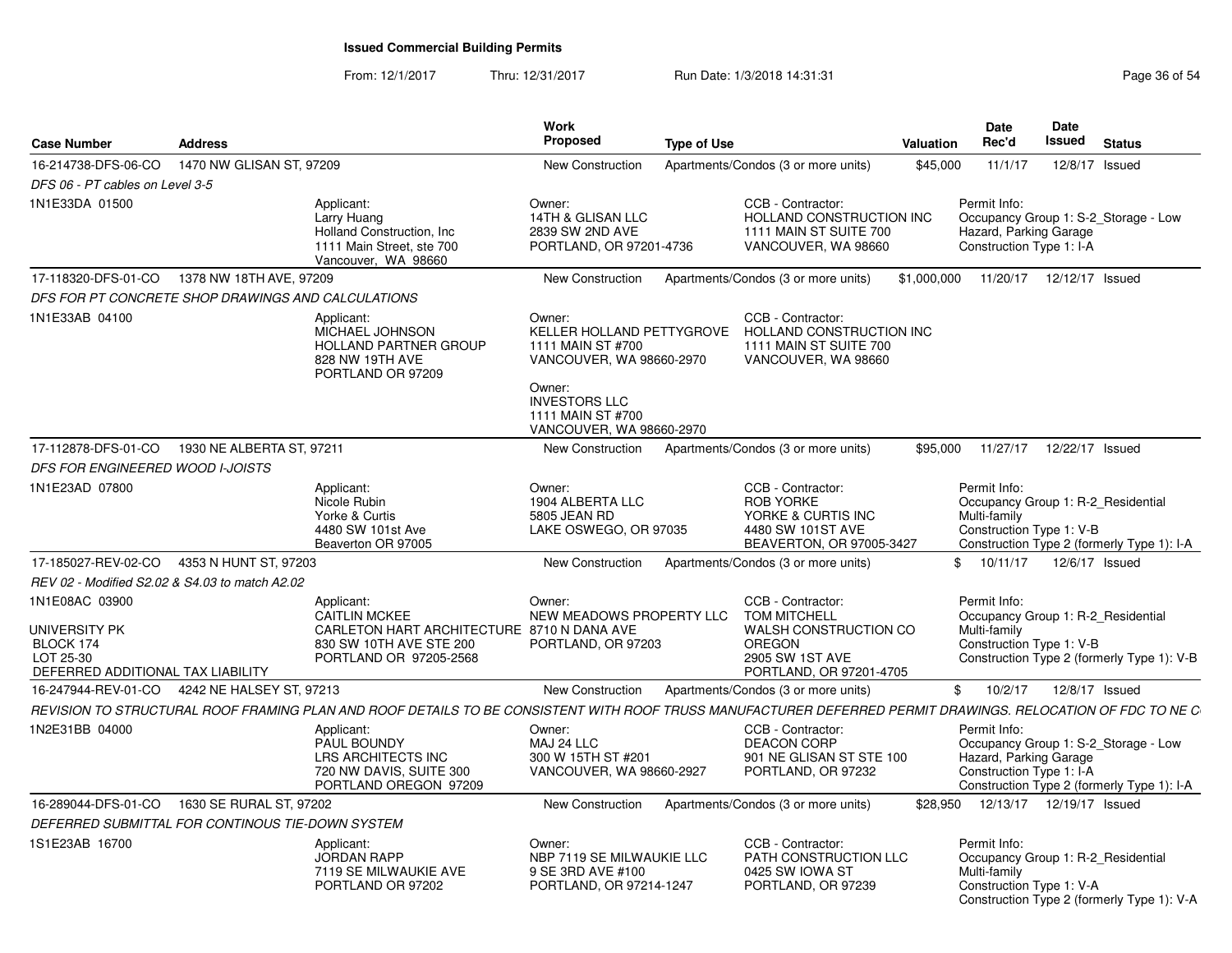From: 12/1/2017Thru: 12/31/2017 **Run Date: 1/3/2018 14:31:31 Research 2018** Page 36 of 54

| <b>Case Number</b>                                                                             | <b>Address</b>            |                                                                                                                                                             | <b>Work</b><br><b>Proposed</b>                                                                                                              | <b>Type of Use</b>                                                                                                               | <b>Valuation</b> | Date<br>Rec'd                                                      | Date<br>Issued  | <b>Status</b>                                                                      |
|------------------------------------------------------------------------------------------------|---------------------------|-------------------------------------------------------------------------------------------------------------------------------------------------------------|---------------------------------------------------------------------------------------------------------------------------------------------|----------------------------------------------------------------------------------------------------------------------------------|------------------|--------------------------------------------------------------------|-----------------|------------------------------------------------------------------------------------|
| 16-214738-DFS-06-CO                                                                            | 1470 NW GLISAN ST. 97209  |                                                                                                                                                             | <b>New Construction</b>                                                                                                                     | Apartments/Condos (3 or more units)                                                                                              | \$45,000         | 11/1/17                                                            |                 | 12/8/17 Issued                                                                     |
| DFS 06 - PT cables on Level 3-5                                                                |                           |                                                                                                                                                             |                                                                                                                                             |                                                                                                                                  |                  |                                                                    |                 |                                                                                    |
| 1N1E33DA 01500                                                                                 |                           | Applicant:<br>Larry Huang<br>Holland Construction, Inc.<br>1111 Main Street, ste 700<br>Vancouver, WA 98660                                                 | Owner:<br>14TH & GLISAN LLC<br>2839 SW 2ND AVE<br>PORTLAND, OR 97201-4736                                                                   | CCB - Contractor:<br>HOLLAND CONSTRUCTION INC<br>1111 MAIN ST SUITE 700<br>VANCOUVER, WA 98660                                   |                  | Permit Info:<br>Hazard, Parking Garage<br>Construction Type 1: I-A |                 | Occupancy Group 1: S-2 Storage - Low                                               |
| 17-118320-DFS-01-CO                                                                            | 1378 NW 18TH AVE, 97209   |                                                                                                                                                             | New Construction                                                                                                                            | Apartments/Condos (3 or more units)                                                                                              | \$1,000,000      | 11/20/17                                                           | 12/12/17 Issued |                                                                                    |
| DFS FOR PT CONCRETE SHOP DRAWINGS AND CALCULATIONS                                             |                           |                                                                                                                                                             |                                                                                                                                             |                                                                                                                                  |                  |                                                                    |                 |                                                                                    |
| 1N1E33AB 04100                                                                                 |                           | Applicant:<br>MICHAEL JOHNSON<br><b>HOLLAND PARTNER GROUP</b><br>828 NW 19TH AVE<br>PORTLAND OR 97209                                                       | Owner:<br>KELLER HOLLAND PETTYGROVE<br>1111 MAIN ST #700<br>VANCOUVER, WA 98660-2970<br>Owner:<br><b>INVESTORS LLC</b><br>1111 MAIN ST #700 | CCB - Contractor:<br>HOLLAND CONSTRUCTION INC<br>1111 MAIN ST SUITE 700<br>VANCOUVER, WA 98660                                   |                  |                                                                    |                 |                                                                                    |
|                                                                                                |                           |                                                                                                                                                             | VANCOUVER, WA 98660-2970                                                                                                                    |                                                                                                                                  |                  |                                                                    |                 |                                                                                    |
| 17-112878-DFS-01-CO                                                                            | 1930 NE ALBERTA ST, 97211 |                                                                                                                                                             | <b>New Construction</b>                                                                                                                     | Apartments/Condos (3 or more units)                                                                                              | \$95,000         | 11/27/17                                                           | 12/22/17 Issued |                                                                                    |
| DFS FOR ENGINEERED WOOD I-JOISTS                                                               |                           |                                                                                                                                                             |                                                                                                                                             |                                                                                                                                  |                  |                                                                    |                 |                                                                                    |
| 1N1E23AD 07800                                                                                 |                           | Applicant:<br>Nicole Rubin<br>Yorke & Curtis<br>4480 SW 101st Ave<br>Beaverton OR 97005                                                                     | Owner:<br>1904 ALBERTA LLC<br>5805 JEAN RD<br>LAKE OSWEGO, OR 97035                                                                         | CCB - Contractor:<br><b>ROB YORKE</b><br>YORKE & CURTIS INC<br>4480 SW 101ST AVE<br>BEAVERTON, OR 97005-3427                     |                  | Permit Info:<br>Multi-family<br>Construction Type 1: V-B           |                 | Occupancy Group 1: R-2_Residential<br>Construction Type 2 (formerly Type 1): I-A   |
| 17-185027-REV-02-CO                                                                            | 4353 N HUNT ST, 97203     |                                                                                                                                                             | <b>New Construction</b>                                                                                                                     | Apartments/Condos (3 or more units)                                                                                              |                  | \$10/11/17                                                         |                 | 12/6/17 Issued                                                                     |
| REV 02 - Modified S2.02 & S4.03 to match A2.02                                                 |                           |                                                                                                                                                             |                                                                                                                                             |                                                                                                                                  |                  |                                                                    |                 |                                                                                    |
| 1N1E08AC 03900<br>UNIVERSITY PK<br>BLOCK 174<br>LOT 25-30<br>DEFERRED ADDITIONAL TAX LIABILITY |                           | Applicant:<br><b>CAITLIN MCKEE</b><br>CARLETON HART ARCHITECTURE 8710 N DANA AVE<br>830 SW 10TH AVE STE 200<br>PORTLAND OR 97205-2568                       | Owner:<br>NEW MEADOWS PROPERTY LLC<br>PORTLAND, OR 97203                                                                                    | CCB - Contractor:<br><b>TOM MITCHELL</b><br>WALSH CONSTRUCTION CO<br><b>OREGON</b><br>2905 SW 1ST AVE<br>PORTLAND, OR 97201-4705 |                  | Permit Info:<br>Multi-family<br>Construction Type 1: V-B           |                 | Occupancy Group 1: R-2 Residential<br>Construction Type 2 (formerly Type 1): V-B   |
| 16-247944-REV-01-CO                                                                            | 4242 NE HALSEY ST, 97213  |                                                                                                                                                             | <b>New Construction</b>                                                                                                                     | Apartments/Condos (3 or more units)                                                                                              | $\mathbb{S}$     | 10/2/17                                                            |                 | 12/8/17 Issued                                                                     |
|                                                                                                |                           | REVISION TO STRUCTURAL ROOF FRAMING PLAN AND ROOF DETAILS TO BE CONSISTENT WITH ROOF TRUSS MANUFACTURER DEFERRED PERMIT DRAWINGS. RELOCATION OF FDC TO NE C |                                                                                                                                             |                                                                                                                                  |                  |                                                                    |                 |                                                                                    |
| 1N2E31BB 04000                                                                                 |                           | Applicant:<br>PAUL BOUNDY<br>LRS ARCHITECTS INC<br>720 NW DAVIS, SUITE 300<br>PORTLAND OREGON 97209                                                         | Owner:<br>MAJ 24 LLC<br>300 W 15TH ST #201<br>VANCOUVER, WA 98660-2927                                                                      | CCB - Contractor:<br>DEACON CORP<br>901 NE GLISAN ST STE 100<br>PORTLAND, OR 97232                                               |                  | Permit Info:<br>Hazard, Parking Garage<br>Construction Type 1: I-A |                 | Occupancy Group 1: S-2 Storage - Low<br>Construction Type 2 (formerly Type 1): I-A |
| 16-289044-DFS-01-CO                                                                            | 1630 SE RURAL ST, 97202   |                                                                                                                                                             | New Construction                                                                                                                            | Apartments/Condos (3 or more units)                                                                                              |                  | \$28.950  12/13/17  12/19/17  Issued                               |                 |                                                                                    |
| DEFERRED SUBMITTAL FOR CONTINOUS TIE-DOWN SYSTEM                                               |                           |                                                                                                                                                             |                                                                                                                                             |                                                                                                                                  |                  |                                                                    |                 |                                                                                    |
| 1S1E23AB 16700                                                                                 |                           | Applicant:<br><b>JORDAN RAPP</b><br>7119 SE MILWAUKIE AVE<br>PORTLAND OR 97202                                                                              | Owner:<br>NBP 7119 SE MILWAUKIE LLC<br>9 SE 3RD AVE #100<br>PORTLAND, OR 97214-1247                                                         | CCB - Contractor:<br>PATH CONSTRUCTION LLC<br>0425 SW IOWA ST<br>PORTLAND, OR 97239                                              |                  | Permit Info:<br>Multi-family<br>Construction Type 1: V-A           |                 | Occupancy Group 1: R-2 Residential<br>Construction Type 2 (formerly Type 1): V-A   |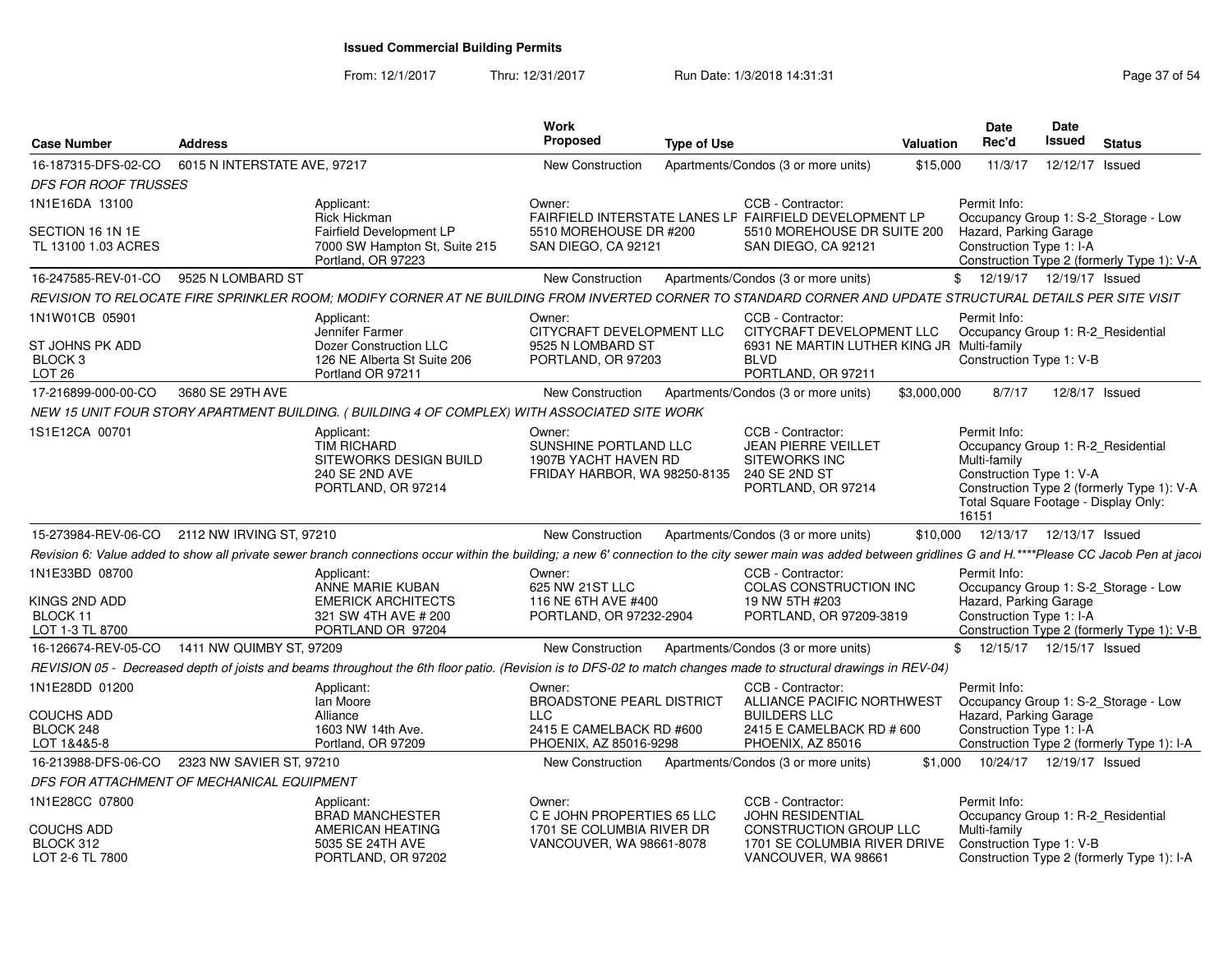From: 12/1/2017Thru: 12/31/2017 Run Date: 1/3/2018 14:31:31 Page 37 of 54

| <b>Case Number</b>             | <b>Address</b>                                                                                                                                                                                                  | Work<br><b>Proposed</b>                               | <b>Type of Use</b>                                     | <b>Valuation</b> | Date<br>Rec'd                                      | <b>Date</b><br>Issued | <b>Status</b>                              |
|--------------------------------|-----------------------------------------------------------------------------------------------------------------------------------------------------------------------------------------------------------------|-------------------------------------------------------|--------------------------------------------------------|------------------|----------------------------------------------------|-----------------------|--------------------------------------------|
| 16-187315-DFS-02-CO            | 6015 N INTERSTATE AVE, 97217                                                                                                                                                                                    | <b>New Construction</b>                               | Apartments/Condos (3 or more units)                    | \$15,000         | 11/3/17                                            | 12/12/17 Issued       |                                            |
| <b>DFS FOR ROOF TRUSSES</b>    |                                                                                                                                                                                                                 |                                                       |                                                        |                  |                                                    |                       |                                            |
| 1N1E16DA 13100                 |                                                                                                                                                                                                                 | Owner:                                                | CCB - Contractor:                                      |                  | Permit Info:                                       |                       |                                            |
|                                | Applicant:<br>Rick Hickman                                                                                                                                                                                      |                                                       | FAIRFIELD INTERSTATE LANES LF FAIRFIELD DEVELOPMENT LP |                  |                                                    |                       | Occupancy Group 1: S-2_Storage - Low       |
| SECTION 16 1N 1E               | <b>Fairfield Development LP</b>                                                                                                                                                                                 | 5510 MOREHOUSE DR #200                                | 5510 MOREHOUSE DR SUITE 200                            |                  | Hazard, Parking Garage                             |                       |                                            |
| TL 13100 1.03 ACRES            | 7000 SW Hampton St, Suite 215<br>Portland, OR 97223                                                                                                                                                             | SAN DIEGO, CA 92121                                   | SAN DIEGO, CA 92121                                    |                  | Construction Type 1: I-A                           |                       |                                            |
| 16-247585-REV-01-CO            | 9525 N LOMBARD ST                                                                                                                                                                                               | New Construction                                      | Apartments/Condos (3 or more units)                    |                  | \$ 12/19/17 12/19/17 Issued                        |                       | Construction Type 2 (formerly Type 1): V-A |
|                                |                                                                                                                                                                                                                 |                                                       |                                                        |                  |                                                    |                       |                                            |
|                                | REVISION TO RELOCATE FIRE SPRINKLER ROOM; MODIFY CORNER AT NE BUILDING FROM INVERTED CORNER TO STANDARD CORNER AND UPDATE STRUCTURAL DETAILS PER SITE VISIT                                                     |                                                       |                                                        |                  |                                                    |                       |                                            |
| 1N1W01CB 05901                 | Applicant:<br>Jennifer Farmer                                                                                                                                                                                   | Owner:<br>CITYCRAFT DEVELOPMENT LLC                   | CCB - Contractor:<br>CITYCRAFT DEVELOPMENT LLC         |                  | Permit Info:<br>Occupancy Group 1: R-2_Residential |                       |                                            |
| ST JOHNS PK ADD                | Dozer Construction LLC                                                                                                                                                                                          | 9525 N LOMBARD ST                                     | 6931 NE MARTIN LUTHER KING JR Multi-family             |                  |                                                    |                       |                                            |
| BLOCK <sub>3</sub>             | 126 NE Alberta St Suite 206                                                                                                                                                                                     | PORTLAND, OR 97203                                    | <b>BLVD</b>                                            |                  | Construction Type 1: V-B                           |                       |                                            |
| LOT <sub>26</sub>              | Portland OR 97211                                                                                                                                                                                               |                                                       | PORTLAND, OR 97211                                     |                  |                                                    |                       |                                            |
| 17-216899-000-00-CO            | 3680 SE 29TH AVE                                                                                                                                                                                                | New Construction                                      | Apartments/Condos (3 or more units)                    | \$3,000,000      | 8/7/17                                             |                       | 12/8/17 Issued                             |
|                                | NEW 15 UNIT FOUR STORY APARTMENT BUILDING. (BUILDING 4 OF COMPLEX) WITH ASSOCIATED SITE WORK                                                                                                                    |                                                       |                                                        |                  |                                                    |                       |                                            |
| 1S1E12CA 00701                 | Applicant:                                                                                                                                                                                                      | Owner:                                                | CCB - Contractor:                                      |                  | Permit Info:                                       |                       |                                            |
|                                | <b>TIM RICHARD</b><br>SITEWORKS DESIGN BUILD                                                                                                                                                                    | SUNSHINE PORTLAND LLC<br>1907B YACHT HAVEN RD         | <b>JEAN PIERRE VEILLET</b><br><b>SITEWORKS INC</b>     |                  | Occupancy Group 1: R-2 Residential<br>Multi-family |                       |                                            |
|                                | <b>240 SE 2ND AVE</b>                                                                                                                                                                                           | FRIDAY HARBOR, WA 98250-8135                          | 240 SE 2ND ST                                          |                  | Construction Type 1: V-A                           |                       |                                            |
|                                | PORTLAND, OR 97214                                                                                                                                                                                              |                                                       | PORTLAND, OR 97214                                     |                  |                                                    |                       | Construction Type 2 (formerly Type 1): V-A |
|                                |                                                                                                                                                                                                                 |                                                       |                                                        |                  | Total Square Footage - Display Only:<br>16151      |                       |                                            |
| 15-273984-REV-06-CO            | 2112 NW IRVING ST, 97210                                                                                                                                                                                        | New Construction                                      | Apartments/Condos (3 or more units)                    |                  | \$10.000  12/13/17  12/13/17  Issued               |                       |                                            |
|                                | Revision 6: Value added to show all private sewer branch connections occur within the building; a new 6' connection to the city sewer main was added between gridlines G and H.****Please CC Jacob Pen at jacol |                                                       |                                                        |                  |                                                    |                       |                                            |
| 1N1E33BD 08700                 | Applicant:                                                                                                                                                                                                      | Owner:                                                | CCB - Contractor:                                      |                  | Permit Info:                                       |                       |                                            |
|                                | ANNE MARIE KUBAN                                                                                                                                                                                                | 625 NW 21ST LLC                                       | COLAS CONSTRUCTION INC                                 |                  |                                                    |                       | Occupancy Group 1: S-2_Storage - Low       |
| KINGS 2ND ADD                  | <b>EMERICK ARCHITECTS</b>                                                                                                                                                                                       | 116 NE 6TH AVE #400                                   | 19 NW 5TH #203                                         |                  | Hazard, Parking Garage                             |                       |                                            |
| BLOCK 11                       | 321 SW 4TH AVE # 200                                                                                                                                                                                            | PORTLAND, OR 97232-2904                               | PORTLAND, OR 97209-3819                                |                  | Construction Type 1: I-A                           |                       |                                            |
| LOT 1-3 TL 8700                | PORTLAND OR 97204                                                                                                                                                                                               |                                                       |                                                        |                  | \$ 12/15/17 12/15/17 Issued                        |                       | Construction Type 2 (formerly Type 1): V-B |
| 16-126674-REV-05-CO            | 1411 NW QUIMBY ST, 97209                                                                                                                                                                                        | New Construction                                      | Apartments/Condos (3 or more units)                    |                  |                                                    |                       |                                            |
|                                | REVISION 05 - Decreased depth of joists and beams throughout the 6th floor patio. (Revision is to DFS-02 to match changes made to structural drawings in REV-04)                                                |                                                       |                                                        |                  |                                                    |                       |                                            |
| 1N1E28DD 01200                 | Applicant:<br>lan Moore                                                                                                                                                                                         | Owner:<br>BROADSTONE PEARL DISTRICT                   | CCB - Contractor:<br>ALLIANCE PACIFIC NORTHWEST        |                  | Permit Info:                                       |                       | Occupancy Group 1: S-2_Storage - Low       |
| <b>COUCHS ADD</b>              | Alliance                                                                                                                                                                                                        | <b>LLC</b>                                            | <b>BUILDERS LLC</b>                                    |                  | Hazard, Parking Garage                             |                       |                                            |
| BLOCK 248                      | 1603 NW 14th Ave.                                                                                                                                                                                               | 2415 E CAMELBACK RD #600                              | 2415 E CAMELBACK RD # 600                              |                  | Construction Type 1: I-A                           |                       |                                            |
| LOT 1&4&5-8                    | Portland, OR 97209                                                                                                                                                                                              | PHOENIX, AZ 85016-9298                                | PHOENIX, AZ 85016                                      |                  |                                                    |                       | Construction Type 2 (formerly Type 1): I-A |
| 16-213988-DFS-06-CO            | 2323 NW SAVIER ST, 97210                                                                                                                                                                                        | New Construction                                      | Apartments/Condos (3 or more units)                    |                  | \$1,000  10/24/17  12/19/17  Issued                |                       |                                            |
|                                | DFS FOR ATTACHMENT OF MECHANICAL EQUIPMENT                                                                                                                                                                      |                                                       |                                                        |                  |                                                    |                       |                                            |
| 1N1E28CC 07800                 | Applicant:                                                                                                                                                                                                      | Owner:                                                | CCB - Contractor:                                      |                  | Permit Info:                                       |                       |                                            |
|                                | <b>BRAD MANCHESTER</b>                                                                                                                                                                                          | C E JOHN PROPERTIES 65 LLC                            | <b>JOHN RESIDENTIAL</b>                                |                  | Occupancy Group 1: R-2_Residential                 |                       |                                            |
| <b>COUCHS ADD</b><br>BLOCK 312 | AMERICAN HEATING<br>5035 SE 24TH AVE                                                                                                                                                                            | 1701 SE COLUMBIA RIVER DR<br>VANCOUVER, WA 98661-8078 | CONSTRUCTION GROUP LLC<br>1701 SE COLUMBIA RIVER DRIVE |                  | Multi-family<br>Construction Type 1: V-B           |                       |                                            |
| LOT 2-6 TL 7800                | PORTLAND, OR 97202                                                                                                                                                                                              |                                                       | VANCOUVER, WA 98661                                    |                  |                                                    |                       | Construction Type 2 (formerly Type 1): I-A |
|                                |                                                                                                                                                                                                                 |                                                       |                                                        |                  |                                                    |                       |                                            |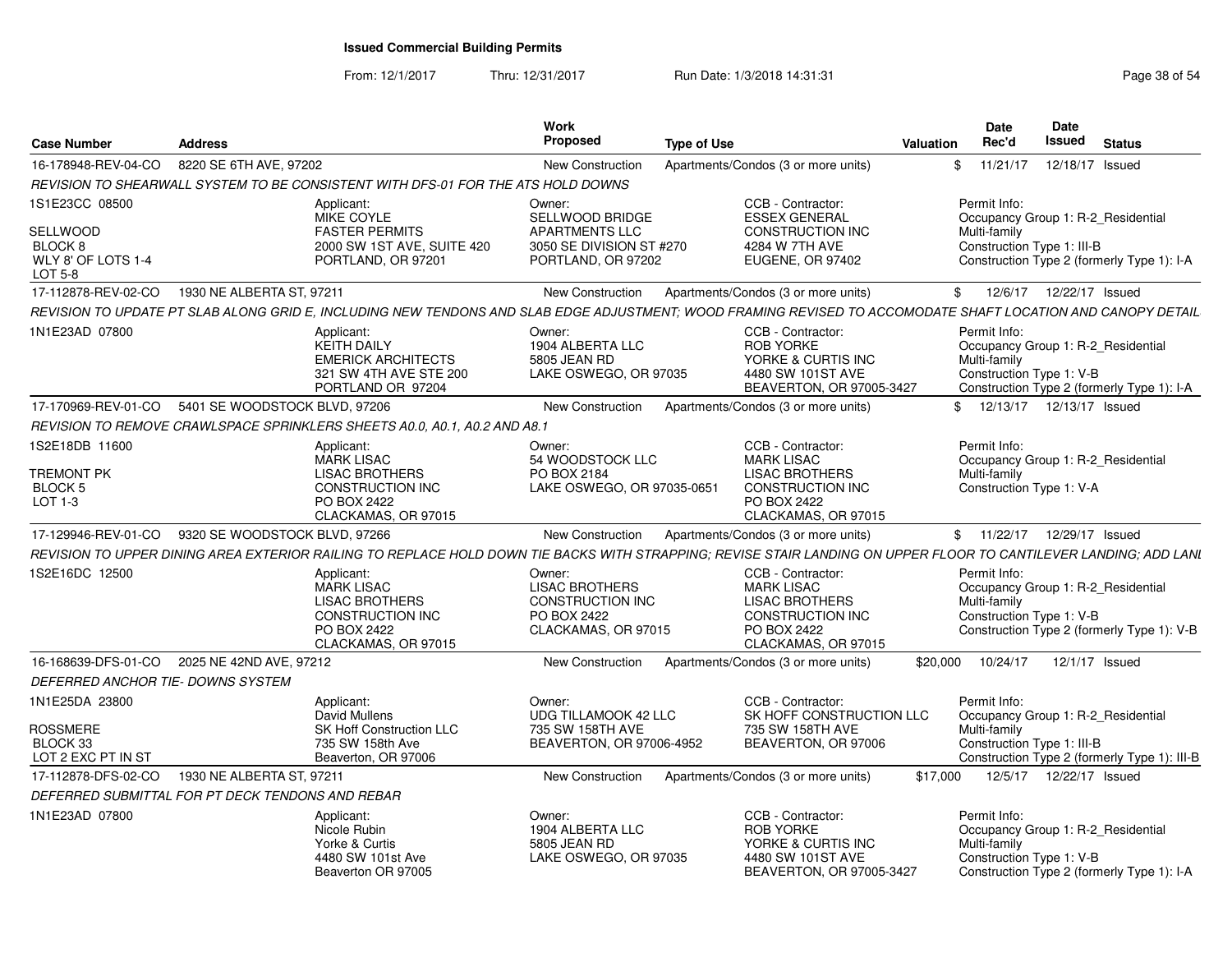From: 12/1/2017Thru: 12/31/2017 Run Date: 1/3/2018 14:31:31 Page 38 of 54

| <b>Case Number</b>                                                                   | <b>Address</b>                                                                                                                                                    |                                                                            | <b>Work</b><br>Proposed                                                                          | <b>Type of Use</b> |                                                                                                                                  | Valuation | <b>Date</b><br>Rec'd                                                                             | Date<br><b>Issued</b> | <b>Status</b> |                                              |
|--------------------------------------------------------------------------------------|-------------------------------------------------------------------------------------------------------------------------------------------------------------------|----------------------------------------------------------------------------|--------------------------------------------------------------------------------------------------|--------------------|----------------------------------------------------------------------------------------------------------------------------------|-----------|--------------------------------------------------------------------------------------------------|-----------------------|---------------|----------------------------------------------|
| 16-178948-REV-04-CO                                                                  | 8220 SE 6TH AVE, 97202                                                                                                                                            |                                                                            | <b>New Construction</b>                                                                          |                    | Apartments/Condos (3 or more units)                                                                                              |           | \$11/21/17                                                                                       | 12/18/17 Issued       |               |                                              |
|                                                                                      | REVISION TO SHEARWALL SYSTEM TO BE CONSISTENT WITH DFS-01 FOR THE ATS HOLD DOWNS                                                                                  |                                                                            |                                                                                                  |                    |                                                                                                                                  |           |                                                                                                  |                       |               |                                              |
| 1S1E23CC 08500<br>SELLWOOD<br><b>BLOCK 8</b><br>WLY 8' OF LOTS 1-4<br><b>LOT 5-8</b> | Applicant:<br>MIKE COYLE                                                                                                                                          | <b>FASTER PERMITS</b><br>2000 SW 1ST AVE, SUITE 420<br>PORTLAND, OR 97201  | Owner:<br>SELLWOOD BRIDGE<br>APARTMENTS LLC<br>3050 SE DIVISION ST #270<br>PORTLAND, OR 97202    |                    | CCB - Contractor:<br><b>ESSEX GENERAL</b><br>CONSTRUCTION INC<br>4284 W 7TH AVE<br><b>EUGENE, OR 97402</b>                       |           | Permit Info:<br>Occupancy Group 1: R-2 Residential<br>Multi-family<br>Construction Type 1: III-B |                       |               | Construction Type 2 (formerly Type 1): I-A   |
| 17-112878-REV-02-CO                                                                  | 1930 NE ALBERTA ST. 97211                                                                                                                                         |                                                                            | New Construction                                                                                 |                    | Apartments/Condos (3 or more units)                                                                                              |           | \$ 12/6/17 12/22/17 Issued                                                                       |                       |               |                                              |
|                                                                                      | REVISION TO UPDATE PT SLAB ALONG GRID E, INCLUDING NEW TENDONS AND SLAB EDGE ADJUSTMENT; WOOD FRAMING REVISED TO ACCOMODATE SHAFT LOCATION AND CANOPY DETAIL      |                                                                            |                                                                                                  |                    |                                                                                                                                  |           |                                                                                                  |                       |               |                                              |
| 1N1E23AD 07800                                                                       | Applicant:<br><b>KEITH DAILY</b>                                                                                                                                  | <b>EMERICK ARCHITECTS</b><br>321 SW 4TH AVE STE 200<br>PORTLAND OR 97204   | Owner:<br>1904 ALBERTA LLC<br>5805 JEAN RD<br>LAKE OSWEGO, OR 97035                              |                    | CCB - Contractor:<br><b>ROB YORKE</b><br>YORKE & CURTIS INC<br>4480 SW 101ST AVE<br>BEAVERTON, OR 97005-3427                     |           | Permit Info:<br>Occupancy Group 1: R-2 Residential<br>Multi-family<br>Construction Type 1: V-B   |                       |               | Construction Type 2 (formerly Type 1): I-A   |
|                                                                                      | 17-170969-REV-01-CO 5401 SE WOODSTOCK BLVD, 97206                                                                                                                 |                                                                            | New Construction                                                                                 |                    | Apartments/Condos (3 or more units)                                                                                              |           | \$ 12/13/17 12/13/17 Issued                                                                      |                       |               |                                              |
|                                                                                      | REVISION TO REMOVE CRAWLSPACE SPRINKLERS SHEETS A0.0, A0.1, A0.2 AND A8.1                                                                                         |                                                                            |                                                                                                  |                    |                                                                                                                                  |           |                                                                                                  |                       |               |                                              |
| 1S2E18DB 11600<br><b>TREMONT PK</b><br><b>BLOCK 5</b><br>LOT 1-3                     | Applicant:<br><b>MARK LISAC</b><br>PO BOX 2422                                                                                                                    | <b>LISAC BROTHERS</b><br><b>CONSTRUCTION INC</b><br>CLACKAMAS, OR 97015    | Owner:<br>54 WOODSTOCK LLC<br>PO BOX 2184<br>LAKE OSWEGO, OR 97035-0651                          |                    | CCB - Contractor:<br><b>MARK LISAC</b><br><b>LISAC BROTHERS</b><br><b>CONSTRUCTION INC</b><br>PO BOX 2422<br>CLACKAMAS, OR 97015 |           | Permit Info:<br>Occupancy Group 1: R-2_Residential<br>Multi-family<br>Construction Type 1: V-A   |                       |               |                                              |
|                                                                                      | 17-129946-REV-01-CO 9320 SE WOODSTOCK BLVD, 97266                                                                                                                 |                                                                            | <b>New Construction</b>                                                                          |                    | Apartments/Condos (3 or more units)                                                                                              |           | \$ 11/22/17 12/29/17 Issued                                                                      |                       |               |                                              |
|                                                                                      | REVISION TO UPPER DINING AREA EXTERIOR RAILING TO REPLACE HOLD DOWN TIE BACKS WITH STRAPPING: REVISE STAIR LANDING ON UPPER FLOOR TO CANTILEVER LANDING: ADD LANI |                                                                            |                                                                                                  |                    |                                                                                                                                  |           |                                                                                                  |                       |               |                                              |
| 1S2E16DC 12500                                                                       | Applicant:<br><b>MARK LISAC</b><br>PO BOX 2422                                                                                                                    | <b>LISAC BROTHERS</b><br>CONSTRUCTION INC<br>CLACKAMAS, OR 97015           | Owner:<br><b>LISAC BROTHERS</b><br><b>CONSTRUCTION INC</b><br>PO BOX 2422<br>CLACKAMAS, OR 97015 |                    | CCB - Contractor:<br><b>MARK LISAC</b><br><b>LISAC BROTHERS</b><br>CONSTRUCTION INC<br>PO BOX 2422<br>CLACKAMAS, OR 97015        |           | Permit Info:<br>Occupancy Group 1: R-2 Residential<br>Multi-family<br>Construction Type 1: V-B   |                       |               | Construction Type 2 (formerly Type 1): V-B   |
|                                                                                      | 16-168639-DFS-01-CO 2025 NE 42ND AVE, 97212                                                                                                                       |                                                                            | <b>New Construction</b>                                                                          |                    | Apartments/Condos (3 or more units)                                                                                              |           | \$20,000  10/24/17  12/1/17  Issued                                                              |                       |               |                                              |
| DEFERRED ANCHOR TIE- DOWNS SYSTEM                                                    |                                                                                                                                                                   |                                                                            |                                                                                                  |                    |                                                                                                                                  |           |                                                                                                  |                       |               |                                              |
| 1N1E25DA 23800<br><b>ROSSMERE</b><br>BLOCK 33<br>LOT 2 EXC PT IN ST                  | Applicant:<br>David Mullens                                                                                                                                       | <b>SK Hoff Construction LLC</b><br>735 SW 158th Ave<br>Beaverton, OR 97006 | Owner:<br><b>UDG TILLAMOOK 42 LLC</b><br>735 SW 158TH AVE<br>BEAVERTON, OR 97006-4952            |                    | CCB - Contractor:<br>SK HOFF CONSTRUCTION LLC<br>735 SW 158TH AVE<br>BEAVERTON, OR 97006                                         |           | Permit Info:<br>Occupancy Group 1: R-2 Residential<br>Multi-family<br>Construction Type 1: III-B |                       |               | Construction Type 2 (formerly Type 1): III-B |
| 17-112878-DFS-02-CO                                                                  | 1930 NE ALBERTA ST. 97211                                                                                                                                         |                                                                            | New Construction                                                                                 |                    | Apartments/Condos (3 or more units)                                                                                              | \$17.000  | 12/5/17  12/22/17  Issued                                                                        |                       |               |                                              |
|                                                                                      | DEFERRED SUBMITTAL FOR PT DECK TENDONS AND REBAR                                                                                                                  |                                                                            |                                                                                                  |                    |                                                                                                                                  |           |                                                                                                  |                       |               |                                              |
| 1N1E23AD 07800                                                                       | Applicant:                                                                                                                                                        |                                                                            | Owner:                                                                                           |                    | CCB - Contractor:                                                                                                                |           | Permit Info:                                                                                     |                       |               |                                              |
|                                                                                      | Nicole Rubin<br>Yorke & Curtis                                                                                                                                    | 4480 SW 101st Ave<br>Beaverton OR 97005                                    | 1904 ALBERTA LLC<br>5805 JEAN RD<br>LAKE OSWEGO, OR 97035                                        |                    | <b>ROB YORKE</b><br>YORKE & CURTIS INC<br>4480 SW 101ST AVE<br>BEAVERTON, OR 97005-3427                                          |           | Occupancy Group 1: R-2 Residential<br>Multi-family<br>Construction Type 1: V-B                   |                       |               | Construction Type 2 (formerly Type 1): I-A   |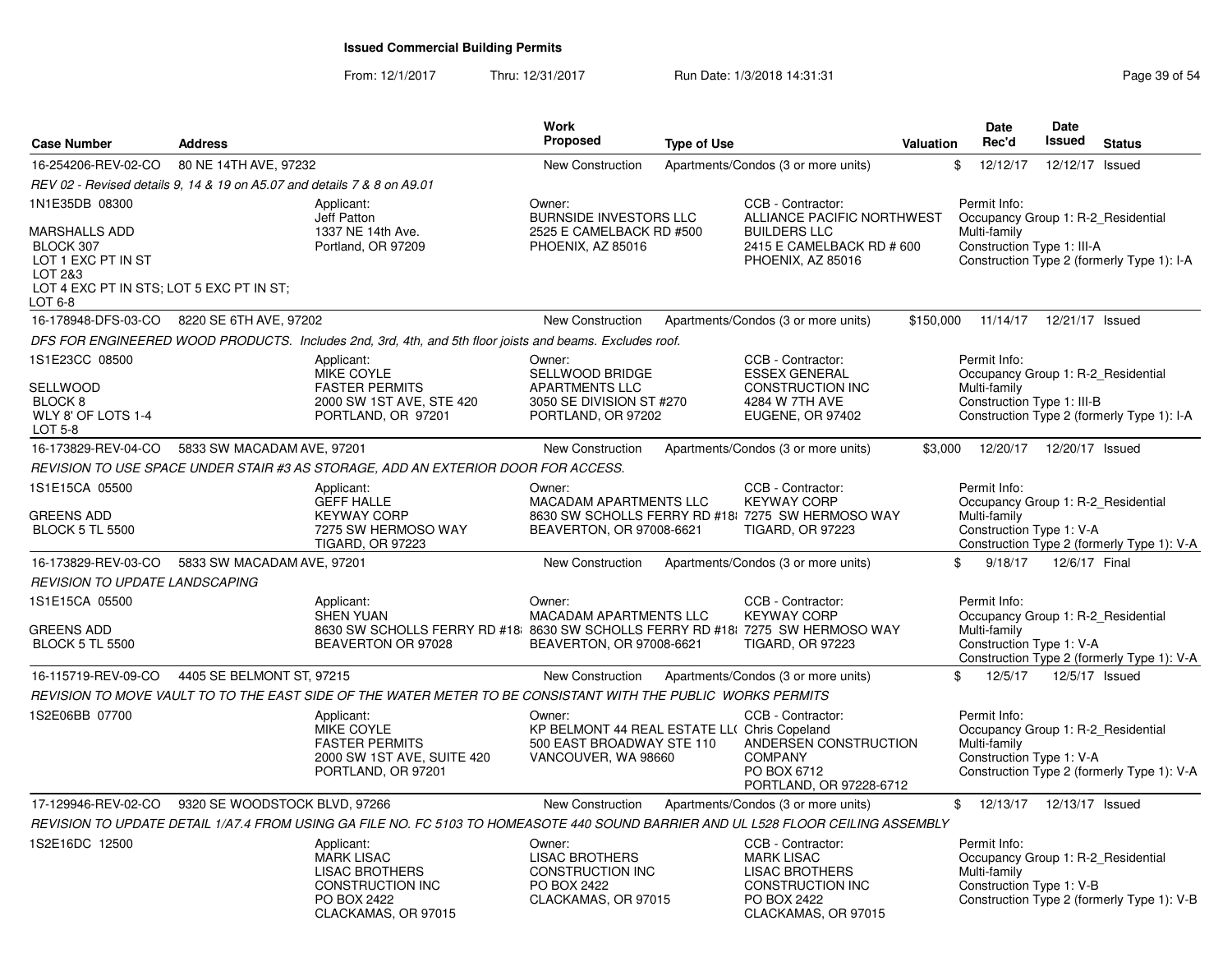From: 12/1/2017Thru: 12/31/2017 Run Date: 1/3/2018 14:31:31 Page 39 of 54

| <b>Case Number</b>                                                      | <b>Address</b>                |                                                                                                                                   | Work<br>Proposed                                                                                           | <b>Type of Use</b> |                                                                                                                           | <b>Valuation</b> | <b>Date</b><br>Rec'd                                                                           | Date<br>Issued  | <b>Status</b>                              |
|-------------------------------------------------------------------------|-------------------------------|-----------------------------------------------------------------------------------------------------------------------------------|------------------------------------------------------------------------------------------------------------|--------------------|---------------------------------------------------------------------------------------------------------------------------|------------------|------------------------------------------------------------------------------------------------|-----------------|--------------------------------------------|
| 16-254206-REV-02-CO                                                     | 80 NE 14TH AVE, 97232         |                                                                                                                                   | <b>New Construction</b>                                                                                    |                    | Apartments/Condos (3 or more units)                                                                                       | \$               | 12/12/17                                                                                       | 12/12/17 Issued |                                            |
| REV 02 - Revised details 9, 14 & 19 on A5.07 and details 7 & 8 on A9.01 |                               |                                                                                                                                   |                                                                                                            |                    |                                                                                                                           |                  |                                                                                                |                 |                                            |
| 1N1E35DB 08300                                                          |                               | Applicant:<br>Jeff Patton                                                                                                         | Owner:<br><b>BURNSIDE INVESTORS LLC</b>                                                                    |                    | CCB - Contractor:<br>ALLIANCE PACIFIC NORTHWEST                                                                           |                  | Permit Info:<br>Occupancy Group 1: R-2 Residential                                             |                 |                                            |
| <b>MARSHALLS ADD</b><br>BLOCK 307<br>LOT 1 EXC PT IN ST                 |                               | 1337 NE 14th Ave.<br>Portland, OR 97209                                                                                           | 2525 E CAMELBACK RD #500<br>PHOENIX, AZ 85016                                                              |                    | <b>BUILDERS LLC</b><br>2415 E CAMELBACK RD # 600<br>PHOENIX, AZ 85016                                                     |                  | Multi-family<br>Construction Type 1: III-A                                                     |                 | Construction Type 2 (formerly Type 1): I-A |
| LOT 2&3<br>LOT 4 EXC PT IN STS; LOT 5 EXC PT IN ST;<br>LOT 6-8          |                               |                                                                                                                                   |                                                                                                            |                    |                                                                                                                           |                  |                                                                                                |                 |                                            |
| 16-178948-DFS-03-CO                                                     | 8220 SE 6TH AVE, 97202        |                                                                                                                                   | <b>New Construction</b>                                                                                    |                    | Apartments/Condos (3 or more units)                                                                                       | \$150,000        | 11/14/17  12/21/17  Issued                                                                     |                 |                                            |
|                                                                         |                               | DFS FOR ENGINEERED WOOD PRODUCTS. Includes 2nd, 3rd, 4th, and 5th floor joists and beams. Excludes roof.                          |                                                                                                            |                    |                                                                                                                           |                  |                                                                                                |                 |                                            |
| 1S1E23CC 08500                                                          |                               | Applicant:<br>MIKE COYLE                                                                                                          | Owner:<br>SELLWOOD BRIDGE                                                                                  |                    | CCB - Contractor:<br><b>ESSEX GENERAL</b>                                                                                 |                  | Permit Info:<br>Occupancy Group 1: R-2 Residential                                             |                 |                                            |
| <b>SELLWOOD</b><br>BLOCK <sub>8</sub><br>WLY 8' OF LOTS 1-4<br>LOT 5-8  |                               | <b>FASTER PERMITS</b><br>2000 SW 1ST AVE, STE 420<br>PORTLAND, OR 97201                                                           | <b>APARTMENTS LLC</b><br>3050 SE DIVISION ST #270<br>PORTLAND, OR 97202                                    |                    | <b>CONSTRUCTION INC</b><br>4284 W 7TH AVE<br>EUGENE, OR 97402                                                             |                  | Multi-family<br>Construction Type 1: III-B                                                     |                 | Construction Type 2 (formerly Type 1): I-A |
| 16-173829-REV-04-CO                                                     | 5833 SW MACADAM AVE, 97201    |                                                                                                                                   | New Construction                                                                                           |                    | Apartments/Condos (3 or more units)                                                                                       | \$3,000          | 12/20/17                                                                                       | 12/20/17 Issued |                                            |
|                                                                         |                               | REVISION TO USE SPACE UNDER STAIR #3 AS STORAGE, ADD AN EXTERIOR DOOR FOR ACCESS.                                                 |                                                                                                            |                    |                                                                                                                           |                  |                                                                                                |                 |                                            |
| 1S1E15CA 05500                                                          |                               | Applicant:<br><b>GEFF HALLE</b>                                                                                                   | Owner:<br>MACADAM APARTMENTS LLC                                                                           |                    | CCB - Contractor:<br><b>KEYWAY CORP</b>                                                                                   |                  | Permit Info:<br>Occupancy Group 1: R-2_Residential                                             |                 |                                            |
| GREENS ADD<br><b>BLOCK 5 TL 5500</b>                                    |                               | <b>KEYWAY CORP</b><br>7275 SW HERMOSO WAY<br><b>TIGARD, OR 97223</b>                                                              | BEAVERTON, OR 97008-6621                                                                                   |                    | 8630 SW SCHOLLS FERRY RD #18 7275 SW HERMOSO WAY<br><b>TIGARD, OR 97223</b>                                               |                  | Multi-family<br>Construction Type 1: V-A                                                       |                 | Construction Type 2 (formerly Type 1): V-A |
| 16-173829-REV-03-CO                                                     | 5833 SW MACADAM AVE, 97201    |                                                                                                                                   | <b>New Construction</b>                                                                                    |                    | Apartments/Condos (3 or more units)                                                                                       | \$               | 9/18/17                                                                                        | 12/6/17 Final   |                                            |
| <b>REVISION TO UPDATE LANDSCAPING</b>                                   |                               |                                                                                                                                   |                                                                                                            |                    |                                                                                                                           |                  |                                                                                                |                 |                                            |
| 1S1E15CA 05500                                                          |                               | Applicant:<br><b>SHEN YUAN</b>                                                                                                    | Owner:<br>MACADAM APARTMENTS LLC                                                                           |                    | CCB - Contractor:<br><b>KEYWAY CORP</b>                                                                                   |                  | Permit Info:<br>Occupancy Group 1: R-2 Residential                                             |                 |                                            |
| GREENS ADD<br><b>BLOCK 5 TL 5500</b>                                    |                               | 8630 SW SCHOLLS FERRY RD #18 8630 SW SCHOLLS FERRY RD #18 7275 SW HERMOSO WAY<br>BEAVERTON OR 97028                               | BEAVERTON, OR 97008-6621                                                                                   |                    | TIGARD, OR 97223                                                                                                          |                  | Multi-family<br>Construction Type 1: V-A                                                       |                 | Construction Type 2 (formerly Type 1): V-A |
| 16-115719-REV-09-CO                                                     | 4405 SE BELMONT ST, 97215     |                                                                                                                                   | <b>New Construction</b>                                                                                    |                    | Apartments/Condos (3 or more units)                                                                                       | \$               | 12/5/17                                                                                        | 12/5/17 Issued  |                                            |
|                                                                         |                               | REVISION TO MOVE VAULT TO TO THE EAST SIDE OF THE WATER METER TO BE CONSISTANT WITH THE PUBLIC WORKS PERMITS                      |                                                                                                            |                    |                                                                                                                           |                  |                                                                                                |                 |                                            |
| 1S2E06BB 07700                                                          |                               | Applicant:<br>MIKE COYLE<br><b>FASTER PERMITS</b><br>2000 SW 1ST AVE, SUITE 420<br>PORTLAND, OR 97201                             | Owner:<br>KP BELMONT 44 REAL ESTATE LL( Chris Copeland<br>500 EAST BROADWAY STE 110<br>VANCOUVER, WA 98660 |                    | CCB - Contractor:<br>ANDERSEN CONSTRUCTION<br><b>COMPANY</b><br>PO BOX 6712<br>PORTLAND, OR 97228-6712                    |                  | Permit Info:<br>Occupancy Group 1: R-2_Residential<br>Multi-family<br>Construction Type 1: V-A |                 | Construction Type 2 (formerly Type 1): V-A |
| 17-129946-REV-02-CO                                                     | 9320 SE WOODSTOCK BLVD, 97266 |                                                                                                                                   | <b>New Construction</b>                                                                                    |                    | Apartments/Condos (3 or more units)                                                                                       |                  | $\mathfrak{S}$<br>12/13/17                                                                     | 12/13/17 Issued |                                            |
|                                                                         |                               | REVISION TO UPDATE DETAIL 1/A7.4 FROM USING GA FILE NO. FC 5103 TO HOMEASOTE 440 SOUND BARRIER AND UL L528 FLOOR CEILING ASSEMBLY |                                                                                                            |                    |                                                                                                                           |                  |                                                                                                |                 |                                            |
| 1S2E16DC 12500                                                          |                               | Applicant:<br><b>MARK LISAC</b><br><b>LISAC BROTHERS</b><br><b>CONSTRUCTION INC</b><br><b>PO BOX 2422</b><br>CLACKAMAS, OR 97015  | Owner:<br><b>LISAC BROTHERS</b><br><b>CONSTRUCTION INC</b><br>PO BOX 2422<br>CLACKAMAS, OR 97015           |                    | CCB - Contractor:<br><b>MARK LISAC</b><br><b>LISAC BROTHERS</b><br>CONSTRUCTION INC<br>PO BOX 2422<br>CLACKAMAS, OR 97015 |                  | Permit Info:<br>Occupancy Group 1: R-2_Residential<br>Multi-family<br>Construction Type 1: V-B |                 | Construction Type 2 (formerly Type 1): V-B |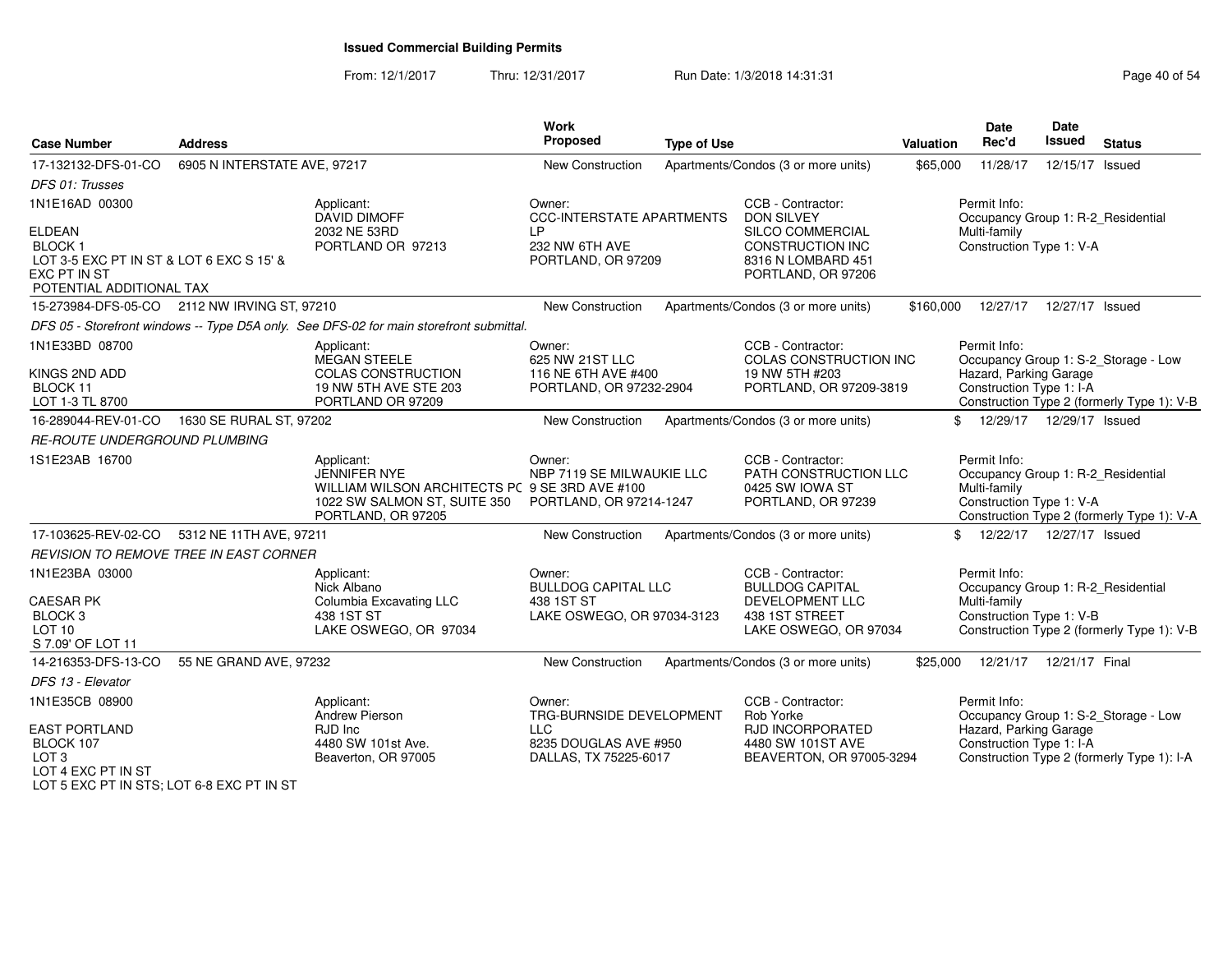#### From: 12/1/2017Thru: 12/31/2017 Run Date: 1/3/2018 14:31:31 Research 2010 154

| <b>Case Number</b>                                                                                                            | <b>Address</b>               |                                                                                                                                    | <b>Work</b><br><b>Proposed</b>                                 | <b>Type of Use</b> |                                                                                                | <b>Valuation</b> | <b>Date</b><br>Rec'd                                                                           | <b>Date</b><br><b>Issued</b> | <b>Status</b>                              |
|-------------------------------------------------------------------------------------------------------------------------------|------------------------------|------------------------------------------------------------------------------------------------------------------------------------|----------------------------------------------------------------|--------------------|------------------------------------------------------------------------------------------------|------------------|------------------------------------------------------------------------------------------------|------------------------------|--------------------------------------------|
| 17-132132-DFS-01-CO                                                                                                           | 6905 N INTERSTATE AVE, 97217 |                                                                                                                                    | New Construction                                               |                    | Apartments/Condos (3 or more units)                                                            | \$65,000         | 11/28/17                                                                                       | 12/15/17 Issued              |                                            |
| DFS 01: Trusses                                                                                                               |                              |                                                                                                                                    |                                                                |                    |                                                                                                |                  |                                                                                                |                              |                                            |
| 1N1E16AD 00300                                                                                                                |                              | Applicant:<br>DAVID DIMOFF                                                                                                         | Owner:<br><b>CCC-INTERSTATE APARTMENTS</b>                     |                    | CCB - Contractor:<br><b>DON SILVEY</b>                                                         |                  | Permit Info:<br>Occupancy Group 1: R-2_Residential                                             |                              |                                            |
| <b>ELDEAN</b><br><b>BLOCK1</b><br>LOT 3-5 EXC PT IN ST & LOT 6 EXC S 15' &<br><b>EXC PT IN ST</b><br>POTENTIAL ADDITIONAL TAX |                              | 2032 NE 53RD<br>PORTLAND OR 97213                                                                                                  | LP<br>232 NW 6TH AVE<br>PORTLAND, OR 97209                     |                    | <b>SILCO COMMERCIAL</b><br><b>CONSTRUCTION INC</b><br>8316 N LOMBARD 451<br>PORTLAND, OR 97206 |                  | Multi-family<br>Construction Type 1: V-A                                                       |                              |                                            |
| 15-273984-DFS-05-CO 2112 NW IRVING ST, 97210                                                                                  |                              |                                                                                                                                    | New Construction                                               |                    | Apartments/Condos (3 or more units)                                                            | \$160,000        |                                                                                                | 12/27/17  12/27/17  Issued   |                                            |
|                                                                                                                               |                              | DFS 05 - Storefront windows -- Type D5A only. See DFS-02 for main storefront submittal.                                            |                                                                |                    |                                                                                                |                  |                                                                                                |                              |                                            |
| 1N1E33BD 08700                                                                                                                |                              | Applicant:<br>MEGAN STEELE                                                                                                         | Owner:<br>625 NW 21ST LLC                                      |                    | CCB - Contractor:<br><b>COLAS CONSTRUCTION INC</b>                                             |                  | Permit Info:                                                                                   |                              | Occupancy Group 1: S-2_Storage - Low       |
| KINGS 2ND ADD<br>BLOCK 11<br>LOT 1-3 TL 8700                                                                                  |                              | <b>COLAS CONSTRUCTION</b><br>19 NW 5TH AVE STE 203<br>PORTLAND OR 97209                                                            | 116 NE 6TH AVE #400<br>PORTLAND, OR 97232-2904                 |                    | 19 NW 5TH #203<br>PORTLAND, OR 97209-3819                                                      |                  | Hazard, Parking Garage<br>Construction Type 1: I-A                                             |                              | Construction Type 2 (formerly Type 1): V-B |
| 16-289044-REV-01-CO                                                                                                           | 1630 SE RURAL ST, 97202      |                                                                                                                                    | New Construction                                               |                    | Apartments/Condos (3 or more units)                                                            | \$               |                                                                                                | 12/29/17  12/29/17  Issued   |                                            |
| <b>RE-ROUTE UNDERGROUND PLUMBING</b>                                                                                          |                              |                                                                                                                                    |                                                                |                    |                                                                                                |                  |                                                                                                |                              |                                            |
| 1S1E23AB 16700                                                                                                                |                              | Applicant:<br>JENNIFER NYE<br>WILLIAM WILSON ARCHITECTS PC 9 SE 3RD AVE #100<br>1022 SW SALMON ST, SUITE 350<br>PORTLAND, OR 97205 | Owner:<br>NBP 7119 SE MILWAUKIE LLC<br>PORTLAND, OR 97214-1247 |                    | CCB - Contractor:<br>PATH CONSTRUCTION LLC<br>0425 SW IOWA ST<br>PORTLAND, OR 97239            |                  | Permit Info:<br>Occupancy Group 1: R-2_Residential<br>Multi-family<br>Construction Type 1: V-A |                              | Construction Type 2 (formerly Type 1): V-A |
| 17-103625-REV-02-CO                                                                                                           | 5312 NE 11TH AVE, 97211      |                                                                                                                                    | <b>New Construction</b>                                        |                    | Apartments/Condos (3 or more units)                                                            |                  | \$ 12/22/17 12/27/17 Issued                                                                    |                              |                                            |
| <b>REVISION TO REMOVE TREE IN EAST CORNER</b>                                                                                 |                              |                                                                                                                                    |                                                                |                    |                                                                                                |                  |                                                                                                |                              |                                            |
| 1N1E23BA 03000                                                                                                                |                              | Applicant:<br>Nick Albano                                                                                                          | Owner:<br><b>BULLDOG CAPITAL LLC</b>                           |                    | CCB - Contractor:<br><b>BULLDOG CAPITAL</b>                                                    |                  | Permit Info:<br>Occupancy Group 1: R-2_Residential                                             |                              |                                            |
| <b>CAESAR PK</b><br>BLOCK <sub>3</sub><br>LOT <sub>10</sub><br>S 7.09' OF LOT 11                                              |                              | Columbia Excavating LLC<br>438 1ST ST<br>LAKE OSWEGO, OR 97034                                                                     | 438 1ST ST<br>LAKE OSWEGO, OR 97034-3123                       |                    | DEVELOPMENT LLC<br>438 1ST STREET<br>LAKE OSWEGO, OR 97034                                     |                  | Multi-family<br>Construction Type 1: V-B                                                       |                              | Construction Type 2 (formerly Type 1): V-B |
| 14-216353-DFS-13-CO                                                                                                           | 55 NE GRAND AVE, 97232       |                                                                                                                                    | New Construction                                               |                    | Apartments/Condos (3 or more units)                                                            | \$25,000         | 12/21/17                                                                                       | 12/21/17 Final               |                                            |
| DFS 13 - Elevator                                                                                                             |                              |                                                                                                                                    |                                                                |                    |                                                                                                |                  |                                                                                                |                              |                                            |
| 1N1E35CB 08900                                                                                                                |                              | Applicant:<br>Andrew Pierson                                                                                                       | Owner:<br>TRG-BURNSIDE DEVELOPMENT                             |                    | CCB - Contractor:<br>Rob Yorke                                                                 |                  | Permit Info:                                                                                   |                              | Occupancy Group 1: S-2_Storage - Low       |
| <b>EAST PORTLAND</b><br>BLOCK 107<br>LOT <sub>3</sub><br>LOT 4 EXC PT IN ST                                                   |                              | RJD Inc<br>4480 SW 101st Ave.<br>Beaverton, OR 97005                                                                               | <b>LLC</b><br>8235 DOUGLAS AVE #950<br>DALLAS, TX 75225-6017   |                    | <b>RJD INCORPORATED</b><br>4480 SW 101ST AVE<br>BEAVERTON, OR 97005-3294                       |                  | Hazard, Parking Garage<br>Construction Type 1: I-A                                             |                              | Construction Type 2 (formerly Type 1): I-A |

LOT 4 EXC PT IN ST LOT 5 EXC PT IN STS; LOT 6-8 EXC PT IN ST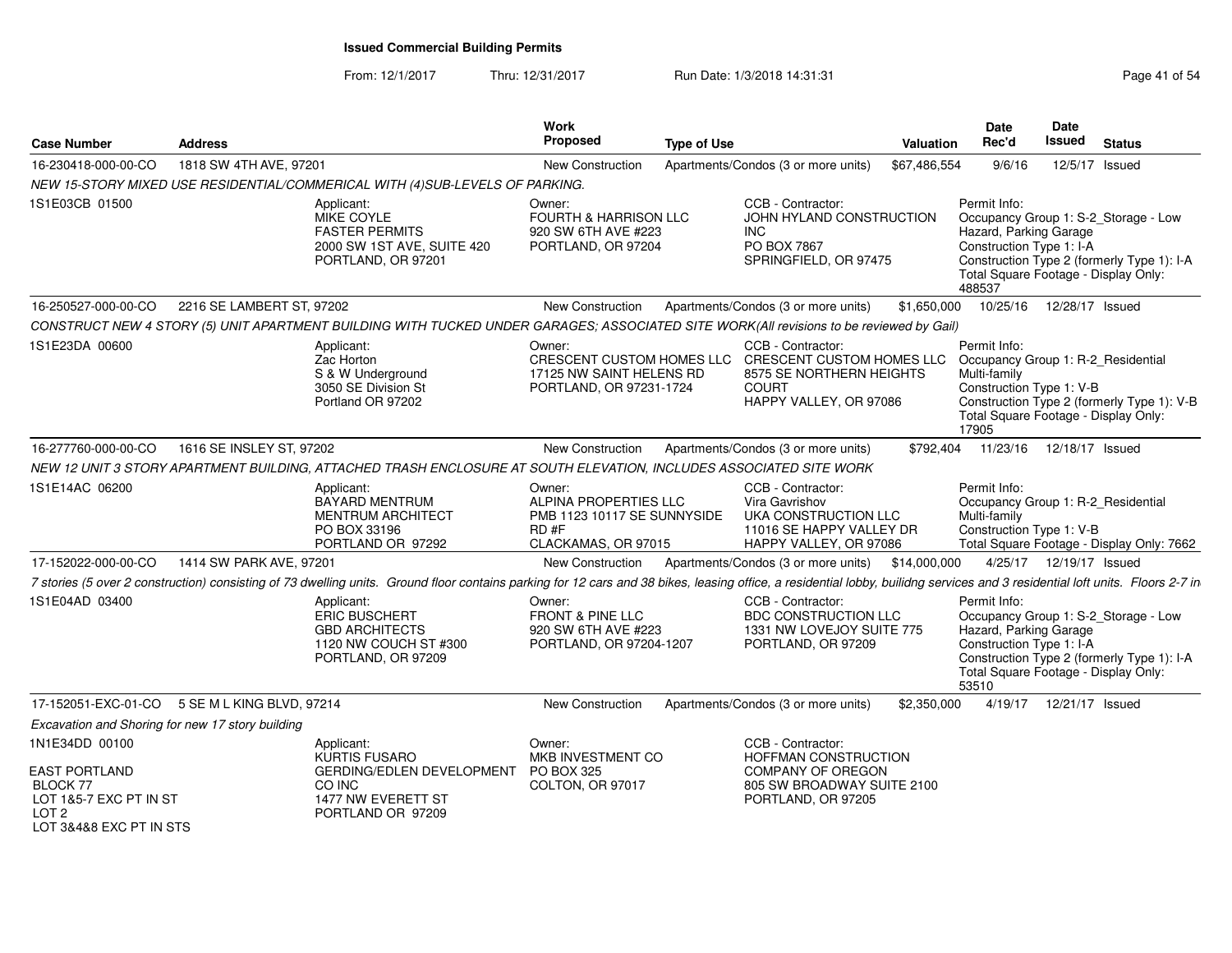From: 12/1/2017Thru: 12/31/2017 Run Date: 1/3/2018 14:31:31 Page 41 of 54

| <b>Case Number</b>                                                                                                   | <b>Address</b>                                                                                                                                                                                                                |                                                                      | <b>Work</b><br><b>Proposed</b>                                                                | <b>Type of Use</b> |                                                                                                                                                                                   | <b>Valuation</b> | Date<br>Rec'd                                                                                                        | Date<br>Issued             | <b>Status</b>                                                                      |
|----------------------------------------------------------------------------------------------------------------------|-------------------------------------------------------------------------------------------------------------------------------------------------------------------------------------------------------------------------------|----------------------------------------------------------------------|-----------------------------------------------------------------------------------------------|--------------------|-----------------------------------------------------------------------------------------------------------------------------------------------------------------------------------|------------------|----------------------------------------------------------------------------------------------------------------------|----------------------------|------------------------------------------------------------------------------------|
| 16-230418-000-00-CO                                                                                                  | 1818 SW 4TH AVE, 97201                                                                                                                                                                                                        |                                                                      | <b>New Construction</b>                                                                       |                    | Apartments/Condos (3 or more units)                                                                                                                                               | \$67,486,554     | 9/6/16                                                                                                               | 12/5/17 Issued             |                                                                                    |
|                                                                                                                      | NEW 15-STORY MIXED USE RESIDENTIAL/COMMERICAL WITH (4)SUB-LEVELS OF PARKING.                                                                                                                                                  |                                                                      |                                                                                               |                    |                                                                                                                                                                                   |                  |                                                                                                                      |                            |                                                                                    |
| 1S1E03CB 01500                                                                                                       | Applicant:<br>MIKE COYLE<br><b>FASTER PERMITS</b>                                                                                                                                                                             | 2000 SW 1ST AVE, SUITE 420<br>PORTLAND, OR 97201                     | Owner:<br>FOURTH & HARRISON LLC<br>920 SW 6TH AVE #223<br>PORTLAND, OR 97204                  |                    | CCB - Contractor:<br>JOHN HYLAND CONSTRUCTION<br>INC.<br>PO BOX 7867<br>SPRINGFIELD, OR 97475                                                                                     |                  | Permit Info:<br>Hazard, Parking Garage<br>Construction Type 1: I-A<br>Total Square Footage - Display Only:<br>488537 |                            | Occupancy Group 1: S-2_Storage - Low<br>Construction Type 2 (formerly Type 1): I-A |
| 16-250527-000-00-CO                                                                                                  | 2216 SE LAMBERT ST, 97202                                                                                                                                                                                                     |                                                                      | <b>New Construction</b>                                                                       |                    | Apartments/Condos (3 or more units)                                                                                                                                               | \$1,650,000      |                                                                                                                      | 10/25/16  12/28/17  Issued |                                                                                    |
|                                                                                                                      | CONSTRUCT NEW 4 STORY (5) UNIT APARTMENT BUILDING WITH TUCKED UNDER GARAGES; ASSOCIATED SITE WORK(All revisions to be reviewed by Gail)                                                                                       |                                                                      |                                                                                               |                    |                                                                                                                                                                                   |                  |                                                                                                                      |                            |                                                                                    |
| 1S1E23DA 00600                                                                                                       | Applicant:<br>Zac Horton<br>S & W Underground<br>3050 SE Division St<br>Portland OR 97202                                                                                                                                     |                                                                      | Owner:<br>17125 NW SAINT HELENS RD<br>PORTLAND, OR 97231-1724                                 |                    | CCB - Contractor:<br>CRESCENT CUSTOM HOMES LLC CRESCENT CUSTOM HOMES LLC Occupancy Group 1: R-2_Residential<br>8575 SE NORTHERN HEIGHTS<br><b>COURT</b><br>HAPPY VALLEY, OR 97086 |                  | Permit Info:<br>Multi-family<br>Construction Type 1: V-B<br>Total Square Footage - Display Only:<br>17905            |                            | Construction Type 2 (formerly Type 1): V-B                                         |
| 16-277760-000-00-CO                                                                                                  | 1616 SE INSLEY ST, 97202                                                                                                                                                                                                      |                                                                      | <b>New Construction</b>                                                                       |                    | Apartments/Condos (3 or more units)                                                                                                                                               | \$792,404        | 11/23/16                                                                                                             | 12/18/17 Issued            |                                                                                    |
|                                                                                                                      | NEW 12 UNIT 3 STORY APARTMENT BUILDING, ATTACHED TRASH ENCLOSURE AT SOUTH ELEVATION, INCLUDES ASSOCIATED SITE WORK                                                                                                            |                                                                      |                                                                                               |                    |                                                                                                                                                                                   |                  |                                                                                                                      |                            |                                                                                    |
| 1S1E14AC 06200                                                                                                       | Applicant:<br><b>BAYARD MENTRUM</b><br>PO BOX 33196                                                                                                                                                                           | <b>MENTRUM ARCHITECT</b><br>PORTLAND OR 97292                        | Owner:<br>ALPINA PROPERTIES LLC<br>PMB 1123 10117 SE SUNNYSIDE<br>RD#F<br>CLACKAMAS, OR 97015 |                    | CCB - Contractor:<br>Vira Gavrishov<br>UKA CONSTRUCTION LLC<br>11016 SE HAPPY VALLEY DR<br>HAPPY VALLEY, OR 97086                                                                 |                  | Permit Info:<br>Occupancy Group 1: R-2_Residential<br>Multi-family<br>Construction Type 1: V-B                       |                            | Total Square Footage - Display Only: 7662                                          |
| 17-152022-000-00-CO                                                                                                  | 1414 SW PARK AVE, 97201                                                                                                                                                                                                       |                                                                      | New Construction                                                                              |                    | Apartments/Condos (3 or more units) \$14,000,000                                                                                                                                  |                  |                                                                                                                      | 4/25/17  12/19/17  Issued  |                                                                                    |
|                                                                                                                      | 7 stories (5 over 2 construction) consisting of 73 dwelling units. Ground floor contains parking for 12 cars and 38 bikes, leasing office, a residential lobby, builidng services and 3 residential loft units. Floors 2-7 in |                                                                      |                                                                                               |                    |                                                                                                                                                                                   |                  |                                                                                                                      |                            |                                                                                    |
| 1S1E04AD 03400                                                                                                       | Applicant:<br><b>ERIC BUSCHERT</b><br><b>GBD ARCHITECTS</b>                                                                                                                                                                   | 1120 NW COUCH ST #300<br>PORTLAND, OR 97209                          | Owner:<br><b>FRONT &amp; PINE LLC</b><br>920 SW 6TH AVE #223<br>PORTLAND, OR 97204-1207       |                    | CCB - Contractor:<br><b>BDC CONSTRUCTION LLC</b><br>1331 NW LOVEJOY SUITE 775<br>PORTLAND, OR 97209                                                                               |                  | Permit Info:<br>Hazard, Parking Garage<br>Construction Type 1: I-A<br>Total Square Footage - Display Only:<br>53510  |                            | Occupancy Group 1: S-2_Storage - Low<br>Construction Type 2 (formerly Type 1): I-A |
|                                                                                                                      | 17-152051-EXC-01-CO 5 SE M L KING BLVD, 97214                                                                                                                                                                                 |                                                                      | <b>New Construction</b>                                                                       |                    | Apartments/Condos (3 or more units)                                                                                                                                               | \$2,350,000      | 4/19/17                                                                                                              | 12/21/17 Issued            |                                                                                    |
| Excavation and Shoring for new 17 story building                                                                     |                                                                                                                                                                                                                               |                                                                      |                                                                                               |                    |                                                                                                                                                                                   |                  |                                                                                                                      |                            |                                                                                    |
| 1N1E34DD 00100<br>EAST PORTLAND<br>BLOCK 77<br>LOT 1&5-7 EXC PT IN ST<br>LOT <sub>2</sub><br>LOT 3&4&8 EXC PT IN STS | Applicant:<br><b>KURTIS FUSARO</b><br>CO INC                                                                                                                                                                                  | GERDING/EDLEN DEVELOPMENT<br>1477 NW EVERETT ST<br>PORTLAND OR 97209 | Owner:<br>MKB INVESTMENT CO<br>PO BOX 325<br>COLTON, OR 97017                                 |                    | CCB - Contractor:<br><b>HOFFMAN CONSTRUCTION</b><br>COMPANY OF OREGON<br>805 SW BROADWAY SUITE 2100<br>PORTLAND, OR 97205                                                         |                  |                                                                                                                      |                            |                                                                                    |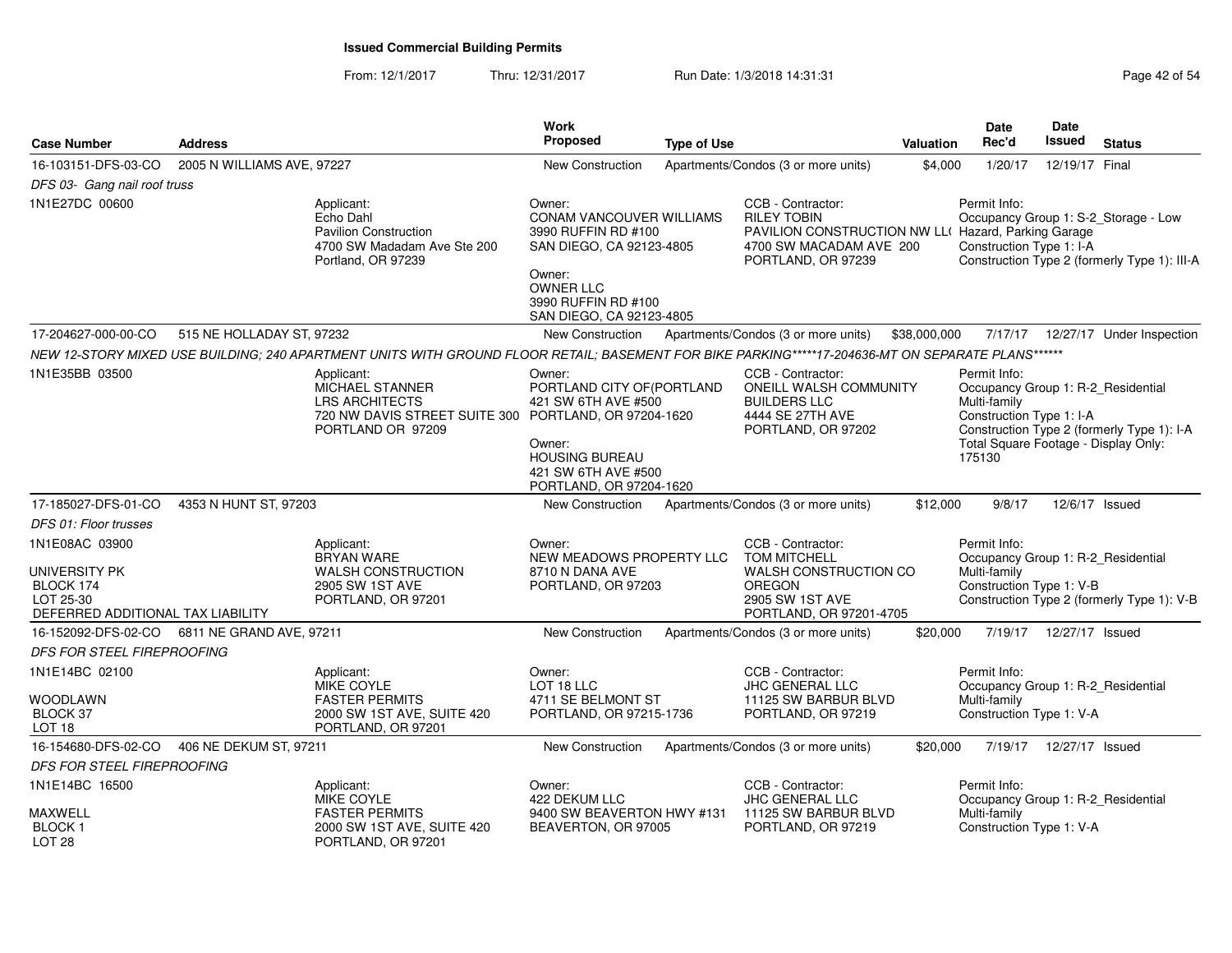From: 12/1/2017Thru: 12/31/2017 Run Date: 1/3/2018 14:31:31 Page 42 of 54

| <b>Case Number</b>                                                                             | <b>Address</b>             |                                                                                                                                                   | Work<br>Proposed                                                                                                                                                       | <b>Type of Use</b> |                                                                                                                                                 | Valuation    | <b>Date</b><br>Rec'd                                                                                                                             | <b>Date</b><br>Issued     | <b>Status</b>                                                                        |
|------------------------------------------------------------------------------------------------|----------------------------|---------------------------------------------------------------------------------------------------------------------------------------------------|------------------------------------------------------------------------------------------------------------------------------------------------------------------------|--------------------|-------------------------------------------------------------------------------------------------------------------------------------------------|--------------|--------------------------------------------------------------------------------------------------------------------------------------------------|---------------------------|--------------------------------------------------------------------------------------|
| 16-103151-DFS-03-CO                                                                            | 2005 N WILLIAMS AVE, 97227 |                                                                                                                                                   | <b>New Construction</b>                                                                                                                                                |                    | Apartments/Condos (3 or more units)                                                                                                             | \$4,000      | 1/20/17                                                                                                                                          | 12/19/17 Final            |                                                                                      |
| DFS 03- Gang nail roof truss                                                                   |                            |                                                                                                                                                   |                                                                                                                                                                        |                    |                                                                                                                                                 |              |                                                                                                                                                  |                           |                                                                                      |
| 1N1E27DC 00600                                                                                 |                            | Applicant:<br>Echo Dahl<br><b>Pavilion Construction</b><br>4700 SW Madadam Ave Ste 200<br>Portland, OR 97239                                      | Owner:<br>CONAM VANCOUVER WILLIAMS<br>3990 RUFFIN RD #100<br>SAN DIEGO, CA 92123-4805<br>Owner:<br><b>OWNER LLC</b><br>3990 RUFFIN RD #100<br>SAN DIEGO, CA 92123-4805 |                    | CCB - Contractor:<br><b>RILEY TOBIN</b><br>PAVILION CONSTRUCTION NW LL( Hazard, Parking Garage<br>4700 SW MACADAM AVE 200<br>PORTLAND, OR 97239 |              | Permit Info:<br>Construction Type 1: I-A                                                                                                         |                           | Occupancy Group 1: S-2_Storage - Low<br>Construction Type 2 (formerly Type 1): III-A |
| 17-204627-000-00-CO                                                                            | 515 NE HOLLADAY ST, 97232  |                                                                                                                                                   | New Construction                                                                                                                                                       |                    | Apartments/Condos (3 or more units)                                                                                                             | \$38,000,000 | 7/17/17                                                                                                                                          |                           | 12/27/17 Under Inspection                                                            |
|                                                                                                |                            | NEW 12-STORY MIXED USE BUILDING; 240 APARTMENT UNITS WITH GROUND FLOOR RETAIL; BASEMENT FOR BIKE PARKING*****17-204636-MT ON SEPARATE PLANS****** |                                                                                                                                                                        |                    |                                                                                                                                                 |              |                                                                                                                                                  |                           |                                                                                      |
| 1N1E35BB 03500                                                                                 |                            | Applicant:<br>MICHAEL STANNER<br><b>LRS ARCHITECTS</b><br>720 NW DAVIS STREET SUITE 300 PORTLAND, OR 97204-1620<br>PORTLAND OR 97209              | Owner:<br>PORTLAND CITY OF (PORTLAND<br>421 SW 6TH AVE #500<br>Owner:<br><b>HOUSING BUREAU</b><br>421 SW 6TH AVE #500<br>PORTLAND, OR 97204-1620                       |                    | CCB - Contractor:<br>ONEILL WALSH COMMUNITY<br><b>BUILDERS LLC</b><br>4444 SE 27TH AVE<br>PORTLAND, OR 97202                                    |              | Permit Info:<br>Occupancy Group 1: R-2_Residential<br>Multi-family<br>Construction Type 1: I-A<br>Total Square Footage - Display Only:<br>175130 |                           | Construction Type 2 (formerly Type 1): I-A                                           |
| 17-185027-DFS-01-CO                                                                            | 4353 N HUNT ST, 97203      |                                                                                                                                                   | New Construction                                                                                                                                                       |                    | Apartments/Condos (3 or more units)                                                                                                             | \$12,000     | 9/8/17                                                                                                                                           | 12/6/17 Issued            |                                                                                      |
| DFS 01: Floor trusses                                                                          |                            |                                                                                                                                                   |                                                                                                                                                                        |                    |                                                                                                                                                 |              |                                                                                                                                                  |                           |                                                                                      |
| 1N1E08AC 03900<br>UNIVERSITY PK<br>BLOCK 174<br>LOT 25-30<br>DEFERRED ADDITIONAL TAX LIABILITY |                            | Applicant:<br><b>BRYAN WARE</b><br><b>WALSH CONSTRUCTION</b><br>2905 SW 1ST AVE<br>PORTLAND, OR 97201                                             | Owner:<br>NEW MEADOWS PROPERTY LLC<br>8710 N DANA AVE<br>PORTLAND, OR 97203                                                                                            |                    | CCB - Contractor:<br><b>TOM MITCHELL</b><br>WALSH CONSTRUCTION CO<br><b>OREGON</b><br>2905 SW 1ST AVE<br>PORTLAND, OR 97201-4705                |              | Permit Info:<br>Occupancy Group 1: R-2_Residential<br>Multi-family<br>Construction Type 1: V-B                                                   |                           | Construction Type 2 (formerly Type 1): V-B                                           |
| 16-152092-DFS-02-CO                                                                            | 6811 NE GRAND AVE, 97211   |                                                                                                                                                   | New Construction                                                                                                                                                       |                    | Apartments/Condos (3 or more units)                                                                                                             | \$20,000     | 7/19/17                                                                                                                                          | 12/27/17 Issued           |                                                                                      |
| <b>DFS FOR STEEL FIREPROOFING</b>                                                              |                            |                                                                                                                                                   |                                                                                                                                                                        |                    |                                                                                                                                                 |              |                                                                                                                                                  |                           |                                                                                      |
| 1N1E14BC 02100<br>WOODLAWN<br>BLOCK 37                                                         |                            | Applicant:<br><b>MIKE COYLE</b><br><b>FASTER PERMITS</b><br>2000 SW 1ST AVE, SUITE 420                                                            | Owner:<br>LOT 18 LLC<br>4711 SE BELMONT ST<br>PORTLAND, OR 97215-1736                                                                                                  |                    | CCB - Contractor:<br><b>JHC GENERAL LLC</b><br>11125 SW BARBUR BLVD<br>PORTLAND, OR 97219                                                       |              | Permit Info:<br>Occupancy Group 1: R-2_Residential<br>Multi-family<br>Construction Type 1: V-A                                                   |                           |                                                                                      |
| LOT <sub>18</sub>                                                                              |                            | PORTLAND, OR 97201                                                                                                                                |                                                                                                                                                                        |                    |                                                                                                                                                 |              |                                                                                                                                                  |                           |                                                                                      |
| 16-154680-DFS-02-CO                                                                            | 406 NE DEKUM ST, 97211     |                                                                                                                                                   | <b>New Construction</b>                                                                                                                                                |                    | Apartments/Condos (3 or more units)                                                                                                             | \$20,000     |                                                                                                                                                  | 7/19/17  12/27/17  Issued |                                                                                      |
| <b>DFS FOR STEEL FIREPROOFING</b>                                                              |                            |                                                                                                                                                   |                                                                                                                                                                        |                    |                                                                                                                                                 |              |                                                                                                                                                  |                           |                                                                                      |
| 1N1E14BC 16500<br><b>MAXWELL</b><br><b>BLOCK1</b><br>LOT <sub>28</sub>                         |                            | Applicant:<br>MIKE COYLE<br><b>FASTER PERMITS</b><br>2000 SW 1ST AVE, SUITE 420<br>PORTLAND, OR 97201                                             | Owner:<br>422 DEKUM LLC<br>9400 SW BEAVERTON HWY #131<br>BEAVERTON, OR 97005                                                                                           |                    | CCB - Contractor:<br>JHC GENERAL LLC<br>11125 SW BARBUR BLVD<br>PORTLAND, OR 97219                                                              |              | Permit Info:<br>Occupancy Group 1: R-2_Residential<br>Multi-family<br>Construction Type 1: V-A                                                   |                           |                                                                                      |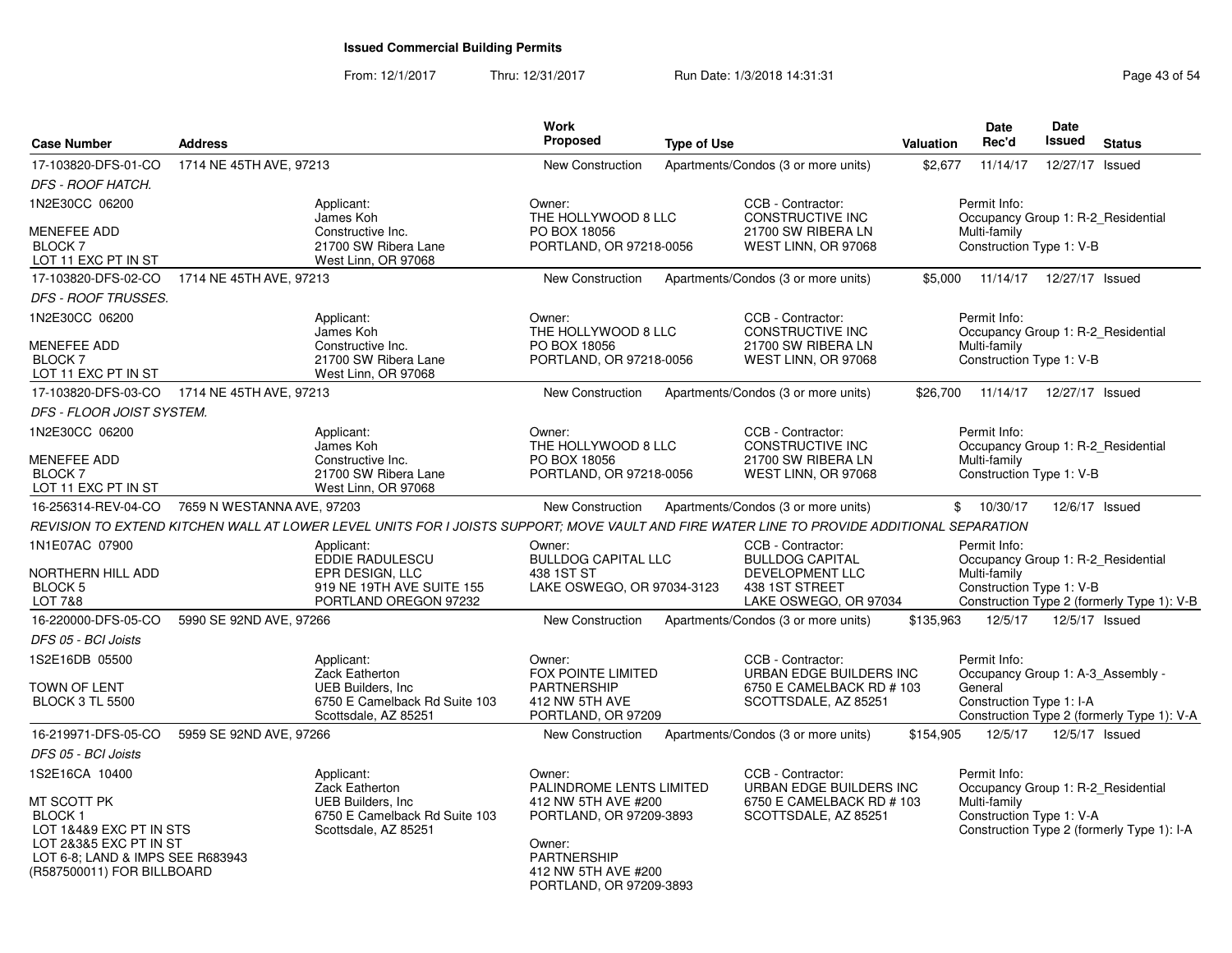From: 12/1/2017Thru: 12/31/2017 **Run Date: 1/3/2018 14:31:31 Research 2018 14:31:31** Page 43 of 54

| <b>Case Number</b>                                                                                                                                  | <b>Address</b>             |                                                                                                                                            | Work<br>Proposed                                                                                                                 | <b>Type of Use</b> |                                                                       | Valuation | <b>Date</b><br>Rec'd                                               | Date<br>Issued  | <b>Status</b>                              |
|-----------------------------------------------------------------------------------------------------------------------------------------------------|----------------------------|--------------------------------------------------------------------------------------------------------------------------------------------|----------------------------------------------------------------------------------------------------------------------------------|--------------------|-----------------------------------------------------------------------|-----------|--------------------------------------------------------------------|-----------------|--------------------------------------------|
| 17-103820-DFS-01-CO                                                                                                                                 | 1714 NE 45TH AVE, 97213    |                                                                                                                                            | <b>New Construction</b>                                                                                                          |                    | Apartments/Condos (3 or more units)                                   | \$2,677   | 11/14/17                                                           | 12/27/17 Issued |                                            |
| <b>DFS - ROOF HATCH.</b>                                                                                                                            |                            |                                                                                                                                            |                                                                                                                                  |                    |                                                                       |           |                                                                    |                 |                                            |
| 1N2E30CC 06200                                                                                                                                      |                            | Applicant:<br>James Koh                                                                                                                    | Owner:<br>THE HOLLYWOOD 8 LLC                                                                                                    |                    | CCB - Contractor:<br><b>CONSTRUCTIVE INC</b>                          |           | Permit Info:<br>Occupancy Group 1: R-2_Residential                 |                 |                                            |
| MENEFEE ADD<br>BLOCK <sub>7</sub><br>LOT 11 EXC PT IN ST                                                                                            |                            | Constructive Inc.<br>21700 SW Ribera Lane<br>West Linn, OR 97068                                                                           | PO BOX 18056<br>PORTLAND, OR 97218-0056                                                                                          |                    | 21700 SW RIBERA LN<br>WEST LINN, OR 97068                             |           | Multi-family<br>Construction Type 1: V-B                           |                 |                                            |
| 17-103820-DFS-02-CO                                                                                                                                 | 1714 NE 45TH AVE, 97213    |                                                                                                                                            | New Construction                                                                                                                 |                    | Apartments/Condos (3 or more units)                                   | \$5,000   | 11/14/17  12/27/17  Issued                                         |                 |                                            |
| <b>DFS - ROOF TRUSSES.</b>                                                                                                                          |                            |                                                                                                                                            |                                                                                                                                  |                    |                                                                       |           |                                                                    |                 |                                            |
| 1N2E30CC 06200                                                                                                                                      |                            | Applicant:<br>James Koh                                                                                                                    | Owner:<br>THE HOLLYWOOD 8 LLC                                                                                                    |                    | CCB - Contractor:<br>CONSTRUCTIVE INC                                 |           | Permit Info:<br>Occupancy Group 1: R-2 Residential                 |                 |                                            |
| <b>MENEFEE ADD</b><br><b>BLOCK7</b><br>LOT 11 EXC PT IN ST                                                                                          |                            | Constructive Inc.<br>21700 SW Ribera Lane<br>West Linn, OR 97068                                                                           | PO BOX 18056<br>PORTLAND, OR 97218-0056                                                                                          |                    | 21700 SW RIBERA LN<br>WEST LINN, OR 97068                             |           | Multi-family<br>Construction Type 1: V-B                           |                 |                                            |
| 17-103820-DFS-03-CO                                                                                                                                 | 1714 NE 45TH AVE, 97213    |                                                                                                                                            | <b>New Construction</b>                                                                                                          |                    | Apartments/Condos (3 or more units)                                   | \$26,700  | 11/14/17                                                           | 12/27/17 Issued |                                            |
| DFS - FLOOR JOIST SYSTEM.                                                                                                                           |                            |                                                                                                                                            |                                                                                                                                  |                    |                                                                       |           |                                                                    |                 |                                            |
| 1N2E30CC 06200                                                                                                                                      |                            | Applicant:<br>James Koh                                                                                                                    | Owner:<br>THE HOLLYWOOD 8 LLC                                                                                                    |                    | CCB - Contractor:<br>CONSTRUCTIVE INC                                 |           | Permit Info:<br>Occupancy Group 1: R-2 Residential                 |                 |                                            |
| <b>MENEFEE ADD</b><br><b>BLOCK7</b><br>LOT 11 EXC PT IN ST                                                                                          |                            | Constructive Inc.<br>21700 SW Ribera Lane<br>West Linn, OR 97068                                                                           | PO BOX 18056<br>PORTLAND, OR 97218-0056                                                                                          |                    | 21700 SW RIBERA LN<br>WEST LINN, OR 97068                             |           | Multi-family<br>Construction Type 1: V-B                           |                 |                                            |
| 16-256314-REV-04-CO                                                                                                                                 | 7659 N WESTANNA AVE, 97203 |                                                                                                                                            | New Construction                                                                                                                 |                    | Apartments/Condos (3 or more units)                                   |           | \$10/30/17                                                         | 12/6/17 Issued  |                                            |
|                                                                                                                                                     |                            | REVISION TO EXTEND KITCHEN WALL AT LOWER LEVEL UNITS FOR I JOISTS SUPPORT: MOVE VAULT AND FIRE WATER LINE TO PROVIDE ADDITIONAL SEPARATION |                                                                                                                                  |                    |                                                                       |           |                                                                    |                 |                                            |
| 1N1E07AC 07900<br>NORTHERN HILL ADD                                                                                                                 |                            | Applicant:<br>EDDIE RADULESCU<br>EPR DESIGN, LLC                                                                                           | Owner:<br><b>BULLDOG CAPITAL LLC</b><br>438 1ST ST                                                                               |                    | CCB - Contractor:<br><b>BULLDOG CAPITAL</b><br><b>DEVELOPMENT LLC</b> |           | Permit Info:<br>Occupancy Group 1: R-2 Residential<br>Multi-family |                 |                                            |
| BLOCK <sub>5</sub><br>LOT 7&8                                                                                                                       |                            | 919 NE 19TH AVE SUITE 155<br>PORTLAND OREGON 97232                                                                                         | LAKE OSWEGO, OR 97034-3123                                                                                                       |                    | 438 1ST STREET<br>LAKE OSWEGO, OR 97034                               |           | Construction Type 1: V-B                                           |                 | Construction Type 2 (formerly Type 1): V-B |
| 16-220000-DFS-05-CO                                                                                                                                 | 5990 SE 92ND AVE, 97266    |                                                                                                                                            | New Construction                                                                                                                 |                    | Apartments/Condos (3 or more units)                                   | \$135,963 | 12/5/17                                                            | 12/5/17 Issued  |                                            |
| DFS 05 - BCI Joists                                                                                                                                 |                            |                                                                                                                                            |                                                                                                                                  |                    |                                                                       |           |                                                                    |                 |                                            |
| 1S2E16DB 05500                                                                                                                                      |                            | Applicant:<br>Zack Eatherton                                                                                                               | Owner:<br><b>FOX POINTE LIMITED</b>                                                                                              |                    | CCB - Contractor:<br>URBAN EDGE BUILDERS INC                          |           | Permit Info:<br>Occupancy Group 1: A-3_Assembly -                  |                 |                                            |
| <b>TOWN OF LENT</b><br><b>BLOCK 3 TL 5500</b>                                                                                                       |                            | <b>UEB Builders, Inc.</b><br>6750 E Camelback Rd Suite 103<br>Scottsdale, AZ 85251                                                         | <b>PARTNERSHIP</b><br>412 NW 5TH AVE<br>PORTLAND, OR 97209                                                                       |                    | 6750 E CAMELBACK RD # 103<br>SCOTTSDALE, AZ 85251                     |           | General<br>Construction Type 1: I-A                                |                 | Construction Type 2 (formerly Type 1): V-A |
| 16-219971-DFS-05-CO                                                                                                                                 | 5959 SE 92ND AVE, 97266    |                                                                                                                                            | <b>New Construction</b>                                                                                                          |                    | Apartments/Condos (3 or more units)                                   | \$154,905 | 12/5/17                                                            | 12/5/17 Issued  |                                            |
| DFS 05 - BCI Joists                                                                                                                                 |                            |                                                                                                                                            |                                                                                                                                  |                    |                                                                       |           |                                                                    |                 |                                            |
| 1S2E16CA 10400                                                                                                                                      |                            | Applicant:<br>Zack Eatherton                                                                                                               | Owner:<br>PALINDROME LENTS LIMITED                                                                                               |                    | CCB - Contractor:<br>URBAN EDGE BUILDERS INC                          |           | Permit Info:<br>Occupancy Group 1: R-2_Residential                 |                 |                                            |
| MT SCOTT PK<br><b>BLOCK1</b><br>LOT 1&4&9 EXC PT IN STS<br>LOT 2&3&5 EXC PT IN ST<br>LOT 6-8; LAND & IMPS SEE R683943<br>(R587500011) FOR BILLBOARD |                            | <b>UEB Builders, Inc.</b><br>6750 E Camelback Rd Suite 103<br>Scottsdale, AZ 85251                                                         | 412 NW 5TH AVE #200<br>PORTLAND, OR 97209-3893<br>Owner:<br><b>PARTNERSHIP</b><br>412 NW 5TH AVE #200<br>PORTLAND, OR 97209-3893 |                    | 6750 E CAMELBACK RD # 103<br>SCOTTSDALE, AZ 85251                     |           | Multi-family<br>Construction Type 1: V-A                           |                 | Construction Type 2 (formerly Type 1): I-A |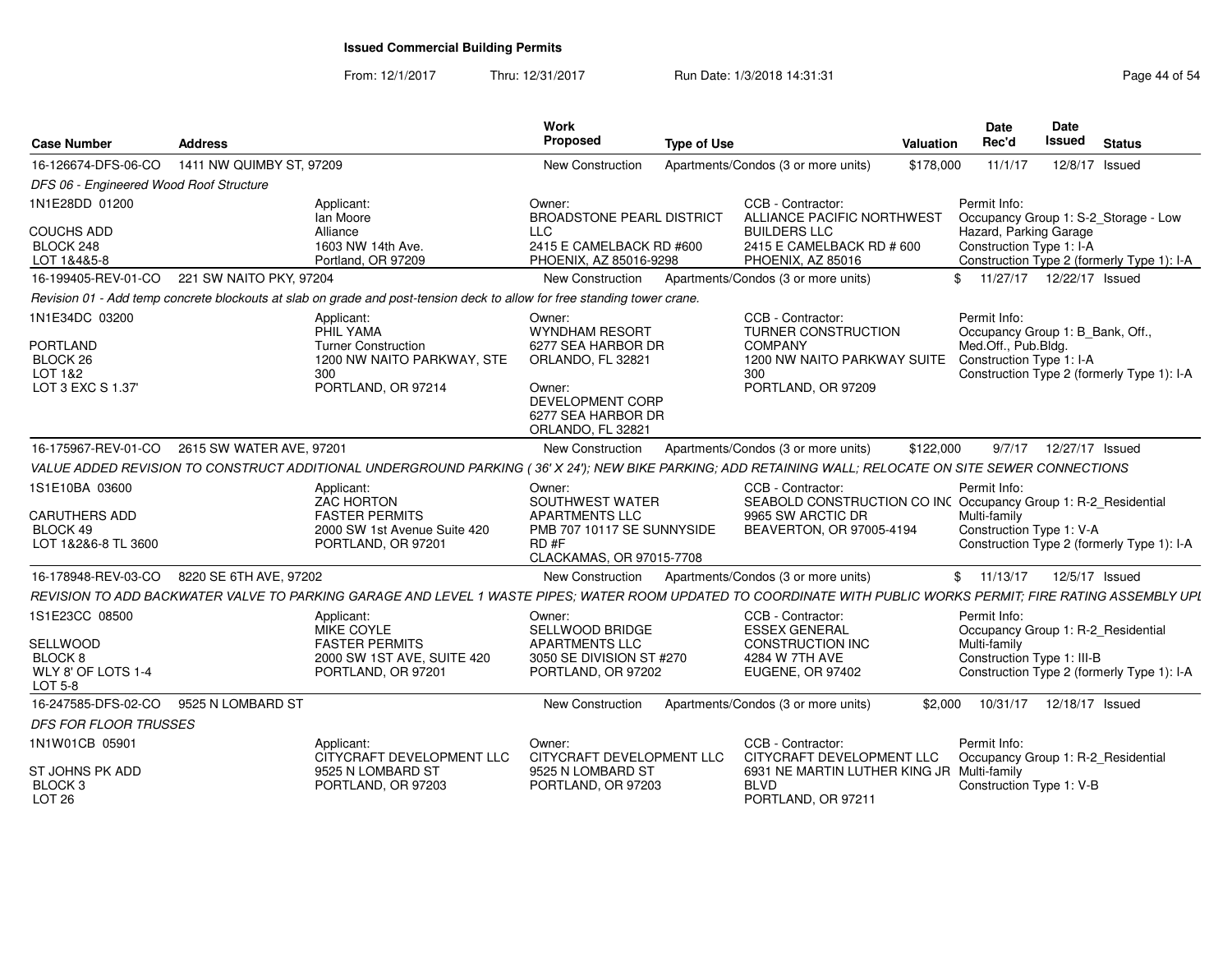From: 12/1/2017Thru: 12/31/2017 Run Date: 1/3/2018 14:31:31 Page 44 of 54

| <b>Case Number</b>                                                        | <b>Address</b>           |                                                                                                                                                                | Work<br><b>Proposed</b>                                                                                              | <b>Type of Use</b> |                                                                                                                                      | Valuation | <b>Date</b><br>Rec'd                                                                                | Date<br>Issued             | <b>Status</b>                                                                      |
|---------------------------------------------------------------------------|--------------------------|----------------------------------------------------------------------------------------------------------------------------------------------------------------|----------------------------------------------------------------------------------------------------------------------|--------------------|--------------------------------------------------------------------------------------------------------------------------------------|-----------|-----------------------------------------------------------------------------------------------------|----------------------------|------------------------------------------------------------------------------------|
| 16-126674-DFS-06-CO                                                       | 1411 NW QUIMBY ST, 97209 |                                                                                                                                                                | <b>New Construction</b>                                                                                              |                    | Apartments/Condos (3 or more units)                                                                                                  | \$178,000 | 11/1/17                                                                                             |                            | 12/8/17 Issued                                                                     |
| DFS 06 - Engineered Wood Roof Structure                                   |                          |                                                                                                                                                                |                                                                                                                      |                    |                                                                                                                                      |           |                                                                                                     |                            |                                                                                    |
| 1N1E28DD 01200<br>COUCHS ADD<br>BLOCK 248<br>LOT 1&4&5-8                  |                          | Applicant:<br>lan Moore<br>Alliance<br>1603 NW 14th Ave.<br>Portland, OR 97209                                                                                 | Owner:<br>BROADSTONE PEARL DISTRICT<br><b>LLC</b><br>2415 E CAMELBACK RD #600<br>PHOENIX, AZ 85016-9298              |                    | CCB - Contractor:<br>ALLIANCE PACIFIC NORTHWEST<br><b>BUILDERS LLC</b><br>2415 E CAMELBACK RD # 600<br>PHOENIX, AZ 85016             |           | Permit Info:<br>Hazard, Parking Garage<br>Construction Type 1: I-A                                  |                            | Occupancy Group 1: S-2_Storage - Low<br>Construction Type 2 (formerly Type 1): I-A |
| 16-199405-REV-01-CO                                                       | 221 SW NAITO PKY, 97204  |                                                                                                                                                                | New Construction                                                                                                     |                    | Apartments/Condos (3 or more units)                                                                                                  |           |                                                                                                     | 11/27/17  12/22/17  Issued |                                                                                    |
|                                                                           |                          | Revision 01 - Add temp concrete blockouts at slab on grade and post-tension deck to allow for free standing tower crane.                                       |                                                                                                                      |                    |                                                                                                                                      |           |                                                                                                     |                            |                                                                                    |
| 1N1E34DC 03200<br>PORTLAND<br>BLOCK <sub>26</sub><br>LOT 1&2              |                          | Applicant:<br>PHIL YAMA<br><b>Turner Construction</b><br>1200 NW NAITO PARKWAY, STE<br>300                                                                     | Owner:<br>WYNDHAM RESORT<br>6277 SEA HARBOR DR<br>ORLANDO, FL 32821                                                  |                    | CCB - Contractor:<br>TURNER CONSTRUCTION<br><b>COMPANY</b><br>1200 NW NAITO PARKWAY SUITE<br>300                                     |           | Permit Info:<br>Occupancy Group 1: B_Bank, Off.,<br>Med.Off., Pub.Bldg.<br>Construction Type 1: I-A |                            | Construction Type 2 (formerly Type 1): I-A                                         |
| LOT 3 EXC S 1.37                                                          |                          | PORTLAND, OR 97214                                                                                                                                             | Owner:<br>DEVELOPMENT CORP<br>6277 SEA HARBOR DR<br>ORLANDO, FL 32821                                                |                    | PORTLAND, OR 97209                                                                                                                   |           |                                                                                                     |                            |                                                                                    |
| 16-175967-REV-01-CO                                                       | 2615 SW WATER AVE, 97201 |                                                                                                                                                                | <b>New Construction</b>                                                                                              |                    | Apartments/Condos (3 or more units)                                                                                                  | \$122,000 |                                                                                                     | 9/7/17  12/27/17  Issued   |                                                                                    |
|                                                                           |                          | VALUE ADDED REVISION TO CONSTRUCT ADDITIONAL UNDERGROUND PARKING (36' X 24'); NEW BIKE PARKING; ADD RETAINING WALL; RELOCATE ON SITE SEWER CONNECTIONS         |                                                                                                                      |                    |                                                                                                                                      |           |                                                                                                     |                            |                                                                                    |
| 1S1E10BA 03600<br><b>CARUTHERS ADD</b><br>BLOCK 49<br>LOT 1&2&6-8 TL 3600 |                          | Applicant:<br><b>ZAC HORTON</b><br><b>FASTER PERMITS</b><br>2000 SW 1st Avenue Suite 420<br>PORTLAND, OR 97201                                                 | Owner:<br>SOUTHWEST WATER<br><b>APARTMENTS LLC</b><br>PMB 707 10117 SE SUNNYSIDE<br>RD#F<br>CLACKAMAS, OR 97015-7708 |                    | CCB - Contractor:<br>SEABOLD CONSTRUCTION CO INC Occupancy Group 1: R-2_Residential<br>9965 SW ARCTIC DR<br>BEAVERTON, OR 97005-4194 |           | Permit Info:<br>Multi-family<br>Construction Type 1: V-A                                            |                            | Construction Type 2 (formerly Type 1): I-A                                         |
| 16-178948-REV-03-CO                                                       | 8220 SE 6TH AVE, 97202   |                                                                                                                                                                | New Construction                                                                                                     |                    | Apartments/Condos (3 or more units)                                                                                                  |           | \$11/13/17                                                                                          |                            | 12/5/17 Issued                                                                     |
|                                                                           |                          | REVISION TO ADD BACKWATER VALVE TO PARKING GARAGE AND LEVEL 1 WASTE PIPES; WATER ROOM UPDATED TO COORDINATE WITH PUBLIC WORKS PERMIT; FIRE RATING ASSEMBLY UPL |                                                                                                                      |                    |                                                                                                                                      |           |                                                                                                     |                            |                                                                                    |
| 1S1E23CC 08500<br>SELLWOOD<br>BLOCK 8<br>WLY 8' OF LOTS 1-4<br>LOT 5-8    |                          | Applicant:<br>MIKE COYLE<br><b>FASTER PERMITS</b><br>2000 SW 1ST AVE, SUITE 420<br>PORTLAND, OR 97201                                                          | Owner:<br>SELLWOOD BRIDGE<br><b>APARTMENTS LLC</b><br>3050 SE DIVISION ST #270<br>PORTLAND, OR 97202                 |                    | CCB - Contractor:<br><b>ESSEX GENERAL</b><br><b>CONSTRUCTION INC</b><br>4284 W 7TH AVE<br>EUGENE, OR 97402                           |           | Permit Info:<br>Occupancy Group 1: R-2_Residential<br>Multi-family<br>Construction Type 1: III-B    |                            | Construction Type 2 (formerly Type 1): I-A                                         |
| 16-247585-DFS-02-CO                                                       | 9525 N LOMBARD ST        |                                                                                                                                                                | New Construction                                                                                                     |                    | Apartments/Condos (3 or more units)                                                                                                  | \$2.000   | 10/31/17                                                                                            | 12/18/17 Issued            |                                                                                    |
| DFS FOR FLOOR TRUSSES                                                     |                          |                                                                                                                                                                |                                                                                                                      |                    |                                                                                                                                      |           |                                                                                                     |                            |                                                                                    |
| 1N1W01CB 05901                                                            |                          | Applicant:<br>CITYCRAFT DEVELOPMENT LLC                                                                                                                        | Owner:<br>CITYCRAFT DEVELOPMENT LLC                                                                                  |                    | CCB - Contractor:<br>CITYCRAFT DEVELOPMENT LLC                                                                                       |           | Permit Info:<br>Occupancy Group 1: R-2_Residential                                                  |                            |                                                                                    |
| ST JOHNS PK ADD<br>BLOCK <sub>3</sub><br>LOT <sub>26</sub>                |                          | 9525 N LOMBARD ST<br>PORTLAND, OR 97203                                                                                                                        | 9525 N LOMBARD ST<br>PORTLAND, OR 97203                                                                              |                    | 6931 NE MARTIN LUTHER KING JR Multi-family<br><b>BLVD</b><br>PORTLAND, OR 97211                                                      |           | Construction Type 1: V-B                                                                            |                            |                                                                                    |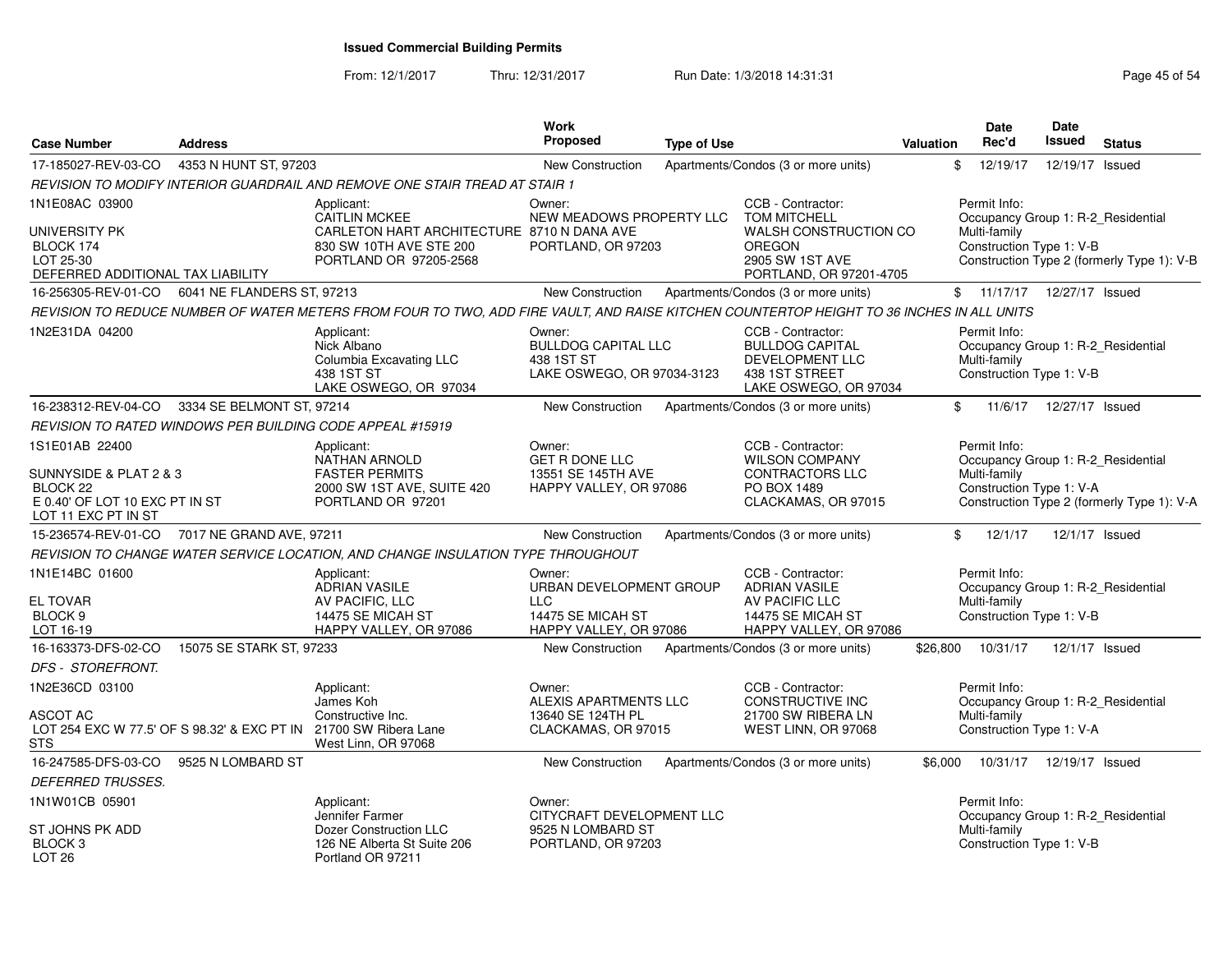From: 12/1/2017Thru: 12/31/2017 Run Date: 1/3/2018 14:31:31 Page 45 of 54

| <b>Case Number</b>                                                                                     | <b>Address</b>             |                                                                                                                                           | <b>Work</b><br><b>Proposed</b>                                                                 | <b>Type of Use</b> |                                                                                                             | Valuation | <b>Date</b><br>Rec'd                                                                           | <b>Date</b><br>Issued | <b>Status</b>                              |
|--------------------------------------------------------------------------------------------------------|----------------------------|-------------------------------------------------------------------------------------------------------------------------------------------|------------------------------------------------------------------------------------------------|--------------------|-------------------------------------------------------------------------------------------------------------|-----------|------------------------------------------------------------------------------------------------|-----------------------|--------------------------------------------|
| 17-185027-REV-03-CO                                                                                    | 4353 N HUNT ST, 97203      |                                                                                                                                           | <b>New Construction</b>                                                                        |                    | Apartments/Condos (3 or more units)                                                                         |           | \$<br>12/19/17                                                                                 | 12/19/17 Issued       |                                            |
|                                                                                                        |                            | REVISION TO MODIFY INTERIOR GUARDRAIL AND REMOVE ONE STAIR TREAD AT STAIR 1                                                               |                                                                                                |                    |                                                                                                             |           |                                                                                                |                       |                                            |
| 1N1E08AC 03900                                                                                         |                            | Applicant:                                                                                                                                | Owner:                                                                                         |                    | CCB - Contractor:                                                                                           |           | Permit Info:                                                                                   |                       |                                            |
| UNIVERSITY PK<br>BLOCK 174<br>LOT 25-30<br>DEFERRED ADDITIONAL TAX LIABILITY                           |                            | <b>CAITLIN MCKEE</b><br>CARLETON HART ARCHITECTURE 8710 N DANA AVE<br>830 SW 10TH AVE STE 200<br>PORTLAND OR 97205-2568                   | NEW MEADOWS PROPERTY LLC<br>PORTLAND, OR 97203                                                 |                    | <b>TOM MITCHELL</b><br>WALSH CONSTRUCTION CO<br><b>OREGON</b><br>2905 SW 1ST AVE<br>PORTLAND, OR 97201-4705 |           | Occupancy Group 1: R-2_Residential<br>Multi-family<br>Construction Type 1: V-B                 |                       | Construction Type 2 (formerly Type 1): V-B |
| 16-256305-REV-01-CO                                                                                    | 6041 NE FLANDERS ST, 97213 |                                                                                                                                           | <b>New Construction</b>                                                                        |                    | Apartments/Condos (3 or more units)                                                                         |           | \$11/17/17                                                                                     | 12/27/17 Issued       |                                            |
|                                                                                                        |                            | REVISION TO REDUCE NUMBER OF WATER METERS FROM FOUR TO TWO, ADD FIRE VAULT, AND RAISE KITCHEN COUNTERTOP HEIGHT TO 36 INCHES IN ALL UNITS |                                                                                                |                    |                                                                                                             |           |                                                                                                |                       |                                            |
| 1N2E31DA 04200                                                                                         |                            | Applicant:<br>Nick Albano<br>Columbia Excavating LLC<br>438 1ST ST<br>LAKE OSWEGO, OR 97034                                               | Owner:<br><b>BULLDOG CAPITAL LLC</b><br>438 1ST ST<br>LAKE OSWEGO, OR 97034-3123               |                    | CCB - Contractor:<br><b>BULLDOG CAPITAL</b><br>DEVELOPMENT LLC<br>438 1ST STREET<br>LAKE OSWEGO, OR 97034   |           | Permit Info:<br>Occupancy Group 1: R-2_Residential<br>Multi-family<br>Construction Type 1: V-B |                       |                                            |
| 16-238312-REV-04-CO                                                                                    | 3334 SE BELMONT ST, 97214  |                                                                                                                                           | <b>New Construction</b>                                                                        |                    | Apartments/Condos (3 or more units)                                                                         | \$        | 11/6/17                                                                                        | 12/27/17 Issued       |                                            |
|                                                                                                        |                            | REVISION TO RATED WINDOWS PER BUILDING CODE APPEAL #15919                                                                                 |                                                                                                |                    |                                                                                                             |           |                                                                                                |                       |                                            |
| 1S1E01AB 22400                                                                                         |                            | Applicant:<br><b>NATHAN ARNOLD</b>                                                                                                        | Owner:<br><b>GET R DONE LLC</b>                                                                |                    | CCB - Contractor:<br><b>WILSON COMPANY</b>                                                                  |           | Permit Info:<br>Occupancy Group 1: R-2_Residential                                             |                       |                                            |
| SUNNYSIDE & PLAT 2 & 3<br>BLOCK <sub>22</sub><br>E 0.40' OF LOT 10 EXC PT IN ST<br>LOT 11 EXC PT IN ST |                            | <b>FASTER PERMITS</b><br>2000 SW 1ST AVE, SUITE 420<br>PORTLAND OR 97201                                                                  | 13551 SE 145TH AVE<br>HAPPY VALLEY, OR 97086                                                   |                    | <b>CONTRACTORS LLC</b><br>PO BOX 1489<br>CLACKAMAS, OR 97015                                                |           | Multi-family<br>Construction Type 1: V-A                                                       |                       | Construction Type 2 (formerly Type 1): V-A |
| 15-236574-REV-01-CO 7017 NE GRAND AVE, 97211                                                           |                            |                                                                                                                                           | <b>New Construction</b>                                                                        |                    | Apartments/Condos (3 or more units)                                                                         |           | $\mathbb{S}$<br>12/1/17                                                                        | 12/1/17 Issued        |                                            |
|                                                                                                        |                            | REVISION TO CHANGE WATER SERVICE LOCATION, AND CHANGE INSULATION TYPE THROUGHOUT                                                          |                                                                                                |                    |                                                                                                             |           |                                                                                                |                       |                                            |
| 1N1E14BC 01600<br><b>EL TOVAR</b><br>BLOCK <sub>9</sub><br>LOT 16-19                                   |                            | Applicant:<br><b>ADRIAN VASILE</b><br>AV PACIFIC, LLC<br>14475 SE MICAH ST<br>HAPPY VALLEY, OR 97086                                      | Owner:<br>URBAN DEVELOPMENT GROUP<br><b>LLC</b><br>14475 SE MICAH ST<br>HAPPY VALLEY, OR 97086 |                    | CCB - Contractor:<br><b>ADRIAN VASILE</b><br>AV PACIFIC LLC<br>14475 SE MICAH ST<br>HAPPY VALLEY, OR 97086  |           | Permit Info:<br>Occupancy Group 1: R-2 Residential<br>Multi-family<br>Construction Type 1: V-B |                       |                                            |
| 16-163373-DFS-02-CO                                                                                    | 15075 SE STARK ST. 97233   |                                                                                                                                           | <b>New Construction</b>                                                                        |                    | Apartments/Condos (3 or more units)                                                                         | \$26.800  | 10/31/17                                                                                       | 12/1/17 Issued        |                                            |
| DFS - STOREFRONT.                                                                                      |                            |                                                                                                                                           |                                                                                                |                    |                                                                                                             |           |                                                                                                |                       |                                            |
| 1N2E36CD 03100<br>ASCOT AC<br>LOT 254 EXC W 77.5' OF S 98.32' & EXC PT IN 21700 SW Ribera Lane<br>STS  |                            | Applicant:<br>James Koh<br>Constructive Inc.<br>West Linn, OR 97068                                                                       | Owner:<br>ALEXIS APARTMENTS LLC<br>13640 SE 124TH PL<br>CLACKAMAS, OR 97015                    |                    | CCB - Contractor:<br><b>CONSTRUCTIVE INC</b><br>21700 SW RIBERA LN<br>WEST LINN, OR 97068                   |           | Permit Info:<br>Occupancy Group 1: R-2 Residential<br>Multi-family<br>Construction Type 1: V-A |                       |                                            |
| 16-247585-DFS-03-CO                                                                                    | 9525 N LOMBARD ST          |                                                                                                                                           | <b>New Construction</b>                                                                        |                    | Apartments/Condos (3 or more units)                                                                         | \$6,000   | 10/31/17                                                                                       | 12/19/17 Issued       |                                            |
| DEFERRED TRUSSES.                                                                                      |                            |                                                                                                                                           |                                                                                                |                    |                                                                                                             |           |                                                                                                |                       |                                            |
| 1N1W01CB 05901<br>ST JOHNS PK ADD                                                                      |                            | Applicant:<br>Jennifer Farmer<br>Dozer Construction LLC                                                                                   | Owner:<br>CITYCRAFT DEVELOPMENT LLC<br>9525 N LOMBARD ST                                       |                    |                                                                                                             |           | Permit Info:<br>Occupancy Group 1: R-2_Residential<br>Multi-family                             |                       |                                            |
| BLOCK 3<br>LOT <sub>26</sub>                                                                           |                            | 126 NE Alberta St Suite 206<br>Portland OR 97211                                                                                          | PORTLAND, OR 97203                                                                             |                    |                                                                                                             |           | Construction Type 1: V-B                                                                       |                       |                                            |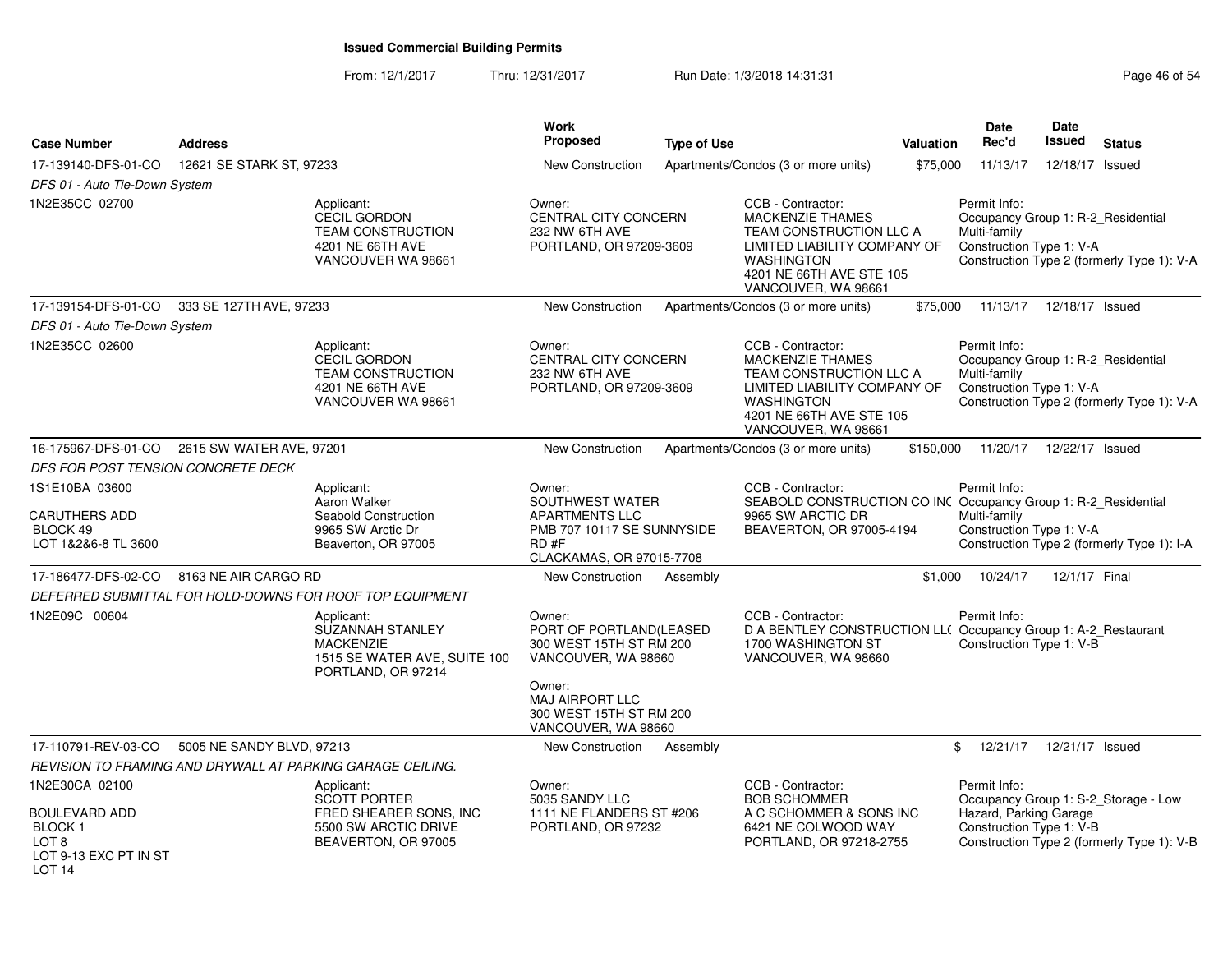From: 12/1/2017Thru: 12/31/2017 **Run Date: 1/3/2018 14:31:31 Research 2018** Page 46 of 54

| <b>Case Number</b>                                                        | <b>Address</b>            |                                                                                                                 | <b>Work</b><br>Proposed                                                                                              | <b>Type of Use</b> |                                                                                                                                                                                 | Valuation | <b>Date</b><br>Rec'd                                                                           | <b>Date</b><br><b>Issued</b> | <b>Status</b>                              |
|---------------------------------------------------------------------------|---------------------------|-----------------------------------------------------------------------------------------------------------------|----------------------------------------------------------------------------------------------------------------------|--------------------|---------------------------------------------------------------------------------------------------------------------------------------------------------------------------------|-----------|------------------------------------------------------------------------------------------------|------------------------------|--------------------------------------------|
| 17-139140-DFS-01-CO                                                       | 12621 SE STARK ST, 97233  |                                                                                                                 | <b>New Construction</b>                                                                                              |                    | Apartments/Condos (3 or more units)                                                                                                                                             | \$75,000  | 11/13/17                                                                                       | 12/18/17                     | Issued                                     |
| DFS 01 - Auto Tie-Down System                                             |                           |                                                                                                                 |                                                                                                                      |                    |                                                                                                                                                                                 |           |                                                                                                |                              |                                            |
| 1N2E35CC 02700                                                            |                           | Applicant:<br><b>CECIL GORDON</b><br><b>TEAM CONSTRUCTION</b><br>4201 NE 66TH AVE<br>VANCOUVER WA 98661         | Owner:<br>CENTRAL CITY CONCERN<br>232 NW 6TH AVE<br>PORTLAND, OR 97209-3609                                          |                    | CCB - Contractor:<br><b>MACKENZIE THAMES</b><br>TEAM CONSTRUCTION LLC A<br>LIMITED LIABILITY COMPANY OF<br><b>WASHINGTON</b><br>4201 NE 66TH AVE STE 105<br>VANCOUVER, WA 98661 |           | Permit Info:<br>Occupancy Group 1: R-2_Residential<br>Multi-family<br>Construction Type 1: V-A |                              | Construction Type 2 (formerly Type 1): V-A |
| 17-139154-DFS-01-CO                                                       | 333 SE 127TH AVE, 97233   |                                                                                                                 | New Construction                                                                                                     |                    | Apartments/Condos (3 or more units)                                                                                                                                             | \$75,000  | 11/13/17                                                                                       | 12/18/17 Issued              |                                            |
| DFS 01 - Auto Tie-Down System                                             |                           |                                                                                                                 |                                                                                                                      |                    |                                                                                                                                                                                 |           |                                                                                                |                              |                                            |
| 1N2E35CC 02600                                                            |                           | Applicant:<br><b>CECIL GORDON</b><br><b>TEAM CONSTRUCTION</b><br>4201 NE 66TH AVE<br>VANCOUVER WA 98661         | Owner:<br>CENTRAL CITY CONCERN<br>232 NW 6TH AVE<br>PORTLAND, OR 97209-3609                                          |                    | CCB - Contractor:<br><b>MACKENZIE THAMES</b><br>TEAM CONSTRUCTION LLC A<br>LIMITED LIABILITY COMPANY OF<br><b>WASHINGTON</b><br>4201 NE 66TH AVE STE 105<br>VANCOUVER, WA 98661 |           | Permit Info:<br>Occupancy Group 1: R-2_Residential<br>Multi-family<br>Construction Type 1: V-A |                              | Construction Type 2 (formerly Type 1): V-A |
| 16-175967-DFS-01-CO                                                       | 2615 SW WATER AVE, 97201  |                                                                                                                 | New Construction                                                                                                     |                    | Apartments/Condos (3 or more units)                                                                                                                                             | \$150,000 | 11/20/17                                                                                       | 12/22/17 Issued              |                                            |
| DFS FOR POST TENSION CONCRETE DECK                                        |                           |                                                                                                                 |                                                                                                                      |                    |                                                                                                                                                                                 |           |                                                                                                |                              |                                            |
| 1S1E10BA 03600<br><b>CARUTHERS ADD</b><br>BLOCK 49<br>LOT 1&2&6-8 TL 3600 |                           | Applicant:<br>Aaron Walker<br>Seabold Construction<br>9965 SW Arctic Dr<br>Beaverton, OR 97005                  | Owner:<br>SOUTHWEST WATER<br><b>APARTMENTS LLC</b><br>PMB 707 10117 SE SUNNYSIDE<br>RD#F<br>CLACKAMAS, OR 97015-7708 |                    | CCB - Contractor:<br>SEABOLD CONSTRUCTION CO INC Occupancy Group 1: R-2_Residential<br>9965 SW ARCTIC DR<br>BEAVERTON, OR 97005-4194                                            |           | Permit Info:<br>Multi-family<br>Construction Type 1: V-A                                       |                              | Construction Type 2 (formerly Type 1): I-A |
| 17-186477-DFS-02-CO                                                       | 8163 NE AIR CARGO RD      |                                                                                                                 | New Construction                                                                                                     | Assembly           |                                                                                                                                                                                 | \$1,000   | 10/24/17                                                                                       | 12/1/17 Final                |                                            |
|                                                                           |                           | DEFERRED SUBMITTAL FOR HOLD-DOWNS FOR ROOF TOP EQUIPMENT                                                        |                                                                                                                      |                    |                                                                                                                                                                                 |           |                                                                                                |                              |                                            |
| 1N2E09C 00604                                                             |                           | Applicant:<br><b>SUZANNAH STANLEY</b><br><b>MACKENZIE</b><br>1515 SE WATER AVE, SUITE 100<br>PORTLAND, OR 97214 | Owner:<br>PORT OF PORTLAND(LEASED<br>300 WEST 15TH ST RM 200<br>VANCOUVER, WA 98660                                  |                    | CCB - Contractor:<br>D A BENTLEY CONSTRUCTION LL( Occupancy Group 1: A-2_Restaurant<br>1700 WASHINGTON ST<br>VANCOUVER, WA 98660                                                |           | Permit Info:<br>Construction Type 1: V-B                                                       |                              |                                            |
|                                                                           |                           |                                                                                                                 | Owner:<br>MAJ AIRPORT LLC<br>300 WEST 15TH ST RM 200<br>VANCOUVER, WA 98660                                          |                    |                                                                                                                                                                                 |           |                                                                                                |                              |                                            |
| 17-110791-REV-03-CO                                                       | 5005 NE SANDY BLVD, 97213 |                                                                                                                 | New Construction                                                                                                     | Assembly           |                                                                                                                                                                                 |           | 12/21/17<br>\$                                                                                 | 12/21/17 Issued              |                                            |
|                                                                           |                           | REVISION TO FRAMING AND DRYWALL AT PARKING GARAGE CEILING.                                                      |                                                                                                                      |                    |                                                                                                                                                                                 |           |                                                                                                |                              |                                            |
| 1N2E30CA 02100<br><b>BOULEVARD ADD</b>                                    |                           | Applicant:<br><b>SCOTT PORTER</b><br>FRED SHEARER SONS, INC                                                     | Owner:<br>5035 SANDY LLC<br>1111 NE FLANDERS ST #206                                                                 |                    | CCB - Contractor:<br><b>BOB SCHOMMER</b><br>A C SCHOMMER & SONS INC                                                                                                             |           | Permit Info:<br>Hazard, Parking Garage                                                         |                              | Occupancy Group 1: S-2_Storage - Low       |
| BLOCK 1<br>LOT <sub>8</sub><br>LOT 9-13 EXC PT IN ST<br>LOT <sub>14</sub> |                           | 5500 SW ARCTIC DRIVE<br>BEAVERTON, OR 97005                                                                     | PORTLAND, OR 97232                                                                                                   |                    | 6421 NE COLWOOD WAY<br>PORTLAND, OR 97218-2755                                                                                                                                  |           | Construction Type 1: V-B                                                                       |                              | Construction Type 2 (formerly Type 1): V-B |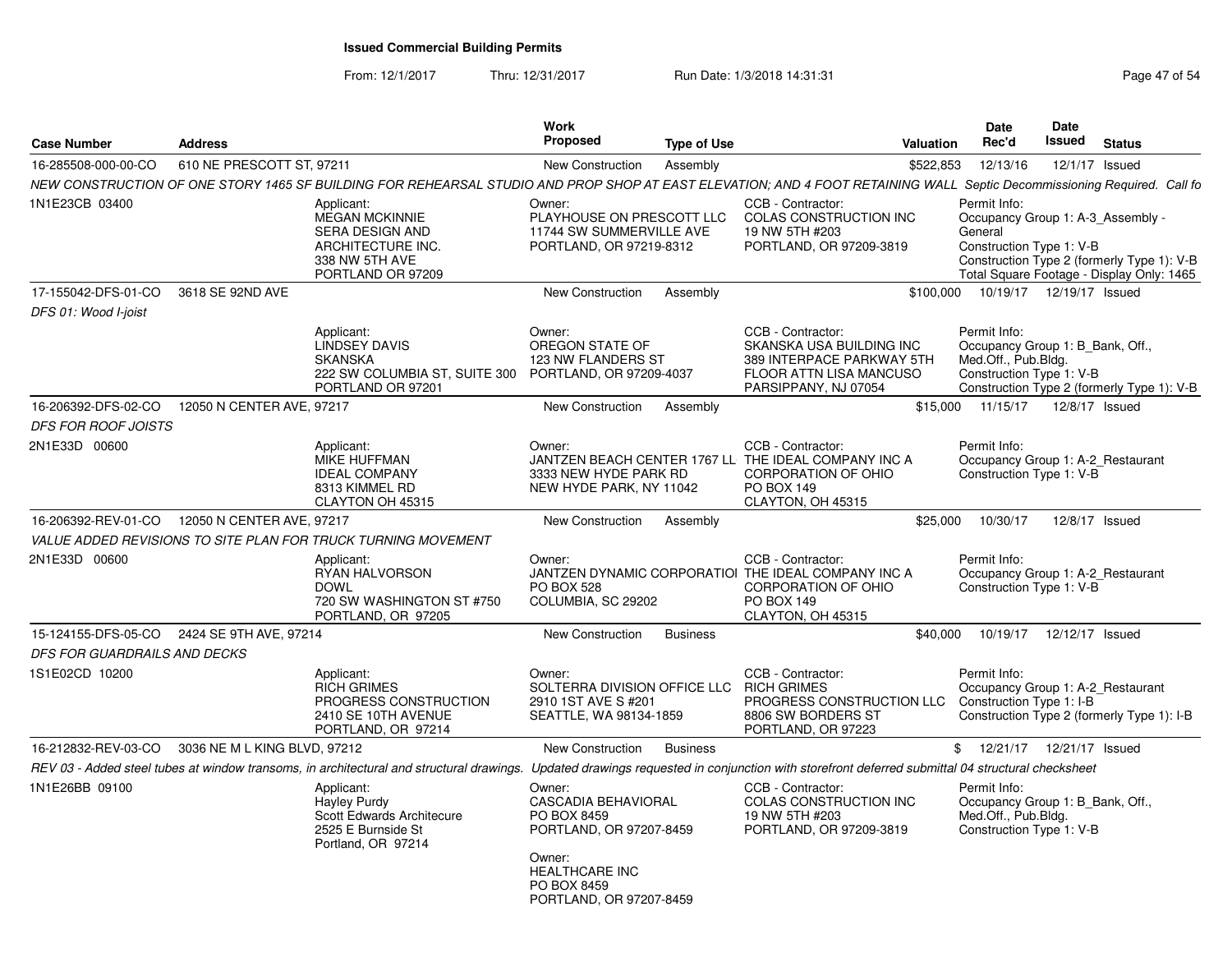From: 12/1/2017Thru: 12/31/2017 Run Date: 1/3/2018 14:31:31 Page 47 of 54

| <b>Address</b>               |                                                                                                                    | Work<br>Proposed                                                                                                                                                                                                                   | <b>Type of Use</b> |                                                                                                                                                                                                                                                                                                                         |                         | Date<br>Rec'd                                                                                                                                                                                                                                                                                 | Date<br>Issued                                                                                                                                                                               | <b>Status</b>                                                                                                                                                                                                                                                                                                                                                                                                                                                                                                                                                                                                                                                                                                                                                                                                                                                                                                                                                                                                                                                                                     |
|------------------------------|--------------------------------------------------------------------------------------------------------------------|------------------------------------------------------------------------------------------------------------------------------------------------------------------------------------------------------------------------------------|--------------------|-------------------------------------------------------------------------------------------------------------------------------------------------------------------------------------------------------------------------------------------------------------------------------------------------------------------------|-------------------------|-----------------------------------------------------------------------------------------------------------------------------------------------------------------------------------------------------------------------------------------------------------------------------------------------|----------------------------------------------------------------------------------------------------------------------------------------------------------------------------------------------|---------------------------------------------------------------------------------------------------------------------------------------------------------------------------------------------------------------------------------------------------------------------------------------------------------------------------------------------------------------------------------------------------------------------------------------------------------------------------------------------------------------------------------------------------------------------------------------------------------------------------------------------------------------------------------------------------------------------------------------------------------------------------------------------------------------------------------------------------------------------------------------------------------------------------------------------------------------------------------------------------------------------------------------------------------------------------------------------------|
|                              |                                                                                                                    | New Construction                                                                                                                                                                                                                   | Assembly           |                                                                                                                                                                                                                                                                                                                         |                         | 12/13/16                                                                                                                                                                                                                                                                                      |                                                                                                                                                                                              | 12/1/17 Issued                                                                                                                                                                                                                                                                                                                                                                                                                                                                                                                                                                                                                                                                                                                                                                                                                                                                                                                                                                                                                                                                                    |
|                              |                                                                                                                    |                                                                                                                                                                                                                                    |                    |                                                                                                                                                                                                                                                                                                                         |                         |                                                                                                                                                                                                                                                                                               |                                                                                                                                                                                              |                                                                                                                                                                                                                                                                                                                                                                                                                                                                                                                                                                                                                                                                                                                                                                                                                                                                                                                                                                                                                                                                                                   |
|                              | Applicant:<br><b>MEGAN MCKINNIE</b><br>SERA DESIGN AND<br>ARCHITECTURE INC.<br>338 NW 5TH AVE<br>PORTLAND OR 97209 | Owner:                                                                                                                                                                                                                             |                    | CCB - Contractor:<br>19 NW 5TH #203<br>PORTLAND, OR 97209-3819                                                                                                                                                                                                                                                          |                         |                                                                                                                                                                                                                                                                                               |                                                                                                                                                                                              |                                                                                                                                                                                                                                                                                                                                                                                                                                                                                                                                                                                                                                                                                                                                                                                                                                                                                                                                                                                                                                                                                                   |
| 3618 SE 92ND AVE             |                                                                                                                    | New Construction                                                                                                                                                                                                                   | Assembly           |                                                                                                                                                                                                                                                                                                                         |                         |                                                                                                                                                                                                                                                                                               |                                                                                                                                                                                              |                                                                                                                                                                                                                                                                                                                                                                                                                                                                                                                                                                                                                                                                                                                                                                                                                                                                                                                                                                                                                                                                                                   |
|                              |                                                                                                                    |                                                                                                                                                                                                                                    |                    |                                                                                                                                                                                                                                                                                                                         |                         |                                                                                                                                                                                                                                                                                               |                                                                                                                                                                                              |                                                                                                                                                                                                                                                                                                                                                                                                                                                                                                                                                                                                                                                                                                                                                                                                                                                                                                                                                                                                                                                                                                   |
|                              | Applicant:<br><b>LINDSEY DAVIS</b><br><b>SKANSKA</b><br>222 SW COLUMBIA ST, SUITE 300<br>PORTLAND OR 97201         | Owner:<br>OREGON STATE OF                                                                                                                                                                                                          |                    | CCB - Contractor:<br>PARSIPPANY, NJ 07054                                                                                                                                                                                                                                                                               |                         |                                                                                                                                                                                                                                                                                               |                                                                                                                                                                                              |                                                                                                                                                                                                                                                                                                                                                                                                                                                                                                                                                                                                                                                                                                                                                                                                                                                                                                                                                                                                                                                                                                   |
|                              |                                                                                                                    | New Construction                                                                                                                                                                                                                   | Assembly           |                                                                                                                                                                                                                                                                                                                         |                         |                                                                                                                                                                                                                                                                                               |                                                                                                                                                                                              | 12/8/17 Issued                                                                                                                                                                                                                                                                                                                                                                                                                                                                                                                                                                                                                                                                                                                                                                                                                                                                                                                                                                                                                                                                                    |
|                              |                                                                                                                    |                                                                                                                                                                                                                                    |                    |                                                                                                                                                                                                                                                                                                                         |                         |                                                                                                                                                                                                                                                                                               |                                                                                                                                                                                              |                                                                                                                                                                                                                                                                                                                                                                                                                                                                                                                                                                                                                                                                                                                                                                                                                                                                                                                                                                                                                                                                                                   |
|                              | Applicant:<br><b>MIKE HUFFMAN</b><br><b>IDEAL COMPANY</b><br>8313 KIMMEL RD<br>CLAYTON OH 45315                    | Owner:                                                                                                                                                                                                                             |                    | CCB - Contractor:<br>CORPORATION OF OHIO<br>PO BOX 149<br>CLAYTON, OH 45315                                                                                                                                                                                                                                             |                         |                                                                                                                                                                                                                                                                                               |                                                                                                                                                                                              |                                                                                                                                                                                                                                                                                                                                                                                                                                                                                                                                                                                                                                                                                                                                                                                                                                                                                                                                                                                                                                                                                                   |
|                              |                                                                                                                    | New Construction                                                                                                                                                                                                                   | Assembly           |                                                                                                                                                                                                                                                                                                                         |                         | 10/30/17                                                                                                                                                                                                                                                                                      |                                                                                                                                                                                              | 12/8/17 Issued                                                                                                                                                                                                                                                                                                                                                                                                                                                                                                                                                                                                                                                                                                                                                                                                                                                                                                                                                                                                                                                                                    |
|                              |                                                                                                                    |                                                                                                                                                                                                                                    |                    |                                                                                                                                                                                                                                                                                                                         |                         |                                                                                                                                                                                                                                                                                               |                                                                                                                                                                                              |                                                                                                                                                                                                                                                                                                                                                                                                                                                                                                                                                                                                                                                                                                                                                                                                                                                                                                                                                                                                                                                                                                   |
|                              | Applicant:<br>RYAN HALVORSON<br><b>DOWL</b><br>720 SW WASHINGTON ST #750<br>PORTLAND, OR 97205                     | Owner:<br><b>PO BOX 528</b>                                                                                                                                                                                                        |                    | CCB - Contractor:<br>CORPORATION OF OHIO<br><b>PO BOX 149</b><br>CLAYTON, OH 45315                                                                                                                                                                                                                                      |                         |                                                                                                                                                                                                                                                                                               |                                                                                                                                                                                              |                                                                                                                                                                                                                                                                                                                                                                                                                                                                                                                                                                                                                                                                                                                                                                                                                                                                                                                                                                                                                                                                                                   |
|                              |                                                                                                                    | <b>New Construction</b>                                                                                                                                                                                                            | <b>Business</b>    |                                                                                                                                                                                                                                                                                                                         |                         | 10/19/17                                                                                                                                                                                                                                                                                      |                                                                                                                                                                                              |                                                                                                                                                                                                                                                                                                                                                                                                                                                                                                                                                                                                                                                                                                                                                                                                                                                                                                                                                                                                                                                                                                   |
| DFS FOR GUARDRAILS AND DECKS |                                                                                                                    |                                                                                                                                                                                                                                    |                    |                                                                                                                                                                                                                                                                                                                         |                         |                                                                                                                                                                                                                                                                                               |                                                                                                                                                                                              |                                                                                                                                                                                                                                                                                                                                                                                                                                                                                                                                                                                                                                                                                                                                                                                                                                                                                                                                                                                                                                                                                                   |
|                              | Applicant:<br><b>RICH GRIMES</b><br>PROGRESS CONSTRUCTION<br>2410 SE 10TH AVENUE<br>PORTLAND, OR 97214             | Owner:<br>2910 1ST AVE S #201                                                                                                                                                                                                      |                    | CCB - Contractor:<br><b>RICH GRIMES</b><br>8806 SW BORDERS ST<br>PORTLAND, OR 97223                                                                                                                                                                                                                                     |                         |                                                                                                                                                                                                                                                                                               |                                                                                                                                                                                              |                                                                                                                                                                                                                                                                                                                                                                                                                                                                                                                                                                                                                                                                                                                                                                                                                                                                                                                                                                                                                                                                                                   |
|                              |                                                                                                                    | New Construction                                                                                                                                                                                                                   | <b>Business</b>    |                                                                                                                                                                                                                                                                                                                         |                         |                                                                                                                                                                                                                                                                                               |                                                                                                                                                                                              |                                                                                                                                                                                                                                                                                                                                                                                                                                                                                                                                                                                                                                                                                                                                                                                                                                                                                                                                                                                                                                                                                                   |
|                              |                                                                                                                    |                                                                                                                                                                                                                                    |                    |                                                                                                                                                                                                                                                                                                                         |                         |                                                                                                                                                                                                                                                                                               |                                                                                                                                                                                              |                                                                                                                                                                                                                                                                                                                                                                                                                                                                                                                                                                                                                                                                                                                                                                                                                                                                                                                                                                                                                                                                                                   |
|                              | Applicant:<br><b>Hayley Purdy</b><br>Scott Edwards Architecure<br>2525 E Burnside St<br>Portland, OR 97214         | Owner:<br>PO BOX 8459<br>Owner:<br><b>HEALTHCARE INC</b><br>PO BOX 8459                                                                                                                                                            |                    | CCB - Contractor:<br>19 NW 5TH #203<br>PORTLAND, OR 97209-3819                                                                                                                                                                                                                                                          |                         |                                                                                                                                                                                                                                                                                               |                                                                                                                                                                                              |                                                                                                                                                                                                                                                                                                                                                                                                                                                                                                                                                                                                                                                                                                                                                                                                                                                                                                                                                                                                                                                                                                   |
|                              |                                                                                                                    | 610 NE PRESCOTT ST, 97211<br>12050 N CENTER AVE, 97217<br>16-206392-REV-01-CO 12050 N CENTER AVE, 97217<br>VALUE ADDED REVISIONS TO SITE PLAN FOR TRUCK TURNING MOVEMENT<br>2424 SE 9TH AVE, 97214<br>3036 NE M L KING BLVD, 97212 |                    | PLAYHOUSE ON PRESCOTT LLC<br>11744 SW SUMMERVILLE AVE<br>PORTLAND, OR 97219-8312<br>123 NW FLANDERS ST<br>PORTLAND, OR 97209-4037<br>3333 NEW HYDE PARK RD<br>NEW HYDE PARK, NY 11042<br>COLUMBIA, SC 29202<br>SOLTERRA DIVISION OFFICE LLC<br>SEATTLE, WA 98134-1859<br>CASCADIA BEHAVIORAL<br>PORTLAND, OR 97207-8459 | PORTLAND, OR 97207-8459 | Valuation<br>COLAS CONSTRUCTION INC<br>SKANSKA USA BUILDING INC<br>389 INTERPACE PARKWAY 5TH<br>FLOOR ATTN LISA MANCUSO<br>JANTZEN BEACH CENTER 1767 LL THE IDEAL COMPANY INC A<br>JANTZEN DYNAMIC CORPORATIOI THE IDEAL COMPANY INC A<br>PROGRESS CONSTRUCTION LLC<br>COLAS CONSTRUCTION INC | \$522,853<br>Permit Info:<br>General<br>\$100,000<br>Permit Info:<br>\$15,000 11/15/17<br>Permit Info:<br>\$25,000<br>Permit Info:<br>\$40,000<br>Permit Info:<br>$^{\circ}$<br>Permit Info: | NEW CONSTRUCTION OF ONE STORY 1465 SF BUILDING FOR REHEARSAL STUDIO AND PROP SHOP AT EAST ELEVATION; AND 4 FOOT RETAINING WALL Septic Decommissioning Required. Call fo<br>Occupancy Group 1: A-3 Assembly -<br>Construction Type 1: V-B<br>Construction Type 2 (formerly Type 1): V-B<br>Total Square Footage - Display Only: 1465<br>10/19/17  12/19/17  Issued<br>Occupancy Group 1: B_Bank, Off.,<br>Med.Off., Pub.Bldg.<br>Construction Type 1: V-B<br>Construction Type 2 (formerly Type 1): V-B<br>Occupancy Group 1: A-2_Restaurant<br>Construction Type 1: V-B<br>Occupancy Group 1: A-2_Restaurant<br>Construction Type 1: V-B<br>12/12/17 Issued<br>Occupancy Group 1: A-2 Restaurant<br>Construction Type 1: I-B<br>Construction Type 2 (formerly Type 1): I-B<br>12/21/17  12/21/17  Issued<br>REV 03 - Added steel tubes at window transoms, in architectural and structural drawings. Updated drawings requested in conjunction with storefront deferred submittal 04 structural checksheet<br>Occupancy Group 1: B_Bank, Off.,<br>Med.Off., Pub.Bldg.<br>Construction Type 1: V-B |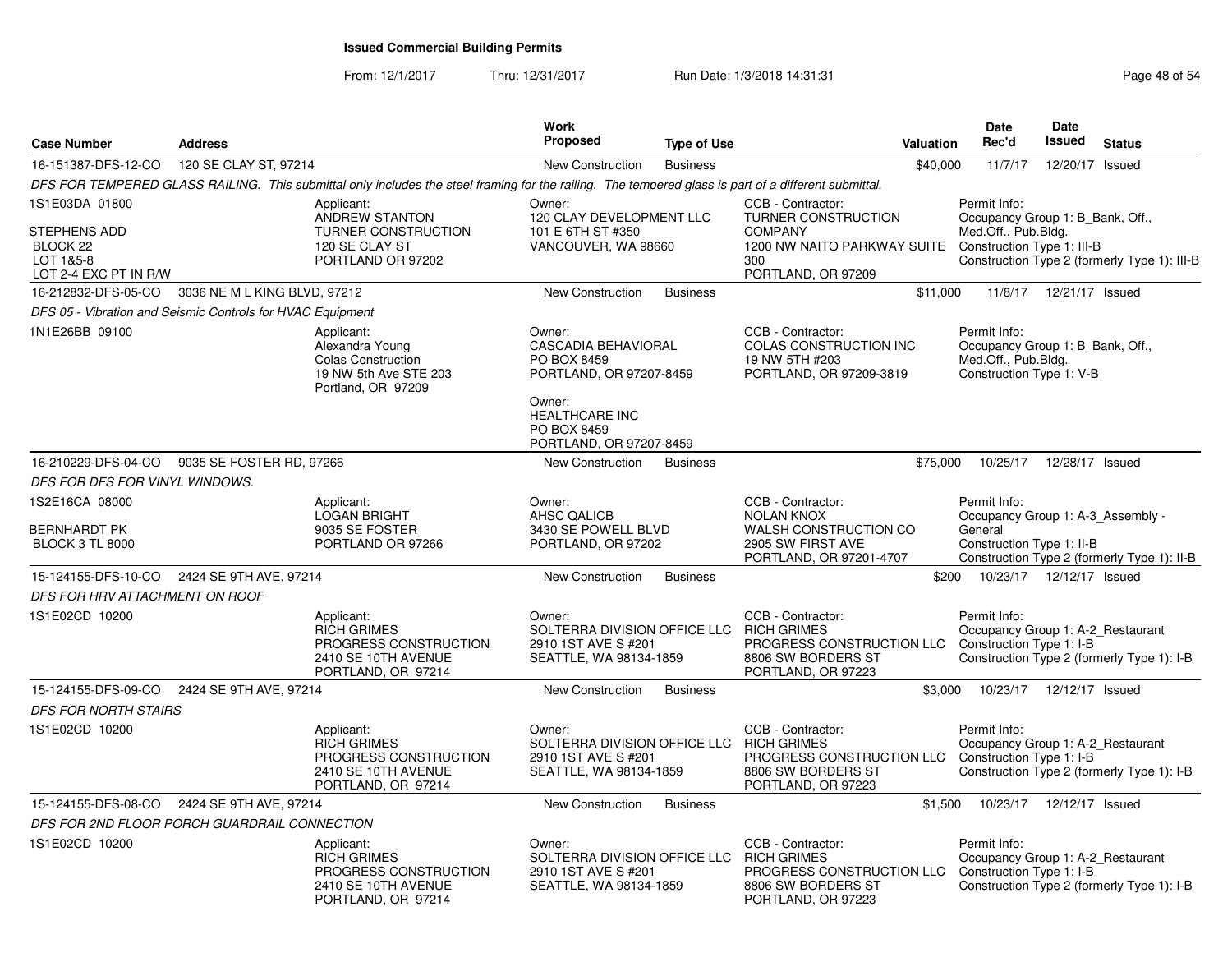From: 12/1/2017Thru: 12/31/2017 Run Date: 1/3/2018 14:31:31 Research 2010 12:31

| <b>Case Number</b>                                                               | <b>Address</b>               |                                                                                                                                                      | Work<br>Proposed                                                                                                                                            | <b>Type of Use</b> | <b>Valuation</b>                                                                                                                                  | <b>Date</b><br>Rec'd                                                                                | <b>Date</b><br><b>Issued</b> | <b>Status</b>                                |
|----------------------------------------------------------------------------------|------------------------------|------------------------------------------------------------------------------------------------------------------------------------------------------|-------------------------------------------------------------------------------------------------------------------------------------------------------------|--------------------|---------------------------------------------------------------------------------------------------------------------------------------------------|-----------------------------------------------------------------------------------------------------|------------------------------|----------------------------------------------|
| 16-151387-DFS-12-CO                                                              | 120 SE CLAY ST, 97214        |                                                                                                                                                      | New Construction                                                                                                                                            | <b>Business</b>    | \$40,000                                                                                                                                          | 11/7/17                                                                                             | 12/20/17 Issued              |                                              |
|                                                                                  |                              | DFS FOR TEMPERED GLASS RAILING. This submittal only includes the steel framing for the railing. The tempered glass is part of a different submittal. |                                                                                                                                                             |                    |                                                                                                                                                   |                                                                                                     |                              |                                              |
| 1S1E03DA 01800<br>STEPHENS ADD<br>BLOCK 22<br>LOT 1&5-8<br>LOT 2-4 EXC PT IN R/W |                              | Applicant:<br>ANDREW STANTON<br>TURNER CONSTRUCTION<br>120 SE CLAY ST<br>PORTLAND OR 97202                                                           | Owner:<br>120 CLAY DEVELOPMENT LLC<br>101 E 6TH ST #350<br>VANCOUVER, WA 98660                                                                              |                    | CCB - Contractor:<br>TURNER CONSTRUCTION<br><b>COMPANY</b><br>1200 NW NAITO PARKWAY SUITE Construction Type 1: III-B<br>300<br>PORTLAND, OR 97209 | Permit Info:<br>Occupancy Group 1: B_Bank, Off.,<br>Med.Off., Pub.Bldg.                             |                              | Construction Type 2 (formerly Type 1): III-B |
| 16-212832-DFS-05-CO                                                              | 3036 NE M L KING BLVD, 97212 |                                                                                                                                                      | New Construction                                                                                                                                            | <b>Business</b>    | \$11,000                                                                                                                                          |                                                                                                     | 11/8/17  12/21/17  Issued    |                                              |
| DFS 05 - Vibration and Seismic Controls for HVAC Equipment                       |                              |                                                                                                                                                      |                                                                                                                                                             |                    |                                                                                                                                                   |                                                                                                     |                              |                                              |
| 1N1E26BB 09100                                                                   |                              | Applicant:<br>Alexandra Young<br><b>Colas Construction</b><br>19 NW 5th Ave STE 203<br>Portland, OR 97209                                            | Owner:<br><b>CASCADIA BEHAVIORAL</b><br>PO BOX 8459<br>PORTLAND, OR 97207-8459<br>Owner:<br><b>HEALTHCARE INC</b><br>PO BOX 8459<br>PORTLAND, OR 97207-8459 |                    | CCB - Contractor:<br>COLAS CONSTRUCTION INC<br>19 NW 5TH #203<br>PORTLAND, OR 97209-3819                                                          | Permit Info:<br>Occupancy Group 1: B_Bank, Off.,<br>Med.Off., Pub.Bldg.<br>Construction Type 1: V-B |                              |                                              |
| 16-210229-DFS-04-CO                                                              | 9035 SE FOSTER RD, 97266     |                                                                                                                                                      | New Construction                                                                                                                                            | <b>Business</b>    | \$75,000                                                                                                                                          | 10/25/17                                                                                            | 12/28/17 Issued              |                                              |
| DFS FOR DFS FOR VINYL WINDOWS.                                                   |                              |                                                                                                                                                      |                                                                                                                                                             |                    |                                                                                                                                                   |                                                                                                     |                              |                                              |
| 1S2E16CA 08000<br><b>BERNHARDT PK</b><br><b>BLOCK 3 TL 8000</b>                  |                              | Applicant:<br><b>LOGAN BRIGHT</b><br>9035 SE FOSTER<br>PORTLAND OR 97266                                                                             | Owner:<br>AHSC QALICB<br>3430 SE POWELL BLVD<br>PORTLAND, OR 97202                                                                                          |                    | CCB - Contractor:<br><b>NOLAN KNOX</b><br>WALSH CONSTRUCTION CO<br>2905 SW FIRST AVE<br>PORTLAND, OR 97201-4707                                   | Permit Info:<br>Occupancy Group 1: A-3_Assembly -<br>General<br>Construction Type 1: II-B           |                              | Construction Type 2 (formerly Type 1): II-B  |
| 15-124155-DFS-10-CO 2424 SE 9TH AVE, 97214                                       |                              |                                                                                                                                                      | <b>New Construction</b>                                                                                                                                     | <b>Business</b>    |                                                                                                                                                   | \$200                                                                                               | 10/23/17  12/12/17  Issued   |                                              |
| DFS FOR HRV ATTACHMENT ON ROOF                                                   |                              |                                                                                                                                                      |                                                                                                                                                             |                    |                                                                                                                                                   |                                                                                                     |                              |                                              |
| 1S1E02CD 10200                                                                   |                              | Applicant:<br><b>RICH GRIMES</b><br>PROGRESS CONSTRUCTION<br>2410 SE 10TH AVENUE<br>PORTLAND, OR 97214                                               | Owner:<br>SOLTERRA DIVISION OFFICE LLC<br>2910 1ST AVE S #201<br>SEATTLE, WA 98134-1859                                                                     |                    | CCB - Contractor:<br><b>RICH GRIMES</b><br>PROGRESS CONSTRUCTION LLC Construction Type 1: I-B<br>8806 SW BORDERS ST<br>PORTLAND, OR 97223         | Permit Info:<br>Occupancy Group 1: A-2_Restaurant                                                   |                              | Construction Type 2 (formerly Type 1): I-B   |
| 15-124155-DFS-09-CO                                                              | 2424 SE 9TH AVE, 97214       |                                                                                                                                                      | New Construction                                                                                                                                            | <b>Business</b>    | \$3,000                                                                                                                                           |                                                                                                     | 10/23/17  12/12/17  Issued   |                                              |
| <b>DFS FOR NORTH STAIRS</b>                                                      |                              |                                                                                                                                                      |                                                                                                                                                             |                    |                                                                                                                                                   |                                                                                                     |                              |                                              |
| 1S1E02CD 10200                                                                   |                              | Applicant:<br><b>RICH GRIMES</b><br>PROGRESS CONSTRUCTION<br>2410 SE 10TH AVENUE<br>PORTLAND, OR 97214                                               | Owner:<br>SOLTERRA DIVISION OFFICE LLC<br>2910 1ST AVE S #201<br>SEATTLE, WA 98134-1859                                                                     |                    | CCB - Contractor:<br><b>RICH GRIMES</b><br>PROGRESS CONSTRUCTION LLC<br>8806 SW BORDERS ST<br>PORTLAND, OR 97223                                  | Permit Info:<br>Occupancy Group 1: A-2_Restaurant<br>Construction Type 1: I-B                       |                              | Construction Type 2 (formerly Type 1): I-B   |
| 15-124155-DFS-08-CO                                                              | 2424 SE 9TH AVE, 97214       |                                                                                                                                                      | <b>New Construction</b>                                                                                                                                     | <b>Business</b>    | \$1,500                                                                                                                                           |                                                                                                     | 10/23/17  12/12/17  Issued   |                                              |
| DFS FOR 2ND FLOOR PORCH GUARDRAIL CONNECTION                                     |                              |                                                                                                                                                      |                                                                                                                                                             |                    |                                                                                                                                                   |                                                                                                     |                              |                                              |
| 1S1E02CD 10200                                                                   |                              | Applicant:<br>RICH GRIMES<br>PROGRESS CONSTRUCTION<br>2410 SE 10TH AVENUE<br>PORTLAND, OR 97214                                                      | Owner:<br>SOLTERRA DIVISION OFFICE LLC<br>2910 1ST AVE S #201<br>SEATTLE, WA 98134-1859                                                                     |                    | CCB - Contractor:<br><b>RICH GRIMES</b><br>PROGRESS CONSTRUCTION LLC Construction Type 1: I-B<br>8806 SW BORDERS ST<br>PORTLAND, OR 97223         | Permit Info:<br>Occupancy Group 1: A-2_Restaurant                                                   |                              | Construction Type 2 (formerly Type 1): I-B   |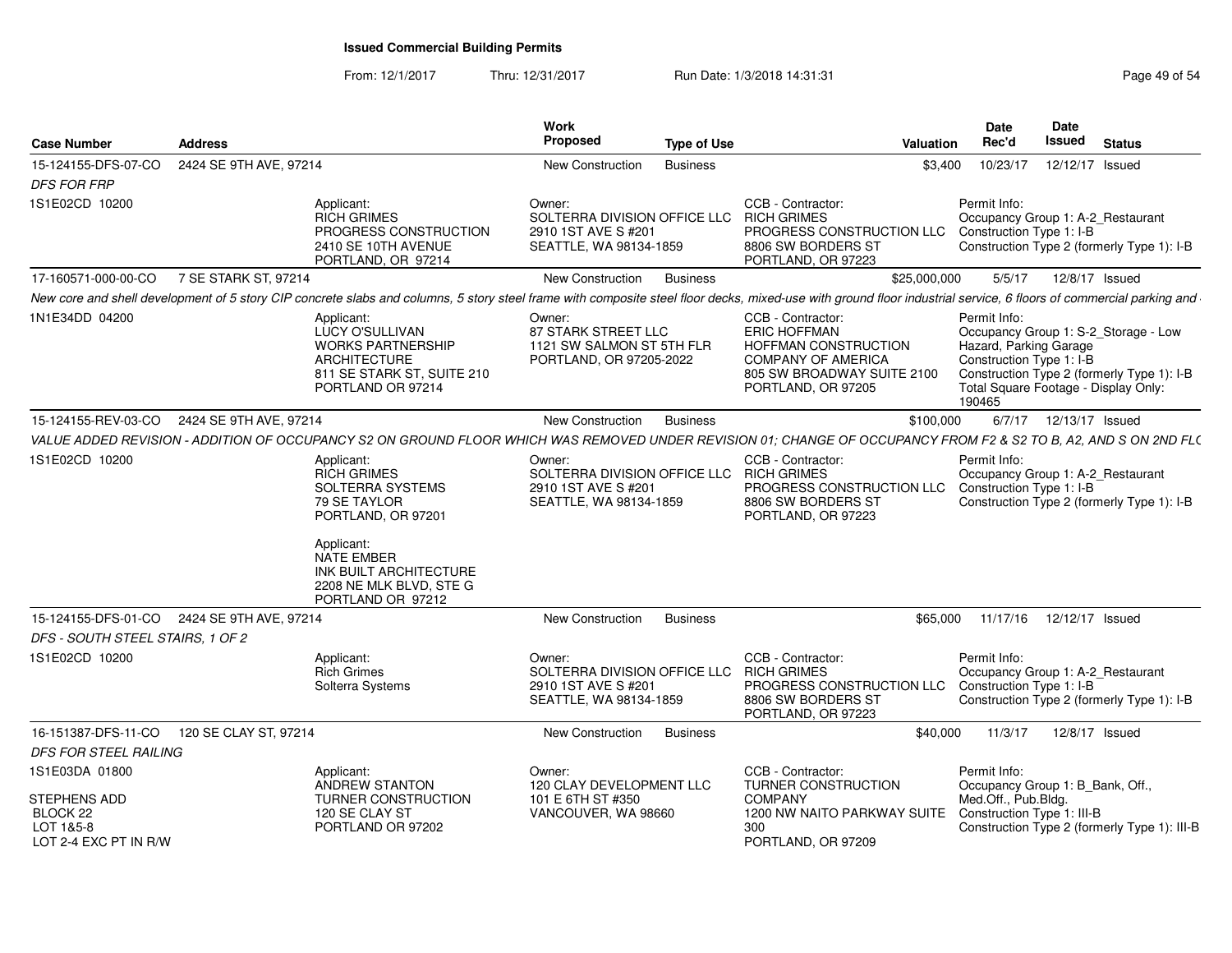From: 12/1/2017Thru: 12/31/2017 Run Date: 1/3/2018 14:31:31 Research 2010 12:31

| <b>Case Number</b>                                               | <b>Address</b> |                                                                                                                                                                                           | Work<br>Proposed                                                                                    | <b>Type of Use</b>                                                                                                                                                                                                 | Date<br>Rec'd<br>Valuation | Date<br><b>Issued</b><br><b>Status</b>                                                                                                                                           |
|------------------------------------------------------------------|----------------|-------------------------------------------------------------------------------------------------------------------------------------------------------------------------------------------|-----------------------------------------------------------------------------------------------------|--------------------------------------------------------------------------------------------------------------------------------------------------------------------------------------------------------------------|----------------------------|----------------------------------------------------------------------------------------------------------------------------------------------------------------------------------|
| 15-124155-DFS-07-CO 2424 SE 9TH AVE, 97214<br><b>DFS FOR FRP</b> |                |                                                                                                                                                                                           | <b>New Construction</b>                                                                             | Business                                                                                                                                                                                                           |                            | \$3,400  10/23/17  12/12/17  Issued                                                                                                                                              |
| 1S1E02CD 10200                                                   |                | Applicant:<br><b>RICH GRIMES</b><br>PROGRESS CONSTRUCTION<br>2410 SE 10TH AVENUE<br>PORTLAND, OR 97214                                                                                    | Owner:<br>SOLTERRA DIVISION OFFICE LLC RICH GRIMES<br>2910 1ST AVE S #201<br>SEATTLE, WA 98134-1859 | CCB - Contractor:<br>PROGRESS CONSTRUCTION LLC Construction Type 1: I-B<br>8806 SW BORDERS ST<br>PORTLAND, OR 97223                                                                                                | Permit Info:               | Occupancy Group 1: A-2 Restaurant<br>Construction Type 2 (formerly Type 1): I-B                                                                                                  |
| 17-160571-000-00-CO 7 SE STARK ST, 97214                         |                |                                                                                                                                                                                           | New Construction Business                                                                           |                                                                                                                                                                                                                    | \$25,000,000               | 5/5/17  12/8/17  Issued                                                                                                                                                          |
|                                                                  |                |                                                                                                                                                                                           |                                                                                                     | New core and shell development of 5 story CIP concrete slabs and columns, 5 story steel frame with composite steel floor decks, mixed-use with ground floor industrial service, 6 floors of commercial parking and |                            |                                                                                                                                                                                  |
| 1N1E34DD 04200                                                   |                | Applicant:<br>LUCY O'SULLIVAN<br><b>WORKS PARTNERSHIP</b><br><b>ARCHITECTURE</b><br>811 SE STARK ST, SUITE 210<br>PORTLAND OR 97214                                                       | Owner:<br>87 STARK STREET LLC<br>1121 SW SALMON ST 5TH FLR<br>PORTLAND, OR 97205-2022               | CCB - Contractor:<br><b>ERIC HOFFMAN</b><br>HOFFMAN CONSTRUCTION<br><b>COMPANY OF AMERICA</b><br>805 SW BROADWAY SUITE 2100<br>PORTLAND, OR 97205                                                                  | Permit Info:<br>190465     | Occupancy Group 1: S-2 Storage - Low<br>Hazard, Parking Garage<br>Construction Type 1: I-B<br>Construction Type 2 (formerly Type 1): I-B<br>Total Square Footage - Display Only: |
| 15-124155-REV-03-CO 2424 SE 9TH AVE, 97214                       |                |                                                                                                                                                                                           | New Construction Business                                                                           |                                                                                                                                                                                                                    | \$100.000                  | 6/7/17  12/13/17  Issued                                                                                                                                                         |
|                                                                  |                |                                                                                                                                                                                           |                                                                                                     | VALUE ADDED REVISION - ADDITION OF OCCUPANCY S2 ON GROUND FLOOR WHICH WAS REMOVED UNDER REVISION 01; CHANGE OF OCCUPANCY FROM F2 & S2 TO B, A2, AND S ON 2ND FLO                                                   |                            |                                                                                                                                                                                  |
| 1S1E02CD 10200                                                   |                | Applicant:<br>RICH GRIMES<br>SOLTERRA SYSTEMS<br>79 SE TAYLOR<br>PORTLAND, OR 97201<br>Applicant:<br>NATE EMBER<br>INK BUILT ARCHITECTURE<br>2208 NE MLK BLVD, STE G<br>PORTLAND OR 97212 | Owner:<br>SOLTERRA DIVISION OFFICE LLC RICH GRIMES<br>2910 1ST AVE S #201<br>SEATTLE, WA 98134-1859 | CCB - Contractor:<br>PROGRESS CONSTRUCTION LLC Construction Type 1: I-B<br>8806 SW BORDERS ST<br>PORTLAND, OR 97223                                                                                                | Permit Info:               | Occupancy Group 1: A-2_Restaurant<br>Construction Type 2 (formerly Type 1): I-B                                                                                                  |
| 15-124155-DFS-01-CO 2424 SE 9TH AVE, 97214                       |                |                                                                                                                                                                                           | New Construction Business                                                                           |                                                                                                                                                                                                                    |                            | \$65,000  11/17/16  12/12/17  Issued                                                                                                                                             |
| DFS - SOUTH STEEL STAIRS, 1 OF 2                                 |                |                                                                                                                                                                                           |                                                                                                     |                                                                                                                                                                                                                    |                            |                                                                                                                                                                                  |
| 1S1E02CD 10200                                                   |                | Applicant:<br><b>Rich Grimes</b><br>Solterra Systems                                                                                                                                      | Owner:<br>SOLTERRA DIVISION OFFICE LLC RICH GRIMES<br>2910 1ST AVE S #201<br>SEATTLE, WA 98134-1859 | CCB - Contractor:<br>PROGRESS CONSTRUCTION LLC Construction Type 1: I-B<br>8806 SW BORDERS ST<br>PORTLAND, OR 97223                                                                                                | Permit Info:               | Occupancy Group 1: A-2_Restaurant<br>Construction Type 2 (formerly Type 1): I-B                                                                                                  |
| 16-151387-DFS-11-CO  120 SE CLAY ST, 97214                       |                |                                                                                                                                                                                           | New Construction Business                                                                           |                                                                                                                                                                                                                    |                            | \$40,000  11/3/17  12/8/17  Issued                                                                                                                                               |
| DFS FOR STEEL RAILING                                            |                |                                                                                                                                                                                           |                                                                                                     |                                                                                                                                                                                                                    |                            |                                                                                                                                                                                  |
| 1S1E03DA 01800                                                   |                | Applicant:<br>ANDREW STANTON                                                                                                                                                              | Owner:<br>120 CLAY DEVELOPMENT LLC                                                                  | CCB - Contractor:<br><b>TURNER CONSTRUCTION</b>                                                                                                                                                                    | Permit Info:               | Occupancy Group 1: B Bank, Off.,                                                                                                                                                 |
| STEPHENS ADD                                                     |                | <b>TURNER CONSTRUCTION</b>                                                                                                                                                                | 101 E 6TH ST #350                                                                                   | COMPANY                                                                                                                                                                                                            | Med.Off., Pub.Bldg.        |                                                                                                                                                                                  |
| BLOCK 22<br>LOT 1&5-8<br>LOT 2-4 EXC PT IN R/W                   |                | 120 SE CLAY ST<br>PORTLAND OR 97202                                                                                                                                                       | VANCOUVER, WA 98660                                                                                 | 1200 NW NAITO PARKWAY SUITE Construction Type 1: III-B<br>300<br>PORTLAND, OR 97209                                                                                                                                |                            | Construction Type 2 (formerly Type 1): III-B                                                                                                                                     |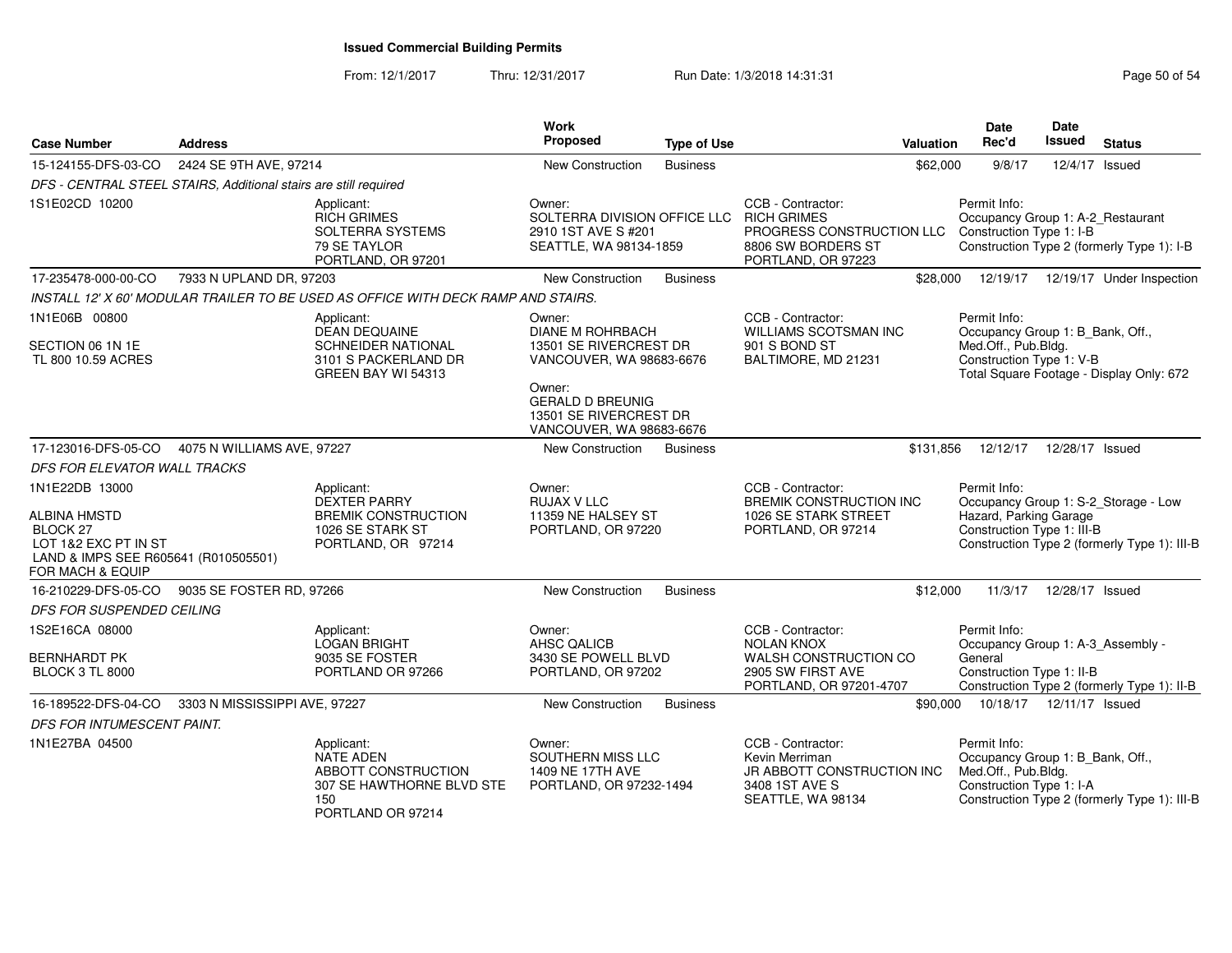From: 12/1/2017Thru: 12/31/2017 **Run Date: 1/3/2018 14:31:31 Research 2018** Page 50 of 54

| <b>Case Number</b>                                                                                  | <b>Address</b>                                                   |                                                                                                         | Work<br>Proposed                                                                        | <b>Type of Use</b> |                                                                                                                  | Valuation | <b>Date</b><br>Rec'd                                                                                | Date<br>Issued                           | <b>Status</b>                                |
|-----------------------------------------------------------------------------------------------------|------------------------------------------------------------------|---------------------------------------------------------------------------------------------------------|-----------------------------------------------------------------------------------------|--------------------|------------------------------------------------------------------------------------------------------------------|-----------|-----------------------------------------------------------------------------------------------------|------------------------------------------|----------------------------------------------|
| 15-124155-DFS-03-CO                                                                                 | 2424 SE 9TH AVE, 97214                                           |                                                                                                         | New Construction                                                                        | <b>Business</b>    |                                                                                                                  | \$62,000  | 9/8/17                                                                                              | 12/4/17 Issued                           |                                              |
|                                                                                                     | DFS - CENTRAL STEEL STAIRS, Additional stairs are still required |                                                                                                         |                                                                                         |                    |                                                                                                                  |           |                                                                                                     |                                          |                                              |
| 1S1E02CD 10200                                                                                      |                                                                  | Applicant:<br><b>RICH GRIMES</b><br>SOLTERRA SYSTEMS<br>79 SE TAYLOR<br>PORTLAND, OR 97201              | Owner:<br>SOLTERRA DIVISION OFFICE LLC<br>2910 1ST AVE S #201<br>SEATTLE, WA 98134-1859 |                    | CCB - Contractor:<br><b>RICH GRIMES</b><br>PROGRESS CONSTRUCTION LLC<br>8806 SW BORDERS ST<br>PORTLAND, OR 97223 |           | Permit Info:<br>Occupancy Group 1: A-2_Restaurant<br>Construction Type 1: I-B                       |                                          | Construction Type 2 (formerly Type 1): I-B   |
| 17-235478-000-00-CO                                                                                 | 7933 N UPLAND DR, 97203                                          |                                                                                                         | <b>New Construction</b>                                                                 | <b>Business</b>    |                                                                                                                  | \$28,000  | 12/19/17                                                                                            |                                          | 12/19/17 Under Inspection                    |
|                                                                                                     |                                                                  | INSTALL 12' X 60' MODULAR TRAILER TO BE USED AS OFFICE WITH DECK RAMP AND STAIRS.                       |                                                                                         |                    |                                                                                                                  |           |                                                                                                     |                                          |                                              |
| 1N1E06B 00800                                                                                       |                                                                  | Applicant:<br><b>DEAN DEQUAINE</b>                                                                      | Owner:<br><b>DIANE M ROHRBACH</b>                                                       |                    | CCB - Contractor:<br><b>WILLIAMS SCOTSMAN INC</b>                                                                |           | Permit Info:<br>Occupancy Group 1: B_Bank, Off.,                                                    |                                          |                                              |
| SECTION 06 1N 1E                                                                                    |                                                                  | SCHNEIDER NATIONAL                                                                                      | 13501 SE RIVERCREST DR                                                                  |                    | 901 S BOND ST                                                                                                    |           | Med.Off., Pub.Bldg.                                                                                 |                                          |                                              |
| TL 800 10.59 ACRES                                                                                  |                                                                  | 3101 S PACKERLAND DR<br>GREEN BAY WI 54313                                                              | VANCOUVER, WA 98683-6676                                                                |                    | BALTIMORE, MD 21231                                                                                              |           | Construction Type 1: V-B                                                                            | Total Square Footage - Display Only: 672 |                                              |
|                                                                                                     |                                                                  |                                                                                                         | Owner:<br><b>GERALD D BREUNIG</b><br>13501 SE RIVERCREST DR<br>VANCOUVER, WA 98683-6676 |                    |                                                                                                                  |           |                                                                                                     |                                          |                                              |
| 17-123016-DFS-05-CO                                                                                 | 4075 N WILLIAMS AVE, 97227                                       |                                                                                                         | New Construction                                                                        | <b>Business</b>    |                                                                                                                  | \$131,856 | 12/12/17                                                                                            | 12/28/17 Issued                          |                                              |
| <b>DFS FOR ELEVATOR WALL TRACKS</b>                                                                 |                                                                  |                                                                                                         |                                                                                         |                    |                                                                                                                  |           |                                                                                                     |                                          |                                              |
| 1N1E22DB 13000                                                                                      |                                                                  | Applicant:                                                                                              | Owner:                                                                                  |                    | CCB - Contractor:                                                                                                |           | Permit Info:                                                                                        |                                          |                                              |
| <b>ALBINA HMSTD</b>                                                                                 |                                                                  | <b>DEXTER PARRY</b><br><b>BREMIK CONSTRUCTION</b>                                                       | <b>RUJAX V LLC</b><br>11359 NE HALSEY ST                                                |                    | <b>BREMIK CONSTRUCTION INC</b><br>1026 SE STARK STREET                                                           |           | Hazard, Parking Garage                                                                              |                                          | Occupancy Group 1: S-2_Storage - Low         |
| <b>BLOCK 27</b><br>LOT 1&2 EXC PT IN ST<br>LAND & IMPS SEE R605641 (R010505501)<br>FOR MACH & EQUIP |                                                                  | 1026 SE STARK ST<br>PORTLAND, OR 97214                                                                  | PORTLAND, OR 97220                                                                      |                    | PORTLAND, OR 97214                                                                                               |           | Construction Type 1: III-B                                                                          |                                          | Construction Type 2 (formerly Type 1): III-B |
| 16-210229-DFS-05-CO                                                                                 | 9035 SE FOSTER RD, 97266                                         |                                                                                                         | New Construction                                                                        | <b>Business</b>    |                                                                                                                  | \$12,000  | 11/3/17                                                                                             | 12/28/17 Issued                          |                                              |
| DFS FOR SUSPENDED CEILING                                                                           |                                                                  |                                                                                                         |                                                                                         |                    |                                                                                                                  |           |                                                                                                     |                                          |                                              |
| 1S2E16CA 08000                                                                                      |                                                                  | Applicant:<br><b>LOGAN BRIGHT</b>                                                                       | Owner:<br><b>AHSC QALICB</b>                                                            |                    | CCB - Contractor:<br><b>NOLAN KNOX</b>                                                                           |           | Permit Info:<br>Occupancy Group 1: A-3_Assembly -                                                   |                                          |                                              |
| <b>BERNHARDT PK</b><br><b>BLOCK 3 TL 8000</b>                                                       |                                                                  | 9035 SE FOSTER<br>PORTLAND OR 97266                                                                     | 3430 SE POWELL BLVD<br>PORTLAND, OR 97202                                               |                    | WALSH CONSTRUCTION CO<br>2905 SW FIRST AVE<br>PORTLAND, OR 97201-4707                                            |           | General<br>Construction Type 1: II-B                                                                |                                          | Construction Type 2 (formerly Type 1): II-B  |
| 16-189522-DFS-04-CO                                                                                 | 3303 N MISSISSIPPI AVE, 97227                                    |                                                                                                         | New Construction                                                                        | <b>Business</b>    |                                                                                                                  | \$90,000  |                                                                                                     | 10/18/17  12/11/17  Issued               |                                              |
| DFS FOR INTUMESCENT PAINT.                                                                          |                                                                  |                                                                                                         |                                                                                         |                    |                                                                                                                  |           |                                                                                                     |                                          |                                              |
| 1N1E27BA 04500                                                                                      |                                                                  | Applicant:<br>NATE ADEN<br>ABBOTT CONSTRUCTION<br>307 SE HAWTHORNE BLVD STE<br>150<br>PORTLAND OR 97214 | Owner:<br>SOUTHERN MISS LLC<br>1409 NE 17TH AVE<br>PORTLAND, OR 97232-1494              |                    | CCB - Contractor:<br>Kevin Merriman<br>JR ABBOTT CONSTRUCTION INC<br>3408 1ST AVE S<br>SEATTLE, WA 98134         |           | Permit Info:<br>Occupancy Group 1: B_Bank, Off.,<br>Med.Off., Pub.Bldg.<br>Construction Type 1: I-A |                                          | Construction Type 2 (formerly Type 1): III-B |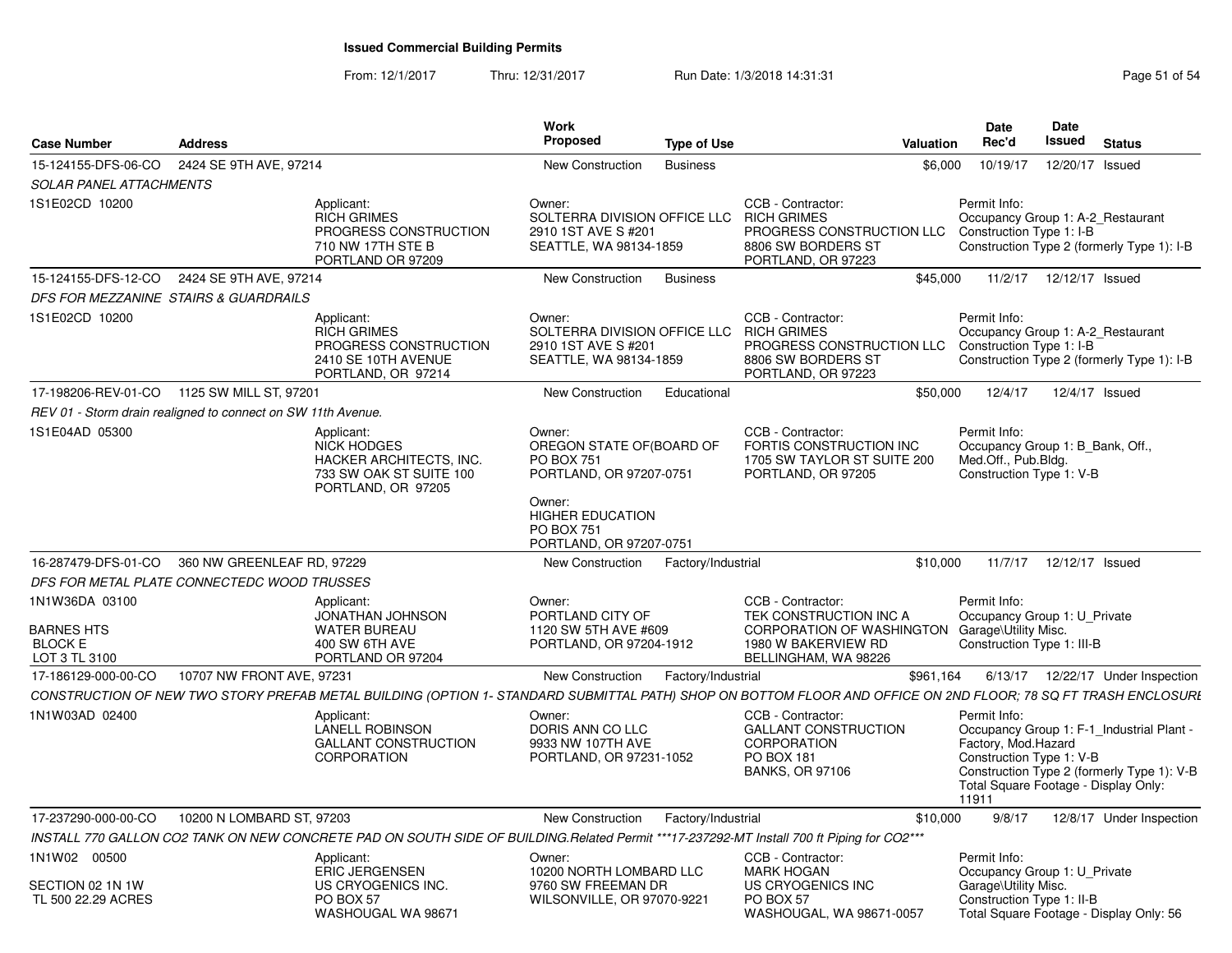From: 12/1/2017Thru: 12/31/2017 Run Date: 1/3/2018 14:31:31 Page 51 of 54

| <b>Case Number</b>                                                     | <b>Address</b>            |                                                                                                                                                                | Work<br><b>Proposed</b>                                                                 | Type of Use        |                                                                                                                                              | Valuation | Date<br>Rec'd                                                                                                    | Date<br>Issued  | <b>Status</b>                                                                           |
|------------------------------------------------------------------------|---------------------------|----------------------------------------------------------------------------------------------------------------------------------------------------------------|-----------------------------------------------------------------------------------------|--------------------|----------------------------------------------------------------------------------------------------------------------------------------------|-----------|------------------------------------------------------------------------------------------------------------------|-----------------|-----------------------------------------------------------------------------------------|
| 15-124155-DFS-06-CO                                                    | 2424 SE 9TH AVE, 97214    |                                                                                                                                                                | New Construction                                                                        | <b>Business</b>    |                                                                                                                                              | \$6,000   | 10/19/17                                                                                                         | 12/20/17 Issued |                                                                                         |
| <b>SOLAR PANEL ATTACHMENTS</b>                                         |                           |                                                                                                                                                                |                                                                                         |                    |                                                                                                                                              |           |                                                                                                                  |                 |                                                                                         |
| 1S1E02CD 10200                                                         |                           | Applicant:<br><b>RICH GRIMES</b><br>PROGRESS CONSTRUCTION<br>710 NW 17TH STE B<br>PORTLAND OR 97209                                                            | Owner:<br>SOLTERRA DIVISION OFFICE LLC<br>2910 1ST AVE S #201<br>SEATTLE, WA 98134-1859 |                    | CCB - Contractor:<br><b>RICH GRIMES</b><br>PROGRESS CONSTRUCTION LLC Construction Type 1: I-B<br>8806 SW BORDERS ST<br>PORTLAND, OR 97223    |           | Permit Info:<br>Occupancy Group 1: A-2 Restaurant                                                                |                 | Construction Type 2 (formerly Type 1): I-B                                              |
| 15-124155-DFS-12-CO                                                    | 2424 SE 9TH AVE, 97214    |                                                                                                                                                                | New Construction                                                                        | <b>Business</b>    |                                                                                                                                              | \$45,000  | 11/2/17                                                                                                          | 12/12/17 Issued |                                                                                         |
| DFS FOR MEZZANINE STAIRS & GUARDRAILS                                  |                           |                                                                                                                                                                |                                                                                         |                    |                                                                                                                                              |           |                                                                                                                  |                 |                                                                                         |
| 1S1E02CD 10200                                                         |                           | Applicant:<br><b>RICH GRIMES</b><br>PROGRESS CONSTRUCTION<br>2410 SE 10TH AVENUE<br>PORTLAND, OR 97214                                                         | Owner:<br>SOLTERRA DIVISION OFFICE LLC<br>2910 1ST AVE S #201<br>SEATTLE, WA 98134-1859 |                    | CCB - Contractor:<br><b>RICH GRIMES</b><br>PROGRESS CONSTRUCTION LLC<br>8806 SW BORDERS ST<br>PORTLAND, OR 97223                             |           | Permit Info:<br>Occupancy Group 1: A-2_Restaurant<br>Construction Type 1: I-B                                    |                 | Construction Type 2 (formerly Type 1): I-B                                              |
| 17-198206-REV-01-CO  1125 SW MILL ST, 97201                            |                           |                                                                                                                                                                | New Construction                                                                        | Educational        |                                                                                                                                              | \$50,000  | 12/4/17                                                                                                          |                 | 12/4/17 Issued                                                                          |
| REV 01 - Storm drain realigned to connect on SW 11th Avenue.           |                           |                                                                                                                                                                |                                                                                         |                    |                                                                                                                                              |           |                                                                                                                  |                 |                                                                                         |
| 1S1E04AD 05300                                                         |                           | Applicant:<br><b>NICK HODGES</b><br><b>HACKER ARCHITECTS. INC.</b><br>733 SW OAK ST SUITE 100<br>PORTLAND, OR 97205                                            | Owner:<br>OREGON STATE OF(BOARD OF<br><b>PO BOX 751</b><br>PORTLAND, OR 97207-0751      |                    | CCB - Contractor:<br>FORTIS CONSTRUCTION INC<br>1705 SW TAYLOR ST SUITE 200<br>PORTLAND, OR 97205                                            |           | Permit Info:<br>Occupancy Group 1: B Bank, Off.,<br>Med.Off., Pub.Blda.<br>Construction Type 1: V-B              |                 |                                                                                         |
|                                                                        |                           |                                                                                                                                                                | Owner:<br><b>HIGHER EDUCATION</b><br><b>PO BOX 751</b><br>PORTLAND, OR 97207-0751       |                    |                                                                                                                                              |           |                                                                                                                  |                 |                                                                                         |
| 16-287479-DFS-01-CO 360 NW GREENLEAF RD, 97229                         |                           |                                                                                                                                                                | New Construction                                                                        | Factory/Industrial |                                                                                                                                              | \$10,000  | 11/7/17                                                                                                          | 12/12/17 Issued |                                                                                         |
| DFS FOR METAL PLATE CONNECTEDC WOOD TRUSSES                            |                           |                                                                                                                                                                |                                                                                         |                    |                                                                                                                                              |           |                                                                                                                  |                 |                                                                                         |
| 1N1W36DA 03100<br><b>BARNES HTS</b><br><b>BLOCK E</b><br>LOT 3 TL 3100 |                           | Applicant:<br>JONATHAN JOHNSON<br><b>WATER BUREAU</b><br>400 SW 6TH AVE<br>PORTLAND OR 97204                                                                   | Owner:<br>PORTLAND CITY OF<br>1120 SW 5TH AVE #609<br>PORTLAND, OR 97204-1912           |                    | CCB - Contractor:<br>TEK CONSTRUCTION INC A<br>CORPORATION OF WASHINGTON Garage\Utility Misc.<br>1980 W BAKERVIEW RD<br>BELLINGHAM, WA 98226 |           | Permit Info:<br>Occupancy Group 1: U Private<br>Construction Type 1: III-B                                       |                 |                                                                                         |
| 17-186129-000-00-CO                                                    | 10707 NW FRONT AVE, 97231 |                                                                                                                                                                | New Construction                                                                        | Factory/Industrial |                                                                                                                                              | \$961,164 |                                                                                                                  |                 | 6/13/17  12/22/17  Under Inspection                                                     |
|                                                                        |                           | CONSTRUCTION OF NEW TWO STORY PREFAB METAL BUILDING (OPTION 1- STANDARD SUBMITTAL PATH) SHOP ON BOTTOM FLOOR AND OFFICE ON 2ND FLOOR; 78 SQ FT TRASH ENCLOSURI |                                                                                         |                    |                                                                                                                                              |           |                                                                                                                  |                 |                                                                                         |
| 1N1W03AD 02400                                                         |                           | Applicant:<br><b>LANELL ROBINSON</b><br><b>GALLANT CONSTRUCTION</b><br>CORPORATION                                                                             | Owner:<br>DORIS ANN CO LLC<br>9933 NW 107TH AVE<br>PORTLAND, OR 97231-1052              |                    | CCB - Contractor:<br><b>GALLANT CONSTRUCTION</b><br>CORPORATION<br>PO BOX 181<br><b>BANKS, OR 97106</b>                                      |           | Permit Info:<br>Factory, Mod.Hazard<br>Construction Type 1: V-B<br>Total Square Footage - Display Only:<br>11911 |                 | Occupancy Group 1: F-1_Industrial Plant -<br>Construction Type 2 (formerly Type 1): V-B |
| 17-237290-000-00-CO                                                    | 10200 N LOMBARD ST, 97203 |                                                                                                                                                                | New Construction                                                                        | Factory/Industrial |                                                                                                                                              | \$10,000  | 9/8/17                                                                                                           |                 | 12/8/17 Under Inspection                                                                |
|                                                                        |                           | INSTALL 770 GALLON CO2 TANK ON NEW CONCRETE PAD ON SOUTH SIDE OF BUILDING.Related Permit ***17-237292-MT Install 700 ft Piping for CO2***                      |                                                                                         |                    |                                                                                                                                              |           |                                                                                                                  |                 |                                                                                         |
| 1N1W02 00500                                                           |                           | Applicant:                                                                                                                                                     | Owner:                                                                                  |                    | CCB - Contractor:                                                                                                                            |           | Permit Info:                                                                                                     |                 |                                                                                         |
| SECTION 02 1N 1W<br>TL 500 22.29 ACRES                                 |                           | <b>ERIC JERGENSEN</b><br>US CRYOGENICS INC.<br>PO BOX 57<br>WASHOUGAL WA 98671                                                                                 | 10200 NORTH LOMBARD LLC<br>9760 SW FREEMAN DR<br>WILSONVILLE, OR 97070-9221             |                    | <b>MARK HOGAN</b><br>US CRYOGENICS INC<br>PO BOX 57<br>WASHOUGAL, WA 98671-0057                                                              |           | Occupancy Group 1: U_Private<br>Garage\Utility Misc.<br>Construction Type 1: II-B                                |                 | Total Square Footage - Display Only: 56                                                 |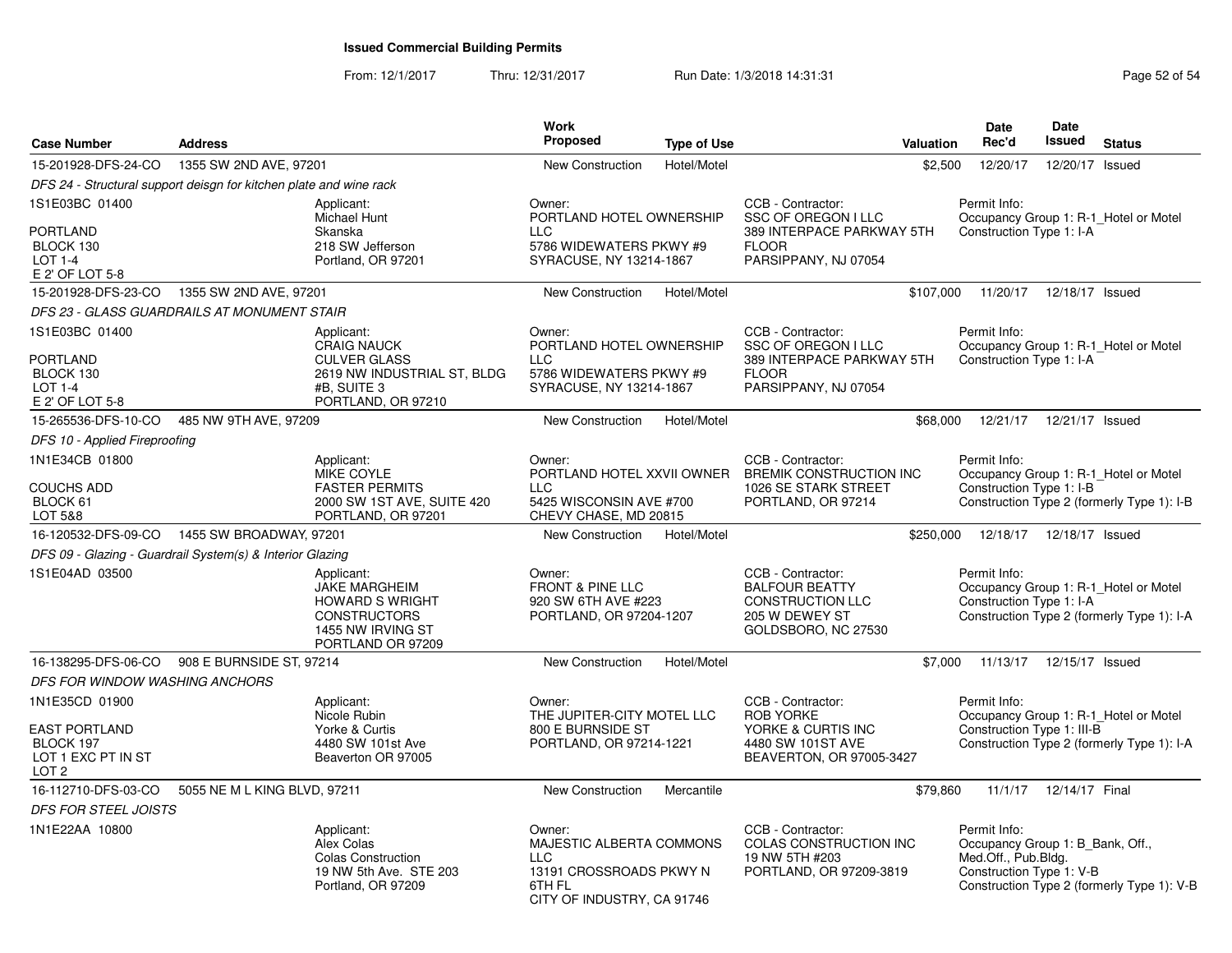From: 12/1/2017Thru: 12/31/2017 **Run Date: 1/3/2018 14:31:31 Research 2018** Page 52 of 54

| <b>Case Number</b>                                                                            | <b>Address</b>               |                                                                                                                             | <b>Work</b><br><b>Proposed</b>                                                                                      | <b>Type of Use</b> | Valuation                                                                                                            | <b>Date</b><br>Rec'd                                                                                | Date<br><b>Issued</b>      | <b>Status</b>                                                                       |
|-----------------------------------------------------------------------------------------------|------------------------------|-----------------------------------------------------------------------------------------------------------------------------|---------------------------------------------------------------------------------------------------------------------|--------------------|----------------------------------------------------------------------------------------------------------------------|-----------------------------------------------------------------------------------------------------|----------------------------|-------------------------------------------------------------------------------------|
| 15-201928-DFS-24-CO                                                                           | 1355 SW 2ND AVE, 97201       |                                                                                                                             | <b>New Construction</b>                                                                                             | Hotel/Motel        |                                                                                                                      | \$2,500<br>12/20/17                                                                                 | 12/20/17 Issued            |                                                                                     |
| DFS 24 - Structural support deisgn for kitchen plate and wine rack                            |                              |                                                                                                                             |                                                                                                                     |                    |                                                                                                                      |                                                                                                     |                            |                                                                                     |
| 1S1E03BC 01400<br><b>PORTLAND</b><br>BLOCK 130<br>$LOT 1-4$<br>E 2' OF LOT 5-8                |                              | Applicant:<br>Michael Hunt<br>Skanska<br>218 SW Jefferson<br>Portland, OR 97201                                             | Owner:<br>PORTLAND HOTEL OWNERSHIP<br><b>LLC</b><br>5786 WIDEWATERS PKWY #9<br>SYRACUSE, NY 13214-1867              |                    | CCB - Contractor:<br>SSC OF OREGON I LLC<br>389 INTERPACE PARKWAY 5TH<br><b>FLOOR</b><br>PARSIPPANY, NJ 07054        | Permit Info:<br>Construction Type 1: I-A                                                            |                            | Occupancy Group 1: R-1_Hotel or Motel                                               |
| 15-201928-DFS-23-CO                                                                           | 1355 SW 2ND AVE, 97201       |                                                                                                                             | New Construction                                                                                                    | Hotel/Motel        |                                                                                                                      | \$107,000                                                                                           | 11/20/17  12/18/17  Issued |                                                                                     |
| DFS 23 - GLASS GUARDRAILS AT MONUMENT STAIR                                                   |                              |                                                                                                                             |                                                                                                                     |                    |                                                                                                                      |                                                                                                     |                            |                                                                                     |
| 1S1E03BC 01400<br><b>PORTLAND</b><br>BLOCK 130<br><b>LOT 1-4</b><br>E 2' OF LOT 5-8           |                              | Applicant:<br><b>CRAIG NAUCK</b><br><b>CULVER GLASS</b><br>2619 NW INDUSTRIAL ST, BLDG<br>#B, SUITE 3<br>PORTLAND, OR 97210 | Owner:<br>PORTLAND HOTEL OWNERSHIP<br><b>LLC</b><br>5786 WIDEWATERS PKWY #9<br>SYRACUSE, NY 13214-1867              |                    | CCB - Contractor:<br><b>SSC OF OREGON I LLC</b><br>389 INTERPACE PARKWAY 5TH<br><b>FLOOR</b><br>PARSIPPANY, NJ 07054 | Permit Info:<br>Construction Type 1: I-A                                                            |                            | Occupancy Group 1: R-1_Hotel or Motel                                               |
| 15-265536-DFS-10-CO                                                                           | 485 NW 9TH AVE, 97209        |                                                                                                                             | New Construction                                                                                                    | Hotel/Motel        |                                                                                                                      | \$68,000<br>12/21/17                                                                                | 12/21/17 Issued            |                                                                                     |
| DFS 10 - Applied Fireproofing                                                                 |                              |                                                                                                                             |                                                                                                                     |                    |                                                                                                                      |                                                                                                     |                            |                                                                                     |
| 1N1E34CB 01800<br><b>COUCHS ADD</b><br>BLOCK 61<br>LOT 5&8                                    |                              | Applicant:<br><b>MIKE COYLE</b><br><b>FASTER PERMITS</b><br>2000 SW 1ST AVE, SUITE 420<br>PORTLAND, OR 97201                | Owner:<br>PORTLAND HOTEL XXVII OWNER<br><b>LLC</b><br>5425 WISCONSIN AVE #700<br>CHEVY CHASE, MD 20815              |                    | CCB - Contractor:<br><b>BREMIK CONSTRUCTION INC</b><br>1026 SE STARK STREET<br>PORTLAND, OR 97214                    | Permit Info:<br>Construction Type 1: I-B                                                            |                            | Occupancy Group 1: R-1_Hotel or Motel<br>Construction Type 2 (formerly Type 1): I-B |
| 16-120532-DFS-09-CO  1455 SW BROADWAY, 97201                                                  |                              |                                                                                                                             | <b>New Construction</b>                                                                                             | Hotel/Motel        |                                                                                                                      | \$250,000                                                                                           | 12/18/17  12/18/17  Issued |                                                                                     |
| DFS 09 - Glazing - Guardrail System(s) & Interior Glazing                                     |                              |                                                                                                                             |                                                                                                                     |                    |                                                                                                                      |                                                                                                     |                            |                                                                                     |
| 1S1E04AD 03500                                                                                |                              | Applicant:<br>JAKE MARGHEIM<br><b>HOWARD S WRIGHT</b><br><b>CONSTRUCTORS</b><br>1455 NW IRVING ST<br>PORTLAND OR 97209      | Owner:<br><b>FRONT &amp; PINE LLC</b><br>920 SW 6TH AVE #223<br>PORTLAND, OR 97204-1207                             |                    | CCB - Contractor:<br><b>BALFOUR BEATTY</b><br><b>CONSTRUCTION LLC</b><br>205 W DEWEY ST<br>GOLDSBORO, NC 27530       | Permit Info:<br>Construction Type 1: I-A                                                            |                            | Occupancy Group 1: R-1_Hotel or Motel<br>Construction Type 2 (formerly Type 1): I-A |
| 16-138295-DFS-06-CO                                                                           | 908 E BURNSIDE ST, 97214     |                                                                                                                             | <b>New Construction</b>                                                                                             | Hotel/Motel        |                                                                                                                      | \$7,000 11/13/17 12/15/17 Issued                                                                    |                            |                                                                                     |
| DFS FOR WINDOW WASHING ANCHORS                                                                |                              |                                                                                                                             |                                                                                                                     |                    |                                                                                                                      |                                                                                                     |                            |                                                                                     |
| 1N1E35CD 01900<br><b>EAST PORTLAND</b><br>BLOCK 197<br>LOT 1 EXC PT IN ST<br>LOT <sub>2</sub> |                              | Applicant:<br>Nicole Rubin<br>Yorke & Curtis<br>4480 SW 101st Ave<br>Beaverton OR 97005                                     | Owner:<br>THE JUPITER-CITY MOTEL LLC<br>800 E BURNSIDE ST<br>PORTLAND, OR 97214-1221                                |                    | CCB - Contractor:<br><b>ROB YORKE</b><br>YORKE & CURTIS INC<br>4480 SW 101ST AVE<br>BEAVERTON, OR 97005-3427         | Permit Info:<br>Construction Type 1: III-B                                                          |                            | Occupancy Group 1: R-1_Hotel or Motel<br>Construction Type 2 (formerly Type 1): I-A |
| 16-112710-DFS-03-CO                                                                           | 5055 NE M L KING BLVD, 97211 |                                                                                                                             | New Construction                                                                                                    | Mercantile         |                                                                                                                      | \$79,860                                                                                            | 11/1/17  12/14/17  Final   |                                                                                     |
| <b>DFS FOR STEEL JOISTS</b>                                                                   |                              |                                                                                                                             |                                                                                                                     |                    |                                                                                                                      |                                                                                                     |                            |                                                                                     |
| 1N1E22AA 10800                                                                                |                              | Applicant:<br>Alex Colas<br><b>Colas Construction</b><br>19 NW 5th Ave. STE 203<br>Portland, OR 97209                       | Owner:<br>MAJESTIC ALBERTA COMMONS<br><b>LLC</b><br>13191 CROSSROADS PKWY N<br>6TH FL<br>CITY OF INDUSTRY, CA 91746 |                    | CCB - Contractor:<br>COLAS CONSTRUCTION INC<br>19 NW 5TH #203<br>PORTLAND, OR 97209-3819                             | Permit Info:<br>Occupancy Group 1: B Bank, Off.,<br>Med.Off., Pub.Bldg.<br>Construction Type 1: V-B |                            | Construction Type 2 (formerly Type 1): V-B                                          |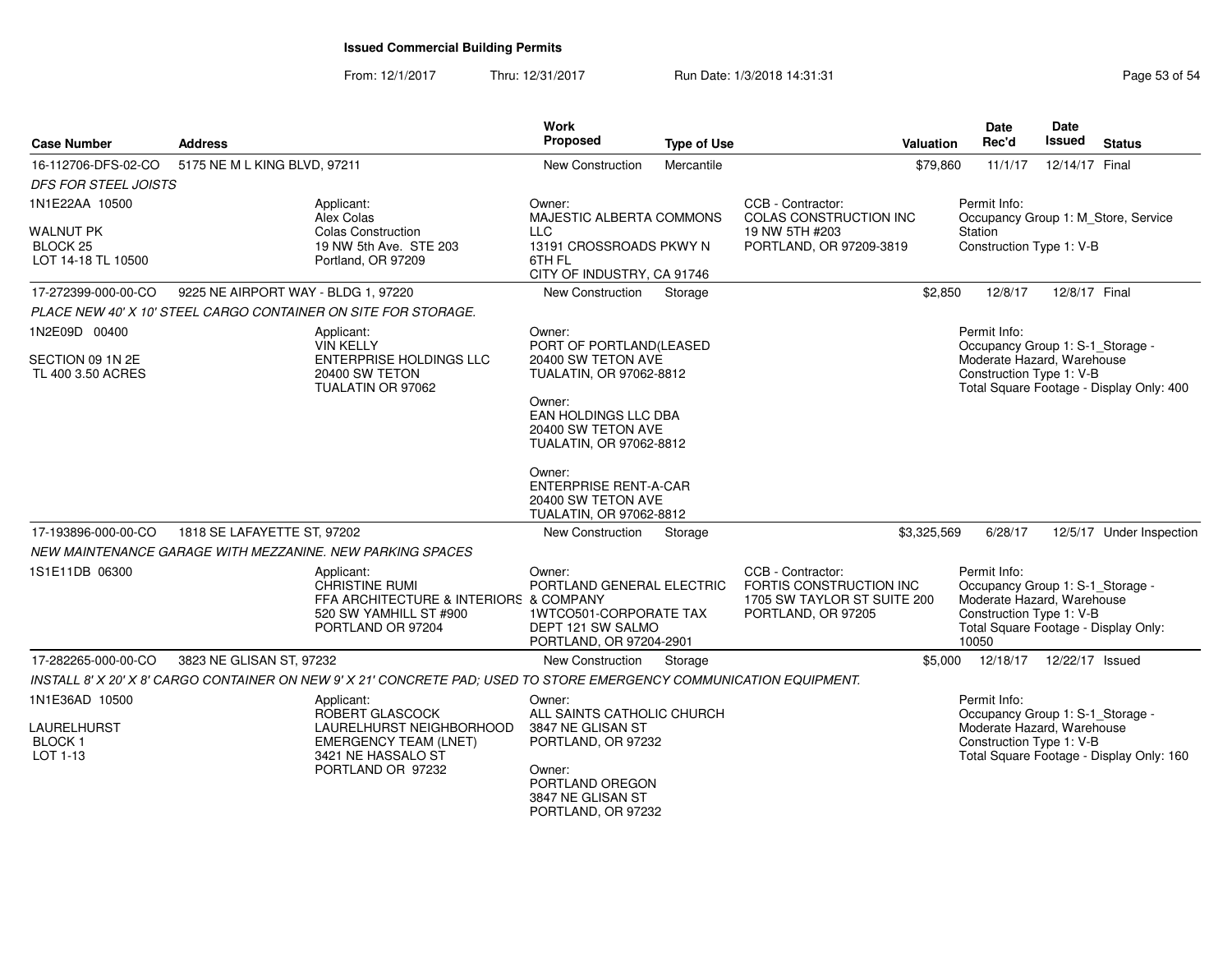From: 12/1/2017Thru: 12/31/2017 **Run Date: 1/3/2018 14:31:31 Research 2018** Page 53 of 54

| <b>Case Number</b>                                                | <b>Address</b>                      |                                                                                                                                      | <b>Work</b><br><b>Proposed</b>                                                                                | <b>Type of Use</b>                                                                                 | Valuation                                                                                         | <b>Date</b><br>Rec'd                                                                                                                                        | Date<br><b>Issued</b> | <b>Status</b>                            |  |
|-------------------------------------------------------------------|-------------------------------------|--------------------------------------------------------------------------------------------------------------------------------------|---------------------------------------------------------------------------------------------------------------|----------------------------------------------------------------------------------------------------|---------------------------------------------------------------------------------------------------|-------------------------------------------------------------------------------------------------------------------------------------------------------------|-----------------------|------------------------------------------|--|
| 16-112706-DFS-02-CO                                               | 5175 NE M L KING BLVD, 97211        |                                                                                                                                      | <b>New Construction</b>                                                                                       | Mercantile                                                                                         | \$79,860                                                                                          | 11/1/17                                                                                                                                                     | 12/14/17 Final        |                                          |  |
| <b>DFS FOR STEEL JOISTS</b>                                       |                                     |                                                                                                                                      |                                                                                                               |                                                                                                    |                                                                                                   |                                                                                                                                                             |                       |                                          |  |
| 1N1E22AA 10500                                                    |                                     | Applicant:<br>Alex Colas                                                                                                             | Owner:<br>MAJESTIC ALBERTA COMMONS                                                                            |                                                                                                    | CCB - Contractor:<br><b>COLAS CONSTRUCTION INC</b>                                                | Permit Info:<br>Occupancy Group 1: M_Store, Service                                                                                                         |                       |                                          |  |
| <b>WALNUT PK</b><br>BLOCK <sub>25</sub><br>LOT 14-18 TL 10500     |                                     | <b>Colas Construction</b><br>19 NW 5th Ave. STE 203<br>Portland, OR 97209                                                            | <b>LLC</b><br>13191 CROSSROADS PKWY N<br>6TH FL<br>CITY OF INDUSTRY, CA 91746                                 |                                                                                                    | 19 NW 5TH #203<br>PORTLAND, OR 97209-3819                                                         | Station<br>Construction Type 1: V-B                                                                                                                         |                       |                                          |  |
| 17-272399-000-00-CO                                               | 9225 NE AIRPORT WAY - BLDG 1, 97220 |                                                                                                                                      | New Construction                                                                                              | Storage                                                                                            | \$2,850                                                                                           | 12/8/17                                                                                                                                                     | 12/8/17 Final         |                                          |  |
|                                                                   |                                     | PLACE NEW 40' X 10' STEEL CARGO CONTAINER ON SITE FOR STORAGE.                                                                       |                                                                                                               |                                                                                                    |                                                                                                   |                                                                                                                                                             |                       |                                          |  |
| 1N2E09D 00400                                                     |                                     | Applicant:<br><b>VIN KELLY</b>                                                                                                       | Owner:<br>PORT OF PORTLAND(LEASED                                                                             |                                                                                                    |                                                                                                   | Permit Info:<br>Occupancy Group 1: S-1_Storage -                                                                                                            |                       |                                          |  |
| SECTION 09 1N 2E<br>TL 400 3.50 ACRES                             |                                     | 20400 SW TETON AVE<br>TUALATIN, OR 97062-8812                                                                                        |                                                                                                               | Moderate Hazard, Warehouse<br>Construction Type 1: V-B<br>Total Square Footage - Display Only: 400 |                                                                                                   |                                                                                                                                                             |                       |                                          |  |
|                                                                   | TUALATIN OR 97062                   |                                                                                                                                      | Owner:<br>EAN HOLDINGS LLC DBA<br>20400 SW TETON AVE<br>TUALATIN, OR 97062-8812                               |                                                                                                    |                                                                                                   |                                                                                                                                                             |                       |                                          |  |
|                                                                   |                                     |                                                                                                                                      | Owner:<br><b>ENTERPRISE RENT-A-CAR</b><br>20400 SW TETON AVE<br>TUALATIN, OR 97062-8812                       |                                                                                                    |                                                                                                   |                                                                                                                                                             |                       |                                          |  |
| 17-193896-000-00-CO                                               | 1818 SE LAFAYETTE ST, 97202         |                                                                                                                                      | <b>New Construction</b>                                                                                       | Storage                                                                                            | \$3,325,569                                                                                       | 6/28/17                                                                                                                                                     |                       | 12/5/17 Under Inspection                 |  |
|                                                                   |                                     | NEW MAINTENANCE GARAGE WITH MEZZANINE. NEW PARKING SPACES                                                                            |                                                                                                               |                                                                                                    |                                                                                                   |                                                                                                                                                             |                       |                                          |  |
| 1S1E11DB 06300                                                    |                                     | Applicant:<br><b>CHRISTINE RUMI</b><br>FFA ARCHITECTURE & INTERIORS & COMPANY<br>520 SW YAMHILL ST #900<br>PORTLAND OR 97204         | Owner:<br>PORTLAND GENERAL ELECTRIC<br>1WTCO501-CORPORATE TAX<br>DEPT 121 SW SALMO<br>PORTLAND, OR 97204-2901 |                                                                                                    | CCB - Contractor:<br>FORTIS CONSTRUCTION INC<br>1705 SW TAYLOR ST SUITE 200<br>PORTLAND, OR 97205 | Permit Info:<br>Occupancy Group 1: S-1_Storage -<br>Moderate Hazard, Warehouse<br>Construction Type 1: V-B<br>Total Square Footage - Display Only:<br>10050 |                       |                                          |  |
| 17-282265-000-00-CO                                               | 3823 NE GLISAN ST, 97232            |                                                                                                                                      | New Construction                                                                                              | Storage                                                                                            | \$5,000                                                                                           | 12/18/17  12/22/17  Issued                                                                                                                                  |                       |                                          |  |
|                                                                   |                                     | INSTALL 8' X 20' X 8' CARGO CONTAINER ON NEW 9' X 21' CONCRETE PAD: USED TO STORE EMERGENCY COMMUNICATION EQUIPMENT.                 |                                                                                                               |                                                                                                    |                                                                                                   |                                                                                                                                                             |                       |                                          |  |
| 1N1E36AD 10500<br><b>LAURELHURST</b><br><b>BLOCK1</b><br>LOT 1-13 |                                     | Applicant:<br>ROBERT GLASCOCK<br>LAURELHURST NEIGHBORHOOD<br><b>EMERGENCY TEAM (LNET)</b><br>3421 NE HASSALO ST<br>PORTLAND OR 97232 | Owner:<br>ALL SAINTS CATHOLIC CHURCH<br>3847 NE GLISAN ST<br>PORTLAND, OR 97232<br>Owner:<br>PORTLAND OREGON  |                                                                                                    |                                                                                                   | Permit Info:<br>Occupancy Group 1: S-1_Storage -<br>Moderate Hazard, Warehouse<br>Construction Type 1: V-B                                                  |                       | Total Square Footage - Display Only: 160 |  |
|                                                                   |                                     |                                                                                                                                      | 3847 NE GLISAN ST<br>PORTLAND, OR 97232                                                                       |                                                                                                    |                                                                                                   |                                                                                                                                                             |                       |                                          |  |